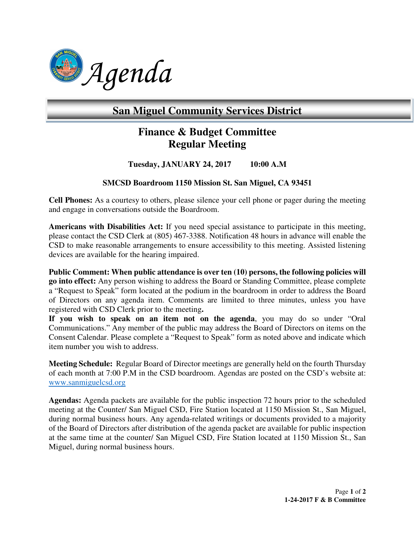

# **San Miguel Community Services District**

# **Finance & Budget Committee Regular Meeting**

# **Tuesday, JANUARY 24, 2017 10:00 A.M**

## **SMCSD Boardroom 1150 Mission St. San Miguel, CA 93451**

**Cell Phones:** As a courtesy to others, please silence your cell phone or pager during the meeting and engage in conversations outside the Boardroom.

**Americans with Disabilities Act:** If you need special assistance to participate in this meeting, please contact the CSD Clerk at (805) 467-3388. Notification 48 hours in advance will enable the CSD to make reasonable arrangements to ensure accessibility to this meeting. Assisted listening devices are available for the hearing impaired.

Public Comment: When public attendance is over ten (10) persons, the following policies will **go into effect:** Any person wishing to address the Board or Standing Committee, please complete a "Request to Speak" form located at the podium in the boardroom in order to address the Board of Directors on any agenda item. Comments are limited to three minutes, unless you have registered with CSD Clerk prior to the meeting**.** 

**If you wish to speak on an item not on the agenda**, you may do so under "Oral Communications." Any member of the public may address the Board of Directors on items on the Consent Calendar. Please complete a "Request to Speak" form as noted above and indicate which item number you wish to address.

**Meeting Schedule:** Regular Board of Director meetings are generally held on the fourth Thursday of each month at 7:00 P.M in the CSD boardroom. Agendas are posted on the CSD's website at: www.sanmiguelcsd.org

**Agendas:** Agenda packets are available for the public inspection 72 hours prior to the scheduled meeting at the Counter/ San Miguel CSD, Fire Station located at 1150 Mission St., San Miguel, during normal business hours. Any agenda-related writings or documents provided to a majority of the Board of Directors after distribution of the agenda packet are available for public inspection at the same time at the counter/ San Miguel CSD, Fire Station located at 1150 Mission St., San Miguel, during normal business hours.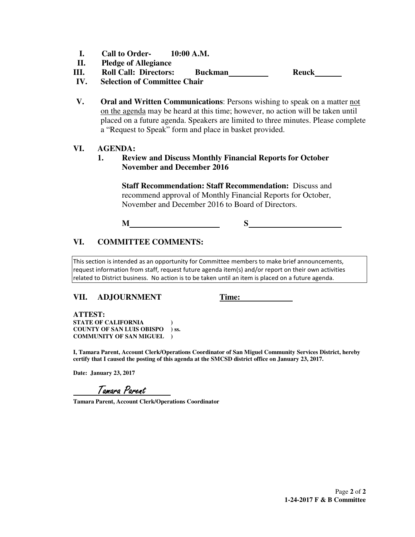- **I. Call to Order- 10:00 A.M.**
- **II. Pledge of Allegiance**
- **III. Roll Call: Directors: Buckman Reuck**
- **IV. Selection of Committee Chair**
- **V. Oral and Written Communications**: Persons wishing to speak on a matter not on the agenda may be heard at this time; however, no action will be taken until placed on a future agenda. Speakers are limited to three minutes. Please complete a "Request to Speak" form and place in basket provided.

## **VI. AGENDA:**

**1. Review and Discuss Monthly Financial Reports for October November and December 2016** 

> **Staff Recommendation: Staff Recommendation:** Discuss and recommend approval of Monthly Financial Reports for October, November and December 2016 to Board of Directors.

**M** S

# **VI. COMMITTEE COMMENTS:**

This section is intended as an opportunity for Committee members to make brief announcements, request information from staff, request future agenda item(s) and/or report on their own activities related to District business. No action is to be taken until an item is placed on a future agenda.

# **VII. ADJOURNMENT Time:**

 **ATTEST: STATE OF CALIFORNIA ) COUNTY OF SAN LUIS OBISPO ) ss. COMMUNITY OF SAN MIGUEL )** 

**I, Tamara Parent, Account Clerk/Operations Coordinator of San Miguel Community Services District, hereby certify that I caused the posting of this agenda at the SMCSD district office on January 23, 2017.** 

**Date: January 23, 2017** 

Tamara Parent

**Tamara Parent, Account Clerk/Operations Coordinator**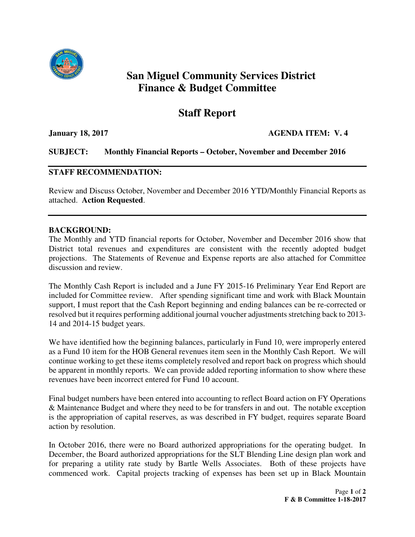

# **San Miguel Community Services District Finance & Budget Committee**

# **Staff Report**

**January 18, 2017 AGENDA ITEM: V. 4** 

# **SUBJECT: Monthly Financial Reports – October, November and December 2016**

## **STAFF RECOMMENDATION:**

Review and Discuss October, November and December 2016 YTD/Monthly Financial Reports as attached. **Action Requested**.

## **BACKGROUND:**

The Monthly and YTD financial reports for October, November and December 2016 show that District total revenues and expenditures are consistent with the recently adopted budget projections. The Statements of Revenue and Expense reports are also attached for Committee discussion and review.

The Monthly Cash Report is included and a June FY 2015-16 Preliminary Year End Report are included for Committee review. After spending significant time and work with Black Mountain support, I must report that the Cash Report beginning and ending balances can be re-corrected or resolved but it requires performing additional journal voucher adjustments stretching back to 2013- 14 and 2014-15 budget years.

We have identified how the beginning balances, particularly in Fund 10, were improperly entered as a Fund 10 item for the HOB General revenues item seen in the Monthly Cash Report. We will continue working to get these items completely resolved and report back on progress which should be apparent in monthly reports. We can provide added reporting information to show where these revenues have been incorrect entered for Fund 10 account.

Final budget numbers have been entered into accounting to reflect Board action on FY Operations & Maintenance Budget and where they need to be for transfers in and out. The notable exception is the appropriation of capital reserves, as was described in FY budget, requires separate Board action by resolution.

In October 2016, there were no Board authorized appropriations for the operating budget. In December, the Board authorized appropriations for the SLT Blending Line design plan work and for preparing a utility rate study by Bartle Wells Associates. Both of these projects have commenced work. Capital projects tracking of expenses has been set up in Black Mountain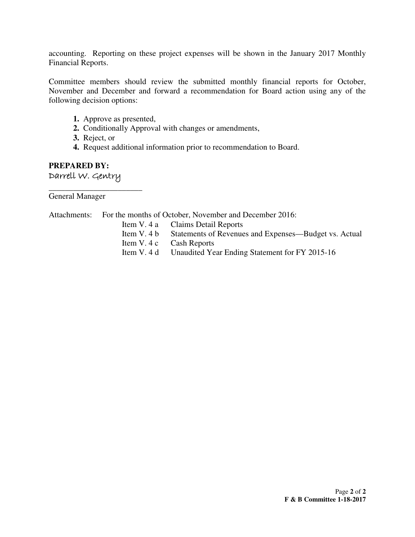accounting. Reporting on these project expenses will be shown in the January 2017 Monthly Financial Reports.

Committee members should review the submitted monthly financial reports for October, November and December and forward a recommendation for Board action using any of the following decision options:

- **1.** Approve as presented,
- **2.** Conditionally Approval with changes or amendments,
- **3.** Reject, or
- **4.** Request additional information prior to recommendation to Board.

# **PREPARED BY:** Darrell W. Gentry

**\_\_\_\_\_\_\_\_\_\_\_\_\_\_\_\_\_\_\_\_\_\_\_**  General Manager

|  | Attachments: For the months of October, November and December 2016: |
|--|---------------------------------------------------------------------|
|  | Item V. 4 a Claims Detail Reports                                   |
|  | Item V. 4 b Statements of Revenues and Expenses—Budget vs. Actual   |
|  | Item V. 4 c Cash Reports                                            |
|  | Item V. 4 d Unaudited Year Ending Statement for FY 2015-16          |
|  |                                                                     |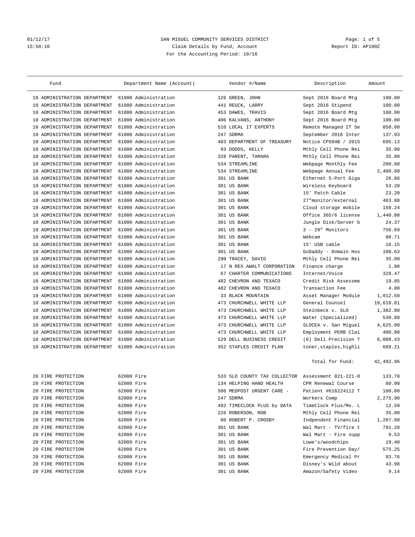### 01/12/17 SAN MIGUEL COMMUNITY SERVICES DISTRICT Page: 1 of 5 15:50:10 Claim Details by Fund, Account For the Accounting Period: 10/16

| Fund                            | Department Name (Account) |     | Vendor #/Name                                     | Description            | Amount    |
|---------------------------------|---------------------------|-----|---------------------------------------------------|------------------------|-----------|
| 10 ADMINISTRATION DEPARTMENT    | 61000 Administration      |     | 126 GREEN, JOHN                                   | Sept 2016 Board Mtg    | 100.00    |
| ADMINISTRATION DEPARTMENT<br>10 | 61000 Administration      |     | 441 REUCK, LARRY                                  | Sept 2016 Stipend      | 100.00    |
| 10 ADMINISTRATION DEPARTMENT    | 61000 Administration      |     | 453 DAWES, TRAVIS                                 | Sept 2016 Board Mtg    | 100.00    |
| ADMINISTRATION DEPARTMENT<br>10 | 61000 Administration      |     | 406 KALVANS, ANTHONY                              | Sept 2016 Board Mtg    | 100.00    |
| ADMINISTRATION DEPARTMENT<br>10 | 61000 Administration      |     | 510 LOCAL IT EXPERTS                              | Remote Managed IT Se   | 850.00    |
| ADMINISTRATION DEPARTMENT<br>10 | 61000 Administration      | 247 | SDRMA                                             | September 2016 Inter   | 137.93    |
| ADMINISTRATION DEPARTMENT<br>10 | 61000 Administration      |     | 403 DEPARTMENT OF TREASURY                        | Notice CP504B / 2015   | 695.13    |
| 10 ADMINISTRATION DEPARTMENT    | 61000 Administration      |     | 93 DODDS, KELLY                                   | Mthly Cell Phone Rei   | 35.00     |
| ADMINISTRATION DEPARTMENT<br>10 | 61000 Administration      | 328 | PARENT, TAMARA                                    | Mthly Cell Phone Rei   | 35.00     |
| 10<br>ADMINISTRATION DEPARTMENT | 61000 Administration      |     | 534 STREAMLINE                                    | Webpage Monthly Fee    | 200.00    |
| ADMINISTRATION DEPARTMENT<br>10 | 61000 Administration      |     | 534 STREAMLINE                                    | Webpage Annual Fee     | 2,400.00  |
| ADMINISTRATION DEPARTMENT<br>10 | 61000 Administration      |     | 301 US BANK                                       | Ethernet 5-Port Giga   | 26.86     |
| ADMINISTRATION DEPARTMENT<br>10 | 61000 Administration      |     | 301 US BANK                                       | Wireless Keyboard      | 53.20     |
| ADMINISTRATION DEPARTMENT<br>10 | 61000 Administration      |     | 301 US BANK                                       | 15' Patch Cable        | 23.20     |
| 10<br>ADMINISTRATION DEPARTMENT | 61000 Administration      |     | 301 US BANK                                       | 27"monitor/external    | 403.88    |
| ADMINISTRATION DEPARTMENT<br>10 | 61000 Administration      |     | 301 US BANK                                       | Cloud storage mobile   | 150.24    |
| ADMINISTRATION DEPARTMENT<br>10 | 61000 Administration      |     | 301 US BANK                                       | Office 365/6 license   | 1,440.00  |
| ADMINISTRATION DEPARTMENT<br>10 | 61000 Administration      |     | 301 US BANK                                       | Jungle Disk/Server b   | 24.37     |
| ADMINISTRATION DEPARTMENT<br>10 | 61000 Administration      |     | 301 US BANK                                       | $3 - 29"$ Monitors     | 756.69    |
| 10<br>ADMINISTRATION DEPARTMENT | 61000 Administration      |     | 301 US BANK                                       | Webcam                 | 88.71     |
| ADMINISTRATION DEPARTMENT<br>10 | 61000 Administration      |     | 301 US BANK                                       | 15' USB cable          | 16.15     |
| ADMINISTRATION DEPARTMENT<br>10 | 61000 Administration      |     | 301 US BANK                                       | GoDaddy - Domain Hos   | 108.63    |
| ADMINISTRATION DEPARTMENT<br>10 | 61000 Administration      |     | 290 TRACEY, DAVID                                 | Mthly Cell Phone Rei   | 35.00     |
| ADMINISTRATION DEPARTMENT<br>10 | 61000 Administration      |     | 17 N REX AWALT CORPORATION                        | Finance charge         | 1.90      |
| ADMINISTRATION DEPARTMENT<br>10 | 61000 Administration      |     | 67 CHARTER COMMUNICATIONS                         | Internet/Voice         | 328.47    |
| ADMINISTRATION DEPARTMENT<br>10 | 61000 Administration      | 482 | CHEVRON AND TEXACO                                | Credit Risk Assessme   | 19.05     |
| ADMINISTRATION DEPARTMENT<br>10 | 61000 Administration      | 482 | CHEVRON AND TEXACO                                | Transaction Fee        | 4.00      |
| 10 ADMINISTRATION DEPARTMENT    | 61000 Administration      |     | 33 BLACK MOUNTAIN                                 | Asset Manager Module   | 1,012.50  |
| ADMINISTRATION DEPARTMENT<br>10 | 61000 Administration      |     | 473 CHURCHWELL WHITE LLP                          | General Counsel        | 19,610.81 |
| 10<br>ADMINISTRATION DEPARTMENT | 61000 Administration      |     | 473 CHURCHWELL WHITE LLP                          | Steinbeck v. SLO       | 1,382.80  |
| ADMINISTRATION DEPARTMENT<br>10 | 61000 Administration      | 473 | CHURCHWELL WHITE LLP                              | Water (Specialized)    | 530.80    |
| ADMINISTRATION DEPARTMENT<br>10 | 61000 Administration      | 473 | CHURCHWELL WHITE LLP                              | SLOCEA v. San Miguel   | 4,625.00  |
| 10 ADMINISTRATION DEPARTMENT    | 61000 Administration      | 473 | CHURCHWELL WHITE LLP                              | Employment PERB Clai   | 400.00    |
| ADMINISTRATION DEPARTMENT<br>10 | 61000 Administration      | 529 | DELL BUSINESS CREDIT                              | (6) Dell Precision T   | 6,008.43  |
| 10 ADMINISTRATION DEPARTMENT    | 61000 Administration      |     | 352 STAPLES CREDIT PLAN                           | toner, staples, highli | 689.21    |
|                                 |                           |     |                                                   | Total for Fund:        | 42,492.96 |
| 20 FIRE PROTECTION              | 62000 Fire                |     | 533 SLO COUNTY TAX COLLECTOR Assessment 021-221-0 |                        | 133.78    |
| 20 FIRE PROTECTION              | 62000 Fire                |     | 134 HELPING HAND HEALTH                           | CPR Renewal Course     | 80.00     |
| FIRE PROTECTION<br>20           | 62000 Fire                |     | 506 MEDPOST URGENT CARE -                         | Patient #616224112 T   | 100.00    |
| 20 FIRE PROTECTION              | 62000 Fire                |     | 247 SDRMA                                         | Workers Comp           | 2,275.90  |
| 20 FIRE PROTECTION              | 62000 Fire                |     | 492 TIMECLOCK PLUS by DATA                        | TimeClock Plus/Mo. L   | 12.50     |
| 20 FIRE PROTECTION              | 62000 Fire                |     | 226 ROBERSON, ROB                                 | Mthly Cell Phone Rei   | 35.00     |
| FIRE PROTECTION<br>20           | 62000 Fire                |     | 80 ROBERT P. CROSBY                               | Indpendent Financial   | 1,287.00  |
| FIRE PROTECTION<br>20           | 62000 Fire                |     | 301 US BANK                                       | Wal Mart - TV/fire t   | 791.20    |
| FIRE PROTECTION<br>20           | 62000 Fire                |     | 301 US BANK                                       | Wal Mart - Fire supp   | 9.53      |
| 20 FIRE PROTECTION              | 62000 Fire                |     | 301 US BANK                                       | Lowe's/woodchips       | 19.40     |
| 20 FIRE PROTECTION              | 62000 Fire                |     | 301 US BANK                                       | Fire Prevention Day/   | 575.25    |
| FIRE PROTECTION<br>20           | 62000 Fire                |     | 301 US BANK                                       | Emergency Medical Pr   | 93.76     |
| FIRE PROTECTION<br>20           | 62000 Fire                |     | 301 US BANK                                       | Disney's Wild about    | 43.98     |
| 20 FIRE PROTECTION              | 62000 Fire                |     | 301 US BANK                                       | Amazon/Safety Video    | 9.14      |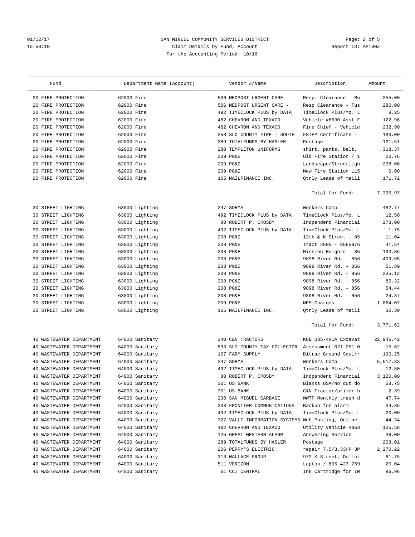### 01/12/17 2012 SAN MIGUEL COMMUNITY SERVICES DISTRICT 2012/17 Page: 2 of 5<br>2016 15:50:10 Claim Details by Fund, Account 15:50:10 Claim Details by Fund, Account For the Accounting Period: 10/16

| 20 FIRE PROTECTION<br>62000 Fire<br>506 MEDPOST URGENT CARE -<br>Resp. Clearance - Ro<br>255.00<br>280.00<br>FIRE PROTECTION<br>62000 Fire<br>506 MEDPOST URGENT CARE -<br>Resp Clearance - Tus<br>20<br>20 FIRE PROTECTION<br>62000 Fire<br>492 TIMECLOCK PLUS by DATA<br>TimeClock Plus/Mo. L<br>8.25<br>FIRE PROTECTION<br>62000 Fire<br>482 CHEVRON AND TEXACO<br>Vehicle #8630 Asst F<br>122.96<br>20<br>232.90<br>FIRE PROTECTION<br>62000 Fire<br>482 CHEVRON AND TEXACO<br>Fire Chief - Vehicle<br>20<br>FIRE PROTECTION<br>62000 Fire<br>SLO COUNTY FIRE - SOUTH<br>FSTEP Certificate -<br>180.00<br>20<br>258<br>62000 Fire<br>289 TOTALFUNDS BY HASLER<br>101.51<br>FIRE PROTECTION<br>20<br>Postage<br>20 FIRE PROTECTION<br>62000 Fire<br>280 TEMPLETON UNIFORMS<br>shirt, pants, belt,<br>318.37<br>20 FIRE PROTECTION<br>62000 Fire<br>209 PG&E<br>Old Fire Station / 1<br>20.76<br>FIRE PROTECTION<br>62000 Fire<br>209 PG&E<br>Landscape/Streetligh<br>238.06<br>20<br>FIRE PROTECTION<br>62000 Fire<br>209 PG&E<br>New Fire Station 115<br>0.00<br>20<br>171.72<br>20 FIRE PROTECTION<br>62000 Fire<br>165 MAILFINANCE INC.<br>Qtrly Lease of maili<br>Total for Fund:<br>7,395.97<br>STREET LIGHTING<br>247 SDRMA<br>482.77<br>63000 Lighting<br>Workers Comp<br>30<br>TimeClock Plus/Mo. L<br>12.50<br>STREET LIGHTING<br>63000 Lighting<br>492 TIMECLOCK PLUS by DATA<br>30<br>30 STREET LIGHTING<br>63000 Lighting<br>80 ROBERT P. CROSBY<br>Indpendent Financial<br>273.00<br>STREET LIGHTING<br>63000 Lighting<br>492 TIMECLOCK PLUS by DATA<br>TimeClock Plus/Mo. L<br>1.75<br>30<br>STREET LIGHTING<br>63000 Lighting<br>208 PG&E<br>12th & K Street - 85<br>11.04<br>30<br>208 PG&E<br>Tract 2605 - 8565976<br>41.54<br>STREET LIGHTING<br>63000 Lighting<br>30<br>Mission Heights - 85<br>193.86<br>STREET LIGHTING<br>63000 Lighting<br>208 PG&E<br>30<br>63000 Lighting<br>9898 River Rd. - 856<br>409.65<br>STREET LIGHTING<br>208 PG&E<br>30<br>STREET LIGHTING<br>63000 Lighting<br>208 PG&E<br>9898 River Rd. - 856<br>51.89<br>30<br>235.12<br>STREET LIGHTING<br>63000 Lighting<br>208 PG&E<br>9898 River Rd. - 856<br>30<br>85.32<br>STREET LIGHTING<br>208 PG&E<br>9898 River Rd. - 856<br>63000 Lighting<br>30<br>208 PG&E<br>9898 River Rd. - 856<br>54.44<br>STREET LIGHTING<br>63000 Lighting<br>30<br>30 STREET LIGHTING<br>63000 Lighting<br>9898 River Rd. - 856<br>24.37<br>208 PG&E<br>STREET LIGHTING<br>63000 Lighting<br>209 PG&E<br>NEM Charges<br>1,864.07<br>30<br>30.30<br>30 STREET LIGHTING<br>63000 Lighting<br>165 MAILFINANCE INC.<br>Qtrly Lease of maili<br>Total for Fund:<br>3,771.62<br>WASTEWATER DEPARTMENT<br>64000 Sanitary<br>KUB U35-4R1A Excavat<br>22,946.42<br>340 C&N TRACTORS<br>40<br>64000 Sanitary<br>15.62<br>WASTEWATER DEPARTMENT<br>533 SLO COUNTY TAX COLLECTOR<br>Assessment 021-051-0<br>40<br>190.25<br>WASTEWATER DEPARTMENT<br>107 FARM SUPPLY<br>64000 Sanitary<br>Ditrac Ground Squirr<br>40<br>5,517.33<br>WASTEWATER DEPARTMENT<br>64000 Sanitary<br>247 SDRMA<br>Workers Comp<br>40<br>64000 Sanitary<br>492 TIMECLOCK PLUS by DATA<br>TimeClock Plus/Mo. L<br>12.50<br>WASTEWATER DEPARTMENT<br>40<br>3.120.00<br>40 WASTEWATER DEPARTMENT<br>64000 Sanitary<br>80 ROBERT P. CROSBY<br>Indpendent Financial<br>58.75<br>40 WASTEWATER DEPARTMENT<br>64000 Sanitary<br>301 US BANK<br>Blanks USA/No cut do<br>2.39<br>WASTEWATER DEPARTMENT<br>64000 Sanitary<br>301 US BANK<br>C&N Tractor/primer b<br>40<br>47.74<br>WASTEWATER DEPARTMENT<br>64000 Sanitary<br>238 SAN MIGUEL GARBAGE<br>WWTP Monthly trash d<br>40<br>64000 Sanitary<br>308 FRONTIER COMMUNICATIONS<br>Backup for alarm<br>WASTEWATER DEPARTMENT<br>34.35<br>40<br>WASTEWATER DEPARTMENT<br>64000 Sanitary<br>492 TIMECLOCK PLUS by DATA<br>TimeClock Plus/Mo. L<br>20.00<br>40<br>64000 Sanitary<br>327 VALLI INFORMATION SYSTEMS Web Posting, Online<br>44.34<br>40<br>WASTEWATER DEPARTMENT<br>Utility Vehicle #863<br>WASTEWATER DEPARTMENT<br>64000 Sanitary<br>482 CHEVRON AND TEXACO<br>125.58<br>40<br>WASTEWATER DEPARTMENT<br>64000 Sanitary<br>Answering Service<br>36.00<br>40<br>125 GREAT WESTERN ALARM<br>203.01<br>WASTEWATER DEPARTMENT<br>64000 Sanitary<br>289 TOTALFUNDS BY HASLER<br>Postage<br>40<br>2,270.22<br>WASTEWATER DEPARTMENT<br>64000 Sanitary<br>206 PERRY'S ELECTRIC<br>repair 7.5/3.33HP 3P<br>40<br>WASTEWATER DEPARTMENT<br>64000 Sanitary<br>81.75<br>313 WALLACE GROUP<br>972 K Street, Dollar<br>40<br>20.04<br>WASTEWATER DEPARTMENT<br>64000 Sanitary<br>511 VERIZON<br>Laptop / 805-423-759<br>40<br>96.96<br>40 WASTEWATER DEPARTMENT<br>64000 Sanitary<br>61 CCI CENTRAL<br>Ink Cartridge for IM | Fund | Department Name (Account) | Vendor #/Name | Description | Amount |
|----------------------------------------------------------------------------------------------------------------------------------------------------------------------------------------------------------------------------------------------------------------------------------------------------------------------------------------------------------------------------------------------------------------------------------------------------------------------------------------------------------------------------------------------------------------------------------------------------------------------------------------------------------------------------------------------------------------------------------------------------------------------------------------------------------------------------------------------------------------------------------------------------------------------------------------------------------------------------------------------------------------------------------------------------------------------------------------------------------------------------------------------------------------------------------------------------------------------------------------------------------------------------------------------------------------------------------------------------------------------------------------------------------------------------------------------------------------------------------------------------------------------------------------------------------------------------------------------------------------------------------------------------------------------------------------------------------------------------------------------------------------------------------------------------------------------------------------------------------------------------------------------------------------------------------------------------------------------------------------------------------------------------------------------------------------------------------------------------------------------------------------------------------------------------------------------------------------------------------------------------------------------------------------------------------------------------------------------------------------------------------------------------------------------------------------------------------------------------------------------------------------------------------------------------------------------------------------------------------------------------------------------------------------------------------------------------------------------------------------------------------------------------------------------------------------------------------------------------------------------------------------------------------------------------------------------------------------------------------------------------------------------------------------------------------------------------------------------------------------------------------------------------------------------------------------------------------------------------------------------------------------------------------------------------------------------------------------------------------------------------------------------------------------------------------------------------------------------------------------------------------------------------------------------------------------------------------------------------------------------------------------------------------------------------------------------------------------------------------------------------------------------------------------------------------------------------------------------------------------------------------------------------------------------------------------------------------------------------------------------------------------------------------------------------------------------------------------------------------------------------------------------------------------------------------------------------------------------------------------------------------------------------------------------------------------------------------------------------------------------------------------------------------------------------------------------------------------------------------------------------------------------------------------------------------------------------------------------------------------------------------------------------------------------------------------------------------------|------|---------------------------|---------------|-------------|--------|
|                                                                                                                                                                                                                                                                                                                                                                                                                                                                                                                                                                                                                                                                                                                                                                                                                                                                                                                                                                                                                                                                                                                                                                                                                                                                                                                                                                                                                                                                                                                                                                                                                                                                                                                                                                                                                                                                                                                                                                                                                                                                                                                                                                                                                                                                                                                                                                                                                                                                                                                                                                                                                                                                                                                                                                                                                                                                                                                                                                                                                                                                                                                                                                                                                                                                                                                                                                                                                                                                                                                                                                                                                                                                                                                                                                                                                                                                                                                                                                                                                                                                                                                                                                                                                                                                                                                                                                                                                                                                                                                                                                                                                                                                                                                |      |                           |               |             |        |
|                                                                                                                                                                                                                                                                                                                                                                                                                                                                                                                                                                                                                                                                                                                                                                                                                                                                                                                                                                                                                                                                                                                                                                                                                                                                                                                                                                                                                                                                                                                                                                                                                                                                                                                                                                                                                                                                                                                                                                                                                                                                                                                                                                                                                                                                                                                                                                                                                                                                                                                                                                                                                                                                                                                                                                                                                                                                                                                                                                                                                                                                                                                                                                                                                                                                                                                                                                                                                                                                                                                                                                                                                                                                                                                                                                                                                                                                                                                                                                                                                                                                                                                                                                                                                                                                                                                                                                                                                                                                                                                                                                                                                                                                                                                |      |                           |               |             |        |
|                                                                                                                                                                                                                                                                                                                                                                                                                                                                                                                                                                                                                                                                                                                                                                                                                                                                                                                                                                                                                                                                                                                                                                                                                                                                                                                                                                                                                                                                                                                                                                                                                                                                                                                                                                                                                                                                                                                                                                                                                                                                                                                                                                                                                                                                                                                                                                                                                                                                                                                                                                                                                                                                                                                                                                                                                                                                                                                                                                                                                                                                                                                                                                                                                                                                                                                                                                                                                                                                                                                                                                                                                                                                                                                                                                                                                                                                                                                                                                                                                                                                                                                                                                                                                                                                                                                                                                                                                                                                                                                                                                                                                                                                                                                |      |                           |               |             |        |
|                                                                                                                                                                                                                                                                                                                                                                                                                                                                                                                                                                                                                                                                                                                                                                                                                                                                                                                                                                                                                                                                                                                                                                                                                                                                                                                                                                                                                                                                                                                                                                                                                                                                                                                                                                                                                                                                                                                                                                                                                                                                                                                                                                                                                                                                                                                                                                                                                                                                                                                                                                                                                                                                                                                                                                                                                                                                                                                                                                                                                                                                                                                                                                                                                                                                                                                                                                                                                                                                                                                                                                                                                                                                                                                                                                                                                                                                                                                                                                                                                                                                                                                                                                                                                                                                                                                                                                                                                                                                                                                                                                                                                                                                                                                |      |                           |               |             |        |
|                                                                                                                                                                                                                                                                                                                                                                                                                                                                                                                                                                                                                                                                                                                                                                                                                                                                                                                                                                                                                                                                                                                                                                                                                                                                                                                                                                                                                                                                                                                                                                                                                                                                                                                                                                                                                                                                                                                                                                                                                                                                                                                                                                                                                                                                                                                                                                                                                                                                                                                                                                                                                                                                                                                                                                                                                                                                                                                                                                                                                                                                                                                                                                                                                                                                                                                                                                                                                                                                                                                                                                                                                                                                                                                                                                                                                                                                                                                                                                                                                                                                                                                                                                                                                                                                                                                                                                                                                                                                                                                                                                                                                                                                                                                |      |                           |               |             |        |
|                                                                                                                                                                                                                                                                                                                                                                                                                                                                                                                                                                                                                                                                                                                                                                                                                                                                                                                                                                                                                                                                                                                                                                                                                                                                                                                                                                                                                                                                                                                                                                                                                                                                                                                                                                                                                                                                                                                                                                                                                                                                                                                                                                                                                                                                                                                                                                                                                                                                                                                                                                                                                                                                                                                                                                                                                                                                                                                                                                                                                                                                                                                                                                                                                                                                                                                                                                                                                                                                                                                                                                                                                                                                                                                                                                                                                                                                                                                                                                                                                                                                                                                                                                                                                                                                                                                                                                                                                                                                                                                                                                                                                                                                                                                |      |                           |               |             |        |
|                                                                                                                                                                                                                                                                                                                                                                                                                                                                                                                                                                                                                                                                                                                                                                                                                                                                                                                                                                                                                                                                                                                                                                                                                                                                                                                                                                                                                                                                                                                                                                                                                                                                                                                                                                                                                                                                                                                                                                                                                                                                                                                                                                                                                                                                                                                                                                                                                                                                                                                                                                                                                                                                                                                                                                                                                                                                                                                                                                                                                                                                                                                                                                                                                                                                                                                                                                                                                                                                                                                                                                                                                                                                                                                                                                                                                                                                                                                                                                                                                                                                                                                                                                                                                                                                                                                                                                                                                                                                                                                                                                                                                                                                                                                |      |                           |               |             |        |
|                                                                                                                                                                                                                                                                                                                                                                                                                                                                                                                                                                                                                                                                                                                                                                                                                                                                                                                                                                                                                                                                                                                                                                                                                                                                                                                                                                                                                                                                                                                                                                                                                                                                                                                                                                                                                                                                                                                                                                                                                                                                                                                                                                                                                                                                                                                                                                                                                                                                                                                                                                                                                                                                                                                                                                                                                                                                                                                                                                                                                                                                                                                                                                                                                                                                                                                                                                                                                                                                                                                                                                                                                                                                                                                                                                                                                                                                                                                                                                                                                                                                                                                                                                                                                                                                                                                                                                                                                                                                                                                                                                                                                                                                                                                |      |                           |               |             |        |
|                                                                                                                                                                                                                                                                                                                                                                                                                                                                                                                                                                                                                                                                                                                                                                                                                                                                                                                                                                                                                                                                                                                                                                                                                                                                                                                                                                                                                                                                                                                                                                                                                                                                                                                                                                                                                                                                                                                                                                                                                                                                                                                                                                                                                                                                                                                                                                                                                                                                                                                                                                                                                                                                                                                                                                                                                                                                                                                                                                                                                                                                                                                                                                                                                                                                                                                                                                                                                                                                                                                                                                                                                                                                                                                                                                                                                                                                                                                                                                                                                                                                                                                                                                                                                                                                                                                                                                                                                                                                                                                                                                                                                                                                                                                |      |                           |               |             |        |
|                                                                                                                                                                                                                                                                                                                                                                                                                                                                                                                                                                                                                                                                                                                                                                                                                                                                                                                                                                                                                                                                                                                                                                                                                                                                                                                                                                                                                                                                                                                                                                                                                                                                                                                                                                                                                                                                                                                                                                                                                                                                                                                                                                                                                                                                                                                                                                                                                                                                                                                                                                                                                                                                                                                                                                                                                                                                                                                                                                                                                                                                                                                                                                                                                                                                                                                                                                                                                                                                                                                                                                                                                                                                                                                                                                                                                                                                                                                                                                                                                                                                                                                                                                                                                                                                                                                                                                                                                                                                                                                                                                                                                                                                                                                |      |                           |               |             |        |
|                                                                                                                                                                                                                                                                                                                                                                                                                                                                                                                                                                                                                                                                                                                                                                                                                                                                                                                                                                                                                                                                                                                                                                                                                                                                                                                                                                                                                                                                                                                                                                                                                                                                                                                                                                                                                                                                                                                                                                                                                                                                                                                                                                                                                                                                                                                                                                                                                                                                                                                                                                                                                                                                                                                                                                                                                                                                                                                                                                                                                                                                                                                                                                                                                                                                                                                                                                                                                                                                                                                                                                                                                                                                                                                                                                                                                                                                                                                                                                                                                                                                                                                                                                                                                                                                                                                                                                                                                                                                                                                                                                                                                                                                                                                |      |                           |               |             |        |
|                                                                                                                                                                                                                                                                                                                                                                                                                                                                                                                                                                                                                                                                                                                                                                                                                                                                                                                                                                                                                                                                                                                                                                                                                                                                                                                                                                                                                                                                                                                                                                                                                                                                                                                                                                                                                                                                                                                                                                                                                                                                                                                                                                                                                                                                                                                                                                                                                                                                                                                                                                                                                                                                                                                                                                                                                                                                                                                                                                                                                                                                                                                                                                                                                                                                                                                                                                                                                                                                                                                                                                                                                                                                                                                                                                                                                                                                                                                                                                                                                                                                                                                                                                                                                                                                                                                                                                                                                                                                                                                                                                                                                                                                                                                |      |                           |               |             |        |
|                                                                                                                                                                                                                                                                                                                                                                                                                                                                                                                                                                                                                                                                                                                                                                                                                                                                                                                                                                                                                                                                                                                                                                                                                                                                                                                                                                                                                                                                                                                                                                                                                                                                                                                                                                                                                                                                                                                                                                                                                                                                                                                                                                                                                                                                                                                                                                                                                                                                                                                                                                                                                                                                                                                                                                                                                                                                                                                                                                                                                                                                                                                                                                                                                                                                                                                                                                                                                                                                                                                                                                                                                                                                                                                                                                                                                                                                                                                                                                                                                                                                                                                                                                                                                                                                                                                                                                                                                                                                                                                                                                                                                                                                                                                |      |                           |               |             |        |
|                                                                                                                                                                                                                                                                                                                                                                                                                                                                                                                                                                                                                                                                                                                                                                                                                                                                                                                                                                                                                                                                                                                                                                                                                                                                                                                                                                                                                                                                                                                                                                                                                                                                                                                                                                                                                                                                                                                                                                                                                                                                                                                                                                                                                                                                                                                                                                                                                                                                                                                                                                                                                                                                                                                                                                                                                                                                                                                                                                                                                                                                                                                                                                                                                                                                                                                                                                                                                                                                                                                                                                                                                                                                                                                                                                                                                                                                                                                                                                                                                                                                                                                                                                                                                                                                                                                                                                                                                                                                                                                                                                                                                                                                                                                |      |                           |               |             |        |
|                                                                                                                                                                                                                                                                                                                                                                                                                                                                                                                                                                                                                                                                                                                                                                                                                                                                                                                                                                                                                                                                                                                                                                                                                                                                                                                                                                                                                                                                                                                                                                                                                                                                                                                                                                                                                                                                                                                                                                                                                                                                                                                                                                                                                                                                                                                                                                                                                                                                                                                                                                                                                                                                                                                                                                                                                                                                                                                                                                                                                                                                                                                                                                                                                                                                                                                                                                                                                                                                                                                                                                                                                                                                                                                                                                                                                                                                                                                                                                                                                                                                                                                                                                                                                                                                                                                                                                                                                                                                                                                                                                                                                                                                                                                |      |                           |               |             |        |
|                                                                                                                                                                                                                                                                                                                                                                                                                                                                                                                                                                                                                                                                                                                                                                                                                                                                                                                                                                                                                                                                                                                                                                                                                                                                                                                                                                                                                                                                                                                                                                                                                                                                                                                                                                                                                                                                                                                                                                                                                                                                                                                                                                                                                                                                                                                                                                                                                                                                                                                                                                                                                                                                                                                                                                                                                                                                                                                                                                                                                                                                                                                                                                                                                                                                                                                                                                                                                                                                                                                                                                                                                                                                                                                                                                                                                                                                                                                                                                                                                                                                                                                                                                                                                                                                                                                                                                                                                                                                                                                                                                                                                                                                                                                |      |                           |               |             |        |
|                                                                                                                                                                                                                                                                                                                                                                                                                                                                                                                                                                                                                                                                                                                                                                                                                                                                                                                                                                                                                                                                                                                                                                                                                                                                                                                                                                                                                                                                                                                                                                                                                                                                                                                                                                                                                                                                                                                                                                                                                                                                                                                                                                                                                                                                                                                                                                                                                                                                                                                                                                                                                                                                                                                                                                                                                                                                                                                                                                                                                                                                                                                                                                                                                                                                                                                                                                                                                                                                                                                                                                                                                                                                                                                                                                                                                                                                                                                                                                                                                                                                                                                                                                                                                                                                                                                                                                                                                                                                                                                                                                                                                                                                                                                |      |                           |               |             |        |
|                                                                                                                                                                                                                                                                                                                                                                                                                                                                                                                                                                                                                                                                                                                                                                                                                                                                                                                                                                                                                                                                                                                                                                                                                                                                                                                                                                                                                                                                                                                                                                                                                                                                                                                                                                                                                                                                                                                                                                                                                                                                                                                                                                                                                                                                                                                                                                                                                                                                                                                                                                                                                                                                                                                                                                                                                                                                                                                                                                                                                                                                                                                                                                                                                                                                                                                                                                                                                                                                                                                                                                                                                                                                                                                                                                                                                                                                                                                                                                                                                                                                                                                                                                                                                                                                                                                                                                                                                                                                                                                                                                                                                                                                                                                |      |                           |               |             |        |
|                                                                                                                                                                                                                                                                                                                                                                                                                                                                                                                                                                                                                                                                                                                                                                                                                                                                                                                                                                                                                                                                                                                                                                                                                                                                                                                                                                                                                                                                                                                                                                                                                                                                                                                                                                                                                                                                                                                                                                                                                                                                                                                                                                                                                                                                                                                                                                                                                                                                                                                                                                                                                                                                                                                                                                                                                                                                                                                                                                                                                                                                                                                                                                                                                                                                                                                                                                                                                                                                                                                                                                                                                                                                                                                                                                                                                                                                                                                                                                                                                                                                                                                                                                                                                                                                                                                                                                                                                                                                                                                                                                                                                                                                                                                |      |                           |               |             |        |
|                                                                                                                                                                                                                                                                                                                                                                                                                                                                                                                                                                                                                                                                                                                                                                                                                                                                                                                                                                                                                                                                                                                                                                                                                                                                                                                                                                                                                                                                                                                                                                                                                                                                                                                                                                                                                                                                                                                                                                                                                                                                                                                                                                                                                                                                                                                                                                                                                                                                                                                                                                                                                                                                                                                                                                                                                                                                                                                                                                                                                                                                                                                                                                                                                                                                                                                                                                                                                                                                                                                                                                                                                                                                                                                                                                                                                                                                                                                                                                                                                                                                                                                                                                                                                                                                                                                                                                                                                                                                                                                                                                                                                                                                                                                |      |                           |               |             |        |
|                                                                                                                                                                                                                                                                                                                                                                                                                                                                                                                                                                                                                                                                                                                                                                                                                                                                                                                                                                                                                                                                                                                                                                                                                                                                                                                                                                                                                                                                                                                                                                                                                                                                                                                                                                                                                                                                                                                                                                                                                                                                                                                                                                                                                                                                                                                                                                                                                                                                                                                                                                                                                                                                                                                                                                                                                                                                                                                                                                                                                                                                                                                                                                                                                                                                                                                                                                                                                                                                                                                                                                                                                                                                                                                                                                                                                                                                                                                                                                                                                                                                                                                                                                                                                                                                                                                                                                                                                                                                                                                                                                                                                                                                                                                |      |                           |               |             |        |
|                                                                                                                                                                                                                                                                                                                                                                                                                                                                                                                                                                                                                                                                                                                                                                                                                                                                                                                                                                                                                                                                                                                                                                                                                                                                                                                                                                                                                                                                                                                                                                                                                                                                                                                                                                                                                                                                                                                                                                                                                                                                                                                                                                                                                                                                                                                                                                                                                                                                                                                                                                                                                                                                                                                                                                                                                                                                                                                                                                                                                                                                                                                                                                                                                                                                                                                                                                                                                                                                                                                                                                                                                                                                                                                                                                                                                                                                                                                                                                                                                                                                                                                                                                                                                                                                                                                                                                                                                                                                                                                                                                                                                                                                                                                |      |                           |               |             |        |
|                                                                                                                                                                                                                                                                                                                                                                                                                                                                                                                                                                                                                                                                                                                                                                                                                                                                                                                                                                                                                                                                                                                                                                                                                                                                                                                                                                                                                                                                                                                                                                                                                                                                                                                                                                                                                                                                                                                                                                                                                                                                                                                                                                                                                                                                                                                                                                                                                                                                                                                                                                                                                                                                                                                                                                                                                                                                                                                                                                                                                                                                                                                                                                                                                                                                                                                                                                                                                                                                                                                                                                                                                                                                                                                                                                                                                                                                                                                                                                                                                                                                                                                                                                                                                                                                                                                                                                                                                                                                                                                                                                                                                                                                                                                |      |                           |               |             |        |
|                                                                                                                                                                                                                                                                                                                                                                                                                                                                                                                                                                                                                                                                                                                                                                                                                                                                                                                                                                                                                                                                                                                                                                                                                                                                                                                                                                                                                                                                                                                                                                                                                                                                                                                                                                                                                                                                                                                                                                                                                                                                                                                                                                                                                                                                                                                                                                                                                                                                                                                                                                                                                                                                                                                                                                                                                                                                                                                                                                                                                                                                                                                                                                                                                                                                                                                                                                                                                                                                                                                                                                                                                                                                                                                                                                                                                                                                                                                                                                                                                                                                                                                                                                                                                                                                                                                                                                                                                                                                                                                                                                                                                                                                                                                |      |                           |               |             |        |
|                                                                                                                                                                                                                                                                                                                                                                                                                                                                                                                                                                                                                                                                                                                                                                                                                                                                                                                                                                                                                                                                                                                                                                                                                                                                                                                                                                                                                                                                                                                                                                                                                                                                                                                                                                                                                                                                                                                                                                                                                                                                                                                                                                                                                                                                                                                                                                                                                                                                                                                                                                                                                                                                                                                                                                                                                                                                                                                                                                                                                                                                                                                                                                                                                                                                                                                                                                                                                                                                                                                                                                                                                                                                                                                                                                                                                                                                                                                                                                                                                                                                                                                                                                                                                                                                                                                                                                                                                                                                                                                                                                                                                                                                                                                |      |                           |               |             |        |
|                                                                                                                                                                                                                                                                                                                                                                                                                                                                                                                                                                                                                                                                                                                                                                                                                                                                                                                                                                                                                                                                                                                                                                                                                                                                                                                                                                                                                                                                                                                                                                                                                                                                                                                                                                                                                                                                                                                                                                                                                                                                                                                                                                                                                                                                                                                                                                                                                                                                                                                                                                                                                                                                                                                                                                                                                                                                                                                                                                                                                                                                                                                                                                                                                                                                                                                                                                                                                                                                                                                                                                                                                                                                                                                                                                                                                                                                                                                                                                                                                                                                                                                                                                                                                                                                                                                                                                                                                                                                                                                                                                                                                                                                                                                |      |                           |               |             |        |
|                                                                                                                                                                                                                                                                                                                                                                                                                                                                                                                                                                                                                                                                                                                                                                                                                                                                                                                                                                                                                                                                                                                                                                                                                                                                                                                                                                                                                                                                                                                                                                                                                                                                                                                                                                                                                                                                                                                                                                                                                                                                                                                                                                                                                                                                                                                                                                                                                                                                                                                                                                                                                                                                                                                                                                                                                                                                                                                                                                                                                                                                                                                                                                                                                                                                                                                                                                                                                                                                                                                                                                                                                                                                                                                                                                                                                                                                                                                                                                                                                                                                                                                                                                                                                                                                                                                                                                                                                                                                                                                                                                                                                                                                                                                |      |                           |               |             |        |
|                                                                                                                                                                                                                                                                                                                                                                                                                                                                                                                                                                                                                                                                                                                                                                                                                                                                                                                                                                                                                                                                                                                                                                                                                                                                                                                                                                                                                                                                                                                                                                                                                                                                                                                                                                                                                                                                                                                                                                                                                                                                                                                                                                                                                                                                                                                                                                                                                                                                                                                                                                                                                                                                                                                                                                                                                                                                                                                                                                                                                                                                                                                                                                                                                                                                                                                                                                                                                                                                                                                                                                                                                                                                                                                                                                                                                                                                                                                                                                                                                                                                                                                                                                                                                                                                                                                                                                                                                                                                                                                                                                                                                                                                                                                |      |                           |               |             |        |
|                                                                                                                                                                                                                                                                                                                                                                                                                                                                                                                                                                                                                                                                                                                                                                                                                                                                                                                                                                                                                                                                                                                                                                                                                                                                                                                                                                                                                                                                                                                                                                                                                                                                                                                                                                                                                                                                                                                                                                                                                                                                                                                                                                                                                                                                                                                                                                                                                                                                                                                                                                                                                                                                                                                                                                                                                                                                                                                                                                                                                                                                                                                                                                                                                                                                                                                                                                                                                                                                                                                                                                                                                                                                                                                                                                                                                                                                                                                                                                                                                                                                                                                                                                                                                                                                                                                                                                                                                                                                                                                                                                                                                                                                                                                |      |                           |               |             |        |
|                                                                                                                                                                                                                                                                                                                                                                                                                                                                                                                                                                                                                                                                                                                                                                                                                                                                                                                                                                                                                                                                                                                                                                                                                                                                                                                                                                                                                                                                                                                                                                                                                                                                                                                                                                                                                                                                                                                                                                                                                                                                                                                                                                                                                                                                                                                                                                                                                                                                                                                                                                                                                                                                                                                                                                                                                                                                                                                                                                                                                                                                                                                                                                                                                                                                                                                                                                                                                                                                                                                                                                                                                                                                                                                                                                                                                                                                                                                                                                                                                                                                                                                                                                                                                                                                                                                                                                                                                                                                                                                                                                                                                                                                                                                |      |                           |               |             |        |
|                                                                                                                                                                                                                                                                                                                                                                                                                                                                                                                                                                                                                                                                                                                                                                                                                                                                                                                                                                                                                                                                                                                                                                                                                                                                                                                                                                                                                                                                                                                                                                                                                                                                                                                                                                                                                                                                                                                                                                                                                                                                                                                                                                                                                                                                                                                                                                                                                                                                                                                                                                                                                                                                                                                                                                                                                                                                                                                                                                                                                                                                                                                                                                                                                                                                                                                                                                                                                                                                                                                                                                                                                                                                                                                                                                                                                                                                                                                                                                                                                                                                                                                                                                                                                                                                                                                                                                                                                                                                                                                                                                                                                                                                                                                |      |                           |               |             |        |
|                                                                                                                                                                                                                                                                                                                                                                                                                                                                                                                                                                                                                                                                                                                                                                                                                                                                                                                                                                                                                                                                                                                                                                                                                                                                                                                                                                                                                                                                                                                                                                                                                                                                                                                                                                                                                                                                                                                                                                                                                                                                                                                                                                                                                                                                                                                                                                                                                                                                                                                                                                                                                                                                                                                                                                                                                                                                                                                                                                                                                                                                                                                                                                                                                                                                                                                                                                                                                                                                                                                                                                                                                                                                                                                                                                                                                                                                                                                                                                                                                                                                                                                                                                                                                                                                                                                                                                                                                                                                                                                                                                                                                                                                                                                |      |                           |               |             |        |
|                                                                                                                                                                                                                                                                                                                                                                                                                                                                                                                                                                                                                                                                                                                                                                                                                                                                                                                                                                                                                                                                                                                                                                                                                                                                                                                                                                                                                                                                                                                                                                                                                                                                                                                                                                                                                                                                                                                                                                                                                                                                                                                                                                                                                                                                                                                                                                                                                                                                                                                                                                                                                                                                                                                                                                                                                                                                                                                                                                                                                                                                                                                                                                                                                                                                                                                                                                                                                                                                                                                                                                                                                                                                                                                                                                                                                                                                                                                                                                                                                                                                                                                                                                                                                                                                                                                                                                                                                                                                                                                                                                                                                                                                                                                |      |                           |               |             |        |
|                                                                                                                                                                                                                                                                                                                                                                                                                                                                                                                                                                                                                                                                                                                                                                                                                                                                                                                                                                                                                                                                                                                                                                                                                                                                                                                                                                                                                                                                                                                                                                                                                                                                                                                                                                                                                                                                                                                                                                                                                                                                                                                                                                                                                                                                                                                                                                                                                                                                                                                                                                                                                                                                                                                                                                                                                                                                                                                                                                                                                                                                                                                                                                                                                                                                                                                                                                                                                                                                                                                                                                                                                                                                                                                                                                                                                                                                                                                                                                                                                                                                                                                                                                                                                                                                                                                                                                                                                                                                                                                                                                                                                                                                                                                |      |                           |               |             |        |
|                                                                                                                                                                                                                                                                                                                                                                                                                                                                                                                                                                                                                                                                                                                                                                                                                                                                                                                                                                                                                                                                                                                                                                                                                                                                                                                                                                                                                                                                                                                                                                                                                                                                                                                                                                                                                                                                                                                                                                                                                                                                                                                                                                                                                                                                                                                                                                                                                                                                                                                                                                                                                                                                                                                                                                                                                                                                                                                                                                                                                                                                                                                                                                                                                                                                                                                                                                                                                                                                                                                                                                                                                                                                                                                                                                                                                                                                                                                                                                                                                                                                                                                                                                                                                                                                                                                                                                                                                                                                                                                                                                                                                                                                                                                |      |                           |               |             |        |
|                                                                                                                                                                                                                                                                                                                                                                                                                                                                                                                                                                                                                                                                                                                                                                                                                                                                                                                                                                                                                                                                                                                                                                                                                                                                                                                                                                                                                                                                                                                                                                                                                                                                                                                                                                                                                                                                                                                                                                                                                                                                                                                                                                                                                                                                                                                                                                                                                                                                                                                                                                                                                                                                                                                                                                                                                                                                                                                                                                                                                                                                                                                                                                                                                                                                                                                                                                                                                                                                                                                                                                                                                                                                                                                                                                                                                                                                                                                                                                                                                                                                                                                                                                                                                                                                                                                                                                                                                                                                                                                                                                                                                                                                                                                |      |                           |               |             |        |
|                                                                                                                                                                                                                                                                                                                                                                                                                                                                                                                                                                                                                                                                                                                                                                                                                                                                                                                                                                                                                                                                                                                                                                                                                                                                                                                                                                                                                                                                                                                                                                                                                                                                                                                                                                                                                                                                                                                                                                                                                                                                                                                                                                                                                                                                                                                                                                                                                                                                                                                                                                                                                                                                                                                                                                                                                                                                                                                                                                                                                                                                                                                                                                                                                                                                                                                                                                                                                                                                                                                                                                                                                                                                                                                                                                                                                                                                                                                                                                                                                                                                                                                                                                                                                                                                                                                                                                                                                                                                                                                                                                                                                                                                                                                |      |                           |               |             |        |
|                                                                                                                                                                                                                                                                                                                                                                                                                                                                                                                                                                                                                                                                                                                                                                                                                                                                                                                                                                                                                                                                                                                                                                                                                                                                                                                                                                                                                                                                                                                                                                                                                                                                                                                                                                                                                                                                                                                                                                                                                                                                                                                                                                                                                                                                                                                                                                                                                                                                                                                                                                                                                                                                                                                                                                                                                                                                                                                                                                                                                                                                                                                                                                                                                                                                                                                                                                                                                                                                                                                                                                                                                                                                                                                                                                                                                                                                                                                                                                                                                                                                                                                                                                                                                                                                                                                                                                                                                                                                                                                                                                                                                                                                                                                |      |                           |               |             |        |
|                                                                                                                                                                                                                                                                                                                                                                                                                                                                                                                                                                                                                                                                                                                                                                                                                                                                                                                                                                                                                                                                                                                                                                                                                                                                                                                                                                                                                                                                                                                                                                                                                                                                                                                                                                                                                                                                                                                                                                                                                                                                                                                                                                                                                                                                                                                                                                                                                                                                                                                                                                                                                                                                                                                                                                                                                                                                                                                                                                                                                                                                                                                                                                                                                                                                                                                                                                                                                                                                                                                                                                                                                                                                                                                                                                                                                                                                                                                                                                                                                                                                                                                                                                                                                                                                                                                                                                                                                                                                                                                                                                                                                                                                                                                |      |                           |               |             |        |
|                                                                                                                                                                                                                                                                                                                                                                                                                                                                                                                                                                                                                                                                                                                                                                                                                                                                                                                                                                                                                                                                                                                                                                                                                                                                                                                                                                                                                                                                                                                                                                                                                                                                                                                                                                                                                                                                                                                                                                                                                                                                                                                                                                                                                                                                                                                                                                                                                                                                                                                                                                                                                                                                                                                                                                                                                                                                                                                                                                                                                                                                                                                                                                                                                                                                                                                                                                                                                                                                                                                                                                                                                                                                                                                                                                                                                                                                                                                                                                                                                                                                                                                                                                                                                                                                                                                                                                                                                                                                                                                                                                                                                                                                                                                |      |                           |               |             |        |
|                                                                                                                                                                                                                                                                                                                                                                                                                                                                                                                                                                                                                                                                                                                                                                                                                                                                                                                                                                                                                                                                                                                                                                                                                                                                                                                                                                                                                                                                                                                                                                                                                                                                                                                                                                                                                                                                                                                                                                                                                                                                                                                                                                                                                                                                                                                                                                                                                                                                                                                                                                                                                                                                                                                                                                                                                                                                                                                                                                                                                                                                                                                                                                                                                                                                                                                                                                                                                                                                                                                                                                                                                                                                                                                                                                                                                                                                                                                                                                                                                                                                                                                                                                                                                                                                                                                                                                                                                                                                                                                                                                                                                                                                                                                |      |                           |               |             |        |
|                                                                                                                                                                                                                                                                                                                                                                                                                                                                                                                                                                                                                                                                                                                                                                                                                                                                                                                                                                                                                                                                                                                                                                                                                                                                                                                                                                                                                                                                                                                                                                                                                                                                                                                                                                                                                                                                                                                                                                                                                                                                                                                                                                                                                                                                                                                                                                                                                                                                                                                                                                                                                                                                                                                                                                                                                                                                                                                                                                                                                                                                                                                                                                                                                                                                                                                                                                                                                                                                                                                                                                                                                                                                                                                                                                                                                                                                                                                                                                                                                                                                                                                                                                                                                                                                                                                                                                                                                                                                                                                                                                                                                                                                                                                |      |                           |               |             |        |
|                                                                                                                                                                                                                                                                                                                                                                                                                                                                                                                                                                                                                                                                                                                                                                                                                                                                                                                                                                                                                                                                                                                                                                                                                                                                                                                                                                                                                                                                                                                                                                                                                                                                                                                                                                                                                                                                                                                                                                                                                                                                                                                                                                                                                                                                                                                                                                                                                                                                                                                                                                                                                                                                                                                                                                                                                                                                                                                                                                                                                                                                                                                                                                                                                                                                                                                                                                                                                                                                                                                                                                                                                                                                                                                                                                                                                                                                                                                                                                                                                                                                                                                                                                                                                                                                                                                                                                                                                                                                                                                                                                                                                                                                                                                |      |                           |               |             |        |
|                                                                                                                                                                                                                                                                                                                                                                                                                                                                                                                                                                                                                                                                                                                                                                                                                                                                                                                                                                                                                                                                                                                                                                                                                                                                                                                                                                                                                                                                                                                                                                                                                                                                                                                                                                                                                                                                                                                                                                                                                                                                                                                                                                                                                                                                                                                                                                                                                                                                                                                                                                                                                                                                                                                                                                                                                                                                                                                                                                                                                                                                                                                                                                                                                                                                                                                                                                                                                                                                                                                                                                                                                                                                                                                                                                                                                                                                                                                                                                                                                                                                                                                                                                                                                                                                                                                                                                                                                                                                                                                                                                                                                                                                                                                |      |                           |               |             |        |
|                                                                                                                                                                                                                                                                                                                                                                                                                                                                                                                                                                                                                                                                                                                                                                                                                                                                                                                                                                                                                                                                                                                                                                                                                                                                                                                                                                                                                                                                                                                                                                                                                                                                                                                                                                                                                                                                                                                                                                                                                                                                                                                                                                                                                                                                                                                                                                                                                                                                                                                                                                                                                                                                                                                                                                                                                                                                                                                                                                                                                                                                                                                                                                                                                                                                                                                                                                                                                                                                                                                                                                                                                                                                                                                                                                                                                                                                                                                                                                                                                                                                                                                                                                                                                                                                                                                                                                                                                                                                                                                                                                                                                                                                                                                |      |                           |               |             |        |
|                                                                                                                                                                                                                                                                                                                                                                                                                                                                                                                                                                                                                                                                                                                                                                                                                                                                                                                                                                                                                                                                                                                                                                                                                                                                                                                                                                                                                                                                                                                                                                                                                                                                                                                                                                                                                                                                                                                                                                                                                                                                                                                                                                                                                                                                                                                                                                                                                                                                                                                                                                                                                                                                                                                                                                                                                                                                                                                                                                                                                                                                                                                                                                                                                                                                                                                                                                                                                                                                                                                                                                                                                                                                                                                                                                                                                                                                                                                                                                                                                                                                                                                                                                                                                                                                                                                                                                                                                                                                                                                                                                                                                                                                                                                |      |                           |               |             |        |
|                                                                                                                                                                                                                                                                                                                                                                                                                                                                                                                                                                                                                                                                                                                                                                                                                                                                                                                                                                                                                                                                                                                                                                                                                                                                                                                                                                                                                                                                                                                                                                                                                                                                                                                                                                                                                                                                                                                                                                                                                                                                                                                                                                                                                                                                                                                                                                                                                                                                                                                                                                                                                                                                                                                                                                                                                                                                                                                                                                                                                                                                                                                                                                                                                                                                                                                                                                                                                                                                                                                                                                                                                                                                                                                                                                                                                                                                                                                                                                                                                                                                                                                                                                                                                                                                                                                                                                                                                                                                                                                                                                                                                                                                                                                |      |                           |               |             |        |
|                                                                                                                                                                                                                                                                                                                                                                                                                                                                                                                                                                                                                                                                                                                                                                                                                                                                                                                                                                                                                                                                                                                                                                                                                                                                                                                                                                                                                                                                                                                                                                                                                                                                                                                                                                                                                                                                                                                                                                                                                                                                                                                                                                                                                                                                                                                                                                                                                                                                                                                                                                                                                                                                                                                                                                                                                                                                                                                                                                                                                                                                                                                                                                                                                                                                                                                                                                                                                                                                                                                                                                                                                                                                                                                                                                                                                                                                                                                                                                                                                                                                                                                                                                                                                                                                                                                                                                                                                                                                                                                                                                                                                                                                                                                |      |                           |               |             |        |
|                                                                                                                                                                                                                                                                                                                                                                                                                                                                                                                                                                                                                                                                                                                                                                                                                                                                                                                                                                                                                                                                                                                                                                                                                                                                                                                                                                                                                                                                                                                                                                                                                                                                                                                                                                                                                                                                                                                                                                                                                                                                                                                                                                                                                                                                                                                                                                                                                                                                                                                                                                                                                                                                                                                                                                                                                                                                                                                                                                                                                                                                                                                                                                                                                                                                                                                                                                                                                                                                                                                                                                                                                                                                                                                                                                                                                                                                                                                                                                                                                                                                                                                                                                                                                                                                                                                                                                                                                                                                                                                                                                                                                                                                                                                |      |                           |               |             |        |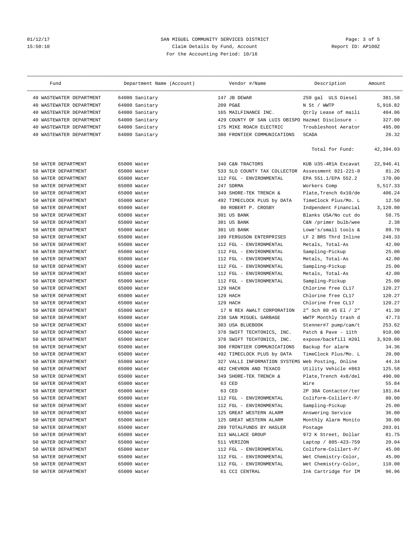### 01/12/17 2012 SAN MIGUEL COMMUNITY SERVICES DISTRICT 2012/17 2012 Page: 3 of 5<br>2016 15:50:10 2013 Claim Details by Fund, Account 15:50:10 Claim Details by Fund, Account For the Accounting Period: 10/16

| Fund                        | Department Name (Account) |     | Vendor #/Name                                     | Description           | Amount    |
|-----------------------------|---------------------------|-----|---------------------------------------------------|-----------------------|-----------|
| 40 WASTEWATER DEPARTMENT    | 64000 Sanitary            |     | 147 JB DEWAR                                      | 250 gal ULS Diesel    | 381.58    |
| WASTEWATER DEPARTMENT<br>40 | 64000 Sanitary            |     | 209 PG&E                                          | N St / WWTP           | 5,916.82  |
| WASTEWATER DEPARTMENT<br>40 | 64000 Sanitary            |     | 165 MAILFINANCE INC.                              | Qtrly Lease of maili  | 404.06    |
| WASTEWATER DEPARTMENT<br>40 | 64000 Sanitary            |     | 429 COUNTY OF SAN LUIS OBISPO Hazmat Disclosure - |                       | 327.00    |
| WASTEWATER DEPARTMENT<br>40 | 64000 Sanitary            |     | 175 MIKE ROACH ELECTRIC                           | Troubleshoot Aerator  | 495.00    |
| 40 WASTEWATER DEPARTMENT    | 64000 Sanitary            |     | 308 FRONTIER COMMUNICATIONS                       | <b>SCADA</b>          | 26.32     |
|                             |                           |     |                                                   | Total for Fund:       | 42,394.03 |
| WATER DEPARTMENT<br>50      | 65000 Water               |     | 340 C&N TRACTORS                                  | KUB U35-4R1A Excavat  | 22,946.41 |
| WATER DEPARTMENT<br>50      | 65000 Water               |     | 533 SLO COUNTY TAX COLLECTOR                      | Assessment 021-221-0  | 81.26     |
| WATER DEPARTMENT<br>50      | 65000 Water               |     | 112 FGL - ENVIRONMENTAL                           | EPA 551.1/EPA 552.2   | 170.00    |
| WATER DEPARTMENT<br>50      | 65000 Water               |     | 247 SDRMA                                         | Workers Comp          | 5,517.33  |
| WATER DEPARTMENT<br>50      | 65000 Water               |     | 349 SHORE-TEK TRENCH &                            | Plate, Trench 6x10/de | 406.24    |
| WATER DEPARTMENT<br>50      | 65000 Water               |     | 492 TIMECLOCK PLUS by DATA                        | TimeClock Plus/Mo. L  | 12.50     |
| WATER DEPARTMENT<br>50      | 65000 Water               |     | 80 ROBERT P. CROSBY                               | Indpendent Financial  | 3,120.00  |
| WATER DEPARTMENT<br>50      | 65000 Water               |     | 301 US BANK                                       | Blanks USA/No cut do  | 58.75     |
| WATER DEPARTMENT<br>50      | 65000 Water               |     | 301 US BANK                                       | C&N /primer bulb/wee  | 2.38      |
| WATER DEPARTMENT<br>50      | 65000 Water               |     | 301 US BANK                                       | Lowe's/small tools &  | 89.70     |
| WATER DEPARTMENT<br>50      | 65000 Water               |     | 109 FERGUSON ENTERPRISES                          | LF 2 BRS Thrd Inline  | 248.33    |
| WATER DEPARTMENT<br>50      | 65000 Water               |     | 112 FGL - ENVIRONMENTAL                           | Metals, Total-As      | 42.00     |
| WATER DEPARTMENT<br>50      | 65000 Water               |     | 112 FGL - ENVIRONMENTAL                           | Sampling-Pickup       | 25.00     |
| WATER DEPARTMENT<br>50      | 65000 Water               |     | 112 FGL - ENVIRONMENTAL                           | Metals, Total-As      | 42.00     |
| WATER DEPARTMENT<br>50      | 65000 Water               |     | 112 FGL - ENVIRONMENTAL                           | Sampling-Pickup       | 25.00     |
| WATER DEPARTMENT<br>50      | 65000 Water               |     | 112 FGL - ENVIRONMENTAL                           | Metals, Total-As      | 42.00     |
| WATER DEPARTMENT<br>50      | 65000 Water               |     | 112 FGL - ENVIRONMENTAL                           | Sampling-Pickup       | 25.00     |
| WATER DEPARTMENT<br>50      | 65000 Water               |     | 129 HACH                                          | Chlorine free CL17    | 120.27    |
| WATER DEPARTMENT<br>50      | 65000 Water               |     | 129 HACH                                          | Chlorine free CL17    | 120.27    |
| WATER DEPARTMENT<br>50      | 65000 Water               |     | 129 HACH                                          | Chlorine free CL17    | 120.27    |
| WATER DEPARTMENT<br>50      | 65000 Water               |     | 17 N REX AWALT CORPORATION                        | 2" Sch 80 45 El / 2"  | 41.30     |
| WATER DEPARTMENT<br>50      | 65000 Water               | 238 | SAN MIGUEL GARBAGE                                | WWTP Monthly trash d  | 47.73     |
| WATER DEPARTMENT<br>50      | 65000 Water               |     | 303 USA BLUEBOOK                                  | Stenner#7 pump/cam/t  | 253.62    |
| WATER DEPARTMENT<br>50      | 65000 Water               |     | 378 SWIFT TECHTONICS, INC.                        | Patch & Pave - 11th   | 910.00    |
| WATER DEPARTMENT<br>50      | 65000 Water               |     | 378 SWIFT TECHTONICS, INC.                        | expose/backfill H201  | 3,920.00  |
| WATER DEPARTMENT<br>50      | 65000 Water               |     | 308 FRONTIER COMMUNICATIONS                       | Backup for alarm      | 34.36     |
| WATER DEPARTMENT<br>50      | 65000 Water               |     | 492 TIMECLOCK PLUS by DATA                        | TimeClock Plus/Mo. L  | 20.00     |
| WATER DEPARTMENT<br>50      | 65000 Water               |     | 327 VALLI INFORMATION SYSTEMS                     | Web Posting, Online   | 44.34     |
| 50 WATER DEPARTMENT         | 65000 Water               |     | 482 CHEVRON AND TEXACO                            | Utility Vehicle #863  | 125.58    |
| 50 WATER DEPARTMENT         | 65000 Water               |     | 349 SHORE-TEK TRENCH &                            | Plate, Trench 4x8/del | 490.00    |
| 50 WATER DEPARTMENT         | 65000 Water               |     | 63 CED                                            | Wire                  | 55.84     |
| WATER DEPARTMENT<br>50      | 65000 Water               |     | 63 CED                                            | 2P 30A Contactor/ter  | 181.84    |
| 50 WATER DEPARTMENT         | 65000 Water               |     | 112 FGL - ENVIRONMENTAL                           | Coliform-Colilert-P/  | 80.00     |
| 50 WATER DEPARTMENT         | 65000 Water               |     | 112 FGL - ENVIRONMENTAL                           | Sampling-Pickup       | 25.00     |
| 50 WATER DEPARTMENT         | 65000 Water               |     | 125 GREAT WESTERN ALARM                           | Answering Service     | 36.00     |
| WATER DEPARTMENT<br>50      | 65000 Water               |     | 125 GREAT WESTERN ALARM                           | Monthly Alarm Monito  | 30.00     |
| WATER DEPARTMENT<br>50      | 65000 Water               |     | 289 TOTALFUNDS BY HASLER                          | Postage               | 203.01    |
| WATER DEPARTMENT<br>50      | 65000 Water               |     | 313 WALLACE GROUP                                 | 972 K Street, Dollar  | 81.75     |
| 50 WATER DEPARTMENT         | 65000 Water               |     | 511 VERIZON                                       | Laptop / 805-423-759  | 20.04     |
| WATER DEPARTMENT<br>50      | 65000 Water               |     | 112 FGL - ENVIRONMENTAL                           | Coliform-Colilert-P/  | 45.00     |
| WATER DEPARTMENT<br>50      | 65000 Water               |     | 112 FGL - ENVIRONMENTAL                           | Wet Chemistry-Color,  | 45.00     |
| WATER DEPARTMENT<br>50      | 65000 Water               |     | 112 FGL - ENVIRONMENTAL                           | Wet Chemistry-Color,  | 110.00    |
| 50 WATER DEPARTMENT         | 65000 Water               |     | 61 CCI CENTRAL                                    | Ink Cartridge for IM  | 96.96     |
|                             |                           |     |                                                   |                       |           |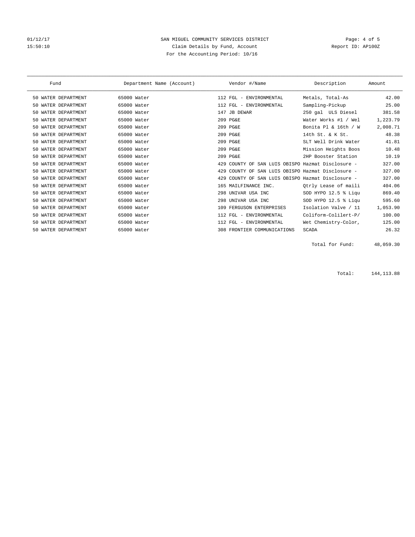### 01/12/17 Page: 4 of 5 15:50:10 Claim Details by Fund, Account Claim Peters, Report ID: AP100Z For the Accounting Period: 10/16

| Fund                   | Department Name (Account) | Vendor #/Name                                        | Description          | Amount   |
|------------------------|---------------------------|------------------------------------------------------|----------------------|----------|
| 50 WATER DEPARTMENT    | 65000 Water               | 112 FGL - ENVIRONMENTAL                              | Metals, Total-As     | 42.00    |
| WATER DEPARTMENT       | 65000 Water               | 112 FGL - ENVIRONMENTAL                              | Sampling-Pickup      | 25.00    |
| WATER DEPARTMENT       | 65000 Water               | 147 JB DEWAR                                         | 250 gal ULS Diesel   | 381.58   |
| WATER DEPARTMENT       | 65000 Water               | 209 PG&E                                             | Water Works #1 / Wel | 1,223.79 |
| WATER DEPARTMENT       | 65000 Water               | 209 PG&E                                             | Bonita Pl & 16th / W | 2,008.71 |
| WATER DEPARTMENT       | 65000 Water               | 209 PG&E                                             | 14th St. & K St.     | 48.38    |
| WATER DEPARTMENT       | 65000 Water               | 209 PG&E                                             | SLT Well Drink Water | 41.81    |
| 50 WATER DEPARTMENT    | 65000 Water               | 209 PG&E                                             | Mission Heights Boos | 10.48    |
| WATER DEPARTMENT       | 65000 Water               | 209 PG&E                                             | 2HP Booster Station  | 10.19    |
| WATER DEPARTMENT       | 65000 Water               | COUNTY OF SAN LUIS OBISPO Hazmat Disclosure -<br>429 |                      | 327.00   |
| WATER DEPARTMENT       | 65000 Water               | COUNTY OF SAN LUIS OBISPO Hazmat Disclosure -<br>429 |                      | 327.00   |
| WATER DEPARTMENT       | 65000 Water               | COUNTY OF SAN LUIS OBISPO Hazmat Disclosure -<br>429 |                      | 327.00   |
| WATER DEPARTMENT       | 65000 Water               | 165 MAILFINANCE INC.                                 | Otrly Lease of maili | 404.06   |
| WATER DEPARTMENT       | 65000 Water               | UNIVAR USA INC<br>298                                | SOD HYPO 12.5 % Liqu | 869.40   |
| WATER DEPARTMENT       | 65000 Water               | 298 UNIVAR USA INC                                   | SOD HYPO 12.5 % Liqu | 595.60   |
| WATER DEPARTMENT<br>50 | 65000 Water               | 109 FERGUSON ENTERPRISES                             | Isolation Valve / 11 | 1,053.90 |
| WATER DEPARTMENT       | 65000 Water               | FGL - ENVIRONMENTAL<br>112                           | Coliform-Colilert-P/ | 100.00   |
| 50 WATER DEPARTMENT    | 65000 Water               | 112 FGL - ENVIRONMENTAL                              | Wet Chemistry-Color, | 125.00   |
| WATER DEPARTMENT<br>50 | 65000 Water               | 308 FRONTIER COMMUNICATIONS                          | <b>SCADA</b>         | 26.32    |

Total for Fund: 48,059.30

Total: 144,113.88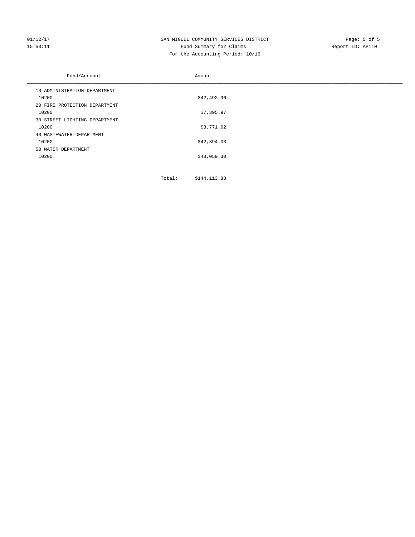### 01/12/17 Page: 5 of 5<br>15:50:11 SAN MIGUEL COMMUNITY SERVICES DISTRICT Page: 5 of 5<br>Pund Summary for Claims Page: 15 Page: 5 of 5 15:50:11 Fund Summary for Claims For the Accounting Period: 10/16

| Fund/Account                  | Amount      |
|-------------------------------|-------------|
| 10 ADMINISTRATION DEPARTMENT  |             |
| 10200                         | \$42,492.96 |
| 20 FIRE PROTECTION DEPARTMENT |             |
| 10200                         | \$7,395.97  |
| 30 STREET LIGHTING DEPARTMENT |             |
| 10200                         | \$3,771.62  |
| 40 WASTEWATER DEPARTMENT      |             |
| 10200                         | \$42,394.03 |
| 50 WATER DEPARTMENT           |             |
| 10200                         | \$48,059.30 |
|                               |             |

Total: \$144,113.88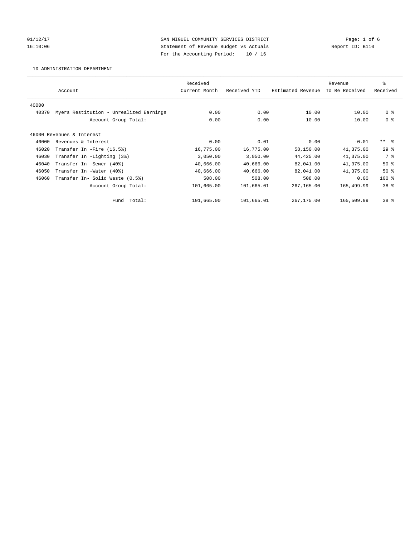01/12/17 Page: 1 of 6 16:10:06 Statement of Revenue Budget vs Actuals Report ID: B110 For the Accounting Period: 10 / 16

10 ADMINISTRATION DEPARTMENT

|       |                                         | Received      |              |                   | Revenue        | ి               |
|-------|-----------------------------------------|---------------|--------------|-------------------|----------------|-----------------|
|       | Account                                 | Current Month | Received YTD | Estimated Revenue | To Be Received | Received        |
| 40000 |                                         |               |              |                   |                |                 |
| 40370 | Myers Restitution - Unrealized Earnings | 0.00          | 0.00         | 10.00             | 10.00          | 0 <sup>8</sup>  |
|       | Account Group Total:                    | 0.00          | 0.00         | 10.00             | 10.00          | 0 <sup>8</sup>  |
|       |                                         |               |              |                   |                |                 |
|       | 46000 Revenues & Interest               |               |              |                   |                |                 |
| 46000 | Revenues & Interest                     | 0.00          | 0.01         | 0.00              | $-0.01$        | $***$ $ -$      |
| 46020 | Transfer In -Fire (16.5%)               | 16,775.00     | 16,775.00    | 58,150.00         | 41,375.00      | $29*$           |
| 46030 | Transfer In -Lighting (3%)              | 3,050.00      | 3,050.00     | 44, 425.00        | 41,375.00      | 7 %             |
| 46040 | Transfer In -Sewer (40%)                | 40,666.00     | 40,666.00    | 82,041.00         | 41,375.00      | $50*$           |
| 46050 | Transfer In -Water (40%)                | 40,666.00     | 40,666.00    | 82,041.00         | 41,375.00      | $50*$           |
| 46060 | Transfer In- Solid Waste (0.5%)         | 508.00        | 508.00       | 508.00            | 0.00           | $100*$          |
|       | Account Group Total:                    | 101,665.00    | 101,665.01   | 267,165.00        | 165,499.99     | 38 %            |
|       | Fund Total:                             | 101,665.00    | 101,665.01   | 267,175.00        | 165,509.99     | 38 <sup>8</sup> |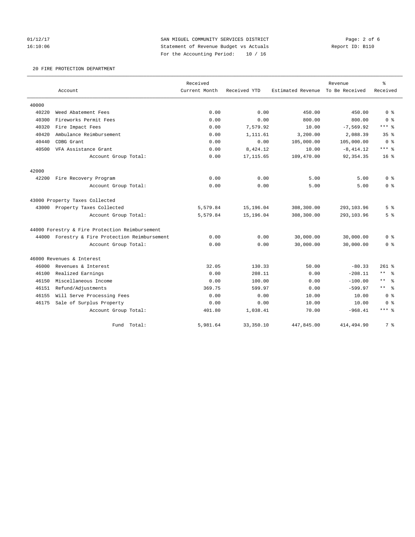01/12/17 **SAN MIGUEL COMMUNITY SERVICES DISTRICT** Page: 2 of 6 16:10:06 Statement of Revenue Budget vs Actuals Report ID: B110 For the Accounting Period: 10 / 16

### 20 FIRE PROTECTION DEPARTMENT

|       |                                                | Received      |              |                   | Revenue        | $\rm ^{9}$           |
|-------|------------------------------------------------|---------------|--------------|-------------------|----------------|----------------------|
|       | Account                                        | Current Month | Received YTD | Estimated Revenue | To Be Received | Received             |
| 40000 |                                                |               |              |                   |                |                      |
| 40220 | Weed Abatement Fees                            | 0.00          | 0.00         | 450.00            | 450.00         | 0 <sup>8</sup>       |
| 40300 | Fireworks Permit Fees                          | 0.00          | 0.00         | 800.00            | 800.00         | 0 <sup>8</sup>       |
| 40320 | Fire Impact Fees                               | 0.00          | 7.579.92     | 10.00             | $-7,569.92$    | $***$ $_{8}$         |
| 40420 | Ambulance Reimbursement                        | 0.00          | 1,111.61     | 3,200.00          | 2,088.39       | 35 <sup>8</sup>      |
| 40440 | CDBG Grant                                     | 0.00          | 0.00         | 105,000.00        | 105,000.00     | 0 <sup>8</sup>       |
| 40500 | VFA Assistance Grant                           | 0.00          | 8,424.12     | 10.00             | $-8, 414.12$   | $***$ 8              |
|       | Account Group Total:                           | 0.00          | 17, 115.65   | 109,470.00        | 92, 354.35     | $16*$                |
| 42000 |                                                |               |              |                   |                |                      |
| 42200 | Fire Recovery Program                          | 0.00          | 0.00         | 5.00              | 5.00           | 0 <sup>8</sup>       |
|       | Account Group Total:                           | 0.00          | 0.00         | 5.00              | 5.00           | 0 <sup>8</sup>       |
|       | 43000 Property Taxes Collected                 |               |              |                   |                |                      |
|       | 43000 Property Taxes Collected                 | 5,579.84      | 15,196.04    | 308,300.00        | 293,103.96     | 5 <sup>°</sup>       |
|       | Account Group Total:                           | 5,579.84      | 15,196.04    | 308,300.00        | 293,103.96     | 5 <sup>°</sup>       |
|       | 44000 Forestry & Fire Protection Reimbursement |               |              |                   |                |                      |
|       | 44000 Forestry & Fire Protection Reimbursement | 0.00          | 0.00         | 30,000.00         | 30,000.00      | 0 <sup>8</sup>       |
|       | Account Group Total:                           | 0.00          | 0.00         | 30,000.00         | 30,000.00      | 0 <sup>8</sup>       |
|       | 46000 Revenues & Interest                      |               |              |                   |                |                      |
| 46000 | Revenues & Interest                            | 32.05         | 130.33       | 50.00             | $-80.33$       | $261$ $%$            |
| 46100 | Realized Earnings                              | 0.00          | 208.11       | 0.00              | $-208.11$      | $\star\star$<br>- 옹  |
| 46150 | Miscellaneous Income                           | 0.00          | 100.00       | 0.00              | $-100.00$      | $\star$ $\star$<br>ႜ |
| 46151 | Refund/Adjustments                             | 369.75        | 599.97       | 0.00              | $-599.97$      | $***$ $-$            |
| 46155 | Will Serve Processing Fees                     | 0.00          | 0.00         | 10.00             | 10.00          | 0 <sup>8</sup>       |
| 46175 | Sale of Surplus Property                       | 0.00          | 0.00         | 10.00             | 10.00          | 0 <sup>8</sup>       |
|       | Account Group Total:                           | 401.80        | 1,038.41     | 70.00             | $-968.41$      | $***$ 8              |
|       | Total:<br>Fund                                 | 5,981.64      | 33, 350.10   | 447,845.00        | 414,494.90     | 7 %                  |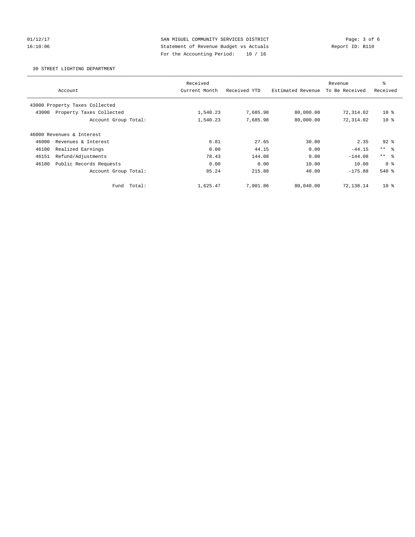01/12/17 **SAN MIGUEL COMMUNITY SERVICES DISTRICT** Page: 3 of 6 16:10:06 Statement of Revenue Budget vs Actuals Report ID: B110 For the Accounting Period: 10 / 16

30 STREET LIGHTING DEPARTMENT

|                                   | Received      |              |                   | Revenue        | ి               |
|-----------------------------------|---------------|--------------|-------------------|----------------|-----------------|
| Account                           | Current Month | Received YTD | Estimated Revenue | To Be Received | Received        |
|                                   |               |              |                   |                |                 |
| 43000 Property Taxes Collected    |               |              |                   |                |                 |
| Property Taxes Collected<br>43000 | 1,540.23      | 7,685.98     | 80,000.00         | 72,314.02      | $10*$           |
| Account Group Total:              | 1,540.23      | 7,685.98     | 80,000.00         | 72,314.02      | $10*$           |
| 46000 Revenues & Interest         |               |              |                   |                |                 |
| 46000<br>Revenues & Interest      | 6.81          | 27.65        | 30.00             | 2.35           | $92*$           |
| Realized Earnings<br>46100        | 0.00          | 44.15        | 0.00              | $-44.15$       | $***$ $\approx$ |
| Refund/Adjustments<br>46151       | 78.43         | 144.08       | 0.00              | $-144.08$      | $***$ $ -$      |
| 46180<br>Public Records Requests  | 0.00          | 0.00         | 10.00             | 10.00          | 0 <sup>8</sup>  |
| Account Group Total:              | 85.24         | 215.88       | 40.00             | $-175.88$      | $540*$          |
| Total:<br>Fund                    | 1,625.47      | 7,901.86     | 80,040.00         | 72,138.14      | $10*$           |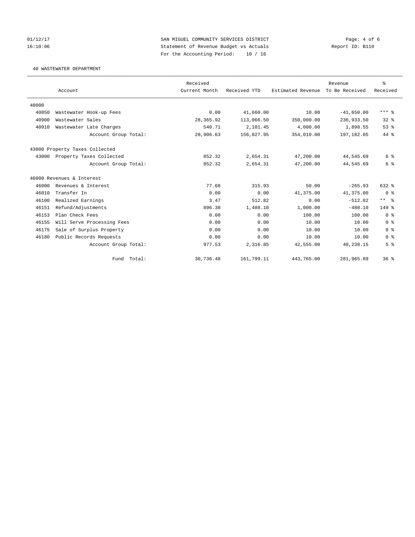01/12/17 **SAN MIGUEL COMMUNITY SERVICES DISTRICT** Page: 4 of 6 16:10:06 Statement of Revenue Budget vs Actuals Report ID: B110 For the Accounting Period: 10 / 16

40 WASTEWATER DEPARTMENT

|       |                                | Received      |              |                   | Revenue        | ి               |
|-------|--------------------------------|---------------|--------------|-------------------|----------------|-----------------|
|       | Account                        | Current Month | Received YTD | Estimated Revenue | To Be Received | Received        |
| 40000 |                                |               |              |                   |                |                 |
| 40850 | Wastewater Hook-up Fees        | 0.00          | 41,660.00    | 10.00             | $-41,650.00$   | $***$ $%$       |
| 40900 | Wastewater Sales               | 28,365.92     | 113,066.50   | 350,000.00        | 236,933.50     | $32*$           |
| 40910 | Wastewater Late Charges        | 540.71        | 2,101.45     | 4,000.00          | 1,898.55       | 53%             |
|       | Account Group Total:           | 28,906.63     | 156,827.95   | 354,010.00        | 197,182.05     | 44 %            |
|       | 43000 Property Taxes Collected |               |              |                   |                |                 |
| 43000 | Property Taxes Collected       | 852.32        | 2,654.31     | 47,200.00         | 44,545.69      | 6 %             |
|       | Account Group Total:           | 852.32        | 2,654.31     | 47,200.00         | 44,545.69      | 6 %             |
|       | 46000 Revenues & Interest      |               |              |                   |                |                 |
| 46000 | Revenues & Interest            | 77.68         | 315.93       | 50.00             | $-265.93$      | 632 %           |
| 46010 | Transfer In                    | 0.00          | 0.00         | 41,375.00         | 41,375.00      | 0 <sup>8</sup>  |
| 46100 | Realized Earnings              | 3.47          | 512.82       | 0.00              | $-512.82$      | $***$ $=$       |
| 46151 | Refund/Adjustments             | 896.38        | 1,488.10     | 1,000.00          | $-488.10$      | $149$ $%$       |
| 46153 | Plan Check Fees                | 0.00          | 0.00         | 100.00            | 100.00         | 0 <sup>8</sup>  |
| 46155 | Will Serve Processing Fees     | 0.00          | 0.00         | 10.00             | 10.00          | 0 <sup>8</sup>  |
| 46175 | Sale of Surplus Property       | 0.00          | 0.00         | 10.00             | 10.00          | 0 <sup>8</sup>  |
| 46180 | Public Records Requests        | 0.00          | 0.00         | 10.00             | 10.00          | 0 <sup>8</sup>  |
|       | Account Group Total:           | 977.53        | 2,316.85     | 42,555.00         | 40,238.15      | 5 <sup>°</sup>  |
|       | Fund Total:                    | 30,736.48     | 161,799.11   | 443,765.00        | 281,965.89     | 36 <sup>8</sup> |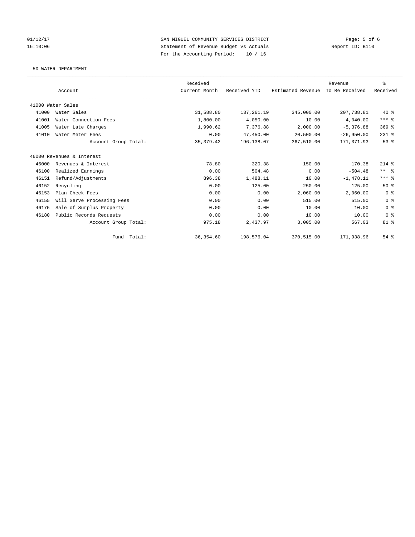01/12/17 2012 SAN MIGUEL COMMUNITY SERVICES DISTRICT 2011/12/17 Page: 5 of 6<br>16:10:06 3tatement of Revenue Budget vs Actuals 16:10:06 Statement of Revenue Budget vs Actuals For the Accounting Period: 10 / 16

50 WATER DEPARTMENT

|       |                            | Received      |              |                   | Revenue        | $\,$ $\,$ $\,$ |
|-------|----------------------------|---------------|--------------|-------------------|----------------|----------------|
|       | Account                    | Current Month | Received YTD | Estimated Revenue | To Be Received | Received       |
|       | 41000 Water Sales          |               |              |                   |                |                |
| 41000 | Water Sales                | 31,588.80     | 137, 261.19  | 345,000.00        | 207,738.81     | $40*$          |
| 41001 | Water Connection Fees      | 1,800.00      | 4,050.00     | 10.00             | $-4,040.00$    | $***$ $_{8}$   |
| 41005 | Water Late Charges         | 1,990.62      | 7,376.88     | 2.000.00          | $-5.376.88$    | $369$ $%$      |
| 41010 | Water Meter Fees           | 0.00          | 47,450.00    | 20,500.00         | $-26,950.00$   | $231$ %        |
|       | Account Group Total:       | 35, 379.42    | 196,138.07   | 367,510.00        | 171, 371.93    | 53%            |
|       | 46000 Revenues & Interest  |               |              |                   |                |                |
| 46000 | Revenues & Interest        | 78.80         | 320.38       | 150.00            | $-170.38$      | $214$ %        |
| 46100 | Realized Earnings          | 0.00          | 504.48       | 0.00              | $-504.48$      | $***$ $ -$     |
| 46151 | Refund/Adjustments         | 896.38        | 1,488.11     | 10.00             | $-1,478.11$    | $***$ $_{8}$   |
| 46152 | Recycling                  | 0.00          | 125.00       | 250.00            | 125.00         | 50%            |
| 46153 | Plan Check Fees            | 0.00          | 0.00         | 2,060.00          | 2,060.00       | 0 <sup>8</sup> |
| 46155 | Will Serve Processing Fees | 0.00          | 0.00         | 515.00            | 515.00         | 0 <sup>8</sup> |
| 46175 | Sale of Surplus Property   | 0.00          | 0.00         | 10.00             | 10.00          | 0 <sup>8</sup> |
| 46180 | Public Records Requests    | 0.00          | 0.00         | 10.00             | 10.00          | 0 <sup>8</sup> |
|       | Account Group Total:       | 975.18        | 2,437.97     | 3,005.00          | 567.03         | $81 - 8$       |
|       | Total:<br>Fund             | 36, 354.60    | 198,576.04   | 370,515.00        | 171,938.96     | $54$ $%$       |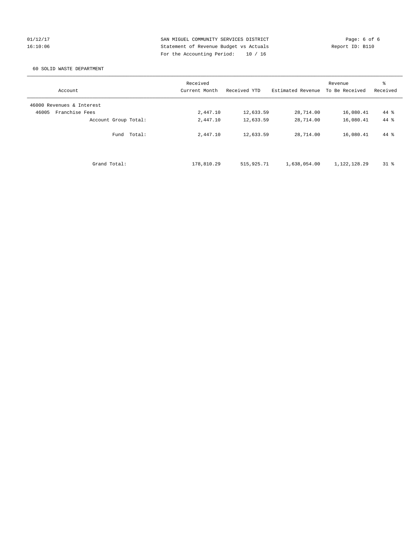01/12/17 **SAN MIGUEL COMMUNITY SERVICES DISTRICT** Page: 6 of 6 16:10:06 Statement of Revenue Budget vs Actuals Report ID: B110 For the Accounting Period: 10 / 16

### 60 SOLID WASTE DEPARTMENT

| Account                   | Received<br>Current Month | Received YTD | Estimated Revenue | Revenue<br>To Be Received | ి<br>Received |
|---------------------------|---------------------------|--------------|-------------------|---------------------------|---------------|
| 46000 Revenues & Interest |                           |              |                   |                           |               |
| Franchise Fees<br>46005   | 2,447.10                  | 12,633.59    | 28,714.00         | 16,080.41                 | 44 %          |
| Account Group Total:      | 2,447.10                  | 12,633.59    | 28,714.00         | 16,080.41                 | 44 %          |
| Fund Total:               | 2,447.10                  | 12,633.59    | 28,714.00         | 16,080.41                 | 44 %          |
| Grand Total:              | 178,810.29                | 515, 925. 71 | 1,638,054.00      | 1,122,128.29              | $31*$         |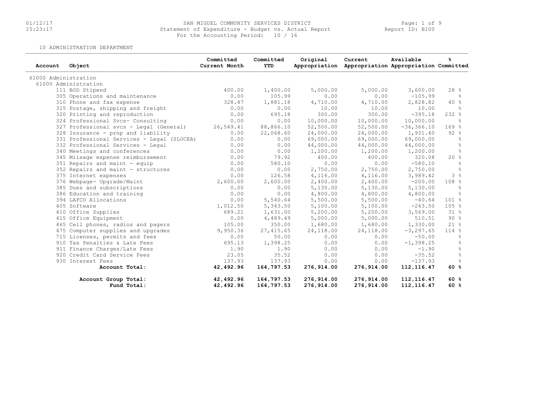### 01/12/17 SAN MIGUEL COMMUNITY SERVICES DISTRICT Page: 1 of 9 15:23:17 Statement of Expenditure - Budget vs. Actual Report Report ID: B100For the Accounting Period: 10 / 16

10 ADMINISTRATION DEPARTMENT

| Account              | Object                                     | Committed<br>Current Month | Committed<br><b>YTD</b> | Original   | Current<br>Appropriation Appropriation Appropriation Committed | Available     | ዱ               |
|----------------------|--------------------------------------------|----------------------------|-------------------------|------------|----------------------------------------------------------------|---------------|-----------------|
| 61000 Administration |                                            |                            |                         |            |                                                                |               |                 |
|                      | 61000 Administration                       |                            |                         |            |                                                                |               |                 |
|                      | 111 BOD Stipend                            | 400.00                     | 1,400.00                | 5,000.00   | 5,000.00                                                       | 3,600.00      | 28%             |
|                      | 305 Operations and maintenance             | 0.00                       | 105.99                  | 0.00       | 0.00                                                           | $-105.99$     | ႜ               |
|                      | 310 Phone and fax expense                  | 328.47                     | 1,881.18                | 4,710.00   | 4,710.00                                                       | 2,828.82      | 40%             |
|                      | 315 Postage, shipping and freight          | 0.00                       | 0.00                    | 10.00      | 10.00                                                          | 10.00         | $\approx$       |
|                      | 320 Printing and reproduction              | 0.00                       | 695.18                  | 300.00     | 300.00                                                         | $-395.18$     | $232$ %         |
|                      | 324 Professional Svcs- Consulting          | 0.00                       | 0.00                    | 10,000.00  | 10,000.00                                                      | 10,000.00     | $\approx$       |
|                      | 327 Professional svcs - Legal (General)    | 26,549.41                  | 88,866.10               | 52,500.00  | 52,500.00                                                      | $-36, 366.10$ | 169%            |
|                      | 328 Insurance - prop and liability         | 0.00                       | 22,068.60               | 24,000.00  | 24,000.00                                                      | 1,931.40      | 92%             |
|                      | 331 Professional Services - Legal (SLOCEA) | 0.00                       | 0.00                    | 69,000.00  | 69,000.00                                                      | 69,000.00     | န္              |
|                      | 332 Professional Services - Legal          | 0.00                       | 0.00                    | 44,000.00  | 44,000.00                                                      | 44,000.00     | $\frac{6}{5}$   |
|                      | 340 Meetings and conferences               | 0.00                       | 0.00                    | 1,200.00   | 1,200.00                                                       | 1,200.00      | $\frac{6}{5}$   |
|                      | 345 Mileage expense reimbursement          | 0.00                       | 79.92                   | 400.00     | 400.00                                                         | 320.08        | 20%             |
|                      | 351 Repairs and maint - equip              | 0.00                       | 580.10                  | 0.00       | 0.00                                                           | $-580.10$     | ိင              |
|                      | 352 Repairs and maint - structures         | 0.00                       | 0.00                    | 2,750.00   | 2,750.00                                                       | 2,750.00      | $\frac{6}{10}$  |
|                      | 375 Internet expenses                      | 0.00                       | 126.58                  | 4,116.00   | 4,116.00                                                       | 3,989.42      | 3%              |
|                      | 376 Webpage- Upgrade/Maint                 | 2,600.00                   | 2,600.00                | 2,400.00   | 2,400.00                                                       | $-200.00$     | 108%            |
|                      | 385 Dues and subscriptions                 | 0.00                       | 0.00                    | 5,130.00   | 5,130.00                                                       | 5,130.00      | g               |
|                      | 386 Education and training                 | 0.00                       | 0.00                    | 4,800.00   | 4,800.00                                                       | 4,800.00      | $\approx$       |
|                      | 394 LAFCO Allocations                      | 0.00                       | 5,540.64                | 5,500.00   | 5,500.00                                                       | $-40.64$      | $101$ %         |
|                      | 405 Software                               | 1,012.50                   | 5,343.50                | 5,100.00   | 5,100.00                                                       | $-243.50$     | 105%            |
|                      | 410 Office Supplies                        | 689.21                     | 1,631.00                | 5,200.00   | 5,200.00                                                       | 3,569.00      | 31 <sub>8</sub> |
|                      | 415 Office Equipment                       | 0.00                       | 4,489.49                | 5,000.00   | 5,000.00                                                       | 510.51        | 90%             |
|                      | 465 Cell phones, radios and pagers         | 105.00                     | 350.00                  | 1,680.00   | 1,680.00                                                       | 1,330.00      | $21$ %          |
|                      | 475 Computer supplies and upgrades         | 9,950.36                   | 27,415.65               | 24,118.00  | 24,118.00                                                      | $-3, 297.65$  | 114 %           |
|                      | 715 Licenses, permits and fees             | 0.00                       | 50.00                   | 0.00       | 0.00                                                           | $-50.00$      | ိင              |
|                      | 910 Tax Penalties & Late Fees              | 695.13                     | 1,398.25                | 0.00       | 0.00                                                           | $-1, 398.25$  | g.              |
|                      | 911 Finance Charges/Late Fees              | 1.90                       | 1.90                    | 0.00       | 0.00                                                           | $-1.90$       | $\frac{6}{5}$   |
|                      | 920 Credit Card Service Fees               | 23.05                      | 35.52                   | 0.00       | 0.00                                                           | $-35.52$      | 웅               |
|                      | 930 Interest Fees                          | 137.93                     | 137.93                  | 0.00       | 0.00                                                           | $-137.93$     | $\frac{6}{5}$   |
|                      | Account Total:                             | 42,492.96                  | 164,797.53              | 276,914.00 | 276,914.00                                                     | 112,116.47    | 60 %            |
|                      | Account Group Total:                       | 42,492.96                  | 164,797.53              | 276,914.00 | 276,914.00                                                     | 112, 116.47   | 60 %            |
|                      | Fund Total:                                | 42,492.96                  | 164,797.53              | 276,914.00 | 276,914.00                                                     | 112,116.47    | 60%             |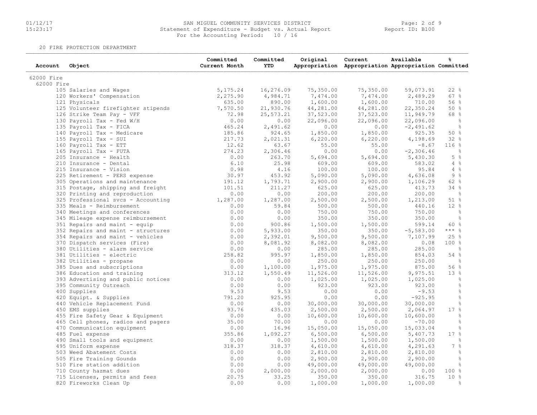### 01/12/17 SAN MIGUEL COMMUNITY SERVICES DISTRICT Page: 2 of 9 15:23:17 Statement of Expenditure - Budget vs. Actual Report Report ID: B100For the Accounting Period: 10 / 16

20 FIRE PROTECTION DEPARTMENT

| Account    | Object                                      | Committed<br>Current Month | Committed<br><b>YTD</b> | Original  | Current<br>Appropriation Appropriation Appropriation Committed | Available   | ℁                     |
|------------|---------------------------------------------|----------------------------|-------------------------|-----------|----------------------------------------------------------------|-------------|-----------------------|
| 62000 Fire |                                             |                            |                         |           |                                                                |             |                       |
| 62000 Fire |                                             |                            |                         |           |                                                                |             |                       |
|            | 105 Salaries and Wages                      | 5, 175.24                  | 16,276.09               | 75,350.00 | 75,350.00                                                      | 59,073.91   | 22%                   |
|            | 120 Workers' Compensation                   | 2,275.90                   | 4,984.71                | 7,474.00  | 7,474.00                                                       | 2,489.29    | 67%                   |
|            | 121 Physicals                               | 635.00                     | 890.00                  | 1,600.00  | 1,600.00                                                       | 710.00      | 56%                   |
|            | 125 Volunteer firefighter stipends          | 7,570.50                   | 21,930.76               | 44,281.00 | 44,281.00                                                      | 22,350.24   | 50%                   |
|            | 126 Strike Team Pay - VFF                   | 72.98                      | 25,573.21               | 37,523.00 | 37,523.00                                                      | 11,949.79   | 68 %                  |
|            | 130 Payroll Tax - Fed W/H                   | 0.00                       | 0.00                    | 22,096.00 | 22,096.00                                                      | 22,096.00   | $\frac{6}{6}$         |
|            | 135 Payroll Tax - FICA                      | 465.24                     | 2,491.62                | 0.00      | 0.00                                                           | $-2,491.62$ | $\frac{6}{6}$         |
|            | 140 Payroll Tax - Medicare                  | 185.86                     | 924.65                  | 1,850.00  | 1,850.00                                                       | 925.35      | 50%                   |
|            | 155 Payroll Tax - SUI                       | 217.73                     | 2,021.31                | 6,220.00  | 6,220.00                                                       | 4,198.69    | 32%                   |
|            | 160 Payroll Tax - ETT                       | 12.62                      | 63.67                   | 55.00     | 55.00                                                          | $-8.67$     | 116%                  |
|            | 165 Payroll Tax - FUTA                      | 274.23                     | 2,306.46                | 0.00      | 0.00                                                           | $-2,306.46$ | $\frac{6}{6}$         |
|            | 205 Insurance - Health                      | 0.00                       | 263.70                  | 5,694.00  | 5,694.00                                                       | 5,430.30    | $5\degree$            |
|            | 210 Insurance - Dental                      | 6.10                       | 25.98                   | 609.00    | 609.00                                                         | 583.02      | $4\degree$            |
|            | 215 Insurance - Vision                      | 0.98                       | 4.16                    | 100.00    | 100.00                                                         | 95.84       | $4\degree$            |
|            | 225 Retirement - PERS expense               | 30.97                      | 453.92                  | 5,090.00  | 5,090.00                                                       | 4,636.08    | 9%                    |
|            | 305 Operations and maintenance              | 191.12                     | 1,793.71                | 2,900.00  | 2,900.00                                                       | 1,106.29    | 62 %                  |
|            | 315 Postage, shipping and freight           | 101.51                     | 211.27                  | 625.00    | 625.00                                                         | 413.73      | 34%                   |
|            | 320 Printing and reproduction               | 0.00                       | 0.00                    | 200.00    | 200.00                                                         | 200.00      | $\frac{9}{6}$         |
|            | 325 Professional svcs - Accounting 1,287.00 |                            | 1,287.00                | 2,500.00  | 2,500.00                                                       | 1,213.00    | 51 %                  |
|            | 335 Meals - Reimbursement                   | 0.00                       | 59.84                   | 500.00    | 500.00                                                         | 440.16      | 12%                   |
|            | 340 Meetings and conferences                | 0.00                       | 0.00                    | 750.00    | 750.00                                                         | 750.00      | $\frac{6}{6}$         |
|            |                                             | 0.00                       |                         |           |                                                                |             |                       |
|            | 345 Mileage expense reimbursement           |                            | 0.00<br>900.86          | 350.00    | 350.00                                                         | 350.00      | $\frac{6}{6}$<br>60 % |
|            | 351 Repairs and maint - equip               | 0.00                       |                         | 1,500.00  | 1,500.00                                                       | 599.14      | $***$ $_{8}$          |
|            | 352 Repairs and maint - structures          | 0.00                       | 5,933.00                | 350.00    | 350.00                                                         | $-5,583.00$ |                       |
|            | 354 Repairs and maint - vehicles            | 0.00                       | 2,392.01                | 9,500.00  | 9,500.00                                                       | 7,107.99    | 25%                   |
|            | 370 Dispatch services (Fire)                | 0.00                       | 8,081.92                | 8,082.00  | 8,082.00                                                       | 0.08        | 100%                  |
|            | 380 Utilities - alarm service               | 0.00                       | 0.00                    | 285.00    | 285.00                                                         | 285.00      | $\frac{6}{6}$         |
|            | 381 Utilities - electric                    | 258.82                     | 995.97                  | 1,850.00  | 1,850.00                                                       | 854.03      | 54 %                  |
|            | 382 Utilities - propane                     | 0.00                       | 0.00                    | 250.00    | 250.00                                                         | 250.00      | $\frac{6}{6}$         |
|            | 385 Dues and subscriptions                  | 0.00                       | 1,100.00                | 1,975.00  | 1,975.00                                                       | 875.00      | 56%                   |
|            | 386 Education and training                  | 313.12                     | 1,550.49                | 11,526.00 | 11,526.00                                                      | 9,975.51    | 13%                   |
|            | 393 Advertising and public notices          | 0.00                       | 0.00                    | 1,025.00  | 1,025.00                                                       | 1,025.00    | $\frac{6}{6}$         |
|            | 395 Community Outreach                      | 0.00                       | 0.00                    | 923.00    | 923.00                                                         | 923.00      | $\frac{6}{6}$         |
|            | 400 Supplies                                | 9.53                       | 9.53                    | 0.00      | 0.00                                                           | $-9.53$     | $\frac{6}{6}$         |
|            | 420 Equipt. & Supplies                      | 791.20                     | 925.95                  | 0.00      | 0.00                                                           | $-925.95$   | $\frac{6}{6}$         |
|            | 440 Vehicle Replacement Fund                | 0.00                       | 0.00                    | 30,000.00 | 30,000.00                                                      | 30,000.00   | $\frac{6}{6}$         |
|            | 450 EMS supplies                            | 93.76                      | 435.03                  | 2,500.00  | 2,500.00                                                       | 2,064.97    | 17%                   |
|            | 455 Fire Safety Gear & Equipment            | 0.00                       | 0.00                    | 10,600.00 | 10,600.00                                                      | 10,600.00   | $\frac{6}{6}$         |
|            | 465 Cell phones, radios and pagers          | 35.00                      | 70.00                   | 0.00      | 0.00                                                           | $-70.00$    | $\frac{6}{6}$         |
|            | 470 Communication equipment                 | 0.00                       | 16.96                   | 15,050.00 | 15,050.00                                                      | 15,033.04   | $\%$                  |
|            | 485 Fuel expense                            | 355.86                     | 1,092.27                | 6,500.00  | 6,500.00                                                       | 5,407.73    | 17%                   |
|            | 490 Small tools and equipment               | 0.00                       | 0.00                    | 1,500.00  | 1,500.00                                                       | 1,500.00    | $\frac{6}{6}$         |
|            | 495 Uniform expense                         | 318.37                     | 318.37                  | 4,610.00  | 4,610.00                                                       | 4,291.63    | $7\frac{9}{6}$        |
|            | 503 Weed Abatement Costs                    | 0.00                       | 0.00                    | 2,810.00  | 2,810.00                                                       | 2,810.00    | $\frac{6}{6}$         |
|            | 505 Fire Training Gounds                    | 0.00                       | 0.00                    | 2,900.00  | 2,900.00                                                       | 2,900.00    | $\frac{6}{6}$         |
|            | 510 Fire station addition                   | 0.00                       | 0.00                    | 49,000.00 | 49,000.00                                                      | 49,000.00   | $\frac{6}{6}$         |
|            | 710 County hazmat dues                      | 0.00                       | 2,000.00                | 2,000.00  | 2,000.00                                                       | 0.00        | 100%                  |
|            | 715 Licenses, permits and fees              | 20.75                      | 33.25                   | 350.00    | 350.00                                                         | 316.75      | $10*$                 |
|            | 820 Fireworks Clean Up                      | 0.00                       | 0.00                    | 1,000.00  | 1,000.00                                                       | 1,000.00    | $\frac{6}{5}$         |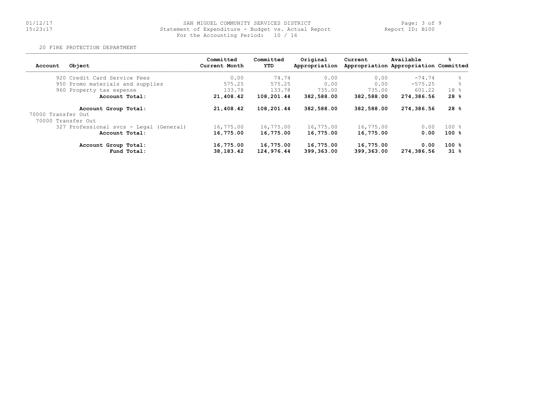## 01/12/17 SAN MIGUEL COMMUNITY SERVICES DISTRICT Page: 3 of 9 15:23:17 Statement of Expenditure - Budget vs. Actual Report Report ID: B100For the Accounting Period: 10 / 16

20 FIRE PROTECTION DEPARTMENT

| Object<br>Account                          | Committed<br>Current Month | Committed<br>YTD        | Original<br>Appropriation | Current                 | Available<br>Appropriation Appropriation Committed | ℁               |
|--------------------------------------------|----------------------------|-------------------------|---------------------------|-------------------------|----------------------------------------------------|-----------------|
| 920 Credit Card Service Fees               | 0.00                       | 74.74                   | 0.00                      | 0.00                    | $-74.74$                                           | 욲               |
| 950 Promo materials and supplies           | 575.25                     | 575.25                  | 0.00                      | 0.00                    | $-575.25$                                          | 욲               |
| 960 Property tax expense                   | 133.78                     | 133.78                  | 735.00                    | 735.00                  | 601.22                                             | 18 %            |
| Account Total:                             | 21,408.42                  | 108,201.44              | 382,588.00                | 382,588.00              | 274,386.56                                         | 28%             |
| Account Group Total:<br>70000 Transfer Out | 21,408.42                  | 108,201.44              | 382,588.00                | 382,588.00              | 274,386.56                                         | 28%             |
| 70000 Transfer Out                         |                            |                         |                           |                         |                                                    |                 |
| 327 Professional svcs - Legal (General)    | 16,775.00                  | 16,775.00               | 16,775.00                 | 16,775.00               | 0.00                                               | 100%            |
| Account Total:                             | 16,775.00                  | 16,775.00               | 16,775.00                 | 16,775.00               | 0.00                                               | 100%            |
| Account Group Total:<br>Fund Total:        | 16,775.00<br>38,183.42     | 16,775.00<br>124,976.44 | 16,775.00<br>399,363.00   | 16,775.00<br>399,363.00 | 0.00<br>274,386.56                                 | $100*$<br>$31*$ |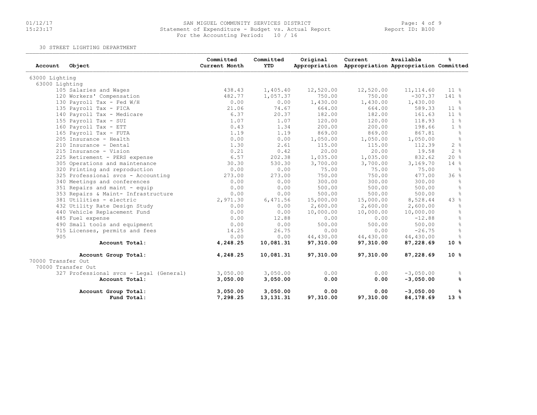## 01/12/17 SAN MIGUEL COMMUNITY SERVICES DISTRICT Page: 4 of 9 15:23:17 Statement of Expenditure - Budget vs. Actual Report Report ID: B100For the Accounting Period: 10 / 16

30 STREET LIGHTING DEPARTMENT

| Account            | Object                                  | Committed<br>Current Month | Committed<br><b>YTD</b> | Original          | Current<br>Appropriation Appropriation Appropriation Committed | Available                 | ዱ              |
|--------------------|-----------------------------------------|----------------------------|-------------------------|-------------------|----------------------------------------------------------------|---------------------------|----------------|
| 63000 Lighting     |                                         |                            |                         |                   |                                                                |                           |                |
| 63000 Lighting     |                                         |                            |                         |                   |                                                                |                           |                |
|                    | 105 Salaries and Wages                  | 438.43                     | 1,405.40                | 12,520.00         | 12,520.00                                                      | 11, 114.60                | $11 - 8$       |
|                    | 120 Workers' Compensation               | 482.77                     | 1,057.37                | 750.00            | 750.00                                                         | $-307.37$                 | 141 %          |
|                    | 130 Payroll Tax - Fed W/H               | 0.00                       | 0.00                    | 1,430.00          | 1,430.00                                                       | 1,430.00                  | - %            |
|                    | 135 Payroll Tax - FICA                  | 21.06                      | 74.67                   | 664.00            | 664.00                                                         | 589.33                    | $11 \t%$       |
|                    | 140 Payroll Tax - Medicare              | 6.37                       | 20.37                   | 182.00            | 182.00                                                         | 161.63                    | $11 \t%$       |
|                    | 155 Payroll Tax - SUI                   | 1.07                       | 1.07                    | 120.00            | 120.00                                                         | 118.93                    | $1 - 8$        |
|                    | 160 Payroll Tax - ETT                   | 0.43                       | 1.34                    | 200.00            | 200.00                                                         | 198.66                    | 1 <sup>°</sup> |
|                    | 165 Payroll Tax - FUTA                  | 1.19                       | 1.19                    | 869.00            | 869.00                                                         | 867.81                    | $\frac{6}{6}$  |
|                    | 205 Insurance - Health                  | 0.00                       | 0.00                    | 1,050.00          | 1,050.00                                                       | 1,050.00                  | $\frac{6}{6}$  |
|                    | 210 Insurance - Dental                  | 1.30                       | 2.61                    | 115.00            | 115.00                                                         | 112.39                    | 2%             |
|                    | 215 Insurance - Vision                  | 0.21                       | 0.42                    | 20.00             | 20.00                                                          | 19.58                     | 2%             |
|                    | 225 Retirement - PERS expense           | 6.57                       | 202.38                  | 1,035.00          | 1,035.00                                                       | 832.62                    | 20%            |
|                    | 305 Operations and maintenance          | 30.30                      | 530.30                  | 3,700.00          | 3,700.00                                                       | 3,169.70                  | 14%            |
|                    | 320 Printing and reproduction           | 0.00                       | 0.00                    | 75.00             | 75.00                                                          | 75.00                     | - 옹            |
|                    | 325 Professional svcs - Accounting      | 273.00                     | 273.00                  | 750.00            | 750.00                                                         | 477.00                    | 36%            |
|                    | 340 Meetings and conferences            | 0.00                       | 0.00                    | 300.00            | 300.00                                                         | 300.00                    | $\frac{6}{5}$  |
|                    | 351 Repairs and maint - equip           | 0.00                       | 0.00                    | 500.00            | 500.00                                                         | 500.00                    | $\frac{6}{5}$  |
|                    | 353 Repairs & Maint- Infrastructure     | 0.00                       | 0.00                    | 500.00            | 500.00                                                         | 500.00                    | $\frac{6}{6}$  |
|                    | 381 Utilities - electric                | 2,971.30                   | 6,471.56                | 15,000.00         | 15,000.00                                                      | 8,528.44                  | 43%            |
|                    | 432 Utility Rate Design Study           | 0.00                       | 0.00                    | 2,600.00          | 2,600.00                                                       | 2,600.00                  | $\frac{6}{6}$  |
|                    | 440 Vehicle Replacement Fund            | 0.00                       | 0.00                    | 10,000.00         | 10,000.00                                                      | 10,000.00                 | $\frac{6}{6}$  |
|                    | 485 Fuel expense                        | 0.00                       | 12.88                   | 0.00              | 0.00                                                           | $-12.88$                  | $\frac{9}{6}$  |
|                    | 490 Small tools and equipment           | 0.00                       | 0.00                    | 500.00            | 500.00                                                         | 500.00                    | $\frac{6}{6}$  |
|                    | 715 Licenses, permits and fees          | 14.25                      | 26.75                   | 0.00              | 0.00                                                           | $-26.75$                  | $\frac{6}{5}$  |
| 905                |                                         | 0.00                       | 0.00                    | 44,430.00         | 44,430.00                                                      | 44,430.00                 | $\frac{6}{5}$  |
|                    | Account Total:                          | 4,248.25                   | 10,081.31               | 97,310.00         | 97,310.00                                                      | 87,228.69                 | $10*$          |
| 70000 Transfer Out | Account Group Total:                    | 4,248.25                   | 10,081.31               | 97,310.00         | 97,310.00                                                      | 87,228.69                 | $10*$          |
|                    | 70000 Transfer Out                      |                            |                         |                   |                                                                |                           |                |
|                    | 327 Professional svcs - Legal (General) | 3,050.00                   | 3,050.00                | 0.00              | 0.00                                                           | $-3,050.00$               | ိင             |
|                    | Account Total:                          | 3,050.00                   | 3,050.00                | 0.00              | 0.00                                                           | $-3,050.00$               | ℁              |
|                    | Account Group Total:<br>Fund Total:     | 3,050.00<br>7,298.25       | 3,050.00<br>13, 131. 31 | 0.00<br>97,310.00 | 0.00<br>97,310.00                                              | $-3,050.00$<br>84, 178.69 | %<br>$13*$     |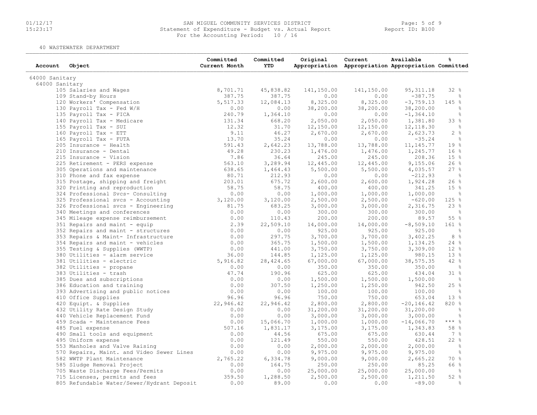### 01/12/17 SAN MIGUEL COMMUNITY SERVICES DISTRICT Page: 5 of 9 15:23:17 Statement of Expenditure - Budget vs. Actual Report Report ID: B100For the Accounting Period: 10 / 16

40 WASTEWATER DEPARTMENT

| Account        | Object                                     | Committed<br>Current Month | Committed<br>YTD | Original   | Current<br>Appropriation Appropriation Appropriation Committed | Available     | ℁               |
|----------------|--------------------------------------------|----------------------------|------------------|------------|----------------------------------------------------------------|---------------|-----------------|
| 64000 Sanitary |                                            |                            |                  |            |                                                                |               |                 |
| 64000 Sanitary |                                            |                            |                  |            |                                                                |               |                 |
|                | 105 Salaries and Wages                     | 8,701.71                   | 45,838.82        | 141,150.00 | 141,150.00                                                     | 95, 311.18    | 32%             |
|                | 109 Stand-by Hours                         | 387.75                     | 387.75           | 0.00       | 0.00                                                           | $-387.75$     | ိင              |
|                | 120 Workers' Compensation                  | 5,517.33                   | 12,084.13        | 8,325.00   | 8,325.00                                                       | $-3, 759.13$  | 145 %           |
|                | 130 Payroll Tax - Fed W/H                  | 0.00                       | 0.00             | 38,200.00  | 38,200.00                                                      | 38,200.00     | $\frac{6}{6}$   |
|                | 135 Payroll Tax - FICA                     | 240.79                     | 1,364.10         | 0.00       | 0.00                                                           | $-1, 364.10$  | $\frac{6}{6}$   |
|                | 140 Payroll Tax - Medicare                 | 131.34                     | 668.20           | 2,050.00   | 2,050.00                                                       | 1,381.80      | 33 %            |
|                | 155 Payroll Tax - SUI                      | 12.32                      | 31.70            | 12,150.00  | 12,150.00                                                      | 12, 118.30    | $\frac{6}{6}$   |
|                | 160 Payroll Tax - ETT                      | 9.11                       | 46.27            | 2,670.00   | 2,670.00                                                       | 2,623.73      | 2%              |
|                | 165 Payroll Tax - FUTA                     | 13.70                      | 35.24            | 0.00       | 0.00                                                           | $-35.24$      | $\frac{6}{6}$   |
|                | 205 Insurance - Health                     | 591.43                     | 2,642.23         | 13,788.00  | 13,788.00                                                      | 11, 145.77    | 19 <sup>°</sup> |
|                | 210 Insurance - Dental                     | 49.28                      | 230.23           | 1,476.00   | 1,476.00                                                       | 1,245.77      | 16%             |
|                | 215 Insurance - Vision                     | 7.86                       | 36.64            | 245.00     | 245.00                                                         | 208.36        | 15%             |
|                | 225 Retirement - PERS expense              | 563.10                     | 3,289.94         | 12,445.00  | 12,445.00                                                      | 9,155.06      | 26%             |
|                | 305 Operations and maintenance             | 638.65                     | 1,464.43         | 5,500.00   | 5,500.00                                                       | 4,035.57      | 27%             |
|                | 310 Phone and fax expense                  | 80.71                      | 212.93           | 0.00       | 0.00                                                           | $-212.93$     | $\frac{6}{3}$   |
|                | 315 Postage, shipping and freight          | 203.01                     | 675.72           | 2,600.00   | 2,600.00                                                       | 1,924.28      | 26%             |
|                | 320 Printing and reproduction              | 58.75                      | 58.75            | 400.00     | 400.00                                                         | 341.25        | 15%             |
|                | 324 Professional Svcs- Consulting          | 0.00                       | 0.00             | 1,000.00   | 1,000.00                                                       | 1,000.00      | $\frac{6}{6}$   |
|                | 325 Professional svcs - Accounting         | 3,120.00                   | 3,120.00         | 2,500.00   | 2,500.00                                                       | $-620.00$     | 125 %           |
|                |                                            | 81.75                      | 683.25           | 3,000.00   |                                                                |               | 23%             |
|                | 326 Professional svcs - Engineering        | 0.00                       |                  |            | 3,000.00                                                       | 2,316.75      | $\frac{6}{3}$   |
|                | 340 Meetings and conferences               |                            | 0.00             | 300.00     | 300.00                                                         | 300.00        | 55 %            |
|                | 345 Mileage expense reimbursement          | 0.00                       | 110.43           | 200.00     | 200.00                                                         | 89.57         |                 |
|                | 351 Repairs and maint - equip              | 2.39                       | 22,509.10        | 14,000.00  | 14,000.00                                                      | $-8,509.10$   | $161$ %         |
|                | 352 Repairs and maint - structures         | 0.00                       | 0.00             | 925.00     | 925.00                                                         | 925.00        | ී               |
|                | 353 Repairs & Maint- Infrastructure        | 0.00                       | 297.75           | 3,700.00   | 3,700.00                                                       | 3,402.25      | 8%              |
|                | 354 Repairs and maint - vehicles           | 0.00                       | 365.75           | 1,500.00   | 1,500.00                                                       | 1,134.25      | 24%             |
|                | 355 Testing & Supplies (WWTP)              | 0.00                       | 441.00           | 3,750.00   | 3,750.00                                                       | 3,309.00      | 12 <sup>°</sup> |
|                | 380 Utilities - alarm service              | 36.00                      | 144.85           | 1,125.00   | 1,125.00                                                       | 980.15        | 13%             |
|                | 381 Utilities - electric                   | 5,916.82                   | 28, 424.65       | 67,000.00  | 67,000.00                                                      | 38, 575.35    | 42 %            |
|                | 382 Utilities - propane                    | 0.00                       | 0.00             | 350.00     | 350.00                                                         | 350.00        | $\frac{9}{6}$   |
|                | 383 Utilities - trash                      | 47.74                      | 190.96           | 625.00     | 625.00                                                         | 434.04        | 31 %            |
|                | 385 Dues and subscriptions                 | 0.00                       | 0.00             | 1,500.00   | 1,500.00                                                       | 1,500.00      | $\frac{6}{6}$   |
|                | 386 Education and training                 | 0.00                       | 307.50           | 1,250.00   | 1,250.00                                                       | 942.50        | 25%             |
|                | 393 Advertising and public notices         | 0.00                       | 0.00             | 100.00     | 100.00                                                         | 100.00        | ိင              |
|                | 410 Office Supplies                        | 96.96                      | 96.96            | 750.00     | 750.00                                                         | 653.04        | 13%             |
|                | 420 Equipt. & Supplies                     | 22,946.42                  | 22,946.42        | 2,800.00   | 2,800.00                                                       | $-20, 146.42$ | 820 %           |
|                | 432 Utility Rate Design Study              | 0.00                       | 0.00             | 31,200.00  | 31,200.00                                                      | 31,200.00     | $\frac{6}{6}$   |
|                | 440 Vehicle Replacement Fund               | 0.00                       | 0.00             | 3,000.00   | 3,000.00                                                       | 3,000.00      | $\frac{6}{6}$   |
|                | 459 Scada - Maintenance Fees               | 0.00                       | 15,066.70        | 1,000.00   | 1,000.00                                                       | $-14,066.70$  | $***$ $ -$      |
|                | 485 Fuel expense                           | 507.16                     | 1,831.17         | 3,175.00   | 3,175.00                                                       | 1,343.83      | 58 %            |
|                | 490 Small tools and equipment              | 0.00                       | 44.56            | 675.00     | 675.00                                                         | 630.44        | $7\degree$      |
|                | 495 Uniform expense                        | 0.00                       | 121.49           | 550.00     | 550.00                                                         | 428.51        | 22%             |
|                | 553 Manholes and Valve Raising             | 0.00                       | 0.00             | 2,000.00   | 2,000.00                                                       | 2,000.00      | $\frac{6}{6}$   |
|                | 570 Repairs, Maint. and Video Sewer Lines  | 0.00                       | 0.00             | 9,975.00   | 9,975.00                                                       | 9,975.00      | $\frac{6}{6}$   |
|                | 582 WWTP Plant Maintenance                 | 2,765.22                   | 6,334.78         | 9,000.00   | 9,000.00                                                       | 2,665.22      | 70 %            |
|                | 585 Sludge Removal Project                 | 0.00                       | 164.75           | 250.00     | 250.00                                                         | 85.25         | 66 %            |
|                | 705 Waste Discharge Fees/Permits           | 0.00                       | 0.00             | 25,000.00  | 25,000.00                                                      | 25,000.00     | $\frac{9}{6}$   |
|                | 715 Licenses, permits and fees             | 359.50                     | 1,288.50         | 2,500.00   | 2,500.00                                                       | 1,211.50      | 52%             |
|                | 805 Refundable Water/Sewer/Hydrant Deposit | 0.00                       | 89.00            | 0.00       | 0.00                                                           | $-89.00$      | $\frac{6}{6}$   |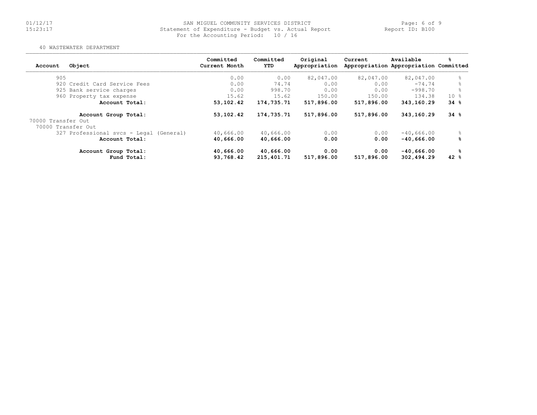### 01/12/17 SAN MIGUEL COMMUNITY SERVICES DISTRICT Page: 6 of 9 15:23:17 Statement of Expenditure - Budget vs. Actual Report Report ID: B100For the Accounting Period: 10 / 16

#### 40 WASTEWATER DEPARTMENT

| Object<br>Account                          |                | Committed<br>Current Month | Committed<br><b>YTD</b> | Original<br>Appropriation | Current    | Available<br>Appropriation Appropriation Committed | ℁               |
|--------------------------------------------|----------------|----------------------------|-------------------------|---------------------------|------------|----------------------------------------------------|-----------------|
| 905                                        |                | 0.00                       | 0.00                    | 82,047.00                 | 82,047.00  | 82,047.00                                          | 욲               |
| 920 Credit Card Service Fees               |                | 0.00                       | 74.74                   | 0.00                      | 0.00       | $-74.74$                                           |                 |
| 925 Bank service charges                   |                | 0.00                       | 998.70                  | 0.00                      | 0.00       | $-998.70$                                          |                 |
| 960 Property tax expense                   |                | 15.62                      | 15.62                   | 150.00                    | 150.00     | 134.38                                             | 10 <sub>8</sub> |
|                                            | Account Total: | 53,102.42                  | 174,735.71              | 517,896.00                | 517,896.00 | 343,160.29                                         | 34%             |
| Account Group Total:<br>70000 Transfer Out |                | 53,102.42                  | 174,735.71              | 517,896.00                | 517,896.00 | 343,160.29                                         | 34%             |
| 70000 Transfer Out                         |                |                            |                         |                           |            |                                                    |                 |
| 327 Professional svcs - Legal (General)    |                | 40,666.00                  | 40,666.00               | 0.00                      | 0.00       | $-40,666.00$                                       |                 |
|                                            | Account Total: | 40,666.00                  | 40,666.00               | 0.00                      | 0.00       | $-40.666.00$                                       | ℁               |
| Account Group Total:                       |                | 40,666.00                  | 40,666.00               | 0.00                      | 0.00       | $-40,666.00$                                       | ℁               |
|                                            | Fund Total:    | 93,768.42                  | 215,401.71              | 517,896.00                | 517,896.00 | 302,494.29                                         | $42*$           |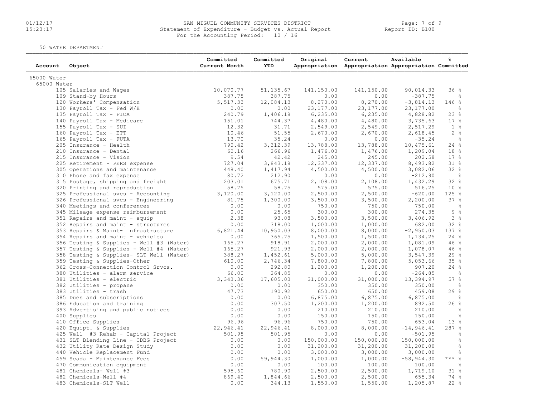### 01/12/17 SAN MIGUEL COMMUNITY SERVICES DISTRICT Page: 7 of 9 15:23:17 Statement of Expenditure - Budget vs. Actual Report Report ID: B100 For the Accounting Period: 10 / 16

50 WATER DEPARTMENT

| Account     | Object                                   | Committed<br>Current Month | Committed<br><b>YTD</b> | Original   | Current<br>Appropriation Appropriation Appropriation Committed | Available    | %               |
|-------------|------------------------------------------|----------------------------|-------------------------|------------|----------------------------------------------------------------|--------------|-----------------|
| 65000 Water |                                          |                            |                         |            |                                                                |              |                 |
| 65000 Water |                                          |                            |                         |            |                                                                |              |                 |
|             | 105 Salaries and Wages                   | 10,070.77                  | 51,135.67               | 141,150.00 | 141,150.00                                                     | 90,014.33    | 36%             |
|             | 109 Stand-by Hours                       | 387.75                     | 387.75                  | 0.00       | 0.00                                                           | $-387.75$    | ႜၟ              |
|             | 120 Workers' Compensation                | 5,517.33                   | 12,084.13               | 8,270.00   | 8,270.00                                                       | $-3,814.13$  | 146 %           |
|             | 130 Payroll Tax - Fed W/H                | 0.00                       | 0.00                    | 23, 177.00 | 23, 177.00                                                     | 23, 177.00   | $\frac{6}{6}$   |
|             | 135 Payroll Tax - FICA                   | 240.79                     | 1,406.18                | 6, 235.00  | 6, 235.00                                                      | 4,828.82     | 23%             |
|             | 140 Payroll Tax - Medicare               | 151.01                     | 744.37                  | 4,480.00   | 4,480.00                                                       | 3,735.63     | $17 - 8$        |
|             | 155 Payroll Tax - SUI                    | 12.32                      | 31.71                   | 2,549.00   | 2,549.00                                                       | 2,517.29     | $1 \text{ }$    |
|             | 160 Payroll Tax - ETT                    | 10.46                      | 51.55                   | 2,670.00   | 2,670.00                                                       | 2,618.45     | $2 \frac{6}{6}$ |
|             | 165 Payroll Tax - FUTA                   | 13.70                      | 35.24                   | 0.00       | 0.00                                                           | $-35.24$     | $\frac{6}{3}$   |
|             | 205 Insurance - Health                   | 790.42                     | 3, 312.39               | 13,788.00  | 13,788.00                                                      | 10,475.61    | 24%             |
|             | 210 Insurance - Dental                   | 60.16                      | 266.96                  | 1,476.00   | 1,476.00                                                       | 1,209.04     | 18 <sup>8</sup> |
|             | 215 Insurance - Vision                   | 9.54                       | 42.42                   | 245.00     | 245.00                                                         | 202.58       | 17%             |
|             | 225 Retirement - PERS expense            | 727.04                     | 3,843.18                | 12,337.00  | 12,337.00                                                      | 8,493.82     | 318             |
|             | 305 Operations and maintenance           | 448.40                     | 1,417.94                | 4,500.00   | 4,500.00                                                       | 3,082.06     | 32%             |
|             | 310 Phone and fax expense                | 80.72                      | 212.90                  | 0.00       | 0.00                                                           | $-212.90$    | $\frac{6}{3}$   |
|             | 315 Postage, shipping and freight        | 203.01                     | 675.71                  | 2,108.00   | 2,108.00                                                       | 1,432.29     | 32 %            |
|             | 320 Printing and reproduction            | 58.75                      | 58.75                   | 575.00     | 575.00                                                         | 516.25       | 10 <sup>8</sup> |
|             | 325 Professional svcs - Accounting       | 3,120.00                   | 3,120.00                | 2,500.00   | 2,500.00                                                       | $-620.00$    | 125%            |
|             | 326 Professional svcs - Engineering      | 81.75                      | 1,300.00                | 3,500.00   | 3,500.00                                                       | 2,200.00     | 37%             |
|             | 340 Meetings and conferences             | 0.00                       | 0.00                    | 750.00     | 750.00                                                         | 750.00       | $\frac{6}{6}$   |
|             | 345 Mileage expense reimbursement        | 0.00                       | 25.65                   | 300.00     | 300.00                                                         | 274.35       | 9%              |
|             | 351 Repairs and maint - equip            | 2.38                       | 93.08                   | 3,500.00   | 3,500.00                                                       | 3,406.92     | 3%              |
|             | 352 Repairs and maint - structures       | 0.00                       | 318.00                  | 1,000.00   | 1,000.00                                                       | 682.00       | 32 %            |
|             | 353 Repairs & Maint- Infrastructure      | 6,821.44                   | 10,950.03               | 8,000.00   | 8,000.00                                                       | $-2,950.03$  | 137 %           |
|             | 354 Repairs and maint - vehicles         | 0.00                       | 365.75                  | 1,500.00   | 1,500.00                                                       | 1,134.25     | 24%             |
|             | 356 Testing & Supplies - Well #3 (Water) | 165.27                     | 918.91                  | 2,000.00   | 2,000.00                                                       | 1,081.09     | 46%             |
|             | 357 Testing & Supplies - Well #4 (Water) | 165.27                     | 921.93                  | 2,000.00   | 2,000.00                                                       | 1,078.07     | 46%             |
|             | 358 Testing & Supplies- SLT Well (Water) | 388.27                     | 1,452.61                | 5,000.00   | 5,000.00                                                       | 3,547.39     | 29%             |
|             | 359 Testing & Supplies-Other             | 610.00                     | 2,746.34                | 7,800.00   | 7,800.00                                                       | 5,053.66     | 35%             |
|             | 362 Cross-Connection Control Srvcs.      | 0.00                       | 292.80                  | 1,200.00   | 1,200.00                                                       | 907.20       | 24%             |
|             | 380 Utilities - alarm service            | 66.00                      | 264.85                  | 0.00       | 0.00                                                           | $-264.85$    | $\frac{6}{3}$   |
|             | 381 Utilities - electric                 | 3, 343.36                  | 17,605.03               | 31,000.00  | 31,000.00                                                      | 13,394.97    | 57 %            |
|             | 382 Utilities - propane                  | 0.00                       | 0.00                    | 350.00     | 350.00                                                         | 350.00       | $\frac{9}{6}$   |
|             | 383 Utilities - trash                    | 47.73                      | 190.92                  | 650.00     | 650.00                                                         | 459.08       | 29%             |
|             | 385 Dues and subscriptions               | 0.00                       | 0.00                    | 6,875.00   | 6,875.00                                                       | 6,875.00     | $\frac{6}{6}$   |
|             | 386 Education and training               | 0.00                       | 307.50                  | 1,200.00   | 1,200.00                                                       | 892.50       | 26%             |
|             | 393 Advertising and public notices       | 0.00                       | 0.00                    | 210.00     | 210.00                                                         | 210.00       | $\frac{6}{6}$   |
|             | 400 Supplies                             | 0.00                       | 0.00                    | 150.00     | 150.00                                                         | 150.00       | $\frac{6}{6}$   |
|             | 410 Office Supplies                      | 96.96                      | 96.96                   | 750.00     | 750.00                                                         | 653.04       | 13 <sup>8</sup> |
|             | 420 Equipt. & Supplies                   | 22,946.41                  | 22,946.41               | 8,000.00   | 8,000.00                                                       | $-14,946.41$ | 287%            |
|             | 425 Well #3 Rehab - Capital Project      | 501.95                     | 501.95                  | 0.00       | 0.00                                                           | $-501.95$    | ိင              |
|             | 431 SLT Blending Line - CDBG Project     | 0.00                       | 0.00                    | 150,000.00 | 150,000.00                                                     | 150,000.00   | $\frac{6}{6}$   |
|             | 432 Utility Rate Design Study            | 0.00                       | 0.00                    | 31,200.00  | 31,200.00                                                      | 31,200.00    | $\frac{6}{6}$   |
|             | 440 Vehicle Replacement Fund             | 0.00                       | 0.00                    | 3,000.00   | 3,000.00                                                       | 3,000.00     | $\frac{6}{6}$   |
|             | 459 Scada - Maintenance Fees             | 0.00                       | 59,944.30               | 1,000.00   | 1,000.00                                                       | $-58,944.30$ | $***$ $-$       |
|             | 470 Communication equipment              | 0.00                       | 0.00                    | 100.00     | 100.00                                                         | 100.00       | $\frac{9}{6}$   |
|             | 481 Chemicals- Well #3                   | 595.60                     | 780.90                  | 2,500.00   | 2,500.00                                                       | 1,719.10     | 318             |
|             | 482 Chemicals-Well #4                    | 869.40                     | 1,844.66                | 2,500.00   | 2,500.00                                                       | 655.34       | 74 %            |
|             | 483 Chemicals-SLT Well                   | 0.00                       | 344.13                  | 1,550.00   | 1,550.00                                                       | 1,205.87     | 22%             |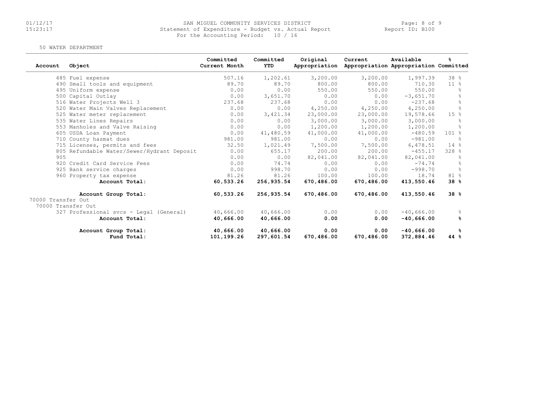### 01/12/17 SAN MIGUEL COMMUNITY SERVICES DISTRICT Page: 8 of 9 15:23:17 Statement of Expenditure - Budget vs. Actual Report Report ID: B100For the Accounting Period: 10 / 16

#### 50 WATER DEPARTMENT

| Account            | Object                                     | Committed<br>Current Month | Committed<br>YTD | Original<br>Appropriation | Current    | Available<br>Appropriation Appropriation Committed | ℁               |
|--------------------|--------------------------------------------|----------------------------|------------------|---------------------------|------------|----------------------------------------------------|-----------------|
|                    | 485 Fuel expense                           | 507.16                     | 1,202.61         | 3,200.00                  | 3,200.00   | 1,997.39                                           | 38 <sup>8</sup> |
|                    | 490 Small tools and equipment              | 89.70                      | 89.70            | 800.00                    | 800.00     | 710.30                                             | 11 <sup>8</sup> |
|                    | 495 Uniform expense                        | 0.00                       | 0.00             | 550.00                    | 550.00     | 550.00                                             |                 |
|                    | 500 Capital Outlay                         | 0.00                       | 3,651.70         | 0.00                      | 0.00       | $-3,651,70$                                        | ి               |
|                    | 516 Water Projects Well 3                  | 237.68                     | 237.68           | 0.00                      | 0.00       | $-237.68$                                          | $\frac{6}{5}$   |
|                    | 520 Water Main Valves Replacement          | 0.00                       | 0.00             | 4,250.00                  | 4,250.00   | 4,250.00                                           | g.              |
|                    | 525 Water meter replacement                | 0.00                       | 3,421.34         | 23,000.00                 | 23,000.00  | 19,578.66                                          | 15%             |
|                    | 535 Water Lines Repairs                    | 0.00                       | 0.00             | 3,000.00                  | 3,000.00   | 3,000.00                                           |                 |
|                    | 553 Manholes and Valve Raising             | 0.00                       | 0.00             | 1,200.00                  | 1,200.00   | 1,200.00                                           | $\approx$       |
|                    | 605 USDA Loan Payment                      | 0.00                       | 41,480.59        | 41,000.00                 | 41,000.00  | $-480.59$                                          | $101 \text{ s}$ |
|                    | 710 County hazmat dues                     | 981.00                     | 981.00           | 0.00                      | 0.00       | $-981.00$                                          | $\approx$       |
|                    | 715 Licenses, permits and fees             | 32.50                      | 1,021.49         | 7,500.00                  | 7,500.00   | 6,478.51                                           | 14%             |
|                    | 805 Refundable Water/Sewer/Hydrant Deposit | 0.00                       | 655.17           | 200.00                    | 200.00     | $-455.17$                                          | 328 %           |
| 905                |                                            | 0.00                       | 0.00             | 82,041.00                 | 82,041.00  | 82,041.00                                          | $\approx$       |
|                    | 920 Credit Card Service Fees               | 0.00                       | 74.74            | 0.00                      | 0.00       | $-74.74$                                           | 욲               |
|                    | 925 Bank service charges                   | 0.00                       | 998.70           | 0.00                      | 0.00       | $-998.70$                                          | $\frac{6}{10}$  |
|                    | 960 Property tax expense                   | 81.26                      | 81.26            | 100.00                    | 100.00     | 18.74                                              | 81 %            |
|                    | Account Total:                             | 60,533.26                  | 256,935.54       | 670,486.00                | 670,486.00 | 413,550.46                                         | 38%             |
|                    | Account Group Total:                       | 60,533.26                  | 256,935.54       | 670,486.00                | 670,486.00 | 413,550.46                                         | 38%             |
| 70000 Transfer Out |                                            |                            |                  |                           |            |                                                    |                 |
| 70000 Transfer Out |                                            |                            |                  |                           |            |                                                    |                 |
|                    | 327 Professional svcs - Legal (General)    | 40,666.00                  | 40,666.00        | 0.00                      | 0.00       | $-40,666.00$                                       | ိင              |
|                    | Account Total:                             | 40,666.00                  | 40,666.00        | 0.00                      | 0.00       | $-40,666.00$                                       | ℁               |
|                    | Account Group Total:                       | 40,666.00                  | 40,666.00        | 0.00                      | 0.00       | $-40,666.00$                                       | ዱ               |
|                    | Fund Total:                                | 101,199.26                 | 297,601.54       | 670,486.00                | 670,486.00 | 372,884.46                                         | 44 %            |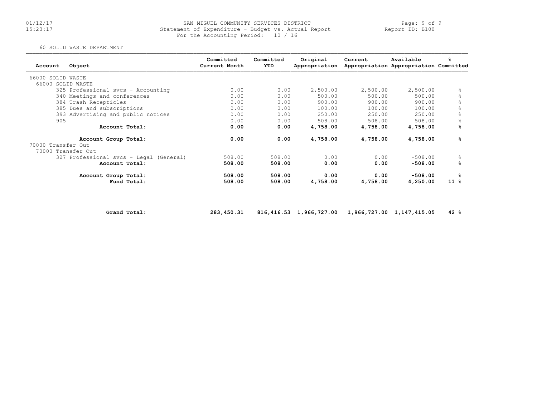#### 01/12/17 SAN MIGUEL COMMUNITY SERVICES DISTRICT Page: 9 of 915:23:17 Statement of Expenditure - Budget vs. Actual Report Report ID: B100For the Accounting Period: 10 / 16

#### 60 SOLID WASTE DEPARTMENT

| Account            | Object                                  | Committed<br>Current Month | Committed<br>YTD | Original<br>Appropriation | Current  | Available<br>Appropriation Appropriation Committed | ℁         |
|--------------------|-----------------------------------------|----------------------------|------------------|---------------------------|----------|----------------------------------------------------|-----------|
| 66000 SOLID WASTE  |                                         |                            |                  |                           |          |                                                    |           |
| 66000 SOLID WASTE  |                                         |                            |                  |                           |          |                                                    |           |
|                    | 325 Professional svcs - Accounting      | 0.00                       | 0.00             | 2,500.00                  | 2,500.00 | 2,500.00                                           | 욲         |
|                    | 340 Meetings and conferences            | 0.00                       | 0.00             | 500.00                    | 500.00   | 500.00                                             |           |
|                    | 384 Trash Recepticles                   | 0.00                       | 0.00             | 900.00                    | 900.00   | 900.00                                             |           |
|                    | 385 Dues and subscriptions              | 0.00                       | 0.00             | 100.00                    | 100.00   | 100.00                                             | 욲         |
|                    | 393 Advertising and public notices      | 0.00                       | 0.00             | 250.00                    | 250.00   | 250.00                                             | 옹         |
| 905                |                                         | 0.00                       | 0.00             | 508.00                    | 508.00   | 508.00                                             |           |
|                    | Account Total:                          | 0.00                       | 0.00             | 4,758.00                  | 4,758.00 | 4,758.00                                           | %         |
|                    | Account Group Total:                    | 0.00                       | 0.00             | 4,758.00                  | 4,758.00 | 4,758.00                                           | %         |
| 70000 Transfer Out |                                         |                            |                  |                           |          |                                                    |           |
| 70000 Transfer Out |                                         |                            |                  |                           |          |                                                    |           |
|                    | 327 Professional svcs - Legal (General) | 508.00                     | 508.00           | 0.00                      | 0.00     | $-508.00$                                          | $\approx$ |
|                    | Account Total:                          | 508.00                     | 508.00           | 0.00                      | 0.00     | $-508.00$                                          | ℁         |
|                    | Account Group Total:                    | 508.00                     | 508.00           | 0.00                      | 0.00     | $-508.00$                                          | ℁         |
|                    | Fund Total:                             | 508.00                     | 508.00           | 4,758.00                  | 4,758.00 | 4,250.00                                           | $11*$     |

Grand Total: 283,450.31 816,416.53 1,966,727.00 1,966,727.00 1,147,415.05 42 %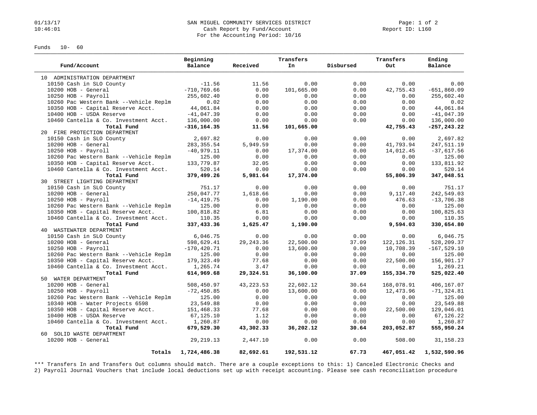#### 01/13/17 Page: 1 of 2<br>10:46:01 Cash Report by Fund/Account Page: 1 of 2<br>20:46:01 Cash Report by Fund/Account Cash Report by Fund/Account For the Accounting Period: 10/16

Funds 10- 60

|                                        | Beginning      |            | Transfers  |           | Transfers   | Ending         |
|----------------------------------------|----------------|------------|------------|-----------|-------------|----------------|
| Fund/Account                           | Balance        | Received   | In         | Disbursed | Out         | Balance        |
| 10 ADMINISTRATION DEPARTMENT           |                |            |            |           |             |                |
| 10150 Cash in SLO County               | $-11.56$       | 11.56      | 0.00       | 0.00      | 0.00        | 0.00           |
| 10200 HOB - General                    | $-710, 769.66$ | 0.00       | 101,665.00 | 0.00      | 42,755.43   | $-651,860.09$  |
| $10250$ HOB - Payroll                  | 255,602.40     | 0.00       | 0.00       | 0.00      | 0.00        | 255,602.40     |
| 10260 Pac Western Bank --Vehicle Replm | 0.02           | 0.00       | 0.00       | 0.00      | 0.00        | 0.02           |
| 10350 HOB - Capital Reserve Acct.      | 44,061.84      | 0.00       | 0.00       | 0.00      | 0.00        | 44,061.84      |
| 10400 HOB - USDA Reserve               | $-41,047.39$   | 0.00       | 0.00       | 0.00      | 0.00        | $-41,047.39$   |
| 10460 Cantella & Co. Investment Acct.  | 136,000.00     | 0.00       | 0.00       | 0.00      | 0.00        | 136,000.00     |
| Total Fund                             | $-316, 164.35$ | 11.56      | 101,665.00 |           | 42,755.43   | $-257, 243.22$ |
| 20 FIRE PROTECTION DEPARTMENT          |                |            |            |           |             |                |
| 10150 Cash in SLO County               | 2,697.82       | 0.00       | 0.00       | 0.00      | 0.00        | 2,697.82       |
| 10200 HOB - General                    | 283, 355.54    | 5,949.59   | 0.00       | 0.00      | 41,793.94   | 247,511.19     |
| $10250$ HOB - Payroll                  | $-40,979.11$   | 0.00       | 17,374.00  | 0.00      | 14,012.45   | $-37,617.56$   |
| 10260 Pac Western Bank --Vehicle Replm | 125.00         | 0.00       | 0.00       | 0.00      | 0.00        | 125.00         |
| 10350 HOB - Capital Reserve Acct.      | 133,779.87     | 32.05      | 0.00       | 0.00      | 0.00        | 133,811.92     |
| 10460 Cantella & Co. Investment Acct.  | 520.14         | 0.00       | 0.00       | 0.00      | 0.00        | 520.14         |
| Total Fund                             | 379,499.26     | 5,981.64   | 17,374.00  |           | 55,806.39   | 347,048.51     |
| 30 STREET LIGHTING DEPARTMENT          |                |            |            |           |             |                |
| 10150 Cash in SLO County               | 751.17         | 0.00       | 0.00       | 0.00      | 0.00        | 751.17         |
| 10200 HOB - General                    | 250,047.77     | 1,618.66   | 0.00       | 0.00      | 9,117.40    | 242,549.03     |
| 10250 HOB - Payroll                    | $-14, 419.75$  | 0.00       | 1,190.00   | 0.00      | 476.63      | $-13,706.38$   |
| 10260 Pac Western Bank --Vehicle Replm | 125.00         | 0.00       | 0.00       | 0.00      | 0.00        | 125.00         |
| 10350 HOB - Capital Reserve Acct.      | 100,818.82     | 6.81       | 0.00       | 0.00      | 0.00        | 100,825.63     |
| 10460 Cantella & Co. Investment Acct.  | 110.35         | 0.00       | 0.00       | 0.00      | 0.00        | 110.35         |
| Total Fund                             | 337,433.36     | 1,625.47   | 1,190.00   |           | 9,594.03    | 330,654.80     |
| 40 WASTEWATER DEPARTMENT               |                |            |            |           |             |                |
| 10150 Cash in SLO County               | 6,046.75       | 0.00       | 0.00       | 0.00      | 0.00        | 6,046.75       |
| 10200 HOB - General                    | 598,629.41     | 29, 243.36 | 22,500.00  | 37.09     | 122, 126.31 | 528,209.37     |
| $10250$ HOB - Payroll                  | $-170, 420.71$ | 0.00       | 13,600.00  | 0.00      | 10,708.39   | $-167, 529.10$ |
| 10260 Pac Western Bank --Vehicle Replm | 125.00         | 0.00       | 0.00       | 0.00      | 0.00        | 125.00         |
| 10350 HOB - Capital Reserve Acct.      | 179, 323.49    | 77.68      | 0.00       | 0.00      | 22,500.00   | 156,901.17     |
| 10460 Cantella & Co. Investment Acct.  | 1,265.74       | 3.47       | 0.00       | 0.00      | 0.00        | 1,269.21       |
| Total Fund                             | 614,969.68     | 29,324.51  | 36,100.00  | 37.09     | 155,334.70  | 525,022.40     |
| 50 WATER DEPARTMENT                    |                |            |            |           |             |                |
| 10200 HOB - General                    | 508,450.97     | 43, 223.53 | 22,602.12  | 30.64     | 168,078.91  | 406,167.07     |
| $10250$ HOB - Payroll                  | $-72, 450.85$  | 0.00       | 13,600.00  | 0.00      | 12,473.96   | $-71, 324.81$  |
| 10260 Pac Western Bank --Vehicle Replm | 125.00         | 0.00       | 0.00       | 0.00      | 0.00        | 125.00         |
| 10340 HOB - Water Projects 6598        | 23,549.88      | 0.00       | 0.00       | 0.00      | 0.00        | 23,549.88      |
| 10350 HOB - Capital Reserve Acct.      | 151,468.33     | 77.68      | 0.00       | 0.00      | 22,500.00   | 129,046.01     |
| 10400 HOB - USDA Reserve               | 67,125.10      | 1.12       | 0.00       | 0.00      | 0.00        | 67,126.22      |
| 10460 Cantella & Co. Investment Acct.  | 1,260.87       | 0.00       | 0.00       | 0.00      | 0.00        | 1,260.87       |
| Total Fund                             | 679,529.30     | 43,302.33  | 36,202.12  | 30.64     | 203,052.87  | 555,950.24     |
| 60 SOLID WASTE DEPARTMENT              |                |            |            |           |             |                |
| 10200 HOB - General                    | 29, 219, 13    | 2,447.10   | 0.00       | 0.00      | 508.00      | 31, 158. 23    |
| Totals                                 | 1,724,486.38   | 82,692.61  | 192,531.12 | 67.73     | 467,051.42  | 1,532,590.96   |

\*\*\* Transfers In and Transfers Out columns should match. There are a couple exceptions to this: 1) Canceled Electronic Checks and 2) Payroll Journal Vouchers that include local deductions set up with receipt accounting. Please see cash reconciliation procedure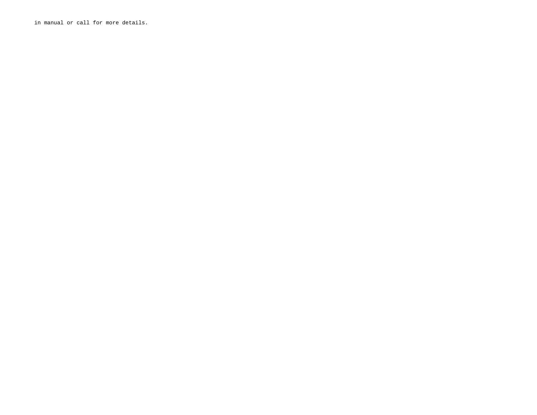in manual or call for more details.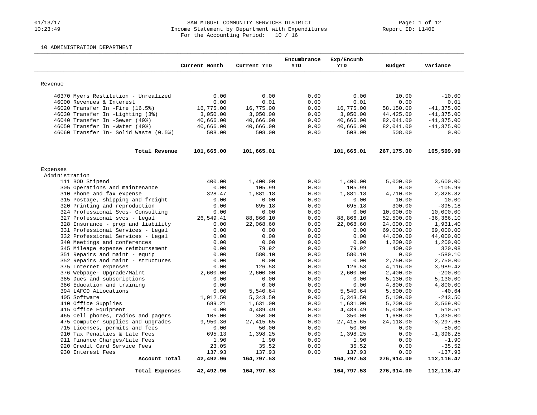#### 01/13/17 SAN MIGUEL COMMUNITY SERVICES DISTRICT Page: 1 of 12 10:23:49 Income Statement by Department with Expenditures Report ID: L140E For the Accounting Period: 10 / 16

### 10 ADMINISTRATION DEPARTMENT

|                                                                   | Current Month | Current YTD  | Encumbrance<br>YTD | Exp/Encumb<br><b>YTD</b> | Budget        | Variance         |
|-------------------------------------------------------------------|---------------|--------------|--------------------|--------------------------|---------------|------------------|
| Revenue                                                           |               |              |                    |                          |               |                  |
|                                                                   |               |              |                    |                          |               |                  |
| 40370 Myers Restitution - Unrealized<br>46000 Revenues & Interest | 0.00<br>0.00  | 0.00<br>0.01 | 0.00<br>0.00       | 0.00<br>0.01             | 10.00<br>0.00 | $-10.00$<br>0.01 |
| 46020 Transfer In -Fire (16.5%)                                   |               |              |                    |                          |               |                  |
|                                                                   | 16,775.00     | 16,775.00    | 0.00               | 16,775.00                | 58,150.00     | $-41, 375.00$    |
| 46030 Transfer In -Lighting (3%)                                  | 3,050.00      | 3,050.00     | 0.00               | 3,050.00                 | 44, 425.00    | $-41, 375.00$    |
| 46040 Transfer In -Sewer (40%)                                    | 40,666.00     | 40,666.00    | 0.00               | 40,666.00                | 82,041.00     | $-41, 375.00$    |
| 46050 Transfer In -Water (40%)                                    | 40,666.00     | 40,666.00    | 0.00               | 40,666.00                | 82,041.00     | $-41, 375.00$    |
| 46060 Transfer In- Solid Waste (0.5%)                             | 508.00        | 508.00       | 0.00               | 508.00                   | 508.00        | 0.00             |
| Total Revenue                                                     | 101,665.00    | 101,665.01   |                    | 101,665.01               | 267,175.00    | 165,509.99       |
| Expenses                                                          |               |              |                    |                          |               |                  |
| Administration                                                    |               |              |                    |                          |               |                  |
| 111 BOD Stipend                                                   | 400.00        | 1,400.00     | 0.00               | 1,400.00                 | 5,000.00      | 3,600.00         |
| 305 Operations and maintenance                                    | 0.00          | 105.99       | 0.00               | 105.99                   | 0.00          | $-105.99$        |
| 310 Phone and fax expense                                         | 328.47        | 1,881.18     | 0.00               | 1,881.18                 | 4,710.00      | 2,828.82         |
| 315 Postage, shipping and freight                                 | 0.00          | 0.00         | 0.00               | 0.00                     | 10.00         | 10.00            |
| 320 Printing and reproduction                                     | 0.00          | 695.18       | 0.00               | 695.18                   | 300.00        | $-395.18$        |
| 324 Professional Svcs- Consulting                                 | 0.00          | 0.00         | 0.00               | 0.00                     | 10,000.00     | 10,000.00        |
| 327 Professional svcs - Legal                                     | 26,549.41     | 88,866.10    | 0.00               | 88,866.10                | 52,500.00     | $-36, 366.10$    |
| 328 Insurance - prop and liability                                | 0.00          | 22,068.60    | 0.00               | 22,068.60                | 24,000.00     | 1,931.40         |
| 331 Professional Services - Legal                                 | 0.00          | 0.00         | 0.00               | 0.00                     | 69,000.00     | 69,000.00        |
| 332 Professional Services - Legal                                 | 0.00          | 0.00         | 0.00               | 0.00                     | 44,000.00     | 44,000.00        |
| 340 Meetings and conferences                                      | 0.00          | 0.00         | 0.00               | 0.00                     | 1,200.00      | 1,200.00         |
| 345 Mileage expense reimbursement                                 | 0.00          | 79.92        | 0.00               | 79.92                    | 400.00        | 320.08           |
| 351 Repairs and maint - equip                                     | 0.00          | 580.10       | 0.00               | 580.10                   | 0.00          | $-580.10$        |
| 352 Repairs and maint - structures                                | 0.00          | 0.00         | 0.00               | 0.00                     | 2,750.00      | 2,750.00         |
| 375 Internet expenses                                             | 0.00          | 126.58       | 0.00               | 126.58                   | 4,116.00      | 3,989.42         |
| 376 Webpage- Upgrade/Maint                                        | 2,600.00      | 2,600.00     | 0.00               | 2,600.00                 | 2,400.00      | $-200.00$        |
| 385 Dues and subscriptions                                        | 0.00          | 0.00         | 0.00               | 0.00                     | 5,130.00      | 5,130.00         |
| 386 Education and training                                        | 0.00          | 0.00         | 0.00               | 0.00                     | 4,800.00      | 4,800.00         |
| 394 LAFCO Allocations                                             | 0.00          | 5,540.64     | 0.00               | 5,540.64                 | 5,500.00      | $-40.64$         |
| 405 Software                                                      | 1,012.50      | 5,343.50     | 0.00               | 5,343.50                 | 5,100.00      | $-243.50$        |
| 410 Office Supplies                                               | 689.21        | 1,631.00     | 0.00               | 1,631.00                 | 5,200.00      | 3,569.00         |
| 415 Office Equipment                                              | 0.00          | 4,489.49     | 0.00               | 4,489.49                 | 5,000.00      | 510.51           |
| 465 Cell phones, radios and pagers                                | 105.00        | 350.00       | 0.00               | 350.00                   | 1,680.00      | 1,330.00         |
| 475 Computer supplies and upgrades                                | 9,950.36      | 27, 415.65   | 0.00               | 27, 415.65               | 24,118.00     | $-3, 297.65$     |
| 715 Licenses, permits and fees                                    | 0.00          | 50.00        | 0.00               | 50.00                    | 0.00          | $-50.00$         |
| 910 Tax Penalties & Late Fees                                     | 695.13        | 1,398.25     | 0.00               | 1,398.25                 | 0.00          | $-1, 398.25$     |
| 911 Finance Charges/Late Fees                                     | 1.90          | 1.90         | 0.00               | 1.90                     | 0.00          | $-1.90$          |
| 920 Credit Card Service Fees                                      | 23.05         | 35.52        | 0.00               | 35.52                    | 0.00          | $-35.52$         |
| 930 Interest Fees                                                 | 137.93        | 137.93       | 0.00               | 137.93                   | 0.00          | $-137.93$        |
| Account Total                                                     | 42,492.96     | 164,797.53   |                    | 164,797.53               | 276,914.00    | 112,116.47       |
| Total Expenses                                                    | 42,492.96     | 164,797.53   |                    | 164,797.53               | 276,914.00    | 112, 116.47      |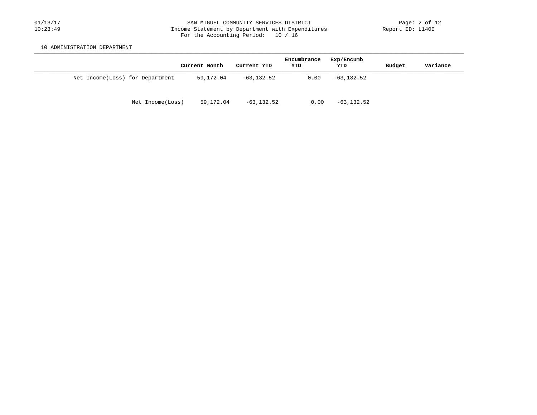#### 01/13/17 SAN MIGUEL COMMUNITY SERVICES DISTRICT Page: 2 of 12 10:23:49 Income Statement by Department with Expenditures Report ID: L140E For the Accounting Period: 10 / 16

10 ADMINISTRATION DEPARTMENT

|                                 |                  | Current Month | Current YTD   | Encumbrance<br>YTD | Exp/Encumb<br>YTD | Budget | Variance |
|---------------------------------|------------------|---------------|---------------|--------------------|-------------------|--------|----------|
| Net Income(Loss) for Department |                  | 59,172.04     | $-63, 132.52$ | 0.00               | $-63, 132.52$     |        |          |
|                                 | Net Income(Loss) | 59,172.04     | -63,132.52    | 0.00               | $-63, 132.52$     |        |          |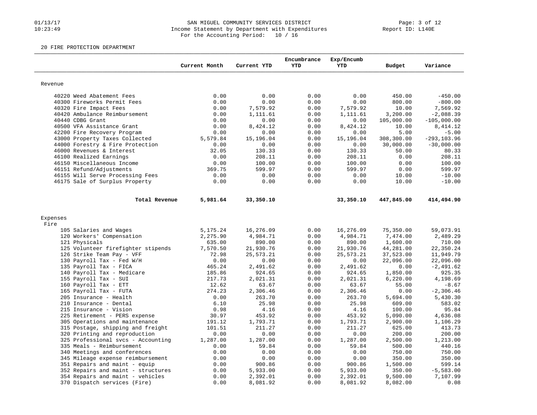#### 01/13/17 SAN MIGUEL COMMUNITY SERVICES DISTRICT Page: 3 of 12 10:23:49 Income Statement by Department with Expenditures Report ID: L140E For the Accounting Period: 10 / 16

#### 20 FIRE PROTECTION DEPARTMENT

|                                                                        |               |                      | Encumbrance  | Exp/Encumb           |                    |                  |
|------------------------------------------------------------------------|---------------|----------------------|--------------|----------------------|--------------------|------------------|
|                                                                        | Current Month | Current YTD          | <b>YTD</b>   | <b>YTD</b>           | Budget             | Variance         |
| Revenue                                                                |               |                      |              |                      |                    |                  |
| 40220 Weed Abatement Fees                                              | 0.00          | 0.00                 | 0.00         | 0.00                 | 450.00             | $-450.00$        |
| 40300 Fireworks Permit Fees                                            | 0.00          | 0.00                 | 0.00         | 0.00                 | 800.00             | $-800.00$        |
| 40320 Fire Impact Fees                                                 | 0.00          | 7,579.92             | 0.00         | 7,579.92             | 10.00              | 7,569.92         |
| 40420 Ambulance Reimbursement                                          | 0.00          | 1,111.61             | 0.00         | 1,111.61             | 3,200.00           | $-2,088.39$      |
| 40440 CDBG Grant                                                       | 0.00          | 0.00                 | 0.00         | 0.00                 | 105,000.00         | $-105,000.00$    |
| 40500 VFA Assistance Grant                                             | 0.00          | 8,424.12             | 0.00         | 8,424.12             | 10.00              | 8,414.12         |
| 42200 Fire Recovery Program                                            | 0.00          | 0.00                 | 0.00         | 0.00                 | 5.00               | $-5.00$          |
| 43000 Property Taxes Collected                                         | 5,579.84      | 15,196.04            | 0.00         | 15,196.04            | 308,300.00         | $-293, 103.96$   |
| 44000 Forestry & Fire Protection                                       | 0.00          | 0.00                 | 0.00         | 0.00                 | 30,000.00          | $-30,000.00$     |
| 46000 Revenues & Interest                                              | 32.05         | 130.33               | 0.00         | 130.33               | 50.00              | 80.33            |
| 46100 Realized Earnings                                                | 0.00          | 208.11               | 0.00         | 208.11               | 0.00               | 208.11           |
| 46150 Miscellaneous Income                                             | 0.00          | 100.00               | 0.00         | 100.00               | 0.00               | 100.00           |
| 46151 Refund/Adjustments                                               | 369.75        | 599.97               | 0.00         | 599.97               | 0.00               | 599.97           |
| 46155 Will Serve Processing Fees                                       | 0.00          | 0.00                 | 0.00         | 0.00                 | 10.00              | $-10.00$         |
| 46175 Sale of Surplus Property                                         | 0.00          | 0.00                 | 0.00         | 0.00                 | 10.00              | $-10.00$         |
| Total Revenue                                                          | 5,981.64      | 33,350.10            |              | 33,350.10            | 447,845.00         | 414,494.90       |
|                                                                        |               |                      |              |                      |                    |                  |
| Expenses                                                               |               |                      |              |                      |                    |                  |
| Fire                                                                   |               |                      |              |                      |                    |                  |
| 105 Salaries and Wages                                                 | 5,175.24      | 16,276.09            | 0.00         | 16,276.09            | 75,350.00          | 59,073.91        |
| 120 Workers' Compensation                                              | 2,275.90      | 4,984.71             | 0.00         | 4,984.71             | 7,474.00           | 2,489.29         |
| 121 Physicals                                                          | 635.00        | 890.00               | 0.00         | 890.00               | 1,600.00           | 710.00           |
| 125 Volunteer firefighter stipends                                     | 7,570.50      | 21,930.76            | 0.00         | 21,930.76            | 44,281.00          | 22,350.24        |
| 126 Strike Team Pay - VFF                                              | 72.98         | 25, 573. 21          | 0.00         | 25, 573. 21          | 37,523.00          | 11,949.79        |
| 130 Payroll Tax - Fed W/H                                              | 0.00          | 0.00                 | 0.00         | 0.00                 | 22,096.00          | 22,096.00        |
| 135 Payroll Tax - FICA                                                 | 465.24        | 2,491.62             | 0.00         | 2,491.62             | 0.00               | $-2,491.62$      |
| 140 Payroll Tax - Medicare                                             | 185.86        | 924.65               | 0.00         | 924.65               | 1,850.00           | 925.35           |
| 155 Payroll Tax - SUI                                                  | 217.73        | 2,021.31             | 0.00         | 2,021.31             | 6,220.00           | 4,198.69         |
| 160 Payroll Tax - ETT                                                  | 12.62         | 63.67                | 0.00         | 63.67                | 55.00              | $-8.67$          |
| 165 Payroll Tax - FUTA                                                 | 274.23        | 2,306.46             | 0.00         | 2,306.46             | 0.00               | $-2,306.46$      |
| 205 Insurance - Health                                                 | 0.00          | 263.70               | 0.00         | 263.70               | 5,694.00           | 5,430.30         |
| 210 Insurance - Dental                                                 | 6.10          | 25.98                | 0.00         | 25.98                | 609.00             | 583.02           |
| 215 Insurance - Vision                                                 | 0.98          | 4.16                 | 0.00         | 4.16                 | 100.00             | 95.84            |
| 225 Retirement - PERS expense                                          | 30.97         | 453.92               | 0.00         | 453.92               | 5,090.00           | 4,636.08         |
| 305 Operations and maintenance                                         | 191.12        | 1,793.71             | 0.00         | 1,793.71             | 2,900.00           | 1,106.29         |
| 315 Postage, shipping and freight                                      | 101.51        | 211.27               | 0.00         | 211.27               | 625.00             | 413.73           |
| 320 Printing and reproduction                                          | 0.00          | 0.00                 | 0.00         | 0.00                 | 200.00             | 200.00           |
| 325 Professional svcs - Accounting                                     | 1,287.00      | 1,287.00             | 0.00         | 1,287.00             | 2,500.00           | 1,213.00         |
| 335 Meals - Reimbursement                                              | 0.00          | 59.84                | 0.00         | 59.84                | 500.00             | 440.16           |
| 340 Meetings and conferences                                           | 0.00          | 0.00                 | 0.00         | 0.00                 | 750.00             | 750.00           |
| 345 Mileage expense reimbursement                                      | 0.00          | 0.00                 | 0.00         | 0.00                 | 350.00             | 350.00<br>599.14 |
| 351 Repairs and maint - equip                                          | 0.00<br>0.00  | 900.86<br>5,933.00   | 0.00<br>0.00 | 900.86               | 1,500.00<br>350.00 | $-5,583.00$      |
| 352 Repairs and maint - structures<br>354 Repairs and maint - vehicles | 0.00          |                      | 0.00         | 5,933.00             | 9,500.00           | 7,107.99         |
| 370 Dispatch services (Fire)                                           | 0.00          | 2,392.01<br>8,081.92 | 0.00         | 2,392.01<br>8,081.92 | 8,082.00           | 0.08             |
|                                                                        |               |                      |              |                      |                    |                  |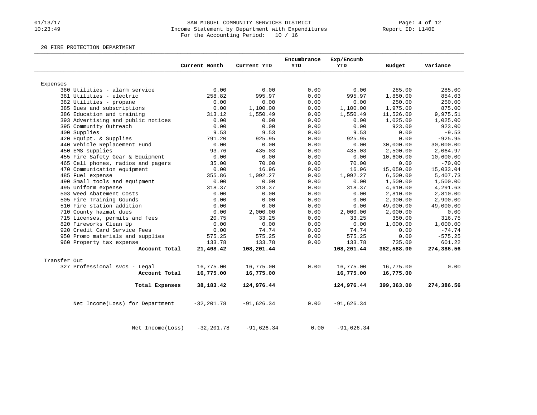#### 01/13/17 SAN MIGUEL COMMUNITY SERVICES DISTRICT Page: 4 of 12 10:23:49 Income Statement by Department with Expenditures Report ID: L140E For the Accounting Period: 10 / 16

20 FIRE PROTECTION DEPARTMENT

|                                                           |                | Current Month  | Current YTD    | Encumbrance<br><b>YTD</b> | Exp/Encumb<br><b>YTD</b> | Budget             | Variance             |
|-----------------------------------------------------------|----------------|----------------|----------------|---------------------------|--------------------------|--------------------|----------------------|
|                                                           |                |                |                |                           |                          |                    |                      |
| Expenses                                                  |                |                |                |                           |                          |                    |                      |
| 380 Utilities - alarm service<br>381 Utilities - electric |                | 0.00<br>258.82 | 0.00<br>995.97 | 0.00<br>0.00              | 0.00<br>995.97           | 285.00             | 285.00<br>854.03     |
|                                                           |                | 0.00           | 0.00           | 0.00                      | 0.00                     | 1,850.00<br>250.00 | 250.00               |
| 382 Utilities - propane                                   |                |                |                |                           |                          |                    |                      |
| 385 Dues and subscriptions                                |                | 0.00<br>313.12 | 1,100.00       | 0.00                      | 1,100.00                 | 1,975.00           | 875.00               |
| 386 Education and training                                |                | 0.00           | 1,550.49       | 0.00                      | 1,550.49                 | 11,526.00          | 9,975.51<br>1,025.00 |
| 393 Advertising and public notices                        |                | 0.00           | 0.00           | 0.00                      | 0.00                     | 1,025.00           |                      |
| 395 Community Outreach                                    |                |                | 0.00           | 0.00                      | 0.00                     | 923.00             | 923.00               |
| 400 Supplies                                              |                | 9.53           | 9.53           | 0.00                      | 9.53                     | 0.00               | $-9.53$<br>$-925.95$ |
| 420 Equipt. & Supplies                                    |                | 791.20<br>0.00 | 925.95         | 0.00                      | 925.95                   | 0.00               |                      |
| 440 Vehicle Replacement Fund                              |                |                | 0.00           | 0.00                      | 0.00                     | 30,000.00          | 30,000.00            |
| 450 EMS supplies                                          |                | 93.76          | 435.03         | 0.00                      | 435.03                   | 2,500.00           | 2,064.97             |
| 455 Fire Safety Gear & Equipment                          |                | 0.00           | 0.00           | 0.00                      | 0.00                     | 10,600.00          | 10,600.00            |
| 465 Cell phones, radios and pagers                        |                | 35.00          | 70.00          | 0.00                      | 70.00                    | 0.00               | $-70.00$             |
| 470 Communication equipment                               |                | 0.00           | 16.96          | 0.00                      | 16.96                    | 15,050.00          | 15,033.04            |
| 485 Fuel expense                                          |                | 355.86         | 1,092.27       | 0.00                      | 1,092.27                 | 6,500.00           | 5,407.73             |
| 490 Small tools and equipment                             |                | 0.00           | 0.00           | 0.00                      | 0.00                     | 1,500.00           | 1,500.00             |
| 495 Uniform expense                                       |                | 318.37         | 318.37         | 0.00                      | 318.37                   | 4,610.00           | 4,291.63             |
| 503 Weed Abatement Costs                                  |                | 0.00           | 0.00           | 0.00                      | 0.00                     | 2,810.00           | 2,810.00             |
| 505 Fire Training Gounds                                  |                | 0.00           | 0.00           | 0.00                      | 0.00                     | 2,900.00           | 2,900.00             |
| 510 Fire station addition                                 |                | 0.00           | 0.00           | 0.00                      | 0.00                     | 49,000.00          | 49,000.00            |
| 710 County hazmat dues                                    |                | 0.00           | 2,000.00       | 0.00                      | 2,000.00                 | 2,000.00           | 0.00                 |
| 715 Licenses, permits and fees                            |                | 20.75          | 33.25          | 0.00                      | 33.25                    | 350.00             | 316.75               |
| 820 Fireworks Clean Up                                    |                | 0.00           | 0.00           | 0.00                      | 0.00                     | 1,000.00           | 1,000.00             |
| 920 Credit Card Service Fees                              |                | 0.00           | 74.74          | 0.00                      | 74.74                    | 0.00               | $-74.74$             |
| 950 Promo materials and supplies                          |                | 575.25         | 575.25         | 0.00                      | 575.25                   | 0.00               | $-575.25$            |
| 960 Property tax expense                                  |                | 133.78         | 133.78         | 0.00                      | 133.78                   | 735.00             | 601.22               |
|                                                           | Account Total  | 21,408.42      | 108,201.44     |                           | 108,201.44               | 382,588.00         | 274,386.56           |
| Transfer Out                                              |                |                |                |                           |                          |                    |                      |
| 327 Professional svcs - Legal                             |                | 16,775.00      | 16,775.00      | 0.00                      | 16,775.00                | 16,775.00          | 0.00                 |
|                                                           | Account Total  | 16,775.00      | 16,775.00      |                           | 16,775.00                | 16,775.00          |                      |
|                                                           | Total Expenses | 38,183.42      | 124,976.44     |                           | 124,976.44               | 399,363.00         | 274,386.56           |
| Net Income(Loss) for Department                           |                | $-32, 201.78$  | $-91,626.34$   | 0.00                      | $-91,626.34$             |                    |                      |
| Net Income(Loss)                                          |                | $-32, 201.78$  | $-91,626.34$   | 0.00                      | $-91,626.34$             |                    |                      |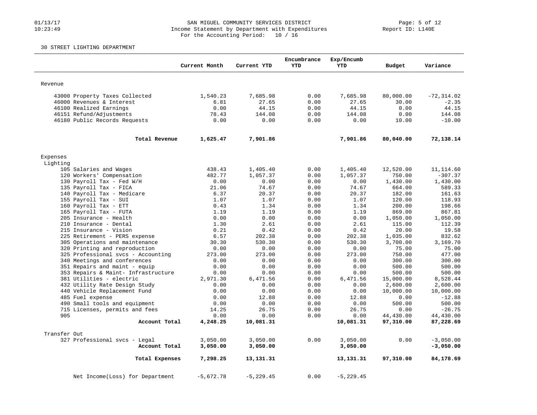#### 01/13/17 Page: 5 of 12 10:23:49 Income Statement by Department with Expenditures Report ID: L140E For the Accounting Period: 10 / 16

#### 30 STREET LIGHTING DEPARTMENT

|                                                      | Current Month | Current YTD    | Encumbrance<br><b>YTD</b> | Exp/Encumb<br><b>YTD</b> | Budget        | Variance                 |
|------------------------------------------------------|---------------|----------------|---------------------------|--------------------------|---------------|--------------------------|
| Revenue                                              |               |                |                           |                          |               |                          |
|                                                      |               |                |                           |                          |               |                          |
| 43000 Property Taxes Collected                       | 1,540.23      | 7,685.98       | 0.00                      | 7,685.98                 | 80,000.00     | $-72, 314.02$<br>$-2.35$ |
| 46000 Revenues & Interest<br>46100 Realized Earnings | 6.81<br>0.00  | 27.65<br>44.15 | 0.00<br>0.00              | 27.65<br>44.15           | 30.00<br>0.00 | 44.15                    |
| 46151 Refund/Adjustments                             | 78.43         | 144.08         | 0.00                      | 144.08                   | 0.00          | 144.08                   |
| 46180 Public Records Requests                        | 0.00          | 0.00           | 0.00                      | 0.00                     | 10.00         | $-10.00$                 |
|                                                      |               |                |                           |                          |               |                          |
| Total Revenue                                        | 1,625.47      | 7,901.86       |                           | 7,901.86                 | 80,040.00     | 72,138.14                |
| Expenses                                             |               |                |                           |                          |               |                          |
| Lighting                                             |               |                |                           |                          |               |                          |
| 105 Salaries and Wages                               | 438.43        | 1,405.40       | 0.00                      | 1,405.40                 | 12,520.00     | 11, 114.60               |
| 120 Workers' Compensation                            | 482.77        | 1,057.37       | 0.00                      | 1,057.37                 | 750.00        | $-307.37$                |
| 130 Payroll Tax - Fed W/H                            | 0.00          | 0.00           | 0.00                      | 0.00                     | 1,430.00      | 1,430.00                 |
| 135 Payroll Tax - FICA                               | 21.06         | 74.67          | 0.00                      | 74.67                    | 664.00        | 589.33                   |
| 140 Payroll Tax - Medicare                           | 6.37          | 20.37          | 0.00                      | 20.37                    | 182.00        | 161.63                   |
| 155 Payroll Tax - SUI                                | 1.07          | 1.07           | 0.00                      | 1.07                     | 120.00        | 118.93                   |
| 160 Payroll Tax - ETT                                | 0.43          | 1.34           | 0.00                      | 1.34                     | 200.00        | 198.66                   |
| 165 Payroll Tax - FUTA                               | 1.19          | 1.19           | 0.00                      | 1.19                     | 869.00        | 867.81                   |
| 205 Insurance - Health                               | 0.00          | 0.00           | 0.00                      | 0.00                     | 1,050.00      | 1,050.00                 |
| 210 Insurance - Dental                               | 1.30          | 2.61           | 0.00                      | 2.61                     | 115.00        | 112.39                   |
| 215 Insurance - Vision                               | 0.21          | 0.42           | 0.00                      | 0.42                     | 20.00         | 19.58                    |
| 225 Retirement - PERS expense                        | 6.57          | 202.38         | 0.00                      | 202.38                   | 1,035.00      | 832.62                   |
| 305 Operations and maintenance                       | 30.30         | 530.30         | 0.00                      | 530.30                   | 3,700.00      | 3,169.70                 |
| 320 Printing and reproduction                        | 0.00          | 0.00           | 0.00                      | 0.00                     | 75.00         | 75.00                    |
| 325 Professional svcs - Accounting                   | 273.00        | 273.00         | 0.00                      | 273.00                   | 750.00        | 477.00                   |
| 340 Meetings and conferences                         | 0.00          | 0.00           | 0.00                      | 0.00                     | 300.00        | 300.00                   |
| 351 Repairs and maint - equip                        | 0.00          | 0.00           | 0.00                      | 0.00                     | 500.00        | 500.00                   |
| 353 Repairs & Maint- Infrastructure                  | 0.00          | 0.00           | 0.00                      | 0.00                     | 500.00        | 500.00                   |
| 381 Utilities - electric                             | 2,971.30      | 6,471.56       | 0.00                      | 6,471.56                 | 15,000.00     | 8,528.44                 |
| 432 Utility Rate Design Study                        | 0.00          | 0.00           | 0.00                      | 0.00                     | 2,600.00      | 2,600.00                 |
| 440 Vehicle Replacement Fund                         | 0.00          | 0.00           | 0.00                      | 0.00                     | 10,000.00     | 10,000.00                |
| 485 Fuel expense                                     | 0.00          | 12.88          | 0.00                      | 12.88                    | 0.00          | $-12.88$                 |
| 490 Small tools and equipment                        | 0.00          | 0.00           | 0.00                      | 0.00                     | 500.00        | 500.00                   |
| 715 Licenses, permits and fees                       | 14.25         | 26.75          | 0.00                      | 26.75                    | 0.00          | $-26.75$                 |
| 905                                                  | 0.00          | 0.00           | 0.00                      | 0.00                     | 44,430.00     | 44,430.00                |
| Account Total                                        | 4,248.25      | 10,081.31      |                           | 10,081.31                | 97,310.00     | 87,228.69                |
| Transfer Out                                         |               |                |                           |                          |               |                          |
| 327 Professional svcs - Legal                        | 3,050.00      | 3,050.00       | 0.00                      | 3,050.00                 | 0.00          | $-3,050.00$              |
| Account Total                                        | 3,050.00      | 3,050.00       |                           | 3,050.00                 |               | $-3,050.00$              |
| Total Expenses                                       | 7,298.25      | 13,131.31      |                           | 13, 131. 31              | 97,310.00     | 84,178.69                |
| Net Income(Loss) for Department                      | $-5,672.78$   | $-5, 229.45$   | 0.00                      | $-5, 229.45$             |               |                          |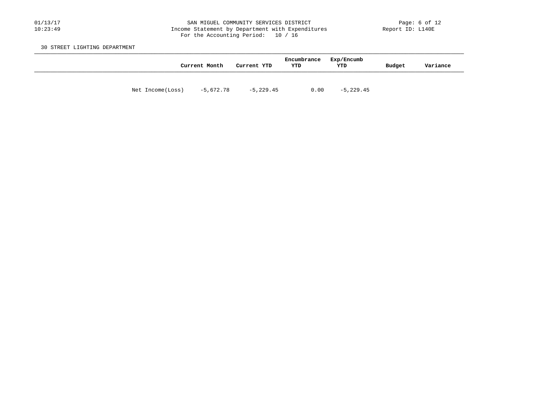#### 01/13/17 SAN MIGUEL COMMUNITY SERVICES DISTRICT Page: 6 of 12 10:23:49 Income Statement by Department with Expenditures Report ID: L140E For the Accounting Period: 10 / 16

30 STREET LIGHTING DEPARTMENT

|                  | Current Month | Current YTD | Encumbrance<br>YTD | Exp/Encumb<br>YTD | Budget | Variance |
|------------------|---------------|-------------|--------------------|-------------------|--------|----------|
| Net Income(Loss) | -5,672.78     | $-5,229.45$ | 0.00               | $-5,229.45$       |        |          |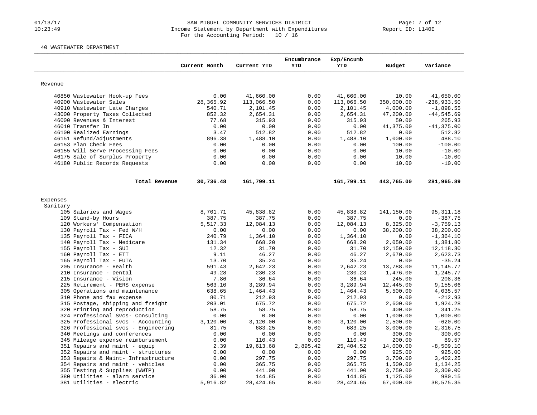#### 01/13/17 SAN MIGUEL COMMUNITY SERVICES DISTRICT Page: 7 of 12 10:23:49 Income Statement by Department with Expenditures Report ID: L140E For the Accounting Period: 10 / 16

#### 40 WASTEWATER DEPARTMENT

|                                                        |                    |                     | Encumbrance  | Exp/Encumb          |                  |                         |
|--------------------------------------------------------|--------------------|---------------------|--------------|---------------------|------------------|-------------------------|
|                                                        | Current Month      | Current YTD         | <b>YTD</b>   | <b>YTD</b>          | Budget           | Variance                |
|                                                        |                    |                     |              |                     |                  |                         |
| Revenue                                                |                    |                     |              |                     |                  |                         |
| 40850 Wastewater Hook-up Fees                          | 0.00               | 41,660.00           | 0.00         | 41,660.00           | 10.00            | 41,650.00               |
| 40900 Wastewater Sales                                 | 28, 365.92         | 113,066.50          | 0.00         | 113,066.50          | 350,000.00       | $-236,933.50$           |
| 40910 Wastewater Late Charges                          | 540.71             | 2,101.45            | 0.00         | 2,101.45            | 4,000.00         | $-1,898.55$             |
| 43000 Property Taxes Collected                         | 852.32             | 2,654.31            | 0.00         | 2,654.31            | 47,200.00        | $-44, 545.69$           |
| 46000 Revenues & Interest                              | 77.68              | 315.93              | 0.00         | 315.93              | 50.00            | 265.93                  |
| 46010 Transfer In                                      | 0.00               | 0.00                | 0.00         | 0.00                | 41,375.00        | $-41, 375.00$           |
| 46100 Realized Earnings                                | 3.47               | 512.82              | 0.00         | 512.82              | 0.00             | 512.82                  |
| 46151 Refund/Adjustments                               | 896.38             | 1,488.10            | 0.00         | 1,488.10            | 1,000.00         | 488.10                  |
| 46153 Plan Check Fees                                  | 0.00               | 0.00                | 0.00         | 0.00                | 100.00           | $-100.00$               |
| 46155 Will Serve Processing Fees                       | 0.00               | 0.00                | 0.00         | 0.00                | 10.00            | $-10.00$                |
| 46175 Sale of Surplus Property                         | 0.00               | 0.00                | 0.00         | 0.00                | 10.00            | $-10.00$                |
| 46180 Public Records Requests                          | 0.00               | 0.00                | 0.00         | 0.00                | 10.00            | $-10.00$                |
| Total Revenue                                          | 30,736.48          | 161,799.11          |              | 161,799.11          | 443,765.00       | 281,965.89              |
|                                                        |                    |                     |              |                     |                  |                         |
| Expenses                                               |                    |                     |              |                     |                  |                         |
| Sanitary                                               |                    |                     |              |                     |                  |                         |
| 105 Salaries and Wages                                 | 8,701.71           | 45,838.82           | 0.00         | 45,838.82           | 141,150.00       | 95, 311.18<br>$-387.75$ |
| 109 Stand-by Hours                                     | 387.75<br>5,517.33 | 387.75<br>12,084.13 | 0.00<br>0.00 | 387.75<br>12,084.13 | 0.00<br>8,325.00 | $-3,759.13$             |
| 120 Workers' Compensation<br>130 Payroll Tax - Fed W/H | 0.00               | 0.00                | 0.00         | 0.00                | 38,200.00        | 38,200.00               |
| 135 Payroll Tax - FICA                                 | 240.79             | 1,364.10            | 0.00         | 1,364.10            | 0.00             | $-1, 364.10$            |
| 140 Payroll Tax - Medicare                             | 131.34             | 668.20              | 0.00         | 668.20              | 2,050.00         | 1,381.80                |
| 155 Payroll Tax - SUI                                  | 12.32              | 31.70               | 0.00         | 31.70               | 12,150.00        | 12, 118.30              |
| 160 Payroll Tax - ETT                                  | 9.11               | 46.27               | 0.00         | 46.27               | 2,670.00         | 2,623.73                |
| 165 Payroll Tax - FUTA                                 | 13.70              | 35.24               | 0.00         | 35.24               | 0.00             | $-35.24$                |
| 205 Insurance - Health                                 | 591.43             | 2,642.23            | 0.00         | 2,642.23            | 13,788.00        | 11, 145.77              |
| 210 Insurance - Dental                                 | 49.28              | 230.23              | 0.00         | 230.23              | 1,476.00         | 1,245.77                |
| 215 Insurance - Vision                                 | 7.86               | 36.64               | 0.00         | 36.64               | 245.00           | 208.36                  |
| 225 Retirement - PERS expense                          | 563.10             | 3,289.94            | 0.00         | 3,289.94            | 12,445.00        | 9,155.06                |
| 305 Operations and maintenance                         | 638.65             | 1,464.43            | 0.00         | 1,464.43            | 5,500.00         | 4,035.57                |
| 310 Phone and fax expense                              | 80.71              | 212.93              | 0.00         | 212.93              | 0.00             | $-212.93$               |
| 315 Postage, shipping and freight                      | 203.01             | 675.72              | 0.00         | 675.72              | 2,600.00         | 1,924.28                |
| 320 Printing and reproduction                          | 58.75              | 58.75               | 0.00         | 58.75               | 400.00           | 341.25                  |
| 324 Professional Svcs- Consulting                      | 0.00               | 0.00                | 0.00         | 0.00                | 1,000.00         | 1,000.00                |
| 325 Professional svcs - Accounting                     | 3,120.00           | 3,120.00            | 0.00         | 3,120.00            | 2,500.00         | $-620.00$               |
| 326 Professional svcs - Engineering                    | 81.75              | 683.25              | 0.00         | 683.25              | 3,000.00         | 2,316.75                |
| 340 Meetings and conferences                           | 0.00               | 0.00                | 0.00         | 0.00                | 300.00           | 300.00                  |
| 345 Mileage expense reimbursement                      | 0.00               | 110.43              | 0.00         | 110.43              | 200.00           | 89.57                   |
| 351 Repairs and maint - equip                          | 2.39               | 19,613.68           | 2,895.42     | 25,404.52           | 14,000.00        | $-8,509.10$             |
| 352 Repairs and maint - structures                     | 0.00               | 0.00                | 0.00         | 0.00                | 925.00           | 925.00                  |
| 353 Repairs & Maint- Infrastructure                    | 0.00               | 297.75              | 0.00         | 297.75              | 3,700.00         | 3,402.25                |
| 354 Repairs and maint - vehicles                       | 0.00               | 365.75              | 0.00         | 365.75              | 1,500.00         | 1,134.25                |
| 355 Testing & Supplies (WWTP)                          | 0.00               | 441.00              | 0.00         | 441.00              | 3,750.00         | 3,309.00                |
| 380 Utilities - alarm service                          | 36.00              | 144.85              | 0.00         | 144.85              | 1,125.00         | 980.15                  |
| 381 Utilities - electric                               | 5,916.82           | 28,424.65           | 0.00         | 28,424.65           | 67,000.00        | 38,575.35               |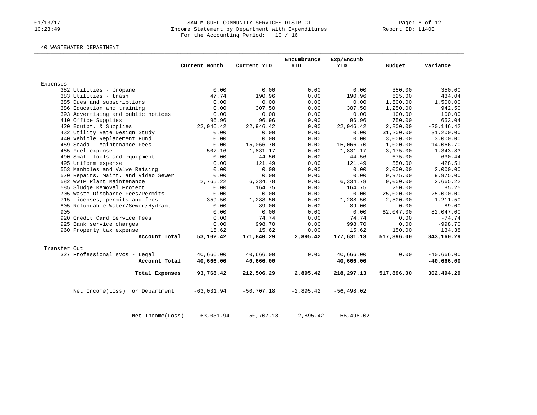#### 01/13/17 SAN MIGUEL COMMUNITY SERVICES DISTRICT Page: 8 of 12 10:23:49 Income Statement by Department with Expenditures Report ID: L140E For the Accounting Period: 10 / 16

40 WASTEWATER DEPARTMENT

| 0.00<br>190.96<br>0.00<br>307.50<br>0.00<br>96.96<br>22,946.42<br>0.00<br>0.00<br>15,066.70<br>1,831.17<br>44.56<br>121.49<br>0.00<br>0.00<br>6,334.78<br>164.75<br>0.00 | 350.00<br>625.00<br>1,500.00<br>1,250.00<br>100.00<br>750.00<br>2,800.00<br>31,200.00<br>3,000.00<br>1,000.00<br>3,175.00<br>675.00<br>550.00<br>2,000.00<br>9,975.00<br>9,000.00<br>250.00<br>25,000.00 | 350.00<br>434.04<br>1,500.00<br>942.50<br>100.00<br>653.04<br>$-20, 146.42$<br>31,200.00<br>3,000.00<br>$-14,066.70$<br>1,343.83<br>630.44<br>428.51<br>2,000.00<br>9,975.00<br>2,665.22<br>85.25 |
|--------------------------------------------------------------------------------------------------------------------------------------------------------------------------|----------------------------------------------------------------------------------------------------------------------------------------------------------------------------------------------------------|---------------------------------------------------------------------------------------------------------------------------------------------------------------------------------------------------|
|                                                                                                                                                                          |                                                                                                                                                                                                          |                                                                                                                                                                                                   |
|                                                                                                                                                                          |                                                                                                                                                                                                          |                                                                                                                                                                                                   |
|                                                                                                                                                                          |                                                                                                                                                                                                          |                                                                                                                                                                                                   |
|                                                                                                                                                                          |                                                                                                                                                                                                          |                                                                                                                                                                                                   |
|                                                                                                                                                                          |                                                                                                                                                                                                          |                                                                                                                                                                                                   |
|                                                                                                                                                                          |                                                                                                                                                                                                          |                                                                                                                                                                                                   |
|                                                                                                                                                                          |                                                                                                                                                                                                          |                                                                                                                                                                                                   |
|                                                                                                                                                                          |                                                                                                                                                                                                          |                                                                                                                                                                                                   |
|                                                                                                                                                                          |                                                                                                                                                                                                          |                                                                                                                                                                                                   |
|                                                                                                                                                                          |                                                                                                                                                                                                          |                                                                                                                                                                                                   |
|                                                                                                                                                                          |                                                                                                                                                                                                          |                                                                                                                                                                                                   |
|                                                                                                                                                                          |                                                                                                                                                                                                          |                                                                                                                                                                                                   |
|                                                                                                                                                                          |                                                                                                                                                                                                          |                                                                                                                                                                                                   |
|                                                                                                                                                                          |                                                                                                                                                                                                          |                                                                                                                                                                                                   |
|                                                                                                                                                                          |                                                                                                                                                                                                          |                                                                                                                                                                                                   |
|                                                                                                                                                                          |                                                                                                                                                                                                          |                                                                                                                                                                                                   |
|                                                                                                                                                                          |                                                                                                                                                                                                          |                                                                                                                                                                                                   |
|                                                                                                                                                                          |                                                                                                                                                                                                          |                                                                                                                                                                                                   |
|                                                                                                                                                                          |                                                                                                                                                                                                          |                                                                                                                                                                                                   |
|                                                                                                                                                                          |                                                                                                                                                                                                          | 25,000.00                                                                                                                                                                                         |
| 1,288.50                                                                                                                                                                 | 2,500.00                                                                                                                                                                                                 | 1,211.50                                                                                                                                                                                          |
| 89.00                                                                                                                                                                    | 0.00                                                                                                                                                                                                     | $-89.00$                                                                                                                                                                                          |
| 0.00                                                                                                                                                                     | 82,047.00                                                                                                                                                                                                | 82,047.00                                                                                                                                                                                         |
| 74.74                                                                                                                                                                    | 0.00                                                                                                                                                                                                     | $-74.74$                                                                                                                                                                                          |
| 998.70                                                                                                                                                                   | 0.00                                                                                                                                                                                                     | $-998.70$                                                                                                                                                                                         |
| 15.62                                                                                                                                                                    | 150.00                                                                                                                                                                                                   | 134.38                                                                                                                                                                                            |
| 177,631.13                                                                                                                                                               | 517,896.00                                                                                                                                                                                               | 343,160.29                                                                                                                                                                                        |
|                                                                                                                                                                          |                                                                                                                                                                                                          |                                                                                                                                                                                                   |
| 40,666.00                                                                                                                                                                | 0.00                                                                                                                                                                                                     | $-40,666.00$                                                                                                                                                                                      |
| 40,666.00                                                                                                                                                                |                                                                                                                                                                                                          | $-40,666.00$                                                                                                                                                                                      |
| 218,297.13                                                                                                                                                               | 517,896.00                                                                                                                                                                                               | 302,494.29                                                                                                                                                                                        |
| $-56, 498.02$                                                                                                                                                            |                                                                                                                                                                                                          |                                                                                                                                                                                                   |
|                                                                                                                                                                          |                                                                                                                                                                                                          |                                                                                                                                                                                                   |

Net Income(Loss) -63,031.94 -50,707.18 -2,895.42 -56,498.02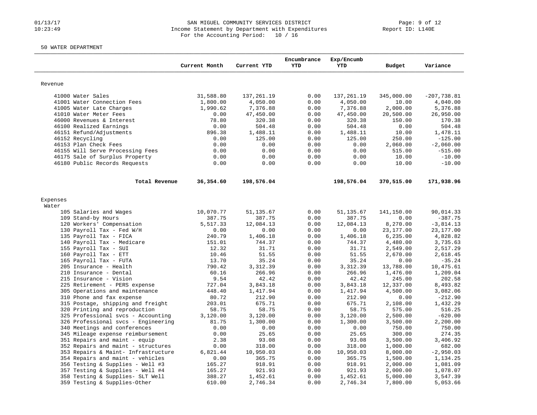#### 01/13/17 SAN MIGUEL COMMUNITY SERVICES DISTRICT Page: 9 of 12 10:23:49 Income Statement by Department with Expenditures Report ID: L140E For the Accounting Period: 10 / 16

### 50 WATER DEPARTMENT

|                                     | Current Month | Current YTD | Encumbrance<br><b>YTD</b> | Exp/Encumb<br><b>YTD</b> | Budget     | Variance      |
|-------------------------------------|---------------|-------------|---------------------------|--------------------------|------------|---------------|
|                                     |               |             |                           |                          |            |               |
| Revenue                             |               |             |                           |                          |            |               |
| 41000 Water Sales                   | 31,588.80     | 137,261.19  | 0.00                      | 137,261.19               | 345,000.00 | $-207,738.81$ |
| 41001 Water Connection Fees         | 1,800.00      | 4,050.00    | 0.00                      | 4,050.00                 | 10.00      | 4,040.00      |
| 41005 Water Late Charges            | 1,990.62      | 7,376.88    | 0.00                      | 7,376.88                 | 2,000.00   | 5,376.88      |
| 41010 Water Meter Fees              | 0.00          | 47,450.00   | 0.00                      | 47,450.00                | 20,500.00  | 26,950.00     |
| 46000 Revenues & Interest           | 78.80         | 320.38      | 0.00                      | 320.38                   | 150.00     | 170.38        |
| 46100 Realized Earnings             | 0.00          | 504.48      | 0.00                      | 504.48                   | 0.00       | 504.48        |
| 46151 Refund/Adjustments            | 896.38        | 1,488.11    | 0.00                      | 1,488.11                 | 10.00      | 1,478.11      |
| 46152 Recycling                     | 0.00          | 125.00      | 0.00                      | 125.00                   | 250.00     | $-125.00$     |
| 46153 Plan Check Fees               | 0.00          | 0.00        | 0.00                      | 0.00                     | 2,060.00   | $-2,060.00$   |
| 46155 Will Serve Processing Fees    | 0.00          | 0.00        | 0.00                      | 0.00                     | 515.00     | $-515.00$     |
| 46175 Sale of Surplus Property      | 0.00          | 0.00        | 0.00                      | 0.00                     | 10.00      | $-10.00$      |
| 46180 Public Records Requests       | 0.00          | 0.00        | 0.00                      | 0.00                     | 10.00      | $-10.00$      |
| Total Revenue                       | 36,354.60     | 198,576.04  |                           | 198,576.04               | 370,515.00 | 171,938.96    |
| Expenses                            |               |             |                           |                          |            |               |
| Water                               |               |             |                           |                          |            |               |
| 105 Salaries and Wages              | 10,070.77     | 51, 135.67  | 0.00                      | 51,135.67                | 141,150.00 | 90,014.33     |
| 109 Stand-by Hours                  | 387.75        | 387.75      | 0.00                      | 387.75                   | 0.00       | $-387.75$     |
| 120 Workers' Compensation           | 5,517.33      | 12,084.13   | 0.00                      | 12,084.13                | 8,270.00   | $-3,814.13$   |
| 130 Payroll Tax - Fed W/H           | 0.00          | 0.00        | 0.00                      | 0.00                     | 23, 177.00 | 23,177.00     |
| 135 Payroll Tax - FICA              | 240.79        | 1,406.18    | 0.00                      | 1,406.18                 | 6,235.00   | 4,828.82      |
| 140 Payroll Tax - Medicare          | 151.01        | 744.37      | 0.00                      | 744.37                   | 4,480.00   | 3,735.63      |
| 155 Payroll Tax - SUI               | 12.32         | 31.71       | 0.00                      | 31.71                    | 2,549.00   | 2,517.29      |
| 160 Payroll Tax - ETT               | 10.46         | 51.55       | 0.00                      | 51.55                    | 2,670.00   | 2,618.45      |
| 165 Payroll Tax - FUTA              | 13.70         | 35.24       | 0.00                      | 35.24                    | 0.00       | $-35.24$      |
| 205 Insurance - Health              | 790.42        | 3,312.39    | 0.00                      | 3,312.39                 | 13,788.00  | 10,475.61     |
| 210 Insurance - Dental              | 60.16         | 266.96      | 0.00                      | 266.96                   | 1,476.00   | 1,209.04      |
| 215 Insurance - Vision              | 9.54          | 42.42       | 0.00                      | 42.42                    | 245.00     | 202.58        |
| 225 Retirement - PERS expense       | 727.04        | 3,843.18    | 0.00                      | 3,843.18                 | 12,337.00  | 8,493.82      |
| 305 Operations and maintenance      | 448.40        | 1,417.94    | 0.00                      | 1,417.94                 | 4,500.00   | 3,082.06      |
| 310 Phone and fax expense           | 80.72         | 212.90      | 0.00                      | 212.90                   | 0.00       | $-212.90$     |
| 315 Postage, shipping and freight   | 203.01        | 675.71      | 0.00                      | 675.71                   | 2,108.00   | 1,432.29      |
| 320 Printing and reproduction       | 58.75         | 58.75       | 0.00                      | 58.75                    | 575.00     | 516.25        |
| 325 Professional svcs - Accounting  | 3,120.00      | 3,120.00    | 0.00                      | 3,120.00                 | 2,500.00   | $-620.00$     |
| 326 Professional svcs - Engineering | 81.75         | 1,300.00    | 0.00                      | 1,300.00                 | 3,500.00   | 2,200.00      |
| 340 Meetings and conferences        | 0.00          | 0.00        | 0.00                      | 0.00                     | 750.00     | 750.00        |
| 345 Mileage expense reimbursement   | 0.00          | 25.65       | 0.00                      | 25.65                    | 300.00     | 274.35        |
| 351 Repairs and maint - equip       | 2.38          | 93.08       | 0.00                      | 93.08                    | 3,500.00   | 3,406.92      |
| 352 Repairs and maint - structures  | 0.00          | 318.00      | 0.00                      | 318.00                   | 1,000.00   | 682.00        |
| 353 Repairs & Maint- Infrastructure | 6,821.44      | 10,950.03   | 0.00                      | 10,950.03                | 8,000.00   | $-2,950.03$   |
| 354 Repairs and maint - vehicles    | 0.00          | 365.75      | 0.00                      | 365.75                   | 1,500.00   | 1,134.25      |
| 356 Testing & Supplies - Well #3    | 165.27        | 918.91      | 0.00                      | 918.91                   | 2,000.00   | 1,081.09      |
| 357 Testing & Supplies - Well #4    | 165.27        | 921.93      | 0.00                      | 921.93                   | 2,000.00   | 1,078.07      |
| 358 Testing & Supplies- SLT Well    | 388.27        | 1,452.61    | 0.00                      | 1,452.61                 | 5,000.00   | 3,547.39      |
| 359 Testing & Supplies-Other        | 610.00        | 2,746.34    | 0.00                      | 2,746.34                 | 7,800.00   | 5,053.66      |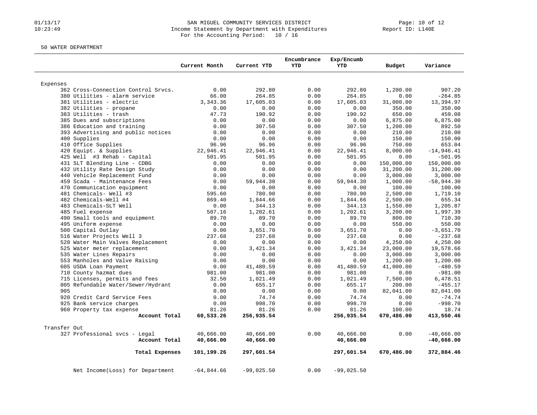#### 01/13/17 SAN MIGUEL COMMUNITY SERVICES DISTRICT Page: 10 of 12 10:23:49 Income Statement by Department with Expenditures Report ID: L140E For the Accounting Period: 10 / 16

50 WATER DEPARTMENT

|              |                                           | Current Month | Current YTD      | Encumbrance<br><b>YTD</b> | Exp/Encumb<br><b>YTD</b> | Budget     | Variance              |
|--------------|-------------------------------------------|---------------|------------------|---------------------------|--------------------------|------------|-----------------------|
|              |                                           |               |                  |                           |                          |            |                       |
| Expenses     |                                           |               |                  |                           |                          |            |                       |
|              | 362 Cross-Connection Control Srvcs.       | 0.00          | 292.80           | 0.00                      | 292.80                   | 1,200.00   | 907.20                |
|              | 380 Utilities - alarm service             | 66.00         | 264.85           | 0.00                      | 264.85                   | 0.00       | $-264.85$             |
|              | 381 Utilities - electric                  | 3, 343.36     | 17,605.03        | 0.00                      | 17,605.03                | 31,000.00  | 13,394.97             |
|              | 382 Utilities - propane                   | 0.00          | 0.00             | 0.00                      | 0.00                     | 350.00     | 350.00                |
|              | 383 Utilities - trash                     | 47.73         | 190.92           | 0.00                      | 190.92                   | 650.00     | 459.08                |
|              | 385 Dues and subscriptions                | 0.00          | 0.00             | 0.00                      | 0.00                     | 6,875.00   | 6,875.00              |
|              | 386 Education and training                | 0.00          | 307.50           | 0.00                      | 307.50                   | 1,200.00   | 892.50                |
|              | 393 Advertising and public notices        | 0.00          | 0.00             | 0.00                      | 0.00                     | 210.00     | 210.00                |
|              | 400 Supplies                              | 0.00          | 0.00             | 0.00                      | 0.00                     | 150.00     | 150.00                |
|              | 410 Office Supplies                       | 96.96         | 96.96            | 0.00                      | 96.96                    | 750.00     | 653.04                |
|              | 420 Equipt. & Supplies                    | 22,946.41     | 22,946.41        | 0.00                      | 22,946.41                | 8,000.00   | $-14,946.41$          |
|              | 425 Well #3 Rehab - Capital               | 501.95        | 501.95           | 0.00                      | 501.95                   | 0.00       | $-501.95$             |
|              | 431 SLT Blending Line - CDBG              | 0.00          | 0.00             | 0.00                      | 0.00                     | 150,000.00 | 150,000.00            |
|              | 432 Utility Rate Design Study             | 0.00          | 0.00             | 0.00                      | 0.00                     | 31,200.00  | 31,200.00             |
|              | 440 Vehicle Replacement Fund              | 0.00          | 0.00             | 0.00                      | 0.00                     | 3,000.00   | 3,000.00              |
|              | 459 Scada - Maintenance Fees              | 0.00          | 59,944.30        | 0.00                      | 59,944.30                | 1,000.00   | $-58,944.30$          |
|              | 470 Communication equipment               | 0.00          | 0.00             | 0.00                      | 0.00                     | 100.00     | 100.00                |
|              | 481 Chemicals- Well #3                    | 595.60        | 780.90           | 0.00                      | 780.90                   | 2,500.00   | 1,719.10              |
|              | 482 Chemicals-Well #4                     | 869.40        | 1,844.66         | 0.00                      | 1,844.66                 | 2,500.00   | 655.34                |
|              | 483 Chemicals-SLT Well                    | 0.00          | 344.13           | 0.00                      | 344.13                   | 1,550.00   | 1,205.87              |
|              | 485 Fuel expense                          | 507.16        | 1,202.61         | 0.00                      | 1,202.61                 | 3,200.00   | 1,997.39              |
|              | 490 Small tools and equipment             | 89.70         | 89.70            | 0.00                      | 89.70                    | 800.00     | 710.30                |
|              | 495 Uniform expense                       | 0.00          | 0.00             | 0.00                      | 0.00                     | 550.00     | 550.00                |
|              | 500 Capital Outlay                        | 0.00          | 3,651.70         | 0.00                      | 3,651.70                 | 0.00       | $-3.651.70$           |
|              | 516 Water Projects Well 3                 | 237.68        | 237.68           | 0.00                      | 237.68                   | 0.00       | $-237.68$             |
|              | 520 Water Main Valves Replacement         | 0.00          | 0.00             | 0.00                      | 0.00                     | 4,250.00   | 4,250.00              |
|              | 525 Water meter replacement               | 0.00          | 3,421.34<br>0.00 | 0.00                      | 3,421.34                 | 23,000.00  | 19,578.66             |
|              | 535 Water Lines Repairs                   | 0.00          | 0.00             | 0.00                      | 0.00                     | 3,000.00   | 3,000.00              |
|              | 553 Manholes and Valve Raising            | 0.00          |                  | 0.00                      | 0.00                     | 1,200.00   | 1,200.00              |
|              | 605 USDA Loan Payment                     | 0.00          | 41,480.59        | 0.00                      | 41,480.59                | 41,000.00  | $-480.59$             |
|              | 710 County hazmat dues                    | 981.00        | 981.00           | 0.00                      | 981.00                   | 0.00       | $-981.00$             |
|              | 715 Licenses, permits and fees            | 32.50         | 1,021.49         | 0.00                      | 1,021.49                 | 7,500.00   | 6,478.51              |
| 905          | 805 Refundable Water/Sewer/Hydrant        | 0.00          | 655.17<br>0.00   | 0.00                      | 655.17                   | 200.00     | $-455.17$             |
|              | 920 Credit Card Service Fees              | 0.00          | 74.74            | 0.00                      | 0.00<br>74.74            | 82,041.00  | 82,041.00<br>$-74.74$ |
|              |                                           | 0.00          |                  | 0.00                      |                          | 0.00       |                       |
|              | 925 Bank service charges                  | 0.00          | 998.70<br>81.26  | 0.00                      | 998.70<br>81.26          | 0.00       | $-998.70$<br>18.74    |
|              | 960 Property tax expense<br>Account Total | 81.26         |                  | 0.00                      |                          | 100.00     |                       |
|              |                                           | 60,533.26     | 256,935.54       |                           | 256,935.54               | 670,486.00 | 413,550.46            |
| Transfer Out |                                           |               |                  |                           |                          |            |                       |
|              | 327 Professional svcs - Legal             | 40,666.00     | 40,666.00        | 0.00                      | 40,666.00                | 0.00       | $-40,666.00$          |
|              | Account Total                             | 40,666.00     | 40,666.00        |                           | 40,666.00                |            | $-40,666.00$          |
|              | Total Expenses                            | 101,199.26    | 297,601.54       |                           | 297,601.54               | 670,486.00 | 372,884.46            |
|              | Net Income(Loss) for Department           | $-64,844.66$  | $-99,025.50$     | 0.00                      | $-99,025.50$             |            |                       |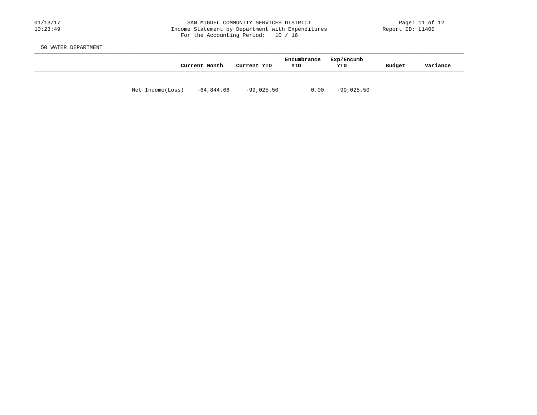#### 01/13/17 SAN MIGUEL COMMUNITY SERVICES DISTRICT Page: 11 of 12 10:23:49 Income Statement by Department with Expenditures Report ID: L140E For the Accounting Period: 10 / 16

50 WATER DEPARTMENT

|                  | Current Month | Current YTD  | Encumbrance<br>YTD | Exp/Encumb<br>YTD | Budget | Variance |
|------------------|---------------|--------------|--------------------|-------------------|--------|----------|
| Net Income(Loss) | -64,844.66    | $-99,025.50$ | 0.00               | $-99,025.50$      |        |          |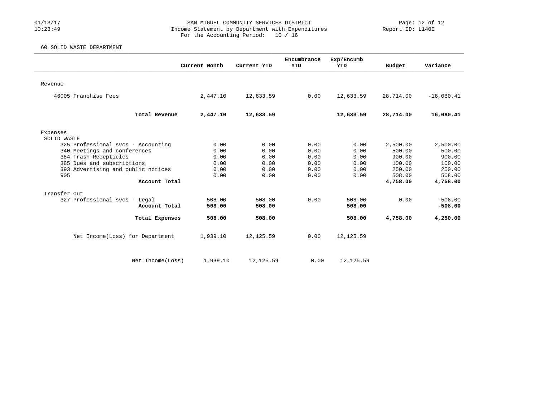#### 01/13/17 SAN MIGUEL COMMUNITY SERVICES DISTRICT Page: 12 of 12 10:23:49 Income Statement by Department with Expenditures Report ID: L140E For the Accounting Period: 10 / 16

### 60 SOLID WASTE DEPARTMENT

|                                    |               |             | Encumbrance | Exp/Encumb |           |              |
|------------------------------------|---------------|-------------|-------------|------------|-----------|--------------|
|                                    | Current Month | Current YTD | YTD         | <b>YTD</b> | Budget    | Variance     |
|                                    |               |             |             |            |           |              |
| Revenue                            |               |             |             |            |           |              |
| 46005 Franchise Fees               | 2,447.10      | 12,633.59   | 0.00        | 12,633.59  | 28,714.00 | $-16,080.41$ |
|                                    |               |             |             |            |           |              |
| Total Revenue                      | 2,447.10      | 12,633.59   |             | 12,633.59  | 28,714.00 | 16,080.41    |
|                                    |               |             |             |            |           |              |
| Expenses<br>SOLID WASTE            |               |             |             |            |           |              |
| 325 Professional svcs - Accounting | 0.00          | 0.00        | 0.00        | 0.00       | 2,500.00  | 2,500.00     |
| 340 Meetings and conferences       | 0.00          | 0.00        | 0.00        | 0.00       | 500.00    | 500.00       |
| 384 Trash Recepticles              | 0.00          | 0.00        | 0.00        | 0.00       | 900.00    | 900.00       |
| 385 Dues and subscriptions         | 0.00          | 0.00        | 0.00        | 0.00       | 100.00    | 100.00       |
| 393 Advertising and public notices | 0.00          | 0.00        | 0.00        | 0.00       | 250.00    | 250.00       |
| 905                                | 0.00          | 0.00        | 0.00        | 0.00       | 508.00    | 508.00       |
| Account Total                      |               |             |             |            | 4,758.00  | 4,758.00     |
| Transfer Out                       |               |             |             |            |           |              |
| 327 Professional svcs - Legal      | 508.00        | 508.00      | 0.00        | 508.00     | 0.00      | $-508.00$    |
| Account Total                      | 508.00        | 508.00      |             | 508.00     |           | $-508.00$    |
| Total Expenses                     | 508.00        | 508.00      |             | 508.00     | 4,758.00  | 4,250.00     |
| Net Income(Loss) for Department    | 1,939.10      | 12,125.59   | 0.00        | 12, 125.59 |           |              |
|                                    |               |             |             |            |           |              |
| Net Income(Loss)                   | 1,939.10      | 12,125.59   | 0.00        | 12, 125.59 |           |              |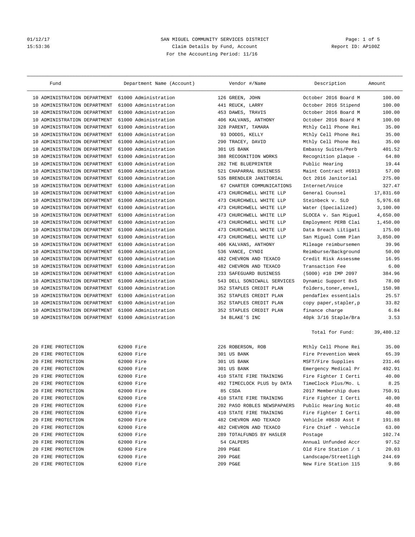# 01/12/17 2012 SAN MIGUEL COMMUNITY SERVICES DISTRICT 2012/17 2012<br>15:53:36 2011 2013 Claim Details by Fund, Account 15:53:36 Claim Details by Fund, Account For the Accounting Period: 11/16

| Fund                            | Department Name (Account) |     | Vendor #/Name               | Description            | Amount    |
|---------------------------------|---------------------------|-----|-----------------------------|------------------------|-----------|
| 10 ADMINISTRATION DEPARTMENT    | 61000 Administration      |     | 126 GREEN, JOHN             | October 2016 Board M   | 100.00    |
| ADMINISTRATION DEPARTMENT<br>10 | 61000 Administration      |     | 441 REUCK, LARRY            | October 2016 Stipend   | 100.00    |
| 10 ADMINISTRATION DEPARTMENT    | 61000 Administration      |     | 453 DAWES, TRAVIS           | October 2016 Board M   | 100.00    |
| ADMINISTRATION DEPARTMENT<br>10 | 61000 Administration      |     | 406 KALVANS, ANTHONY        | October 2016 Board M   | 100.00    |
| ADMINISTRATION DEPARTMENT<br>10 | 61000 Administration      |     | 328 PARENT, TAMARA          | Mthly Cell Phone Rei   | 35.00     |
| ADMINISTRATION DEPARTMENT<br>10 | 61000 Administration      |     | 93 DODDS, KELLY             | Mthly Cell Phone Rei   | 35.00     |
| ADMINISTRATION DEPARTMENT<br>10 | 61000 Administration      | 290 | TRACEY, DAVID               | Mthly Cell Phone Rei   | 35.00     |
| 10 ADMINISTRATION DEPARTMENT    | 61000 Administration      |     | 301 US BANK                 | Embassy Suites/Perb    | 401.52    |
| ADMINISTRATION DEPARTMENT<br>10 | 61000 Administration      |     | 388 RECOGNITION WORKS       | Recognition plaque -   | 64.80     |
| ADMINISTRATION DEPARTMENT<br>10 | 61000 Administration      |     | 282 THE BLUEPRINTER         | Public Hearing         | 19.44     |
| ADMINISTRATION DEPARTMENT<br>10 | 61000 Administration      | 521 | CHAPARRAL BUSINESS          | Maint Contract #6913   | 57.00     |
| ADMINISTRATION DEPARTMENT<br>10 | 61000 Administration      |     | 535 BRENDLER JANITORIAL     | Oct 2016 Janitorial    | 275.00    |
| 10 ADMINISTRATION DEPARTMENT    | 61000 Administration      |     | 67 CHARTER COMMUNICATIONS   | Internet/Voice         | 327.47    |
| ADMINISTRATION DEPARTMENT<br>10 | 61000 Administration      |     | 473 CHURCHWELL WHITE LLP    | General Counsel        | 17,831.60 |
| ADMINISTRATION DEPARTMENT<br>10 | 61000 Administration      |     | 473 CHURCHWELL WHITE LLP    | Steinbeck v. SLO       | 5,976.68  |
| ADMINISTRATION DEPARTMENT<br>10 | 61000 Administration      | 473 | CHURCHWELL WHITE LLP        | Water (Specialized)    | 3,100.00  |
| ADMINISTRATION DEPARTMENT<br>10 | 61000 Administration      | 473 | CHURCHWELL WHITE LLP        | SLOCEA v. San Miguel   | 4,650.00  |
| 10 ADMINISTRATION DEPARTMENT    | 61000 Administration      |     | 473 CHURCHWELL WHITE LLP    | Employment PERB Clai   | 1,450.00  |
| ADMINISTRATION DEPARTMENT<br>10 | 61000 Administration      |     | 473 CHURCHWELL WHITE LLP    | Data Breach Litigati   | 175.00    |
| ADMINISTRATION DEPARTMENT<br>10 | 61000 Administration      |     | 473 CHURCHWELL WHITE LLP    | San Miguel Comm Plan   | 3,850.00  |
| ADMINISTRATION DEPARTMENT<br>10 | 61000 Administration      | 406 | KALVANS, ANTHONY            | Mileage reimbursemen   | 39.96     |
| ADMINISTRATION DEPARTMENT<br>10 | 61000 Administration      |     | 536 VANCE, CYNDI            | Reimburse/Background   | 50.00     |
| 10 ADMINISTRATION DEPARTMENT    | 61000 Administration      |     | 482 CHEVRON AND TEXACO      | Credit Risk Assessme   | 16.95     |
| ADMINISTRATION DEPARTMENT<br>10 | 61000 Administration      |     | 482 CHEVRON AND TEXACO      | Transaction Fee        | 6.00      |
| ADMINISTRATION DEPARTMENT<br>10 | 61000 Administration      |     | 233 SAFEGUARD BUSINESS      | (5000) #10 IMP 2097    | 384.96    |
| ADMINISTRATION DEPARTMENT<br>10 | 61000 Administration      |     | 543 DELL SONICWALL SERVICES | Dynamic Support 8x5    | 78.00     |
| ADMINISTRATION DEPARTMENT<br>10 | 61000 Administration      |     | 352 STAPLES CREDIT PLAN     | folders, toner, envel, | 150.98    |
| 10 ADMINISTRATION DEPARTMENT    | 61000 Administration      |     | 352 STAPLES CREDIT PLAN     | pendaflex essentials   | 25.57     |
| ADMINISTRATION DEPARTMENT<br>10 | 61000 Administration      |     | 352 STAPLES CREDIT PLAN     | copy paper, stapler, p | 33.82     |
| ADMINISTRATION DEPARTMENT<br>10 | 61000 Administration      |     | 352 STAPLES CREDIT PLAN     | finance charge         | 6.84      |
| 10 ADMINISTRATION DEPARTMENT    | 61000 Administration      |     | 34 BLAKE'S INC              |                        | 3.53      |
|                                 |                           |     |                             | 40pk 3/16 Staple/Bra   |           |
|                                 |                           |     |                             | Total for Fund:        | 39,480.12 |
| 20 FIRE PROTECTION              | 62000 Fire                |     | 226 ROBERSON, ROB           | Mthly Cell Phone Rei   | 35.00     |
| 20 FIRE PROTECTION              | 62000 Fire                |     | 301 US BANK                 | Fire Prevention Week   | 65.39     |
| 20 FIRE PROTECTION              | 62000 Fire                |     | 301 US BANK                 | MSFT/Fire Supplies     | 231.46    |
| 20 FIRE PROTECTION              | 62000 Fire                |     | 301 US BANK                 | Emergency Medical Pr   | 492.91    |
| 20 FIRE PROTECTION              | 62000 Fire                |     | 410 STATE FIRE TRAINING     | Fire Fighter I Certi   | 40.00     |
| 20 FIRE PROTECTION              | 62000 Fire                |     | 492 TIMECLOCK PLUS by DATA  | TimeClock Plus/Mo. L   | 8.25      |
| 20 FIRE PROTECTION              | 62000 Fire                |     | 85 CSDA                     | 2017 Membership dues   | 750.91    |
| 20 FIRE PROTECTION              | 62000 Fire                |     | 410 STATE FIRE TRAINING     | Fire Fighter I Certi   | 40.00     |
| 20 FIRE PROTECTION              | 62000 Fire                |     | 202 PASO ROBLES NEWSPAPAERS | Public Hearing Notic   | 40.48     |
| 20 FIRE PROTECTION              | 62000 Fire                |     | 410 STATE FIRE TRAINING     | Fire Fighter I Certi   | 40.00     |
| FIRE PROTECTION<br>20           | 62000 Fire                |     | 482 CHEVRON AND TEXACO      | Vehicle #8630 Asst F   | 191.88    |
| FIRE PROTECTION<br>20           | 62000 Fire                |     | 482 CHEVRON AND TEXACO      | Fire Chief - Vehicle   | 63.00     |
| 20 FIRE PROTECTION              | 62000 Fire                |     | 289 TOTALFUNDS BY HASLER    | Postage                | 102.74    |
| 20 FIRE PROTECTION              | 62000 Fire                |     | 54 CALPERS                  | Annual Unfunded Accr   | 97.52     |
| 20 FIRE PROTECTION              | 62000 Fire                |     | 209 PG&E                    | Old Fire Station / 1   | 20.03     |
| 20 FIRE PROTECTION              | 62000 Fire                |     | 209 PG&E                    | Landscape/Streetligh   | 244.69    |
| 20 FIRE PROTECTION              | 62000 Fire                |     | 209 PG&E                    | New Fire Station 115   | 9.86      |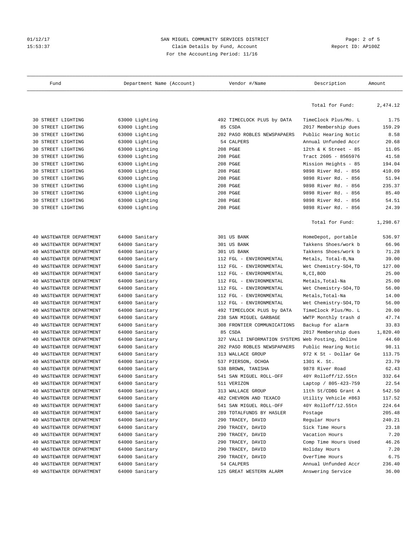# 01/12/17 2012 SAN MIGUEL COMMUNITY SERVICES DISTRICT Page: 2 of 5<br>Claim Details by Fund, Account Page: 2 Of 5 15:53:37 Claim Details by Fund, Account For the Accounting Period: 11/16

| Fund                                                 | Department Name (Account)        | Vendor #/Name                                     | Description                           | Amount       |
|------------------------------------------------------|----------------------------------|---------------------------------------------------|---------------------------------------|--------------|
|                                                      |                                  |                                                   | Total for Fund:                       | 2,474.12     |
| <b>30 STREET LIGHTING</b>                            | 63000 Lighting                   | 492 TIMECLOCK PLUS by DATA                        | TimeClock Plus/Mo. L                  | 1.75         |
| STREET LIGHTING<br>30                                | 63000 Lighting                   | 85 CSDA                                           | 2017 Membership dues                  | 159.29       |
| 30 STREET LIGHTING                                   | 63000 Lighting                   | 202 PASO ROBLES NEWSPAPAERS                       | Public Hearing Notic                  | 8.58         |
| 30 STREET LIGHTING                                   | 63000 Lighting                   | 54 CALPERS                                        | Annual Unfunded Accr                  | 20.68        |
| STREET LIGHTING<br>30                                | 63000 Lighting                   | 208 PG&E                                          | 12th & K Street - $85$                | 11.05        |
| STREET LIGHTING<br>30                                | 63000 Lighting                   | 208 PG&E                                          | Tract 2605 - 8565976                  | 41.58        |
| STREET LIGHTING<br>30                                | 63000 Lighting                   | 208 PG&E                                          | Mission Heights - 85                  | 194.04       |
| 30 STREET LIGHTING                                   | 63000 Lighting                   | 208 PG&E                                          | 9898 River Rd. - 856                  | 410.09       |
| 30 STREET LIGHTING                                   | 63000 Lighting                   | 208 PG&E                                          | 9898 River Rd. - 856                  | 51.94        |
| STREET LIGHTING<br>30                                | 63000 Lighting                   | 208 PG&E                                          | 9898 River Rd. - 856                  | 235.37       |
| 30<br>STREET LIGHTING                                | 63000 Lighting                   | 208 PG&E                                          | 9898 River Rd. - 856                  | 85.40        |
| STREET LIGHTING<br>30                                | 63000 Lighting                   | 208 PG&E                                          | 9898 River Rd. - 856                  | 54.51        |
| 30 STREET LIGHTING                                   | 63000 Lighting                   | 208 PG&E                                          | 9898 River Rd. - 856                  | 24.39        |
|                                                      |                                  |                                                   | Total for Fund:                       | 1,298.67     |
| WASTEWATER DEPARTMENT<br>40                          | 64000 Sanitary                   | 301 US BANK                                       | HomeDepot, portable                   | 536.97       |
| 40 WASTEWATER DEPARTMENT                             | 64000 Sanitary                   | 301 US BANK                                       | Takkens Shoes/work b                  | 66.96        |
| WASTEWATER DEPARTMENT<br>40                          | 64000 Sanitary                   | 301 US BANK                                       | Takkens Shoes/work b                  | 71.28        |
| WASTEWATER DEPARTMENT<br>40                          | 64000 Sanitary                   | 112 FGL - ENVIRONMENTAL                           | Metals, Total-B, Na                   | 39.00        |
| WASTEWATER DEPARTMENT<br>40                          | 64000 Sanitary                   | 112 FGL - ENVIRONMENTAL                           | Wet Chemistry-S04, TD                 | 127.00       |
| WASTEWATER DEPARTMENT<br>40                          | 64000 Sanitary                   | 112 FGL - ENVIRONMENTAL                           | N, CI, BOD                            | 25.00        |
| WASTEWATER DEPARTMENT<br>40                          | 64000 Sanitary                   | 112 FGL - ENVIRONMENTAL                           | Metals, Total-Na                      | 25.00        |
| WASTEWATER DEPARTMENT<br>40                          | 64000 Sanitary                   | 112 FGL - ENVIRONMENTAL                           | Wet Chemistry-S04, TD                 | 56.00        |
| WASTEWATER DEPARTMENT<br>40                          | 64000 Sanitary                   | 112 FGL - ENVIRONMENTAL                           | Metals, Total-Na                      | 14.00        |
| WASTEWATER DEPARTMENT<br>40                          | 64000 Sanitary                   | 112 FGL - ENVIRONMENTAL                           | Wet Chemistry-SO4, TD                 | 56.00        |
| WASTEWATER DEPARTMENT<br>40                          | 64000 Sanitary                   | 492 TIMECLOCK PLUS by DATA                        | TimeClock Plus/Mo. L                  | 20.00        |
| WASTEWATER DEPARTMENT<br>40                          | 64000 Sanitary                   | 238 SAN MIGUEL GARBAGE                            | WWTP Monthly trash d                  | 47.74        |
| WASTEWATER DEPARTMENT<br>40                          | 64000 Sanitary                   | 308 FRONTIER COMMUNICATIONS                       | Backup for alarm                      | 33.83        |
| WASTEWATER DEPARTMENT<br>40                          | 64000 Sanitary                   | 85 CSDA                                           | 2017 Membership dues                  | 1,820.40     |
| WASTEWATER DEPARTMENT<br>40                          | 64000 Sanitary                   | 327 VALLI INFORMATION SYSTEMS Web Posting, Online |                                       | 44.60        |
| WASTEWATER DEPARTMENT<br>40                          | 64000 Sanitary                   | 202 PASO ROBLES NEWSPAPAERS                       | Public Hearing Notic                  | 98.11        |
| 40 WASTEWATER DEPARTMENT                             | 64000 Sanitary                   | 313 WALLACE GROUP                                 | 972 K St - Dollar Ge                  | 113.75       |
| 40 WASTEWATER DEPARTMENT                             | 64000 Sanitary                   | 537 PIERSON, OCHOA                                | 1301 K. St.                           | 23.79        |
| 40 WASTEWATER DEPARTMENT                             | 64000 Sanitary                   | 538 BROWN, TANISHA                                | 9878 River Road                       | 62.43        |
| 40 WASTEWATER DEPARTMENT                             | 64000 Sanitary                   | 541 SAN MIGUEL ROLL-OFF                           | 40Y Rolloff/12.55tn                   | 332.64       |
| 40 WASTEWATER DEPARTMENT                             | 64000 Sanitary                   | 511 VERIZON                                       | Laptop / 805-423-759                  | 22.54        |
| 40 WASTEWATER DEPARTMENT                             | 64000 Sanitary                   | 313 WALLACE GROUP                                 | 11th St/CDBG Grant A                  | 542.50       |
| WASTEWATER DEPARTMENT<br>40                          | 64000 Sanitary                   | 482 CHEVRON AND TEXACO                            | Utility Vehicle #863                  | 117.52       |
| WASTEWATER DEPARTMENT<br>40                          | 64000 Sanitary                   | 541 SAN MIGUEL ROLL-OFF                           | 40Y Rolloff/12.55tn                   | 224.64       |
| WASTEWATER DEPARTMENT<br>40                          | 64000 Sanitary                   | 289 TOTALFUNDS BY HASLER                          | Postage                               | 205.48       |
| WASTEWATER DEPARTMENT<br>40                          | 64000 Sanitary                   | 290 TRACEY, DAVID                                 | Regular Hours                         | 240.21       |
| WASTEWATER DEPARTMENT<br>40                          | 64000 Sanitary                   | 290 TRACEY, DAVID                                 | Sick Time Hours                       | 23.18        |
| WASTEWATER DEPARTMENT<br>40                          | 64000 Sanitary                   | 290 TRACEY, DAVID                                 | Vacation Hours                        | 7.20         |
| 40<br>WASTEWATER DEPARTMENT                          | 64000 Sanitary<br>64000 Sanitary | 290 TRACEY, DAVID                                 | Comp Time Hours Used<br>Holiday Hours | 46.26        |
| WASTEWATER DEPARTMENT<br>40<br>WASTEWATER DEPARTMENT | 64000 Sanitary                   | 290 TRACEY, DAVID<br>290 TRACEY, DAVID            | OverTime Hours                        | 7.20<br>6.75 |
| 40<br>40 WASTEWATER DEPARTMENT                       | 64000 Sanitary                   | 54 CALPERS                                        | Annual Unfunded Accr                  | 236.40       |
| 40 WASTEWATER DEPARTMENT                             | 64000 Sanitary                   | 125 GREAT WESTERN ALARM                           | Answering Service                     | 36.00        |
|                                                      |                                  |                                                   |                                       |              |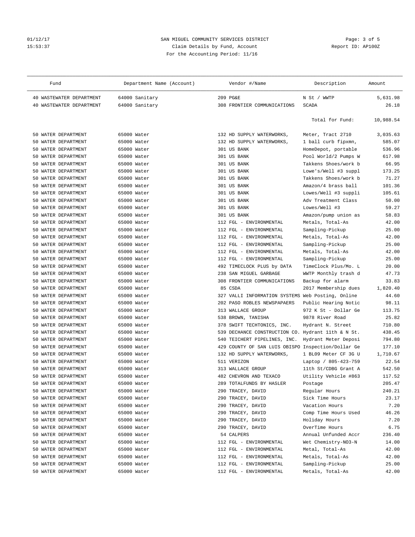# Olither of the SAN MIGUEL COMMUNITY SERVICES DISTRICT The SAN MIGUEL COMMUNITY SERVICES DISTRICT The Solid Page: 3 of 5<br>15:53:37 Claim Details by Fund, Account 15:53:37 Claim Details by Fund, Account For the Accounting Period: 11/16

| Fund                                             | Department Name (Account) | Vendor #/Name                                         | Description                              | Amount    |
|--------------------------------------------------|---------------------------|-------------------------------------------------------|------------------------------------------|-----------|
| 40 WASTEWATER DEPARTMENT                         | 64000 Sanitary            | 209 PG&E                                              | N St / WWTP                              | 5,631.98  |
| 40 WASTEWATER DEPARTMENT                         | 64000 Sanitary            | 308 FRONTIER COMMUNICATIONS                           | <b>SCADA</b>                             | 26.18     |
|                                                  |                           |                                                       |                                          |           |
|                                                  |                           |                                                       | Total for Fund:                          | 10,988.54 |
| WATER DEPARTMENT<br>50                           | 65000 Water               | 132 HD SUPPLY WATERWORKS,                             | Meter, Tract 2710                        | 3,035.63  |
| WATER DEPARTMENT<br>50                           | 65000 Water               | 132 HD SUPPLY WATERWORKS,                             | 1 ball curb fipxmn,                      | 585.07    |
| WATER DEPARTMENT<br>50                           | 65000 Water               | 301 US BANK                                           | HomeDepot, portable                      | 536.96    |
| WATER DEPARTMENT<br>50                           | 65000 Water               | 301 US BANK                                           | Pool World/2 Pumps W                     | 617.98    |
| WATER DEPARTMENT<br>50                           | 65000 Water               | 301 US BANK                                           | Takkens Shoes/work b                     | 66.95     |
| WATER DEPARTMENT<br>50                           | 65000 Water               | 301 US BANK                                           | Lowe's/Well #3 suppl                     | 173.25    |
| WATER DEPARTMENT<br>50                           | 65000 Water               | 301 US BANK                                           | Takkens Shoes/work b                     | 71.27     |
| WATER DEPARTMENT<br>50                           | 65000 Water               | 301 US BANK                                           | Amazon/4 brass ball                      | 101.36    |
| WATER DEPARTMENT<br>50                           | 65000 Water               | 301 US BANK                                           | Lowes/Well #3 suppli                     | 105.61    |
| WATER DEPARTMENT<br>50                           | 65000 Water               | 301 US BANK                                           | Adv Treatment Class                      | 50.00     |
| WATER DEPARTMENT<br>50                           | 65000 Water               | 301 US BANK                                           | Lowes/Well #3                            | 59.27     |
| WATER DEPARTMENT<br>50                           | 65000 Water               | 301 US BANK                                           | Amazon/pump union as                     | 58.83     |
| WATER DEPARTMENT<br>50                           | 65000 Water               | 112 FGL - ENVIRONMENTAL                               | Metals, Total-As                         | 42.00     |
| WATER DEPARTMENT<br>50                           | 65000 Water               | 112 FGL - ENVIRONMENTAL                               | Sampling-Pickup                          | 25.00     |
| WATER DEPARTMENT<br>50                           | 65000 Water               | 112 FGL - ENVIRONMENTAL                               | Metals, Total-As                         | 42.00     |
| WATER DEPARTMENT<br>50                           | 65000 Water               | 112 FGL - ENVIRONMENTAL                               | Sampling-Pickup                          | 25.00     |
| WATER DEPARTMENT<br>50                           | 65000 Water               | 112 FGL - ENVIRONMENTAL                               | Metals, Total-As                         | 42.00     |
| WATER DEPARTMENT<br>50                           | 65000 Water               | 112 FGL - ENVIRONMENTAL                               |                                          | 25.00     |
|                                                  | 65000 Water               |                                                       | Sampling-Pickup                          | 20.00     |
| WATER DEPARTMENT<br>50<br>WATER DEPARTMENT<br>50 | 65000 Water               | 492 TIMECLOCK PLUS by DATA                            | TimeClock Plus/Mo. L                     | 47.73     |
| WATER DEPARTMENT<br>50                           | 65000 Water               | 238 SAN MIGUEL GARBAGE<br>308 FRONTIER COMMUNICATIONS | WWTP Monthly trash d<br>Backup for alarm | 33.83     |
| WATER DEPARTMENT<br>50                           | 65000 Water               | 85 CSDA                                               |                                          | 1,820.40  |
| WATER DEPARTMENT                                 |                           |                                                       | 2017 Membership dues                     | 44.60     |
| 50                                               | 65000 Water               | 327 VALLI INFORMATION SYSTEMS Web Posting, Online     |                                          |           |
| WATER DEPARTMENT<br>50                           | 65000 Water               | 202 PASO ROBLES NEWSPAPAERS                           | Public Hearing Notic                     | 98.11     |
| WATER DEPARTMENT<br>50                           | 65000 Water               | 313 WALLACE GROUP                                     | 972 K St - Dollar Ge                     | 113.75    |
| WATER DEPARTMENT<br>50                           | 65000 Water               | 538<br>BROWN, TANISHA                                 | 9878 River Road                          | 25.82     |
| WATER DEPARTMENT<br>50                           | 65000 Water               | SWIFT TECHTONICS, INC.<br>378                         | Hydrant N. Street                        | 710.80    |
| WATER DEPARTMENT<br>50                           | 65000 Water               | 539 DECHANCE CONSTRUCTION CO. Hydrant 11th & N St.    |                                          | 438.45    |
| WATER DEPARTMENT<br>50                           | 65000 Water               | 540 TEICHERT PIPELINES, INC.                          | Hydrant Meter Deposi                     | 794.80    |
| WATER DEPARTMENT<br>50                           | 65000 Water               | COUNTY OF SAN LUIS OBISPO Inspection/Dollar Ge<br>429 |                                          | 177.10    |
| WATER DEPARTMENT<br>50                           | 65000 Water               | 132 HD SUPPLY WATERWORKS,                             | 1 BL09 Meter CF 3G U                     | 1,710.67  |
| WATER DEPARTMENT<br>50                           | 65000 Water               | 511 VERIZON                                           | Laptop / 805-423-759                     | 22.54     |
| 50 WATER DEPARTMENT                              | 65000 Water               | 313 WALLACE GROUP                                     | 11th St/CDBG Grant A                     | 542.50    |
| 50 WATER DEPARTMENT                              | 65000 Water               | 482 CHEVRON AND TEXACO                                | Utility Vehicle #863                     | 117.52    |
| 50 WATER DEPARTMENT                              | 65000 Water               | 289 TOTALFUNDS BY HASLER                              | Postage                                  | 205.47    |
| WATER DEPARTMENT<br>50                           | 65000 Water               | 290 TRACEY, DAVID                                     | Regular Hours                            | 240.21    |
| 50 WATER DEPARTMENT                              | 65000 Water               | 290 TRACEY, DAVID                                     | Sick Time Hours                          | 23.17     |
| 50 WATER DEPARTMENT                              | 65000 Water               | 290 TRACEY, DAVID                                     | Vacation Hours                           | 7.20      |
| 50 WATER DEPARTMENT                              | 65000 Water               | 290 TRACEY, DAVID                                     | Comp Time Hours Used                     | 46.26     |
| WATER DEPARTMENT<br>50                           | 65000 Water               | 290 TRACEY, DAVID                                     | Holiday Hours                            | 7.20      |
| WATER DEPARTMENT<br>50                           | 65000 Water               | 290 TRACEY, DAVID                                     | OverTime Hours                           | 6.75      |
| WATER DEPARTMENT<br>50                           | 65000 Water               | 54 CALPERS                                            | Annual Unfunded Accr                     | 236.40    |
| 50 WATER DEPARTMENT                              | 65000 Water               | 112 FGL - ENVIRONMENTAL                               | Wet Chemistry-NO3-N                      | 14.00     |
| WATER DEPARTMENT<br>50                           | 65000 Water               | 112 FGL - ENVIRONMENTAL                               | Metal, Total-As                          | 42.00     |
| WATER DEPARTMENT<br>50                           | 65000 Water               | 112 FGL - ENVIRONMENTAL                               | Metals, Total-As                         | 42.00     |
| WATER DEPARTMENT<br>50                           | 65000 Water               | 112 FGL - ENVIRONMENTAL                               | Sampling-Pickup                          | 25.00     |
| 50 WATER DEPARTMENT                              | 65000 Water               | 112 FGL - ENVIRONMENTAL                               | Metals, Total-As                         | 42.00     |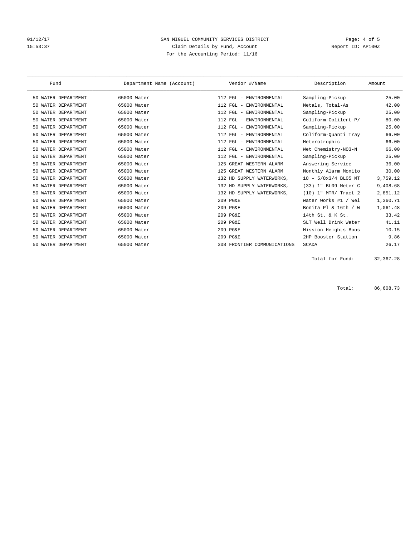# 01/12/17 Page: 4 of 5 15:53:37 Claim Details by Fund, Account Report ID: AP100Z For the Accounting Period: 11/16

| Fund                   | Department Name (Account) | Vendor #/Name                  | Description          | Amount   |
|------------------------|---------------------------|--------------------------------|----------------------|----------|
| 50 WATER DEPARTMENT    | 65000 Water               | 112 FGL - ENVIRONMENTAL        | Sampling-Pickup      | 25.00    |
| WATER DEPARTMENT<br>50 | 65000 Water               | 112 FGL - ENVIRONMENTAL        | Metals, Total-As     | 42.00    |
| WATER DEPARTMENT<br>50 | 65000 Water               | 112 FGL - ENVIRONMENTAL        | Sampling-Pickup      | 25.00    |
| WATER DEPARTMENT<br>50 | 65000 Water               | 112 FGL - ENVIRONMENTAL        | Coliform-Colilert-P/ | 80.00    |
| WATER DEPARTMENT<br>50 | 65000 Water               | 112 FGL - ENVIRONMENTAL        | Sampling-Pickup      | 25.00    |
| WATER DEPARTMENT<br>50 | 65000 Water               | 112 FGL - ENVIRONMENTAL        | Coliform-Quanti Tray | 66.00    |
| WATER DEPARTMENT<br>50 | 65000 Water               | 112 FGL - ENVIRONMENTAL        | Heterotrophic        | 66.00    |
| WATER DEPARTMENT<br>50 | 65000 Water               | 112 FGL - ENVIRONMENTAL        | Wet Chemistry-NO3-N  | 66.00    |
| WATER DEPARTMENT<br>50 | 65000 Water               | 112 FGL - ENVIRONMENTAL        | Sampling-Pickup      | 25.00    |
| WATER DEPARTMENT<br>50 | 65000 Water               | GREAT WESTERN ALARM<br>125     | Answering Service    | 36.00    |
| WATER DEPARTMENT<br>50 | 65000 Water               | 125 GREAT WESTERN ALARM        | Monthly Alarm Monito | 30.00    |
| WATER DEPARTMENT<br>50 | 65000 Water               | 132 HD SUPPLY WATERWORKS,      | 18 - 5/8x3/4 BL05 MT | 3,759.12 |
| WATER DEPARTMENT<br>50 | 65000 Water               | 132 HD SUPPLY WATERWORKS,      | (33) 1" BL09 Meter C | 9,408.68 |
| WATER DEPARTMENT<br>50 | 65000 Water               | 132 HD SUPPLY WATERWORKS,      | (10) 1" MTR/ Tract 2 | 2,851.12 |
| WATER DEPARTMENT<br>50 | 65000 Water               | 209 PG&E                       | Water Works #1 / Wel | 1,360.71 |
| WATER DEPARTMENT<br>50 | 65000 Water               | 209 PG&E                       | Bonita Pl & 16th / W | 1,061.48 |
| WATER DEPARTMENT<br>50 | 65000 Water               | 209 PG&E                       | 14th St. & K St.     | 33.42    |
| WATER DEPARTMENT<br>50 | 65000 Water               | 209 PG&E                       | SLT Well Drink Water | 41.11    |
| WATER DEPARTMENT<br>50 | 65000 Water               | 209 PG&E                       | Mission Heights Boos | 10.15    |
| WATER DEPARTMENT<br>50 | 65000 Water               | 209 PG&E                       | 2HP Booster Station  | 9.86     |
| 50 WATER DEPARTMENT    | 65000 Water               | FRONTIER COMMUNICATIONS<br>308 | <b>SCADA</b>         | 26.17    |

Total for Fund: 32,367.28

Total: 86,608.73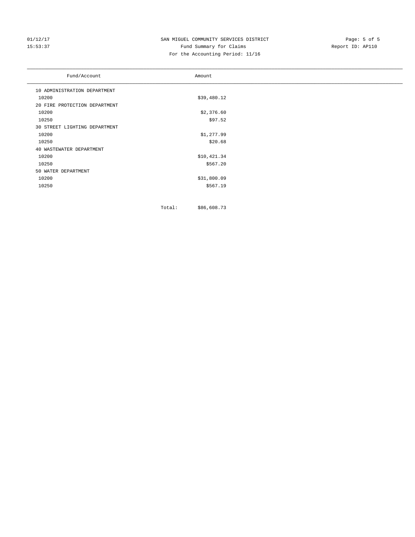# 01/12/17 Page: 5 of 5<br>15:53:37 SAN MIGUEL COMMUNITY SERVICES DISTRICT Page: 5 of 5<br>15:53:37 Fund Summary for Claims 15:53:37 Fund Summary for Claims For the Accounting Period: 11/16

| Fund/Account                  | Amount      |
|-------------------------------|-------------|
| 10 ADMINISTRATION DEPARTMENT  |             |
| 10200                         | \$39,480.12 |
| 20 FIRE PROTECTION DEPARTMENT |             |
| 10200                         | \$2,376.60  |
| 10250                         | \$97.52     |
| 30 STREET LIGHTING DEPARTMENT |             |
| 10200                         | \$1,277.99  |
| 10250                         | \$20.68     |
| 40 WASTEWATER DEPARTMENT      |             |
| 10200                         | \$10,421.34 |
| 10250                         | \$567.20    |
| 50 WATER DEPARTMENT           |             |
| 10200                         | \$31,800.09 |
| 10250                         | \$567.19    |

Total: \$86,608.73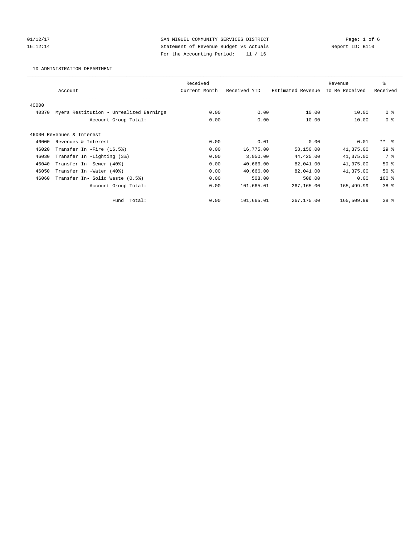01/12/17 Page: 1 of 6 16:12:14 Statement of Revenue Budget vs Actuals Report ID: B110 For the Accounting Period: 11 / 16

10 ADMINISTRATION DEPARTMENT

|       |                                         | Received      |              |                   | Revenue        | ి               |
|-------|-----------------------------------------|---------------|--------------|-------------------|----------------|-----------------|
|       | Account                                 | Current Month | Received YTD | Estimated Revenue | To Be Received | Received        |
| 40000 |                                         |               |              |                   |                |                 |
| 40370 | Myers Restitution - Unrealized Earnings | 0.00          | 0.00         | 10.00             | 10.00          | 0 <sup>8</sup>  |
|       | Account Group Total:                    | 0.00          | 0.00         | 10.00             | 10.00          | 0 <sup>8</sup>  |
|       |                                         |               |              |                   |                |                 |
|       | 46000 Revenues & Interest               |               |              |                   |                |                 |
| 46000 | Revenues & Interest                     | 0.00          | 0.01         | 0.00              | $-0.01$        | $***$ $-$       |
| 46020 | Transfer In -Fire (16.5%)               | 0.00          | 16,775.00    | 58,150.00         | 41,375.00      | $29*$           |
| 46030 | Transfer In -Lighting (3%)              | 0.00          | 3,050.00     | 44,425.00         | 41,375.00      | 7 %             |
| 46040 | Transfer In -Sewer (40%)                | 0.00          | 40,666.00    | 82,041.00         | 41,375.00      | $50*$           |
| 46050 | Transfer In -Water (40%)                | 0.00          | 40,666.00    | 82,041.00         | 41,375.00      | $50*$           |
| 46060 | Transfer In- Solid Waste (0.5%)         | 0.00          | 508.00       | 508.00            | 0.00           | $100*$          |
|       | Account Group Total:                    | 0.00          | 101,665.01   | 267,165.00        | 165,499.99     | 38 <sup>8</sup> |
|       | Total:<br>Fund                          | 0.00          | 101,665.01   | 267,175.00        | 165,509.99     | 38 <sup>8</sup> |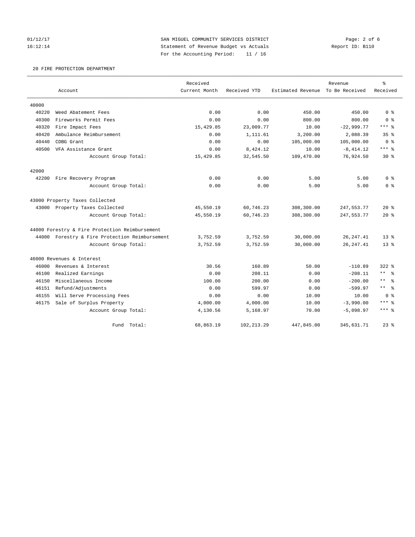01/12/17 **SAN MIGUEL COMMUNITY SERVICES DISTRICT** Page: 2 of 6 16:12:14 Statement of Revenue Budget vs Actuals Report ID: B110 For the Accounting Period: 11 / 16

## 20 FIRE PROTECTION DEPARTMENT

|       |                                                | Received      |              |                   | Revenue        | $\rm ^{9}$           |
|-------|------------------------------------------------|---------------|--------------|-------------------|----------------|----------------------|
|       | Account                                        | Current Month | Received YTD | Estimated Revenue | To Be Received | Received             |
| 40000 |                                                |               |              |                   |                |                      |
| 40220 | Weed Abatement Fees                            | 0.00          | 0.00         | 450.00            | 450.00         | 0 <sup>8</sup>       |
| 40300 | Fireworks Permit Fees                          | 0.00          | 0.00         | 800.00            | 800.00         | 0 <sup>8</sup>       |
| 40320 | Fire Impact Fees                               | 15,429.85     | 23,009.77    | 10.00             | $-22,999.77$   | $***$ $_{8}$         |
| 40420 | Ambulance Reimbursement                        | 0.00          | 1,111.61     | 3,200.00          | 2,088.39       | 35 <sup>8</sup>      |
| 40440 | CDBG Grant                                     | 0.00          | 0.00         | 105,000.00        | 105,000.00     | 0 <sup>8</sup>       |
| 40500 | VFA Assistance Grant                           | 0.00          | 8,424.12     | 10.00             | $-8, 414.12$   | $***$ 8              |
|       | Account Group Total:                           | 15,429.85     | 32,545.50    | 109,470.00        | 76,924.50      | $30*$                |
| 42000 |                                                |               |              |                   |                |                      |
| 42200 | Fire Recovery Program                          | 0.00          | 0.00         | 5.00              | 5.00           | 0 <sup>8</sup>       |
|       | Account Group Total:                           | 0.00          | 0.00         | 5.00              | 5.00           | 0 <sup>8</sup>       |
|       | 43000 Property Taxes Collected                 |               |              |                   |                |                      |
|       | 43000 Property Taxes Collected                 | 45,550.19     | 60,746.23    | 308,300.00        | 247,553.77     | $20*$                |
|       | Account Group Total:                           | 45,550.19     | 60,746.23    | 308,300.00        | 247, 553. 77   | $20*$                |
|       | 44000 Forestry & Fire Protection Reimbursement |               |              |                   |                |                      |
|       | 44000 Forestry & Fire Protection Reimbursement | 3,752.59      | 3,752.59     | 30,000.00         | 26, 247.41     | $13*$                |
|       | Account Group Total:                           | 3,752.59      | 3,752.59     | 30,000.00         | 26, 247.41     | $13*$                |
|       | 46000 Revenues & Interest                      |               |              |                   |                |                      |
| 46000 | Revenues & Interest                            | 30.56         | 160.89       | 50.00             | $-110.89$      | $322$ $%$            |
| 46100 | Realized Earnings                              | 0.00          | 208.11       | 0.00              | $-208.11$      | $***$ $ -$           |
| 46150 | Miscellaneous Income                           | 100.00        | 200.00       | 0.00              | $-200.00$      | $\star$ $\star$<br>ႜ |
| 46151 | Refund/Adjustments                             | 0.00          | 599.97       | 0.00              | $-599.97$      | $***$ $-$            |
| 46155 | Will Serve Processing Fees                     | 0.00          | 0.00         | 10.00             | 10.00          | 0 <sup>8</sup>       |
| 46175 | Sale of Surplus Property                       | 4,000.00      | 4,000.00     | 10.00             | $-3,990.00$    | $***$ %              |
|       | Account Group Total:                           | 4,130.56      | 5,168.97     | 70.00             | $-5,098.97$    | $***$ 8              |
|       | Total:<br>Fund                                 | 68,863.19     | 102, 213.29  | 447,845.00        | 345,631.71     | $23$ $%$             |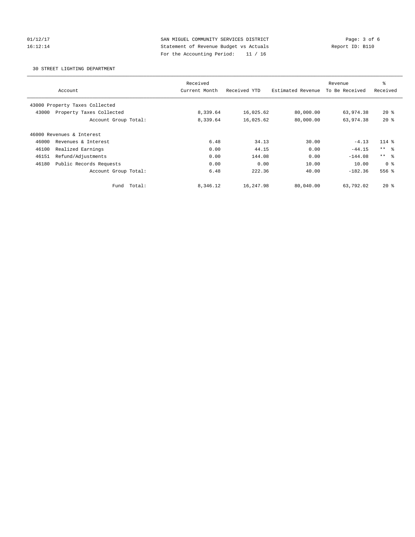01/12/17 **SAN MIGUEL COMMUNITY SERVICES DISTRICT** Page: 3 of 6 16:12:14 Statement of Revenue Budget vs Actuals Report ID: B110 For the Accounting Period: 11 / 16

30 STREET LIGHTING DEPARTMENT

|                                   | Received      |              |                   | Revenue        | ి               |
|-----------------------------------|---------------|--------------|-------------------|----------------|-----------------|
| Account                           | Current Month | Received YTD | Estimated Revenue | To Be Received | Received        |
| 43000 Property Taxes Collected    |               |              |                   |                |                 |
| Property Taxes Collected<br>43000 | 8,339.64      | 16,025.62    | 80,000.00         | 63,974.38      | $20*$           |
| Account Group Total:              | 8,339.64      | 16,025.62    | 80,000.00         | 63,974.38      | $20*$           |
| 46000 Revenues & Interest         |               |              |                   |                |                 |
| 46000<br>Revenues & Interest      | 6.48          | 34.13        | 30.00             | $-4.13$        | $114$ $%$       |
| 46100<br>Realized Earnings        | 0.00          | 44.15        | 0.00              | $-44.15$       | $***$ $\approx$ |
| Refund/Adjustments<br>46151       | 0.00          | 144.08       | 0.00              | $-144.08$      | $***$ $ -$      |
| 46180<br>Public Records Requests  | 0.00          | 0.00         | 10.00             | 10.00          | 0 <sup>8</sup>  |
| Account Group Total:              | 6.48          | 222.36       | 40.00             | $-182.36$      | 556 %           |
| Total:<br>Fund                    | 8,346.12      | 16,247.98    | 80,040.00         | 63,792.02      | $20*$           |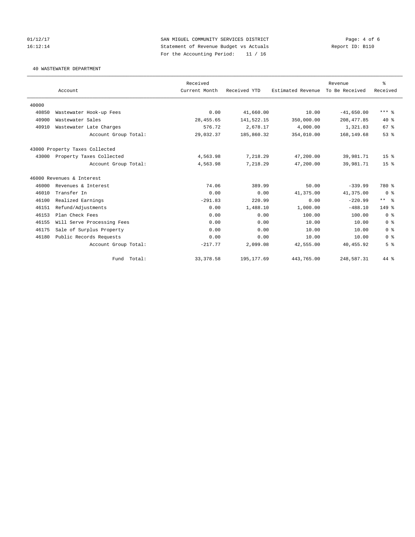01/12/17 **SAN MIGUEL COMMUNITY SERVICES DISTRICT** Page: 4 of 6 16:12:14 Statement of Revenue Budget vs Actuals Report ID: B110 For the Accounting Period: 11 / 16

40 WASTEWATER DEPARTMENT

|       |                                | Received      |              |                   | Revenue        | ి               |
|-------|--------------------------------|---------------|--------------|-------------------|----------------|-----------------|
|       | Account                        | Current Month | Received YTD | Estimated Revenue | To Be Received | Received        |
|       |                                |               |              |                   |                |                 |
| 40000 |                                |               |              |                   |                |                 |
| 40850 | Wastewater Hook-up Fees        | 0.00          | 41,660.00    | 10.00             | $-41,650.00$   | $***$ $%$       |
| 40900 | Wastewater Sales               | 28, 455.65    | 141,522.15   | 350,000.00        | 208, 477.85    | $40*$           |
| 40910 | Wastewater Late Charges        | 576.72        | 2,678.17     | 4,000.00          | 1,321.83       | 67 <sup>8</sup> |
|       | Account Group Total:           | 29,032.37     | 185,860.32   | 354,010.00        | 168, 149.68    | 53 <sup>8</sup> |
|       | 43000 Property Taxes Collected |               |              |                   |                |                 |
| 43000 | Property Taxes Collected       | 4,563.98      | 7,218.29     | 47,200.00         | 39,981.71      | 15 <sup>°</sup> |
|       | Account Group Total:           | 4,563.98      | 7,218.29     | 47,200.00         | 39,981.71      | 15 <sup>8</sup> |
|       | 46000 Revenues & Interest      |               |              |                   |                |                 |
| 46000 | Revenues & Interest            | 74.06         | 389.99       | 50.00             | $-339.99$      | 780 %           |
| 46010 | Transfer In                    | 0.00          | 0.00         | 41,375.00         | 41,375.00      | 0 <sup>8</sup>  |
| 46100 | Realized Earnings              | $-291.83$     | 220.99       | 0.00              | $-220.99$      | $***$ $ -$      |
| 46151 | Refund/Adjustments             | 0.00          | 1,488.10     | 1,000.00          | $-488.10$      | $149$ $%$       |
| 46153 | Plan Check Fees                | 0.00          | 0.00         | 100.00            | 100.00         | 0 <sup>8</sup>  |
| 46155 | Will Serve Processing Fees     | 0.00          | 0.00         | 10.00             | 10.00          | 0 <sup>8</sup>  |
| 46175 | Sale of Surplus Property       | 0.00          | 0.00         | 10.00             | 10.00          | 0 <sup>8</sup>  |
| 46180 | Public Records Requests        | 0.00          | 0.00         | 10.00             | 10.00          | 0 <sup>8</sup>  |
|       | Account Group Total:           | $-217.77$     | 2,099.08     | 42,555.00         | 40, 455.92     | 5 <sup>°</sup>  |
|       | Fund Total:                    | 33, 378.58    | 195, 177.69  | 443,765.00        | 248,587.31     | $44*$           |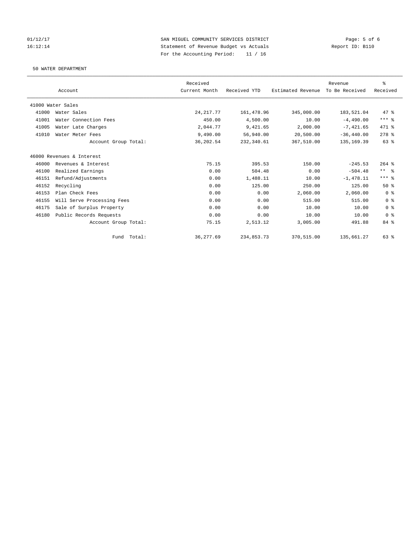01/12/17 Page: 5 of 6<br>
SAN MIGUEL COMMUNITY SERVICES DISTRICT Page: 5 of 6<br>
Statement of Revenue Budget vs Actuals 16:12:14 Statement of Revenue Budget vs Actuals For the Accounting Period: 11 / 16

50 WATER DEPARTMENT

|       |                            | Received      |              |                   | Revenue        | $\,$ $\,$ $\,$ |
|-------|----------------------------|---------------|--------------|-------------------|----------------|----------------|
|       | Account                    | Current Month | Received YTD | Estimated Revenue | To Be Received | Received       |
|       | 41000 Water Sales          |               |              |                   |                |                |
| 41000 | Water Sales                | 24, 217.77    | 161, 478.96  | 345,000.00        | 183,521.04     | 47 %           |
| 41001 | Water Connection Fees      | 450.00        | 4,500.00     | 10.00             | $-4.490.00$    | $***$ $_{8}$   |
| 41005 | Water Late Charges         | 2.044.77      | 9,421.65     | 2.000.00          | $-7,421.65$    | 471 %          |
| 41010 | Water Meter Fees           | 9,490.00      | 56,940.00    | 20,500.00         | $-36, 440.00$  | $278$ %        |
|       | Account Group Total:       | 36,202.54     | 232,340.61   | 367,510.00        | 135, 169.39    | 63 %           |
|       | 46000 Revenues & Interest  |               |              |                   |                |                |
| 46000 | Revenues & Interest        | 75.15         | 395.53       | 150.00            | $-245.53$      | $264$ $%$      |
| 46100 | Realized Earnings          | 0.00          | 504.48       | 0.00              | $-504.48$      | $***$ $ -$     |
| 46151 | Refund/Adjustments         | 0.00          | 1,488.11     | 10.00             | $-1,478.11$    | $***$ $%$      |
| 46152 | Recycling                  | 0.00          | 125.00       | 250.00            | 125.00         | 50%            |
| 46153 | Plan Check Fees            | 0.00          | 0.00         | 2,060.00          | 2,060.00       | 0 <sup>8</sup> |
| 46155 | Will Serve Processing Fees | 0.00          | 0.00         | 515.00            | 515.00         | 0 <sup>8</sup> |
| 46175 | Sale of Surplus Property   | 0.00          | 0.00         | 10.00             | 10.00          | 0 <sup>8</sup> |
| 46180 | Public Records Requests    | 0.00          | 0.00         | 10.00             | 10.00          | 0 <sup>8</sup> |
|       | Account Group Total:       | 75.15         | 2,513.12     | 3,005.00          | 491.88         | 84 %           |
|       | Total:<br>Fund             | 36, 277.69    | 234,853.73   | 370,515.00        | 135,661.27     | 63%            |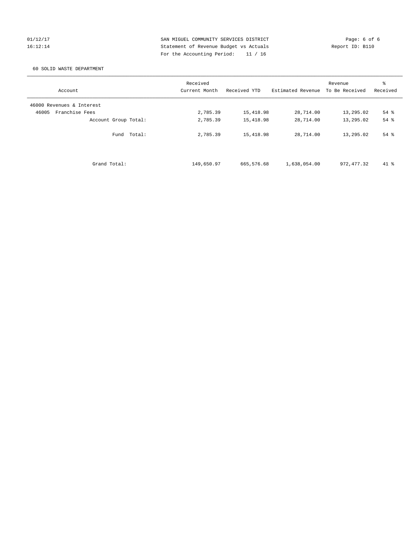01/12/17 2012 SAN MIGUEL COMMUNITY SERVICES DISTRICT 2014 Page: 6 of 6<br>16:12:14 36 Statement of Revenue Budget vs Actuals 16:12:14 Statement of Revenue Budget vs Actuals For the Accounting Period: 11 / 16

## 60 SOLID WASTE DEPARTMENT

| Account                   | Received<br>Current Month | Received YTD | Estimated Revenue | Revenue<br>To Be Received | န္<br>Received |
|---------------------------|---------------------------|--------------|-------------------|---------------------------|----------------|
| 46000 Revenues & Interest |                           |              |                   |                           |                |
| Franchise Fees<br>46005   | 2,785.39                  | 15,418.98    | 28,714.00         | 13,295.02                 | $54$ $%$       |
| Account Group Total:      | 2,785.39                  | 15,418.98    | 28,714.00         | 13,295.02                 | 54 %           |
| Total:<br>Fund            | 2,785.39                  | 15,418.98    | 28,714.00         | 13,295.02                 | 54 %           |
| Grand Total:              | 149,650.97                | 665,576.68   | 1,638,054.00      | 972, 477.32               | $41*$          |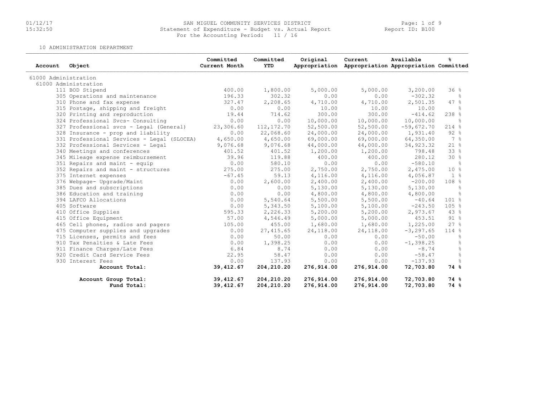# 01/12/17 SAN MIGUEL COMMUNITY SERVICES DISTRICT Page: 1 of 9 15:32:50 Statement of Expenditure - Budget vs. Actual Report Report ID: B100For the Accounting Period: 11 / 16

10 ADMINISTRATION DEPARTMENT

| Account              | Object                                     | Committed<br>Current Month | Committed<br><b>YTD</b> | Original   | Current<br>Appropriation Appropriation Appropriation Committed | Available    | ℁               |
|----------------------|--------------------------------------------|----------------------------|-------------------------|------------|----------------------------------------------------------------|--------------|-----------------|
| 61000 Administration |                                            |                            |                         |            |                                                                |              |                 |
|                      | 61000 Administration                       |                            |                         |            |                                                                |              |                 |
|                      | 111 BOD Stipend                            | 400.00                     | 1,800.00                | 5,000.00   | 5,000.00                                                       | 3,200.00     | 36%             |
|                      | 305 Operations and maintenance             | 196.33                     | 302.32                  | 0.00       | 0.00                                                           | $-302.32$    | ိစ              |
|                      | 310 Phone and fax expense                  | 327.47                     | 2,208.65                | 4,710.00   | 4,710.00                                                       | 2,501.35     | 47.8            |
|                      | 315 Postage, shipping and freight          | 0.00                       | 0.00                    | 10.00      | 10.00                                                          | 10.00        | ွေ              |
|                      | 320 Printing and reproduction              | 19.44                      | 714.62                  | 300.00     | 300.00                                                         | $-414.62$    | $238$ %         |
|                      | 324 Professional Svcs- Consulting          | 0.00                       | 0.00                    | 10,000.00  | 10,000.00                                                      | 10,000.00    | $\approx$       |
|                      | 327 Professional svcs - Legal (General)    | 23,306.60                  | 112,172.70              | 52,500.00  | 52,500.00                                                      | $-59,672.70$ | 214%            |
|                      | 328 Insurance - prop and liability         | 0.00                       | 22,068.60               | 24,000.00  | 24,000.00                                                      | 1,931.40     | 92%             |
|                      | 331 Professional Services - Legal (SLOCEA) | 4,650.00                   | 4,650.00                | 69,000.00  | 69,000.00                                                      | 64,350.00    | 7 %             |
|                      | 332 Professional Services - Legal          | 9,076.68                   | 9,076.68                | 44,000.00  | 44,000.00                                                      | 34,923.32    | 21%             |
|                      | 340 Meetings and conferences               | 401.52                     | 401.52                  | 1,200.00   | 1,200.00                                                       | 798.48       | 33%             |
|                      | 345 Mileage expense reimbursement          | 39.96                      | 119.88                  | 400.00     | 400.00                                                         | 280.12       | 30%             |
|                      | 351 Repairs and maint - equip              | 0.00                       | 580.10                  | 0.00       | 0.00                                                           | $-580.10$    | $rac{6}{5}$     |
|                      | 352 Repairs and maint - structures         | 275.00                     | 275.00                  | 2,750.00   | 2,750.00                                                       | 2,475.00     | 10 <sup>°</sup> |
|                      | 375 Internet expenses                      | $-67.45$                   | 59.13                   | 4,116.00   | 4,116.00                                                       | 4,056.87     | $1\degree$      |
|                      | 376 Webpage- Upgrade/Maint                 | 0.00                       | 2,600.00                | 2,400.00   | 2,400.00                                                       | $-200.00$    | 108 %           |
|                      | 385 Dues and subscriptions                 | 0.00                       | 0.00                    | 5,130.00   | 5,130.00                                                       | 5,130.00     | $\frac{6}{6}$   |
|                      | 386 Education and training                 | 0.00                       | 0.00                    | 4,800.00   | 4,800.00                                                       | 4,800.00     | ိင              |
|                      | 394 LAFCO Allocations                      | 0.00                       | 5,540.64                | 5,500.00   | 5,500.00                                                       | $-40.64$     | $101$ %         |
|                      | 405 Software                               | 0.00                       | 5,343.50                | 5,100.00   | 5,100.00                                                       | $-243.50$    | 105%            |
|                      | 410 Office Supplies                        | 595.33                     | 2,226.33                | 5,200.00   | 5,200.00                                                       | 2,973.67     | 43%             |
|                      | 415 Office Equipment                       | 57.00                      | 4,546.49                | 5,000.00   | 5,000.00                                                       | 453.51       | 91%             |
|                      | 465 Cell phones, radios and pagers         | 105.00                     | 455.00                  | 1,680.00   | 1,680.00                                                       | 1,225.00     | 27%             |
|                      | 475 Computer supplies and upgrades         | 0.00                       | 27, 415.65              | 24,118.00  | 24,118.00                                                      | $-3, 297.65$ | 114 %           |
|                      | 715 Licenses, permits and fees             | 0.00                       | 50.00                   | 0.00       | 0.00                                                           | $-50.00$     | ိင              |
|                      | 910 Tax Penalties & Late Fees              | 0.00                       | 1,398.25                | 0.00       | 0.00                                                           | $-1, 398.25$ | g.              |
|                      | 911 Finance Charges/Late Fees              | 6.84                       | 8.74                    | 0.00       | 0.00                                                           | $-8.74$      | $\frac{6}{5}$   |
|                      | 920 Credit Card Service Fees               | 22.95                      | 58.47                   | 0.00       | 0.00                                                           | $-58.47$     | $\frac{6}{10}$  |
|                      | 930 Interest Fees                          | 0.00                       | 137.93                  | 0.00       | 0.00                                                           | $-137.93$    | $\frac{6}{10}$  |
|                      | Account Total:                             | 39,412.67                  | 204,210.20              | 276,914.00 | 276,914.00                                                     | 72,703.80    | 74 %            |
|                      | Account Group Total:                       | 39,412.67                  | 204,210.20              | 276,914.00 | 276,914.00                                                     | 72,703.80    | 74 %            |
|                      | Fund Total:                                | 39,412.67                  | 204, 210.20             | 276,914.00 | 276,914.00                                                     | 72,703.80    | 74 %            |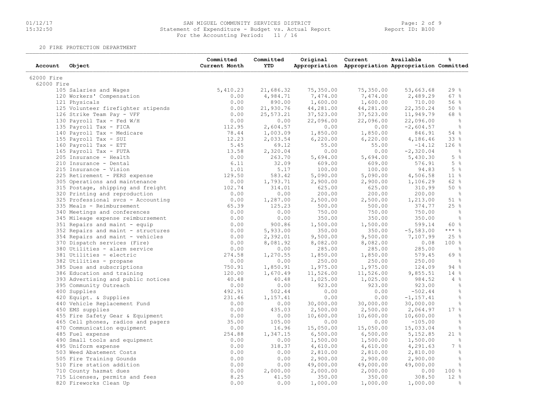# 01/12/17 SAN MIGUEL COMMUNITY SERVICES DISTRICT Page: 2 of 9 15:32:50 Statement of Expenditure - Budget vs. Actual Report Report ID: B10001/12/17 SAN MIGUEL COMMUNITY SERVICES DISTR<br>15:32:50 Statement of Expenditure - Budget vs. Actu<br>For the Accounting Period: 11 / 16

20 FIRE PROTECTION DEPARTMENT

| Account    | Object                             | Committed<br>Current Month | Committed<br><b>YTD</b> | Original  | Current<br>Appropriation Appropriation Appropriation Committed | Available    | g              |
|------------|------------------------------------|----------------------------|-------------------------|-----------|----------------------------------------------------------------|--------------|----------------|
| 62000 Fire |                                    |                            |                         |           |                                                                |              |                |
| 62000 Fire |                                    |                            |                         |           |                                                                |              |                |
|            | 105 Salaries and Wages             | 5,410.23                   | 21,686.32               | 75,350.00 | 75,350.00                                                      | 53,663.68    | 29%            |
|            | 120 Workers' Compensation          | 0.00                       | 4,984.71                | 7,474.00  | 7,474.00                                                       | 2,489.29     | 67%            |
|            | 121 Physicals                      | 0.00                       | 890.00                  | 1,600.00  | 1,600.00                                                       | 710.00       | 56%            |
|            | 125 Volunteer firefighter stipends | 0.00                       | 21,930.76               | 44,281.00 | 44,281.00                                                      | 22,350.24    | 50%            |
|            | 126 Strike Team Pay - VFF          | 0.00                       | 25,573.21               | 37,523.00 | 37,523.00                                                      | 11,949.79    | 68 %           |
|            | 130 Payroll Tax - Fed W/H          | 0.00                       | 0.00                    | 22,096.00 | 22,096.00                                                      | 22,096.00    | $\frac{6}{6}$  |
|            | 135 Payroll Tax - FICA             | 112.95                     | 2,604.57                | 0.00      | 0.00                                                           | $-2,604.57$  | $\frac{6}{6}$  |
|            | 140 Payroll Tax - Medicare         | 78.44                      | 1,003.09                | 1,850.00  | 1,850.00                                                       | 846.91       | 54 %           |
|            | 155 Payroll Tax - SUI              | 12.23                      | 2,033.54                | 6,220.00  | 6,220.00                                                       | 4,186.46     | 33 %           |
|            | 160 Payroll Tax - ETT              | 5.45                       | 69.12                   | 55.00     | 55.00                                                          | $-14.12$     | 126%           |
|            | 165 Payroll Tax - FUTA             | 13.58                      | 2,320.04                | 0.00      | 0.00                                                           | $-2,320.04$  | $\frac{6}{6}$  |
|            | 205 Insurance - Health             | 0.00                       | 263.70                  | 5,694.00  | 5,694.00                                                       | 5,430.30     | $5\degree$     |
|            | 210 Insurance - Dental             | 6.11                       | 32.09                   | 609.00    | 609.00                                                         | 576.91       | $5\degree$     |
|            | 215 Insurance - Vision             | 1.01                       | 5.17                    | 100.00    | 100.00                                                         | 94.83        | 5%             |
|            | 225 Retirement - PERS expense      | 129.50                     | 583.42                  | 5,090.00  | 5,090.00                                                       | 4,506.58     | $11*$          |
|            | 305 Operations and maintenance     | 0.00                       | 1,793.71                | 2,900.00  | 2,900.00                                                       | 1,106.29     | 62 %           |
|            | 315 Postage, shipping and freight  | 102.74                     | 314.01                  | 625.00    | 625.00                                                         | 310.99       | 50%            |
|            | 320 Printing and reproduction      | 0.00                       | 0.00                    | 200.00    | 200.00                                                         | 200.00       | - 옹            |
|            | 325 Professional svcs - Accounting | 0.00                       | 1,287.00                | 2,500.00  | 2,500.00                                                       | 1,213.00     | 51 %           |
|            | 335 Meals - Reimbursement          | 65.39                      | 125.23                  | 500.00    | 500.00                                                         | 374.77       | 25%            |
|            | 340 Meetings and conferences       | 0.00                       | 0.00                    | 750.00    | 750.00                                                         | 750.00       | $\frac{6}{6}$  |
|            | 345 Mileage expense reimbursement  | 0.00                       | 0.00                    | 350.00    | 350.00                                                         | 350.00       | $\frac{6}{6}$  |
|            | 351 Repairs and maint - equip      | 0.00                       | 900.86                  | 1,500.00  | 1,500.00                                                       | 599.14       | 60 %           |
|            | 352 Repairs and maint - structures | 0.00                       | 5,933.00                | 350.00    | 350.00                                                         | $-5,583.00$  | $***$ $_{8}$   |
|            | 354 Repairs and maint - vehicles   | 0.00                       | 2,392.01                | 9,500.00  | 9,500.00                                                       | 7,107.99     | 25%            |
|            | 370 Dispatch services (Fire)       | 0.00                       | 8,081.92                | 8,082.00  | 8,082.00                                                       | 0.08         | 100%           |
|            | 380 Utilities - alarm service      | 0.00                       | 0.00                    | 285.00    | 285.00                                                         | 285.00       | $\frac{6}{6}$  |
|            | 381 Utilities - electric           | 274.58                     | 1,270.55                | 1,850.00  | 1,850.00                                                       | 579.45       | 69 %           |
|            | 382 Utilities - propane            | 0.00                       | 0.00                    | 250.00    | 250.00                                                         | 250.00       | $\frac{6}{6}$  |
|            | 385 Dues and subscriptions         | 750.91                     | 1,850.91                | 1,975.00  | 1,975.00                                                       | 124.09       | 94%            |
|            | 386 Education and training         | 120.00                     | 1,670.49                | 11,526.00 | 11,526.00                                                      | 9,855.51     | 14%            |
|            | 393 Advertising and public notices | 40.48                      | 40.48                   | 1,025.00  | 1,025.00                                                       | 984.52       | $4\degree$     |
|            | 395 Community Outreach             | 0.00                       | 0.00                    | 923.00    | 923.00                                                         | 923.00       | $\frac{6}{6}$  |
|            | 400 Supplies                       | 492.91                     | 502.44                  | 0.00      | 0.00                                                           | $-502.44$    | $\frac{6}{6}$  |
|            | 420 Equipt. & Supplies             | 231.46                     | 1,157.41                | 0.00      | 0.00                                                           | $-1, 157.41$ | $\frac{6}{6}$  |
|            | 440 Vehicle Replacement Fund       | 0.00                       | 0.00                    | 30,000.00 | 30,000.00                                                      | 30,000.00    | $\frac{6}{6}$  |
|            | 450 EMS supplies                   | 0.00                       | 435.03                  | 2,500.00  | 2,500.00                                                       | 2,064.97     | 17%            |
|            |                                    |                            |                         |           |                                                                |              | $\frac{6}{6}$  |
|            | 455 Fire Safety Gear & Equipment   | 0.00                       | 0.00                    | 10,600.00 | 10,600.00                                                      | 10,600.00    |                |
|            | 465 Cell phones, radios and pagers | 35.00                      | 105.00                  | 0.00      | 0.00                                                           | $-105.00$    | $\frac{6}{6}$  |
|            | 470 Communication equipment        | 0.00                       | 16.96                   | 15,050.00 | 15,050.00                                                      | 15,033.04    | $\frac{6}{6}$  |
|            | 485 Fuel expense                   | 254.88                     | 1,347.15                | 6,500.00  | 6,500.00                                                       | 5,152.85     | $21$ %         |
|            | 490 Small tools and equipment      | 0.00                       | 0.00                    | 1,500.00  | 1,500.00                                                       | 1,500.00     | $\frac{9}{6}$  |
|            | 495 Uniform expense                | 0.00                       | 318.37                  | 4,610.00  | 4,610.00                                                       | 4,291.63     | $7\frac{9}{6}$ |
|            | 503 Weed Abatement Costs           | 0.00                       | 0.00                    | 2,810.00  | 2,810.00                                                       | 2,810.00     | $\frac{6}{6}$  |
|            | 505 Fire Training Gounds           | 0.00                       | 0.00                    | 2,900.00  | 2,900.00                                                       | 2,900.00     | $\frac{6}{6}$  |
|            | 510 Fire station addition          | 0.00                       | 0.00                    | 49,000.00 | 49,000.00                                                      | 49,000.00    | $\frac{6}{6}$  |
|            | 710 County hazmat dues             | 0.00                       | 2,000.00                | 2,000.00  | 2,000.00                                                       | 0.00         | 100%           |
|            | 715 Licenses, permits and fees     | 8.25                       | 41.50                   | 350.00    | 350.00                                                         | 308.50       | $12*$          |
|            | 820 Fireworks Clean Up             | 0.00                       | 0.00                    | 1,000.00  | 1,000.00                                                       | 1,000.00     | $\frac{6}{5}$  |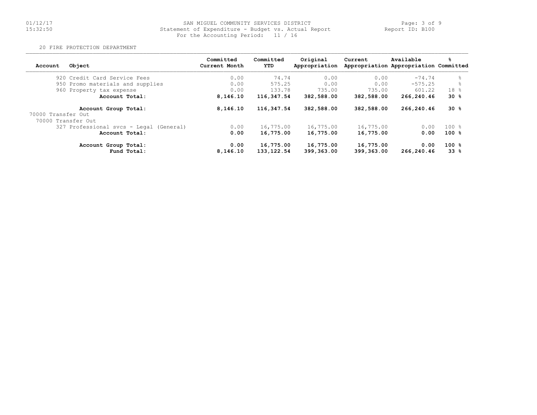# 01/12/17 SAN MIGUEL COMMUNITY SERVICES DISTRICT Page: 3 of 9 15:32:50 Statement of Expenditure - Budget vs. Actual Report Report ID: B10001/12/17 SAN MIGUEL COMMUNITY SERVICES DISTR<br>15:32:50 Statement of Expenditure - Budget vs. Actu<br>For the Accounting Period: 11 / 16

#### 20 FIRE PROTECTION DEPARTMENT

| Account                                  | Object                                  | Committed<br>Current Month | Committed<br>YTD | Original<br>Appropriation | Current    | Available<br>Appropriation Appropriation Committed | ℁         |
|------------------------------------------|-----------------------------------------|----------------------------|------------------|---------------------------|------------|----------------------------------------------------|-----------|
|                                          | 920 Credit Card Service Fees            | 0.00                       | 74.74            | 0.00                      | 0.00       | $-74.74$                                           | $\approx$ |
|                                          | 950 Promo materials and supplies        | 0.00                       | 575.25           | 0.00                      | 0.00       | $-575.25$                                          | $\approx$ |
|                                          | 960 Property tax expense                | 0.00                       | 133.78           | 735.00                    | 735.00     | 601.22                                             | 18 %      |
|                                          | Account Total:                          | 8,146.10                   | 116,347.54       | 382,588.00                | 382,588.00 | 266,240.46                                         | $30*$     |
|                                          | Account Group Total:                    | 8,146.10                   | 116,347.54       | 382,588.00                | 382,588.00 | 266,240.46                                         | $30*$     |
| 70000 Transfer Out<br>70000 Transfer Out |                                         |                            |                  |                           |            |                                                    |           |
|                                          | 327 Professional svcs - Legal (General) | 0.00                       | 16,775.00        | 16,775.00                 | 16,775.00  | 0.00                                               | 100%      |
|                                          | Account Total:                          | 0.00                       | 16,775.00        | 16,775.00                 | 16,775.00  | 0.00                                               | $100*$    |
|                                          | Account Group Total:                    | 0.00                       | 16,775.00        | 16,775.00                 | 16,775.00  | 0.00                                               | $100*$    |
|                                          | Fund Total:                             | 8,146.10                   | 133, 122. 54     | 399,363.00                | 399,363.00 | 266,240.46                                         | 33%       |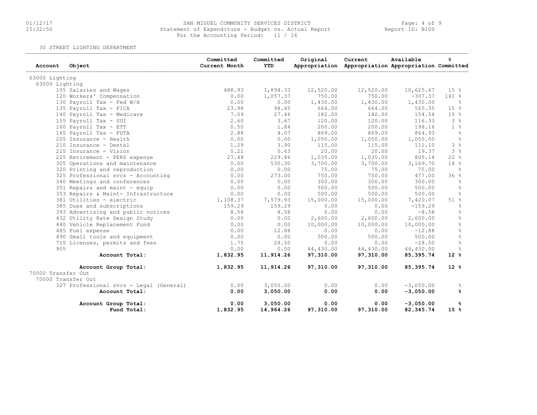# 01/12/17 SAN MIGUEL COMMUNITY SERVICES DISTRICT Page: 4 of 9 15:32:50 Statement of Expenditure - Budget vs. Actual Report Report ID: B100For the Accounting Period: 11 / 16

30 STREET LIGHTING DEPARTMENT

| Account            | Object                                  | Committed<br>Current Month | Committed<br><b>YTD</b> | Original  | Current<br>Appropriation Appropriation Appropriation Committed | Available   | န္                |
|--------------------|-----------------------------------------|----------------------------|-------------------------|-----------|----------------------------------------------------------------|-------------|-------------------|
| 63000 Lighting     |                                         |                            |                         |           |                                                                |             |                   |
| 63000 Lighting     |                                         |                            |                         |           |                                                                |             |                   |
|                    | 105 Salaries and Wages                  | 488.93                     | 1,894.33                | 12,520.00 | 12,520.00                                                      | 10,625.67   | 15 <sup>8</sup>   |
|                    | 120 Workers' Compensation               | 0.00                       | 1,057.37                | 750.00    | 750.00                                                         | $-307.37$   | $141$ %           |
|                    | 130 Payroll Tax - Fed W/H               | 0.00                       | 0.00                    | 1,430.00  | 1,430.00                                                       | 1,430.00    | $\frac{6}{6}$     |
|                    | 135 Payroll Tax - FICA                  | 23.98                      | 98.65                   | 664.00    | 664.00                                                         | 565.35      | 15 <sup>8</sup>   |
|                    | 140 Payroll Tax - Medicare              | 7.09                       | 27.46                   | 182.00    | 182.00                                                         | 154.54      | 15%               |
|                    | 155 Payroll Tax - SUI                   | 2.60                       | 3.67                    | 120.00    | 120.00                                                         | 116.33      | 3%                |
|                    | 160 Payroll Tax - ETT                   | 0.50                       | 1.84                    | 200.00    | 200.00                                                         | 198.16      | 1 <sup>°</sup>    |
|                    | 165 Payroll Tax - FUTA                  | 2.88                       | 4.07                    | 869.00    | 869.00                                                         | 864.93      | $rac{6}{5}$       |
|                    | 205 Insurance - Health                  | 0.00                       | 0.00                    | 1,050.00  | 1,050.00                                                       | 1,050.00    | $\frac{6}{3}$     |
|                    | 210 Insurance - Dental                  | 1.29                       | 3.90                    | 115.00    | 115.00                                                         | 111.10      | 3 <sup>°</sup>    |
|                    | 215 Insurance - Vision                  | 0.21                       | 0.63                    | 20.00     | 20.00                                                          | 19.37       | 3%                |
|                    | 225 Retirement - PERS expense           | 27.48                      | 229.86                  | 1,035.00  | 1,035.00                                                       | 805.14      | 228               |
|                    | 305 Operations and maintenance          | 0.00                       | 530.30                  | 3,700.00  | 3,700.00                                                       | 3,169.70    | 14%               |
|                    | 320 Printing and reproduction           | 0.00                       | 0.00                    | 75.00     | 75.00                                                          | 75.00       | ိင                |
|                    | 325 Professional svcs - Accounting      | 0.00                       | 273.00                  | 750.00    | 750.00                                                         | 477.00      | 36%               |
|                    | 340 Meetings and conferences            | 0.00                       | 0.00                    | 300.00    | 300.00                                                         | 300.00      | 웅                 |
|                    | 351 Repairs and maint - equip           | 0.00                       | 0.00                    | 500.00    | 500.00                                                         | 500.00      | $\frac{\circ}{6}$ |
|                    | 353 Repairs & Maint- Infrastructure     | 0.00                       | 0.00                    | 500.00    | 500.00                                                         | 500.00      | $\frac{6}{6}$     |
|                    | 381 Utilities - electric                | 1,108.37                   | 7,579.93                | 15,000.00 | 15,000.00                                                      | 7,420.07    | 51%               |
|                    | 385 Dues and subscriptions              | 159.29                     | 159.29                  | 0.00      | 0.00                                                           | $-159.29$   | $\frac{6}{5}$     |
|                    | 393 Advertising and public notices      | 8.58                       | 8.58                    | 0.00      | 0.00                                                           | $-8.58$     | $\frac{6}{5}$     |
|                    | 432 Utility Rate Design Study           | 0.00                       | 0.00                    | 2,600.00  | 2,600.00                                                       | 2,600.00    | $\frac{6}{6}$     |
|                    | 440 Vehicle Replacement Fund            | 0.00                       | 0.00                    | 10,000.00 | 10,000.00                                                      | 10,000.00   | $\frac{6}{5}$     |
|                    | 485 Fuel expense                        | 0.00                       | 12.88                   | 0.00      | 0.00                                                           | $-12.88$    | $\%$              |
|                    | 490 Small tools and equipment           | 0.00                       | 0.00                    | 500.00    | 500.00                                                         | 500.00      | $\frac{6}{5}$     |
|                    | 715 Licenses, permits and fees          | 1.75                       | 28.50                   | 0.00      | 0.00                                                           | $-28.50$    | $\frac{6}{6}$     |
| 905                |                                         | 0.00                       | 0.00                    | 44,430.00 | 44,430.00                                                      | 44,430.00   | 웅                 |
|                    | Account Total:                          | 1,832.95                   | 11,914.26               | 97,310.00 | 97,310.00                                                      | 85,395.74   | $12*$             |
|                    | Account Group Total:                    | 1,832.95                   | 11,914.26               | 97,310.00 | 97,310.00                                                      | 85,395.74   | $12*$             |
| 70000 Transfer Out |                                         |                            |                         |           |                                                                |             |                   |
|                    | 70000 Transfer Out                      |                            |                         |           |                                                                |             |                   |
|                    | 327 Professional svcs - Legal (General) | 0.00                       | 3,050.00                | 0.00      | 0.00                                                           | $-3,050.00$ | ိင                |
|                    | Account Total:                          | 0.00                       | 3,050.00                | 0.00      | 0.00                                                           | $-3,050.00$ | ℁                 |
|                    | Account Group Total:                    | 0.00                       | 3,050.00                | 0.00      | 0.00                                                           | $-3,050.00$ | %                 |
|                    | Fund Total:                             | 1,832.95                   | 14,964.26               | 97,310.00 | 97,310.00                                                      | 82, 345.74  | 15 <sup>8</sup>   |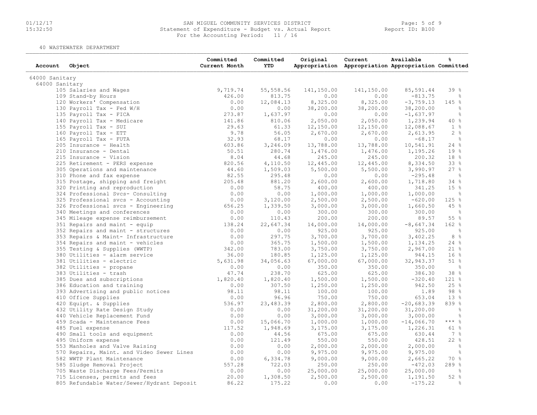# 01/12/17 SAN MIGUEL COMMUNITY SERVICES DISTRICT Page: 5 of 9 15:32:50 Statement of Expenditure - Budget vs. Actual Report Report ID: B100For the Accounting Period: 11 / 16

40 WASTEWATER DEPARTMENT

| Account        | Object                                     | Committed<br>Current Month | Committed<br><b>YTD</b> | Original   | Current<br>Appropriation Appropriation Appropriation Committed | Available    | ℁             |
|----------------|--------------------------------------------|----------------------------|-------------------------|------------|----------------------------------------------------------------|--------------|---------------|
| 64000 Sanitary |                                            |                            |                         |            |                                                                |              |               |
| 64000 Sanitary |                                            |                            |                         |            |                                                                |              |               |
|                | 105 Salaries and Wages                     | 9,719.74                   | 55,558.56               | 141,150.00 | 141,150.00                                                     | 85,591.44    | 39%           |
|                | 109 Stand-by Hours                         | 426.00                     | 813.75                  | 0.00       | 0.00                                                           | $-813.75$    | ိင            |
|                | 120 Workers' Compensation                  | 0.00                       | 12,084.13               | 8,325.00   | 8,325.00                                                       | $-3,759.13$  | 145 %         |
|                | 130 Payroll Tax - Fed W/H                  | 0.00                       | 0.00                    | 38,200.00  | 38,200.00                                                      | 38,200.00    | $\frac{6}{6}$ |
|                | 135 Payroll Tax - FICA                     | 273.87                     | 1,637.97                | 0.00       | 0.00                                                           | $-1,637.97$  | $\frac{6}{6}$ |
|                | 140 Payroll Tax - Medicare                 | 141.86                     | 810.06                  | 2,050.00   | 2,050.00                                                       | 1,239.94     | 40%           |
|                | 155 Payroll Tax - SUI                      | 29.63                      | 61.33                   | 12,150.00  | 12,150.00                                                      | 12,088.67    | $1 \text{ }$  |
|                | 160 Payroll Tax - ETT                      | 9.78                       | 56.05                   | 2,670.00   | 2,670.00                                                       | 2,613.95     | 2%            |
|                | 165 Payroll Tax - FUTA                     | 32.93                      | 68.17                   | 0.00       | 0.00                                                           | $-68.17$     | $\frac{6}{6}$ |
|                | 205 Insurance - Health                     | 603.86                     | 3,246.09                | 13,788.00  | 13,788.00                                                      | 10,541.91    | 24%           |
|                | 210 Insurance - Dental                     | 50.51                      | 280.74                  | 1,476.00   | 1,476.00                                                       | 1,195.26     | 19 %          |
|                | 215 Insurance - Vision                     | 8.04                       | 44.68                   | 245.00     | 245.00                                                         | 200.32       | 18 %          |
|                | 225 Retirement - PERS expense              | 820.56                     | 4,110.50                | 12,445.00  | 12,445.00                                                      | 8,334.50     | 33 %          |
|                | 305 Operations and maintenance             | 44.60                      | 1,509.03                | 5,500.00   | 5,500.00                                                       | 3,990.97     | 27%           |
|                |                                            | 82.55                      | 295.48                  |            |                                                                |              |               |
|                | 310 Phone and fax expense                  |                            |                         | 0.00       | 0.00                                                           | $-295.48$    | $\frac{6}{3}$ |
|                | 315 Postage, shipping and freight          | 205.48                     | 881.20                  | 2,600.00   | 2,600.00                                                       | 1,718.80     | 34%           |
|                | 320 Printing and reproduction              | 0.00                       | 58.75                   | 400.00     | 400.00                                                         | 341.25       | 15%           |
|                | 324 Professional Svcs- Consulting          | 0.00                       | 0.00                    | 1,000.00   | 1,000.00                                                       | 1,000.00     | $\frac{6}{6}$ |
|                | 325 Professional svcs - Accounting         | 0.00                       | 3,120.00                | 2,500.00   | 2,500.00                                                       | $-620.00$    | 125%          |
|                | 326 Professional svcs - Engineering        | 656.25                     | 1,339.50                | 3,000.00   | 3,000.00                                                       | 1,660.50     | 45%           |
|                | 340 Meetings and conferences               | 0.00                       | 0.00                    | 300.00     | 300.00                                                         | 300.00       | $\frac{6}{6}$ |
|                | 345 Mileage expense reimbursement          | 0.00                       | 110.43                  | 200.00     | 200.00                                                         | 89.57        | 55 %          |
|                | 351 Repairs and maint - equip              | 138.24                     | 22,647.34               | 14,000.00  | 14,000.00                                                      | $-8,647.34$  | 162 %         |
|                | 352 Repairs and maint - structures         | 0.00                       | 0.00                    | 925.00     | 925.00                                                         | 925.00       | - 옹           |
|                | 353 Repairs & Maint- Infrastructure        | 0.00                       | 297.75                  | 3,700.00   | 3,700.00                                                       | 3,402.25     | $8\degree$    |
|                | 354 Repairs and maint - vehicles           | 0.00                       | 365.75                  | 1,500.00   | 1,500.00                                                       | 1,134.25     | 24%           |
|                | 355 Testing & Supplies (WWTP)              | 342.00                     | 783.00                  | 3,750.00   | 3,750.00                                                       | 2,967.00     | $21$ %        |
|                | 380 Utilities - alarm service              | 36.00                      | 180.85                  | 1,125.00   | 1,125.00                                                       | 944.15       | 16%           |
|                | 381 Utilities - electric                   | 5,631.98                   | 34,056.63               | 67,000.00  | 67,000.00                                                      | 32,943.37    | $51$ %        |
|                | 382 Utilities - propane                    | 0.00                       | 0.00                    | 350.00     | 350.00                                                         | 350.00       | $\frac{9}{6}$ |
|                | 383 Utilities - trash                      | 47.74                      | 238.70                  | 625.00     | 625.00                                                         | 386.30       | 38 %          |
|                | 385 Dues and subscriptions                 | 1,820.40                   | 1,820.40                | 1,500.00   | 1,500.00                                                       | $-320.40$    | $121$ %       |
|                | 386 Education and training                 | 0.00                       | 307.50                  | 1,250.00   | 1,250.00                                                       | 942.50       | 25%           |
|                | 393 Advertising and public notices         | 98.11                      | 98.11                   | 100.00     | 100.00                                                         | 1.89         | 98 %          |
|                | 410 Office Supplies                        | 0.00                       | 96.96                   | 750.00     | 750.00                                                         | 653.04       | 13%           |
|                | 420 Equipt. & Supplies                     | 536.97                     | 23,483.39               | 2,800.00   | 2,800.00                                                       | $-20,683.39$ | 839 %         |
|                | 432 Utility Rate Design Study              | 0.00                       | 0.00                    | 31,200.00  | 31,200.00                                                      | 31,200.00    | $\frac{6}{6}$ |
|                | 440 Vehicle Replacement Fund               | 0.00                       | 0.00                    | 3,000.00   | 3,000.00                                                       | 3,000.00     | $\frac{6}{6}$ |
|                | 459 Scada - Maintenance Fees               | 0.00                       | 15,066.70               | 1,000.00   | 1,000.00                                                       | $-14,066.70$ | *** 응         |
|                | 485 Fuel expense                           | 117.52                     | 1,948.69                | 3,175.00   | 3,175.00                                                       | 1,226.31     | 61%           |
|                | 490 Small tools and equipment              | 0.00                       | 44.56                   | 675.00     | 675.00                                                         | 630.44       | $7\degree$    |
|                | 495 Uniform expense                        | 0.00                       | 121.49                  | 550.00     | 550.00                                                         | 428.51       | 22%           |
|                |                                            | 0.00                       | 0.00                    |            |                                                                |              | $\frac{6}{6}$ |
|                | 553 Manholes and Valve Raising             |                            |                         | 2,000.00   | 2,000.00                                                       | 2,000.00     |               |
|                | 570 Repairs, Maint. and Video Sewer Lines  | 0.00                       | 0.00                    | 9,975.00   | 9,975.00                                                       | 9,975.00     | $\frac{6}{6}$ |
|                | 582 WWTP Plant Maintenance                 | 0.00                       | 6,334.78                | 9,000.00   | 9,000.00                                                       | 2,665.22     | 70 %          |
|                | 585 Sludge Removal Project                 | 557.28                     | 722.03                  | 250.00     | 250.00                                                         | $-472.03$    | 289 %         |
|                | 705 Waste Discharge Fees/Permits           | 0.00                       | 0.00                    | 25,000.00  | 25,000.00                                                      | 25,000.00    | - 옹           |
|                | 715 Licenses, permits and fees             | 20.00                      | 1,308.50                | 2,500.00   | 2,500.00                                                       | 1,191.50     | 52%           |
|                | 805 Refundable Water/Sewer/Hydrant Deposit | 86.22                      | 175.22                  | 0.00       | 0.00                                                           | $-175.22$    | 욲             |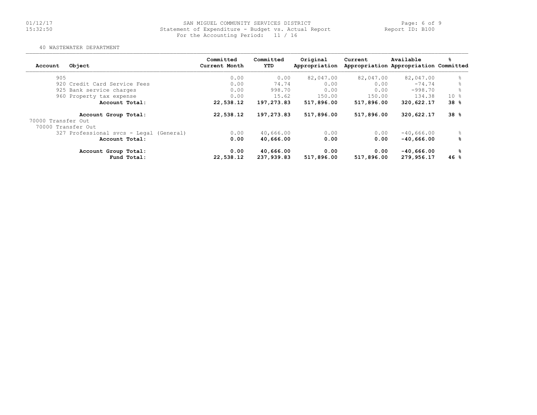# 01/12/17 SAN MIGUEL COMMUNITY SERVICES DISTRICT Page: 6 of 9 15:32:50 Statement of Expenditure - Budget vs. Actual Report Report ID: B100For the Accounting Period: 11 / 16

#### 40 WASTEWATER DEPARTMENT

| Account            | Object                                  | Committed<br>Current Month | Committed<br>YTD | Original<br>Appropriation | Current    | Available<br>Appropriation Appropriation Committed | ℁     |
|--------------------|-----------------------------------------|----------------------------|------------------|---------------------------|------------|----------------------------------------------------|-------|
| 905                |                                         | 0.00                       | 0.00             | 82,047.00                 | 82,047.00  | 82,047.00                                          | ⊱     |
|                    | 920 Credit Card Service Fees            | 0.00                       | 74.74            | 0.00                      | 0.00       | $-74.74$                                           | ⊱     |
|                    | 925 Bank service charges                | 0.00                       | 998.70           | 0.00                      | 0.00       | $-998.70$                                          |       |
|                    | 960 Property tax expense                | 0.00                       | 15.62            | 150.00                    | 150.00     | 134.38                                             | $10*$ |
|                    | Account Total:                          | 22,538.12                  | 197,273.83       | 517,896.00                | 517,896.00 | 320,622.17                                         | 38%   |
| 70000 Transfer Out | Account Group Total:                    | 22,538.12                  | 197,273.83       | 517,896.00                | 517,896.00 | 320,622.17                                         | 38%   |
| 70000 Transfer Out |                                         |                            |                  |                           |            |                                                    |       |
|                    | 327 Professional svcs - Legal (General) | 0.00                       | 40,666.00        | 0.00                      | 0.00       | $-40,666,00$                                       | ⊱     |
|                    | Account Total:                          | 0.00                       | 40,666.00        | 0.00                      | 0.00       | $-40,666.00$                                       | ℁     |
|                    | Account Group Total:                    | 0.00                       | 40,666.00        | 0.00                      | 0.00       | $-40,666.00$                                       | ℁     |
|                    | Fund Total:                             | 22,538.12                  | 237,939.83       | 517,896.00                | 517,896.00 | 279,956.17                                         | 46 %  |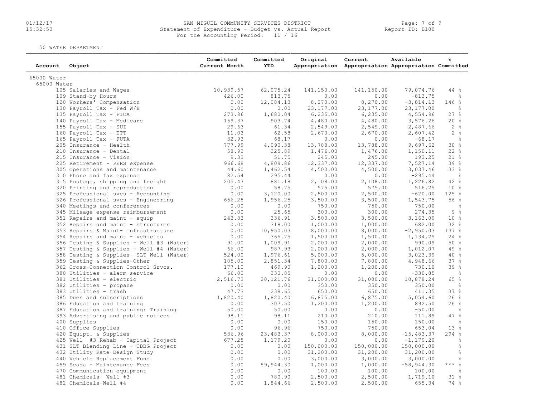# 01/12/17 SAN MIGUEL COMMUNITY SERVICES DISTRICT Page: 7 of 9 15:32:50 Statement of Expenditure - Budget vs. Actual Report Report ID: B100 For the Accounting Period: 11 / 16

50 WATER DEPARTMENT

| Account     | Object                                   | Committed<br>Current Month | Committed<br><b>YTD</b> | Original   | Current<br>Appropriation Appropriation Appropriation Committed | Available     | ℁               |
|-------------|------------------------------------------|----------------------------|-------------------------|------------|----------------------------------------------------------------|---------------|-----------------|
| 65000 Water |                                          |                            |                         |            |                                                                |               |                 |
| 65000 Water |                                          |                            |                         |            |                                                                |               |                 |
|             | 105 Salaries and Wages                   | 10,939.57                  | 62,075.24               | 141,150.00 | 141,150.00                                                     | 79,074.76     | 44%             |
|             | 109 Stand-by Hours                       | 426.00                     | 813.75                  | 0.00       | 0.00                                                           | $-813.75$     | ੰਨ              |
|             | 120 Workers' Compensation                | 0.00                       | 12,084.13               | 8,270.00   | 8,270.00                                                       | $-3,814.13$   | 146%            |
|             | 130 Payroll Tax - Fed W/H                | 0.00                       | 0.00                    | 23, 177.00 | 23, 177.00                                                     | 23, 177.00    | ိင              |
|             | 135 Payroll Tax - FICA                   | 273.86                     | 1,680.04                | 6, 235.00  | 6, 235.00                                                      | 4,554.96      | 27%             |
|             | 140 Payroll Tax - Medicare               | 159.37                     | 903.74                  | 4,480.00   | 4,480.00                                                       | 3,576.26      | 20%             |
|             | 155 Payroll Tax - SUI                    | 29.63                      | 61.34                   | 2,549.00   | 2,549.00                                                       | 2,487.66      | 2%              |
|             | 160 Payroll Tax - ETT                    | 11.03                      | 62.58                   | 2,670.00   | 2,670.00                                                       | 2,607.42      | 2%              |
|             | 165 Payroll Tax - FUTA                   | 32.93                      | 68.17                   | 0.00       | 0.00                                                           | $-68.17$      | $\frac{6}{3}$   |
|             | 205 Insurance - Health                   | 777.99                     | 4,090.38                | 13,788.00  | 13,788.00                                                      | 9,697.62      | 30%             |
|             | 210 Insurance - Dental                   | 58.93                      | 325.89                  | 1,476.00   | 1,476.00                                                       | 1,150.11      | 22%             |
|             | 215 Insurance - Vision                   | 9.33                       | 51.75                   | 245.00     | 245.00                                                         | 193.25        | 218             |
|             | 225 Retirement - PERS expense            | 966.68                     | 4,809.86                | 12,337.00  | 12,337.00                                                      | 7,527.14      | 39 %            |
|             | 305 Operations and maintenance           | 44.60                      | 1,462.54                | 4,500.00   | 4,500.00                                                       | 3,037.46      | 33%             |
|             | 310 Phone and fax expense                | 82.54                      | 295.44                  | 0.00       | 0.00                                                           | $-295.44$     | $\frac{6}{5}$   |
|             | 315 Postage, shipping and freight        | 205.47                     | 881.18                  | 2,108.00   | 2,108.00                                                       | 1,226.82      | 42 %            |
|             | 320 Printing and reproduction            | 0.00                       | 58.75                   | 575.00     | 575.00                                                         | 516.25        | 10 <sup>8</sup> |
|             | 325 Professional svcs - Accounting       | 0.00                       | 3,120.00                | 2,500.00   | 2,500.00                                                       | $-620.00$     | 125 %           |
|             | 326 Professional svcs - Engineering      | 656.25                     | 1,956.25                | 3,500.00   | 3,500.00                                                       | 1,543.75      | 56%             |
|             | 340 Meetings and conferences             | 0.00                       | 0.00                    | 750.00     | 750.00                                                         | 750.00        | $\frac{6}{6}$   |
|             | 345 Mileage expense reimbursement        | 0.00                       | 25.65                   | 300.00     | 300.00                                                         | 274.35        | 9%              |
|             | 351 Repairs and maint - equip            | 243.83                     | 336.91                  | 3,500.00   | 3,500.00                                                       | 3,163.09      | $10*$           |
|             | 352 Repairs and maint - structures       | 0.00                       | 318.00                  | 1,000.00   | 1,000.00                                                       | 682.00        | 32%             |
|             | 353 Repairs & Maint- Infrastructure      | 0.00                       | 10,950.03               | 8,000.00   | 8,000.00                                                       | $-2,950.03$   | 137 %           |
|             | 354 Repairs and maint - vehicles         | 0.00                       | 365.75                  | 1,500.00   | 1,500.00                                                       | 1,134.25      | 24%             |
|             | 356 Testing & Supplies - Well #3 (Water) | 91.00                      | 1,009.91                | 2,000.00   | 2,000.00                                                       | 990.09        | 50%             |
|             | 357 Testing & Supplies - Well #4 (Water) | 66.00                      | 987.93                  | 2,000.00   | 2,000.00                                                       | 1,012.07      | 49 %            |
|             | 358 Testing & Supplies- SLT Well (Water) | 524.00                     | 1,976.61                | 5,000.00   | 5,000.00                                                       | 3,023.39      | 40%             |
|             | 359 Testing & Supplies-Other             | 105.00                     | 2,851.34                | 7,800.00   | 7,800.00                                                       | 4,948.66      | 37%             |
|             | 362 Cross-Connection Control Srvcs.      | 177.10                     | 469.90                  | 1,200.00   | 1,200.00                                                       | 730.10        | 39 %            |
|             | 380 Utilities - alarm service            | 66.00                      | 330.85                  | 0.00       | 0.00                                                           | $-330.85$     | $-\frac{6}{6}$  |
|             | 381 Utilities - electric                 | 2,516.73                   | 20,121.76               | 31,000.00  | 31,000.00                                                      | 10,878.24     | 65 %            |
|             | 382 Utilities - propane                  | 0.00                       | 0.00                    | 350.00     | 350.00                                                         | 350.00        | $\frac{6}{3}$   |
|             | 383 Utilities - trash                    | 47.73                      | 238.65                  | 650.00     | 650.00                                                         | 411.35        | 37%             |
|             | 385 Dues and subscriptions               | 1,820.40                   | 1,820.40                | 6,875.00   | 6,875.00                                                       | 5,054.60      | 26%             |
|             | 386 Education and training               | 0.00                       | 307.50                  | 1,200.00   | 1,200.00                                                       | 892.50        | 26%             |
|             | 387 Education and training: Training     | 50.00                      | 50.00                   | 0.00       | 0.00                                                           | $-50.00$      | ိင              |
|             | 393 Advertising and public notices       | 98.11                      | 98.11                   | 210.00     | 210.00                                                         | 111.89        | 47%             |
|             | 400 Supplies                             | 0.00                       | 0.00                    | 150.00     | 150.00                                                         | 150.00        | ိင              |
|             | 410 Office Supplies                      | 0.00                       | 96.96                   | 750.00     | 750.00                                                         | 653.04        | 13 %            |
|             | 420 Equipt. & Supplies                   | 536.96                     | 23,483.37               | 8,000.00   | 8,000.00                                                       | $-15, 483.37$ | 294%            |
|             | 425 Well #3 Rehab - Capital Project      | 677.25                     | 1,179.20                | 0.00       | 0.00                                                           | $-1, 179.20$  | 웅               |
|             | 431 SLT Blending Line - CDBG Project     | 0.00                       | 0.00                    | 150,000.00 | 150,000.00                                                     | 150,000.00    | $\frac{6}{6}$   |
|             | 432 Utility Rate Design Study            | 0.00                       | 0.00                    | 31,200.00  | 31,200.00                                                      | 31,200.00     | ိင              |
|             | 440 Vehicle Replacement Fund             | 0.00                       | 0.00                    | 3,000.00   | 3,000.00                                                       | 3,000.00      | $\frac{6}{6}$   |
|             | 459 Scada - Maintenance Fees             | 0.00                       | 59,944.30               | 1,000.00   | 1,000.00                                                       | $-58,944.30$  | $***$ $-8$      |
|             | 470 Communication equipment              | 0.00                       | 0.00                    | 100.00     | 100.00                                                         | 100.00        | $\frac{6}{5}$   |
|             | 481 Chemicals- Well #3                   | 0.00                       | 780.90                  | 2,500.00   | 2,500.00                                                       | 1,719.10      | 318             |
|             | 482 Chemicals-Well #4                    | 0.00                       | 1,844.66                | 2,500.00   | 2,500.00                                                       | 655.34        | 74 %            |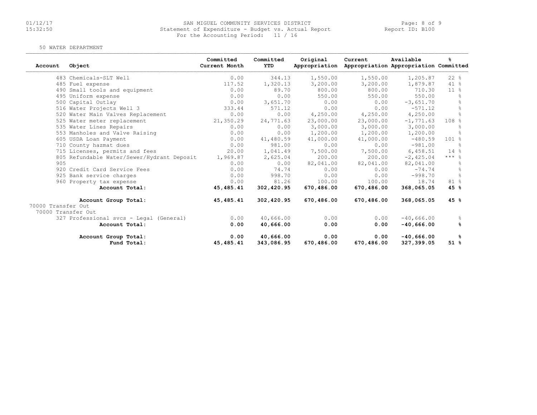# 01/12/17 SAN MIGUEL COMMUNITY SERVICES DISTRICT Page: 8 of 9 15:32:50 Statement of Expenditure - Budget vs. Actual Report Report ID: B100For the Accounting Period: 11 / 16

#### 50 WATER DEPARTMENT

| Account            | Object                                     | Committed<br>Current Month | Committed<br>YTD | Original<br>Appropriation | Current    | Available<br>Appropriation Appropriation Committed | ዱ                |
|--------------------|--------------------------------------------|----------------------------|------------------|---------------------------|------------|----------------------------------------------------|------------------|
|                    | 483 Chemicals-SLT Well                     | 0.00                       | 344.13           | 1,550.00                  | 1,550.00   | 1,205.87                                           | $22$ %           |
|                    | 485 Fuel expense                           | 117.52                     | 1,320.13         | 3,200.00                  | 3,200.00   | 1,879.87                                           | $41$ %           |
|                    | 490 Small tools and equipment              | 0.00                       | 89.70            | 800.00                    | 800.00     | 710.30                                             | 11 <sup>°</sup>  |
|                    | 495 Uniform expense                        | 0.00                       | 0.00             | 550.00                    | 550.00     | 550.00                                             | $\approx$        |
|                    | 500 Capital Outlay                         | 0.00                       | 3,651.70         | 0.00                      | 0.00       | $-3,651.70$                                        |                  |
|                    | 516 Water Projects Well 3                  | 333.44                     | 571.12           | 0.00                      | 0.00       | $-571.12$                                          | $\frac{6}{10}$   |
|                    | 520 Water Main Valves Replacement          | 0.00                       | 0.00             | 4,250.00                  | 4,250.00   | 4,250.00                                           | $\frac{6}{5}$    |
|                    | 525 Water meter replacement                | 21,350.29                  | 24,771.63        | 23,000.00                 | 23,000.00  | $-1, 771.63$                                       | 108 <sub>8</sub> |
|                    | 535 Water Lines Repairs                    | 0.00                       | 0.00             | 3,000.00                  | 3,000.00   | 3,000.00                                           |                  |
|                    | 553 Manholes and Valve Raising             | 0.00                       | 0.00             | 1,200.00                  | 1,200.00   | 1,200.00                                           | 욲                |
|                    | 605 USDA Loan Payment                      | 0.00                       | 41,480.59        | 41,000.00                 | 41,000.00  | $-480.59$                                          | $101$ %          |
|                    | 710 County hazmat dues                     | 0.00                       | 981.00           | 0.00                      | 0.00       | $-981.00$                                          | $\approx$        |
|                    | 715 Licenses, permits and fees             | 20.00                      | 1,041.49         | 7,500.00                  | 7,500.00   | 6,458.51                                           | 14%              |
|                    | 805 Refundable Water/Sewer/Hydrant Deposit | 1,969.87                   | 2,625.04         | 200.00                    | 200.00     | $-2,425.04$                                        | $***$ $%$        |
| 905                |                                            | 0.00                       | 0.00             | 82,041.00                 | 82,041.00  | 82,041.00                                          | ိင               |
|                    | 920 Credit Card Service Fees               | 0.00                       | 74.74            | 0.00                      | 0.00       | $-74.74$                                           | $\frac{6}{10}$   |
|                    | 925 Bank service charges                   | 0.00                       | 998.70           | 0.00                      | 0.00       | $-998.70$                                          | $\frac{6}{10}$   |
|                    | 960 Property tax expense                   | 0.00                       | 81.26            | 100.00                    | 100.00     | 18.74                                              | 81 %             |
|                    | Account Total:                             | 45,485.41                  | 302,420.95       | 670,486.00                | 670,486.00 | 368,065.05                                         | 45 %             |
|                    | Account Group Total:                       | 45,485.41                  | 302,420.95       | 670,486.00                | 670,486.00 | 368,065.05                                         | 45%              |
| 70000 Transfer Out |                                            |                            |                  |                           |            |                                                    |                  |
| 70000 Transfer Out |                                            |                            |                  |                           |            |                                                    |                  |
|                    | 327 Professional svcs - Legal (General)    | 0.00                       | 40,666.00        | 0.00                      | 0.00       | $-40,666.00$                                       | ိင               |
|                    | Account Total:                             | 0.00                       | 40,666.00        | 0.00                      | 0.00       | $-40,666.00$                                       | ℁                |
|                    | Account Group Total:                       | 0.00                       | 40,666.00        | 0.00                      | 0.00       | $-40,666.00$                                       | ዱ                |
|                    | Fund Total:                                | 45, 485. 41                | 343,086.95       | 670,486.00                | 670,486.00 | 327,399.05                                         | 51%              |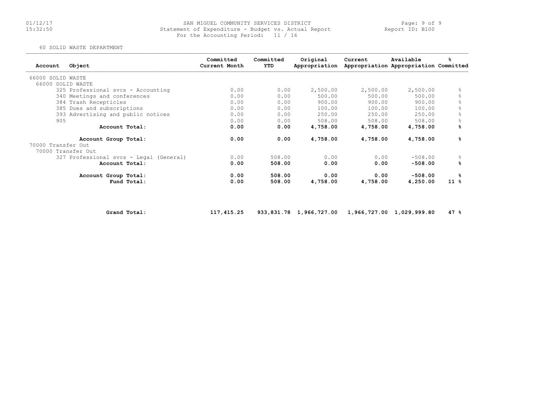#### 01/12/17 Page: 9 of 9 SAN MIGUEL COMMUNITY SERVICES DISTRICT 11/17/17<br>15:32:50 Statement of Expenditure - Budget vs. Actual Report 1997 Report ID: B100 For the Accounting Period: 11 / 16

60 SOLID WASTE DEPARTMENT

| Object<br>Account                       | Committed<br>Current Month | Committed<br>YTD | Original<br>Appropriation | Current  | Available<br>Appropriation Appropriation Committed | ℁         |
|-----------------------------------------|----------------------------|------------------|---------------------------|----------|----------------------------------------------------|-----------|
| 66000 SOLID WASTE                       |                            |                  |                           |          |                                                    |           |
| 66000 SOLID WASTE                       |                            |                  |                           |          |                                                    |           |
| 325 Professional svcs - Accounting      | 0.00                       | 0.00             | 2,500.00                  | 2,500.00 | 2,500.00                                           | 욲         |
| 340 Meetings and conferences            | 0.00                       | 0.00             | 500.00                    | 500.00   | 500.00                                             |           |
| 384 Trash Recepticles                   | 0.00                       | 0.00             | 900.00                    | 900.00   | 900.00                                             | $\approx$ |
| 385 Dues and subscriptions              | 0.00                       | 0.00             | 100.00                    | 100.00   | 100.00                                             | g.        |
| 393 Advertising and public notices      | 0.00                       | 0.00             | 250.00                    | 250.00   | 250.00                                             | g.        |
| 905                                     | 0.00                       | 0.00             | 508.00                    | 508.00   | 508.00                                             | g.        |
| Account Total:                          | 0.00                       | 0.00             | 4,758.00                  | 4,758.00 | 4,758.00                                           | %         |
| Account Group Total:                    | 0.00                       | 0.00             | 4,758.00                  | 4,758.00 | 4,758.00                                           | ℁         |
| 70000 Transfer Out                      |                            |                  |                           |          |                                                    |           |
| 70000 Transfer Out                      |                            |                  |                           |          |                                                    |           |
| 327 Professional svcs - Legal (General) | 0.00                       | 508.00           | 0.00                      | 0.00     | $-508.00$                                          | $\approx$ |
| Account Total:                          | 0.00                       | 508.00           | 0.00                      | 0.00     | $-508.00$                                          | ℁         |
| Account Group Total:                    | 0.00                       | 508.00           | 0.00                      | 0.00     | $-508.00$                                          | ℁         |
| Fund Total:                             | 0.00                       | 508.00           | 4,758.00                  | 4,758.00 | 4,250.00                                           | $11*$     |

Grand Total: 117,415.25 933,831.78 1,966,727.00 1,966,727.00 1,029,999.80 47 %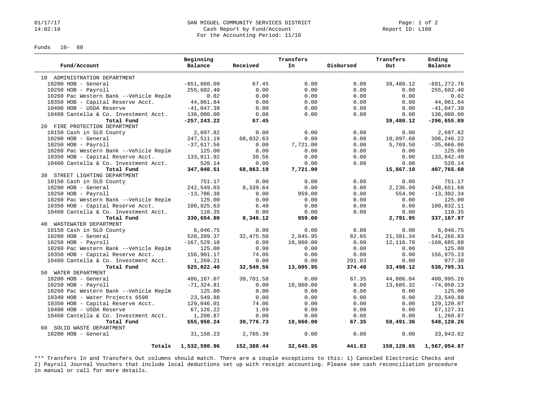#### 01/17/17 Page: 1 of 2<br>14:02:10 SAN MIGUEL COMMUNITY SERVICES DISTRICT Page: 1 of 2<br>Cash Report by Fund/Account Page: 1 Of 2 Cash Report by Fund/Account For the Accounting Period: 11/16

Funds 10- 60

|                                        | Beginning      |            | Transfers |           | Transfers  | Ending         |
|----------------------------------------|----------------|------------|-----------|-----------|------------|----------------|
| Fund/Account                           | Balance        | Received   | In        | Disbursed | Out        | Balance        |
| 10 ADMINISTRATION DEPARTMENT           |                |            |           |           |            |                |
| 10200 HOB - General                    | $-651,860.09$  | 67.45      | 0.00      | 0.00      | 39,480.12  | $-691, 272.76$ |
| $10250$ HOB - Payroll                  | 255,602.40     | 0.00       | 0.00      | 0.00      | 0.00       | 255,602.40     |
| 10260 Pac Western Bank --Vehicle Replm | 0.02           | 0.00       | 0.00      | 0.00      | 0.00       | 0.02           |
| 10350 HOB - Capital Reserve Acct.      | 44,061.84      | 0.00       | 0.00      | 0.00      | 0.00       | 44,061.84      |
| 10400 HOB - USDA Reserve               | $-41,047.39$   | 0.00       | 0.00      | 0.00      | 0.00       | $-41,047.39$   |
| 10460 Cantella & Co. Investment Acct.  | 136,000.00     | 0.00       | 0.00      | 0.00      | 0.00       | 136,000.00     |
| Total Fund                             | $-257, 243.22$ | 67.45      |           |           | 39,480.12  | $-296,655.89$  |
| 20 FIRE PROTECTION DEPARTMENT          |                |            |           |           |            |                |
| 10150 Cash in SLO County               | 2,697.82       | 0.00       | 0.00      | 0.00      | 0.00       | 2,697.82       |
| 10200 HOB - General                    | 247,511.19     | 68,832.63  | 0.00      | 0.00      | 10,097.60  | 306, 246.22    |
| $10250$ HOB - Payroll                  | $-37,617.56$   | 0.00       | 7,721.00  | 0.00      | 5,769.50   | $-35,666.06$   |
| 10260 Pac Western Bank --Vehicle Replm | 125.00         | 0.00       | 0.00      | 0.00      | 0.00       | 125.00         |
| 10350 HOB - Capital Reserve Acct.      | 133,811.92     | 30.56      | 0.00      | 0.00      | 0.00       | 133,842.48     |
| 10460 Cantella & Co. Investment Acct.  | 520.14         | 0.00       | 0.00      | 0.00      | 0.00       | 520.14         |
| Total Fund                             | 347,048.51     | 68,863.19  | 7,721.00  |           | 15,867.10  | 407,765.60     |
| 30 STREET LIGHTING DEPARTMENT          |                |            |           |           |            |                |
| 10150 Cash in SLO County               | 751.17         | 0.00       | 0.00      | 0.00      | 0.00       | 751.17         |
| 10200 HOB - General                    | 242,549.03     | 8,339.64   | 0.00      | 0.00      | 2,236.99   | 248,651.68     |
| $10250$ HOB - Payroll                  | $-13,706.38$   | 0.00       | 959.00    | 0.00      | 554.96     | $-13, 302.34$  |
| 10260 Pac Western Bank --Vehicle Replm | 125.00         | 0.00       | 0.00      | 0.00      | 0.00       | 125.00         |
| 10350 HOB - Capital Reserve Acct.      | 100,825.63     | 6.48       | 0.00      | 0.00      | 0.00       | 100,832.11     |
| 10460 Cantella & Co. Investment Acct.  | 110.35         | 0.00       | 0.00      | 0.00      | 0.00       | 110.35         |
| Total Fund                             | 330,654.80     | 8,346.12   | 959.00    |           | 2,791.95   | 337, 167.97    |
| 40 WASTEWATER DEPARTMENT               |                |            |           |           |            |                |
| 10150 Cash in SLO County               | 6,046.75       | 0.00       | 0.00      | 0.00      | 0.00       | 6,046.75       |
| 10200 HOB - General                    | 528,209.37     | 32,475.50  | 2,045.95  | 82.65     | 21,381.34  | 541,266.83     |
| $10250$ HOB - Payroll                  | $-167, 529.10$ | 0.00       | 10,960.00 | 0.00      | 12, 116.78 | $-168,685.88$  |
| 10260 Pac Western Bank --Vehicle Replm | 125.00         | 0.00       | 0.00      | 0.00      | 0.00       | 125.00         |
| 10350 HOB - Capital Reserve Acct.      | 156,901.17     | 74.06      | 0.00      | 0.00      | 0.00       | 156,975.23     |
| 10460 Cantella & Co. Investment Acct.  | 1,269.21       | 0.00       | 0.00      | 291.83    | 0.00       | 977.38         |
| Total Fund                             | 525,022.40     | 32,549.56  | 13,005.95 | 374.48    | 33,498.12  | 536,705.31     |
| 50 WATER DEPARTMENT                    |                |            |           |           |            |                |
| 10200 HOB - General                    | 406,167.07     | 39,701.58  | 0.00      | 67.35     | 44,806.04  | 400,995.26     |
| $10250$ HOB - Payroll                  | $-71, 324.81$  | 0.00       | 10,960.00 | 0.00      | 13,685.32  | $-74,050.13$   |
| 10260 Pac Western Bank --Vehicle Replm | 125.00         | 0.00       | 0.00      | 0.00      | 0.00       | 125.00         |
| 10340 HOB - Water Projects 6598        | 23,549.88      | 0.00       | 0.00      | 0.00      | 0.00       | 23,549.88      |
| 10350 HOB - Capital Reserve Acct.      | 129,046.01     | 74.06      | 0.00      | 0.00      | 0.00       | 129,120.07     |
| 10400 HOB - USDA Reserve               | 67,126.22      | 1.09       | 0.00      | 0.00      | 0.00       | 67,127.31      |
| 10460 Cantella & Co. Investment Acct.  | 1,260.87       | 0.00       | 0.00      | 0.00      | 0.00       | 1,260.87       |
| Total Fund                             | 555,950.24     | 39,776.73  | 10,960.00 | 67.35     | 58,491.36  | 548,128.26     |
| 60 SOLID WASTE DEPARTMENT              |                |            |           |           |            |                |
| $10200$ HOB - General                  | 31, 158. 23    | 2,785.39   | 0.00      | 0.00      | 0.00       | 33,943.62      |
| Totals                                 | 1,532,590.96   | 152,388.44 | 32,645.95 | 441.83    | 150,128.65 | 1,567,054.87   |

\*\*\* Transfers In and Transfers Out columns should match. There are a couple exceptions to this: 1) Canceled Electronic Checks and 2) Payroll Journal Vouchers that include local deductions set up with receipt accounting. Please see cash reconciliation procedure in manual or call for more details.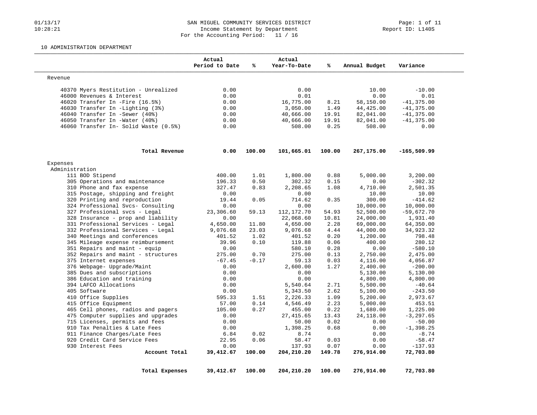## 01/13/17 Page: 1 of 11<br>10:28:21 MIGUEL COMMUNITY SERVICES DISTRICT Page: 1 of 11<br>10:28:21 Moome Statement by Department Income Statement by Department For the Accounting Period: 11 / 16

#### 10 ADMINISTRATION DEPARTMENT

|                                       | Actual<br>Period to Date | ℁       | Actual<br>Year-To-Date | %      | Annual Budget | Variance      |
|---------------------------------------|--------------------------|---------|------------------------|--------|---------------|---------------|
| Revenue                               |                          |         |                        |        |               |               |
| 40370 Myers Restitution - Unrealized  | 0.00                     |         | 0.00                   |        | 10.00         | $-10.00$      |
| 46000 Revenues & Interest             | 0.00                     |         | 0.01                   |        | 0.00          | 0.01          |
| 46020 Transfer In -Fire (16.5%)       | 0.00                     |         | 16,775.00              | 8.21   | 58,150.00     | $-41, 375.00$ |
| 46030 Transfer In -Lighting (3%)      | 0.00                     |         | 3,050.00               | 1.49   | 44,425.00     | $-41, 375.00$ |
| 46040 Transfer In -Sewer (40%)        | 0.00                     |         | 40,666.00              | 19.91  | 82,041.00     | $-41,375.00$  |
| 46050 Transfer In -Water (40%)        | 0.00                     |         | 40,666.00              | 19.91  | 82,041.00     | $-41, 375.00$ |
| 46060 Transfer In- Solid Waste (0.5%) | 0.00                     |         | 508.00                 | 0.25   | 508.00        | 0.00          |
| Total Revenue                         | 0.00                     | 100.00  | 101,665.01             | 100.00 | 267,175.00    | -165,509.99   |
| Expenses                              |                          |         |                        |        |               |               |
| Administration                        |                          |         |                        |        |               |               |
| 111 BOD Stipend                       | 400.00                   | 1.01    | 1,800.00               | 0.88   | 5,000.00      | 3,200.00      |
| 305 Operations and maintenance        | 196.33                   | 0.50    | 302.32                 | 0.15   | 0.00          | $-302.32$     |
| 310 Phone and fax expense             | 327.47                   | 0.83    | 2,208.65               | 1.08   | 4,710.00      | 2,501.35      |
| 315 Postage, shipping and freight     | 0.00                     |         | 0.00                   |        | 10.00         | 10.00         |
| 320 Printing and reproduction         | 19.44                    | 0.05    | 714.62                 | 0.35   | 300.00        | $-414.62$     |
| 324 Professional Svcs- Consulting     | 0.00                     |         | 0.00                   |        | 10,000.00     | 10,000.00     |
| 327 Professional svcs - Legal         | 23,306.60                | 59.13   | 112, 172. 70           | 54.93  | 52,500.00     | $-59,672.70$  |
| 328 Insurance - prop and liability    | 0.00                     |         | 22,068.60              | 10.81  | 24,000.00     | 1,931.40      |
| 331 Professional Services - Legal     | 4,650.00                 | 11.80   | 4,650.00               | 2.28   | 69,000.00     | 64,350.00     |
| 332 Professional Services - Legal     | 9,076.68                 | 23.03   | 9,076.68               | 4.44   | 44,000.00     | 34,923.32     |
| 340 Meetings and conferences          | 401.52                   | 1.02    | 401.52                 | 0.20   | 1,200.00      | 798.48        |
| 345 Mileage expense reimbursement     | 39.96                    | 0.10    | 119.88                 | 0.06   | 400.00        | 280.12        |
| 351 Repairs and maint - equip         | 0.00                     |         | 580.10                 | 0.28   | 0.00          | $-580.10$     |
| 352 Repairs and maint - structures    | 275.00                   | 0.70    | 275.00                 | 0.13   | 2,750.00      | 2,475.00      |
| 375 Internet expenses                 | $-67.45$                 | $-0.17$ | 59.13                  | 0.03   | 4,116.00      | 4,056.87      |
| 376 Webpage- Upgrade/Maint            | 0.00                     |         | 2,600.00               | 1.27   | 2,400.00      | $-200.00$     |
| 385 Dues and subscriptions            | 0.00                     |         | 0.00                   |        | 5,130.00      | 5,130.00      |
| 386 Education and training            | 0.00                     |         | 0.00                   |        | 4,800.00      | 4,800.00      |
| 394 LAFCO Allocations                 | 0.00                     |         | 5,540.64               | 2.71   | 5,500.00      | $-40.64$      |
| 405 Software                          | 0.00                     |         | 5,343.50               | 2.62   | 5,100.00      | $-243.50$     |
| 410 Office Supplies                   | 595.33                   | 1.51    | 2,226.33               | 1.09   | 5,200.00      | 2,973.67      |
| 415 Office Equipment                  | 57.00                    | 0.14    | 4,546.49               | 2.23   | 5,000.00      | 453.51        |
| 465 Cell phones, radios and pagers    | 105.00                   | 0.27    | 455.00                 | 0.22   | 1,680.00      | 1,225.00      |
| 475 Computer supplies and upgrades    | 0.00                     |         | 27,415.65              | 13.43  | 24,118.00     | $-3, 297.65$  |
| 715 Licenses, permits and fees        | 0.00                     |         | 50.00                  | 0.02   | 0.00          | $-50.00$      |
| 910 Tax Penalties & Late Fees         | 0.00                     |         | 1,398.25               | 0.68   | 0.00          | $-1, 398.25$  |
| 911 Finance Charges/Late Fees         | 6.84                     | 0.02    | 8.74                   |        | 0.00          | $-8.74$       |
| 920 Credit Card Service Fees          | 22.95                    | 0.06    | 58.47                  | 0.03   | 0.00          | $-58.47$      |
| 930 Interest Fees                     | 0.00                     |         | 137.93                 | 0.07   | 0.00          | $-137.93$     |
| Account Total                         | 39,412.67                | 100.00  | 204,210.20             | 149.78 | 276,914.00    | 72,703.80     |
|                                       |                          |         |                        |        |               |               |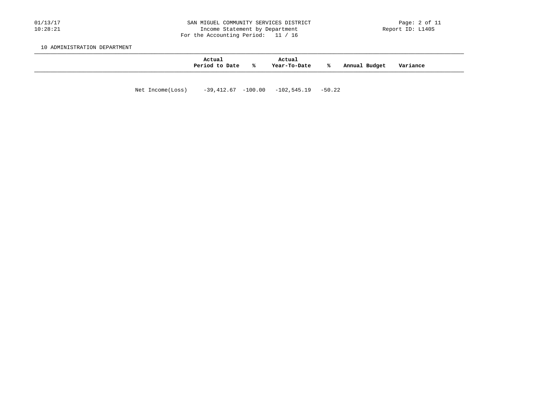#### 01/13/17 2012 628N MIGUEL COMMUNITY SERVICES DISTRICT 20120111/13/17 Page: 2 of 11<br>10:28:21 10:28:21 10:28:21 Income Statement by Department For the Accounting Period: 11 / 16

10 ADMINISTRATION DEPARTMENT

| Actual<br>Period to Date | °≈ | Actual<br>Year-To-Date | ⋇ | Budget<br>Annual | Variance |
|--------------------------|----|------------------------|---|------------------|----------|
|                          |    |                        |   |                  |          |

Net Income(Loss) -39,412.67 -100.00 -102,545.19 -50.22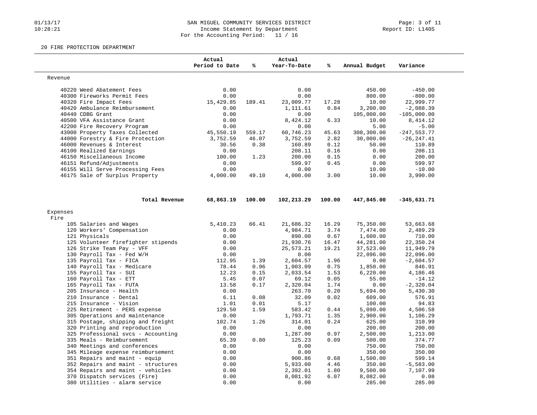## 01/13/17 Page: 3 of 11<br>10:28:21 MIGUEL COMMUNITY SERVICES DISTRICT Page: 3 of 11<br>10:28:21 Micome Statement by Department Income Statement by Department For the Accounting Period: 11 / 16

#### 20 FIRE PROTECTION DEPARTMENT

|                                                                  | Actual<br>Period to Date | %            | Actual<br>Year-To-Date | ℁            | Annual Budget        | Variance          |
|------------------------------------------------------------------|--------------------------|--------------|------------------------|--------------|----------------------|-------------------|
| Revenue                                                          |                          |              |                        |              |                      |                   |
| 40220 Weed Abatement Fees                                        | 0.00                     |              | 0.00                   |              | 450.00               | $-450.00$         |
| 40300 Fireworks Permit Fees                                      | 0.00                     |              | 0.00                   |              | 800.00               | $-800.00$         |
| 40320 Fire Impact Fees                                           | 15,429.85                | 189.41       | 23,009.77              | 17.28        | 10.00                | 22,999.77         |
| 40420 Ambulance Reimbursement                                    | 0.00                     |              | 1,111.61               | 0.84         | 3,200.00             | $-2,088.39$       |
| 40440 CDBG Grant                                                 | 0.00                     |              | 0.00                   |              | 105,000.00           | $-105,000.00$     |
| 40500 VFA Assistance Grant                                       | 0.00                     |              | 8,424.12               | 6.33         | 10.00                | 8,414.12          |
| 42200 Fire Recovery Program                                      | 0.00                     |              | 0.00                   |              | 5.00                 | $-5.00$           |
| 43000 Property Taxes Collected                                   | 45,550.19                | 559.17       | 60,746.23              | 45.63        | 308,300.00           | $-247,553.77$     |
| 44000 Forestry & Fire Protection                                 | 3,752.59                 | 46.07        | 3,752.59               | 2.82         | 30,000.00            | $-26, 247.41$     |
| 46000 Revenues & Interest                                        | 30.56                    | 0.38         | 160.89                 | 0.12         | 50.00                | 110.89            |
| 46100 Realized Earnings                                          | 0.00                     |              | 208.11                 | 0.16         | 0.00                 | 208.11            |
| 46150 Miscellaneous Income                                       | 100.00                   | 1.23         | 200.00                 | 0.15         | 0.00                 | 200.00            |
| 46151 Refund/Adjustments                                         | 0.00                     |              | 599.97                 | 0.45         | 0.00                 | 599.97            |
| 46155 Will Serve Processing Fees                                 | 0.00                     |              | 0.00                   |              | 10.00                | $-10.00$          |
| 46175 Sale of Surplus Property                                   | 4,000.00                 | 49.10        | 4,000.00               | 3.00         | 10.00                | 3,990.00          |
| Total Revenue                                                    | 68,863.19                | 100.00       | 102,213.29             | 100.00       | 447,845.00           | $-345,631.71$     |
| Expenses                                                         |                          |              |                        |              |                      |                   |
| Fire                                                             |                          |              |                        |              |                      |                   |
| 105 Salaries and Wages                                           | 5,410.23                 | 66.41        | 21,686.32              | 16.29        | 75,350.00            | 53,663.68         |
| 120 Workers' Compensation                                        | 0.00                     |              | 4,984.71               | 3.74         | 7,474.00             | 2,489.29          |
| 121 Physicals                                                    | 0.00                     |              | 890.00                 | 0.67         | 1,600.00             | 710.00            |
| 125 Volunteer firefighter stipends                               | 0.00                     |              | 21,930.76              | 16.47        | 44,281.00            | 22,350.24         |
| 126 Strike Team Pay - VFF                                        | 0.00                     |              | 25,573.21              | 19.21        | 37,523.00            | 11,949.79         |
| 130 Payroll Tax - Fed W/H                                        | 0.00                     |              | 0.00                   |              | 22,096.00            | 22,096.00         |
| 135 Payroll Tax - FICA                                           | 112.95                   | 1.39         | 2,604.57               | 1.96         | 0.00                 | $-2,604.57$       |
| 140 Payroll Tax - Medicare                                       | 78.44                    | 0.96         | 1,003.09               | 0.75         | 1,850.00             | 846.91            |
| 155 Payroll Tax - SUI                                            | 12.23                    | 0.15         | 2,033.54               | 1.53         | 6,220.00             | 4,186.46          |
| 160 Payroll Tax - ETT                                            | 5.45                     | 0.07         | 69.12                  | 0.05         | 55.00                | $-14.12$          |
|                                                                  |                          |              |                        |              |                      |                   |
|                                                                  |                          |              |                        |              |                      |                   |
| 165 Payroll Tax - FUTA<br>205 Insurance - Health                 | 13.58                    | 0.17         | 2,320.04               | 1.74         | 0.00                 | $-2,320.04$       |
|                                                                  | 0.00                     |              | 263.70                 | 0.20         | 5,694.00             | 5,430.30          |
| 210 Insurance - Dental                                           | 6.11                     | 0.08         | 32.09                  | 0.02         | 609.00               | 576.91            |
| 215 Insurance - Vision<br>225 Retirement - PERS expense          | 1.01<br>129.50           | 0.01<br>1.59 | 5.17<br>583.42         | 0.44         | 100.00<br>5,090.00   | 94.83<br>4,506.58 |
| 305 Operations and maintenance                                   | 0.00                     |              | 1,793.71               | 1.35         | 2,900.00             | 1,106.29          |
| 315 Postage, shipping and freight                                | 102.74                   | 1.26         | 314.01                 | 0.24         | 625.00               | 310.99            |
|                                                                  | 0.00                     |              | 0.00                   |              |                      |                   |
| 320 Printing and reproduction                                    | 0.00                     |              |                        |              | 200.00               | 200.00            |
| 325 Professional svcs - Accounting<br>335 Meals - Reimbursement  | 65.39                    | 0.80         | 1,287.00<br>125.23     | 0.97<br>0.09 | 2,500.00             | 1,213.00          |
|                                                                  | 0.00                     |              | 0.00                   |              | 500.00               | 374.77            |
| 340 Meetings and conferences                                     | 0.00                     |              | 0.00                   |              | 750.00               | 750.00<br>350.00  |
| 345 Mileage expense reimbursement                                |                          |              |                        |              | 350.00               |                   |
| 351 Repairs and maint - equip                                    | 0.00                     |              | 900.86                 | 0.68         | 1,500.00             | 599.14            |
| 352 Repairs and maint - structures                               | 0.00                     |              | 5,933.00               | 4.46         | 350.00               | $-5,583.00$       |
| 354 Repairs and maint - vehicles<br>370 Dispatch services (Fire) | 0.00<br>0.00             |              | 2,392.01<br>8,081.92   | 1.80<br>6.07 | 9,500.00<br>8,082.00 | 7,107.99<br>0.08  |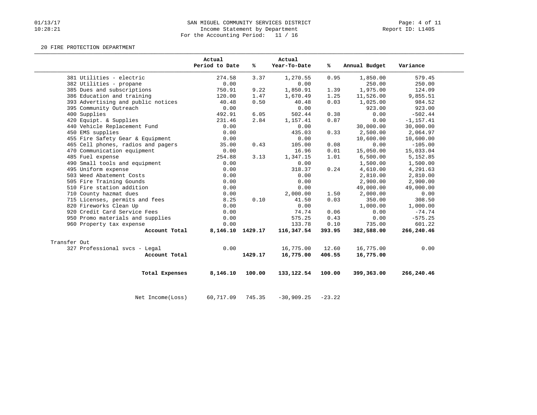# 01/13/17 SAN MIGUEL COMMUNITY SERVICES DISTRICT Page: 4 of 11<br>10:28:21 Income Statement by Department Income Statement by Department For the Accounting Period: 11 / 16

#### 20 FIRE PROTECTION DEPARTMENT

|              |                                    | Actual<br>Period to Date | %       | Actual<br>Year-To-Date | %ะ     | Annual Budget | Variance     |
|--------------|------------------------------------|--------------------------|---------|------------------------|--------|---------------|--------------|
|              | 381 Utilities - electric           | 274.58                   | 3.37    | 1,270.55               | 0.95   | 1,850.00      | 579.45       |
|              | 382 Utilities - propane            | 0.00                     |         | 0.00                   |        | 250.00        | 250.00       |
|              | 385 Dues and subscriptions         | 750.91                   | 9.22    | 1,850.91               | 1.39   | 1,975.00      | 124.09       |
|              | 386 Education and training         | 120.00                   | 1.47    | 1,670.49               | 1.25   | 11,526.00     | 9,855.51     |
|              | 393 Advertising and public notices | 40.48                    | 0.50    | 40.48                  | 0.03   | 1,025.00      | 984.52       |
|              | 395 Community Outreach             | 0.00                     |         | 0.00                   |        | 923.00        | 923.00       |
|              | 400 Supplies                       | 492.91                   | 6.05    | 502.44                 | 0.38   | 0.00          | $-502.44$    |
|              | 420 Equipt. & Supplies             | 231.46                   | 2.84    | 1,157.41               | 0.87   | 0.00          | $-1, 157.41$ |
|              | 440 Vehicle Replacement Fund       | 0.00                     |         | 0.00                   |        | 30,000.00     | 30,000.00    |
|              | 450 EMS supplies                   | 0.00                     |         | 435.03                 | 0.33   | 2,500.00      | 2,064.97     |
|              | 455 Fire Safety Gear & Equipment   | 0.00                     |         | 0.00                   |        | 10,600.00     | 10,600.00    |
|              | 465 Cell phones, radios and pagers | 35.00                    | 0.43    | 105.00                 | 0.08   | 0.00          | $-105.00$    |
|              | 470 Communication equipment        | 0.00                     |         | 16.96                  | 0.01   | 15,050.00     | 15,033.04    |
|              | 485 Fuel expense                   | 254.88                   | 3.13    | 1,347.15               | 1.01   | 6,500.00      | 5,152.85     |
|              | 490 Small tools and equipment      | 0.00                     |         | 0.00                   |        | 1,500.00      | 1,500.00     |
|              | 495 Uniform expense                | 0.00                     |         | 318.37                 | 0.24   | 4,610.00      | 4,291.63     |
|              | 503 Weed Abatement Costs           | 0.00                     |         | 0.00                   |        | 2,810.00      | 2,810.00     |
|              | 505 Fire Training Gounds           | 0.00                     |         | 0.00                   |        | 2,900.00      | 2,900.00     |
|              | 510 Fire station addition          | 0.00                     |         | 0.00                   |        | 49,000.00     | 49,000.00    |
|              | 710 County hazmat dues             | 0.00                     |         | 2,000.00               | 1.50   | 2,000.00      | 0.00         |
|              | 715 Licenses, permits and fees     | 8.25                     | 0.10    | 41.50                  | 0.03   | 350.00        | 308.50       |
|              | 820 Fireworks Clean Up             | 0.00                     |         | 0.00                   |        | 1,000.00      | 1,000.00     |
|              | 920 Credit Card Service Fees       | 0.00                     |         | 74.74                  | 0.06   | 0.00          | $-74.74$     |
|              | 950 Promo materials and supplies   | 0.00                     |         | 575.25                 | 0.43   | 0.00          | $-575.25$    |
|              | 960 Property tax expense           | 0.00                     |         | 133.78                 | 0.10   | 735.00        | 601.22       |
|              | Account Total                      | 8, 146. 10 1429. 17      |         | 116,347.54             | 393.95 | 382,588.00    | 266,240.46   |
| Transfer Out |                                    |                          |         |                        |        |               |              |
|              | 327 Professional svcs - Legal      | 0.00                     |         | 16,775.00              | 12.60  | 16,775.00     | 0.00         |
|              | Account Total                      |                          | 1429.17 | 16,775.00              | 406.55 | 16,775.00     |              |
|              | Total Expenses                     | 8,146.10                 | 100.00  | 133, 122.54            | 100.00 | 399,363.00    | 266,240.46   |

Net Income(Loss) 60,717.09 745.35 -30,909.25 -23.22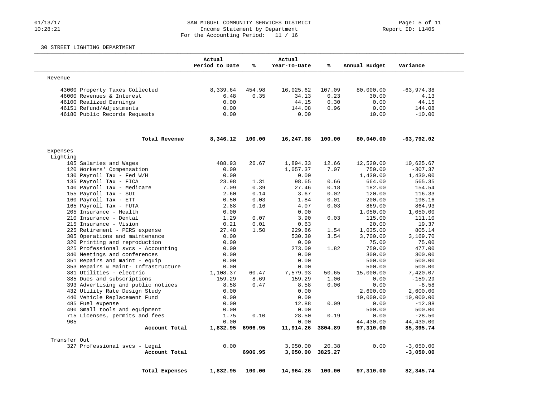## 01/13/17 SAN MIGUEL COMMUNITY SERVICES DISTRICT Page: 5 of 11<br>10:28:21 Income Statement by Department (1999) Page: 5 of 11 Income Statement by Department For the Accounting Period: 11 / 16

### 30 STREET LIGHTING DEPARTMENT

|                                                | Actual<br>Period to Date | %            | Actual<br>Year-To-Date | %            | Annual Budget      | Variance           |
|------------------------------------------------|--------------------------|--------------|------------------------|--------------|--------------------|--------------------|
| Revenue                                        |                          |              |                        |              |                    |                    |
| 43000 Property Taxes Collected                 | 8,339.64                 | 454.98       | 16,025.62              | 107.09       | 80,000.00          | $-63,974.38$       |
| 46000 Revenues & Interest                      | 6.48                     | 0.35         | 34.13                  | 0.23         | 30.00              | 4.13               |
| 46100 Realized Earnings                        | 0.00                     |              | 44.15                  | 0.30         | 0.00               | 44.15              |
| 46151 Refund/Adjustments                       | 0.00                     |              | 144.08                 | 0.96         | 0.00               | 144.08             |
| 46180 Public Records Requests                  | 0.00                     |              | 0.00                   |              | 10.00              | $-10.00$           |
| Total Revenue                                  | 8,346.12                 | 100.00       | 16,247.98              | 100.00       | 80,040.00          | -63,792.02         |
| Expenses                                       |                          |              |                        |              |                    |                    |
| Lighting                                       |                          |              |                        |              |                    |                    |
| 105 Salaries and Wages                         | 488.93                   | 26.67        | 1,894.33               | 12.66        | 12,520.00          | 10,625.67          |
| 120 Workers' Compensation                      | 0.00                     |              | 1,057.37               | 7.07         | 750.00             | $-307.37$          |
| 130 Payroll Tax - Fed W/H                      | 0.00                     |              | 0.00                   |              | 1,430.00           | 1,430.00           |
| 135 Payroll Tax - FICA                         | 23.98<br>7.09            | 1.31<br>0.39 | 98.65                  | 0.66         | 664.00             | 565.35             |
| 140 Payroll Tax - Medicare                     |                          |              | 27.46                  | 0.18         | 182.00             | 154.54             |
| 155 Payroll Tax - SUI<br>160 Payroll Tax - ETT | 2.60<br>0.50             | 0.14<br>0.03 | 3.67<br>1.84           | 0.02<br>0.01 | 120.00<br>200.00   | 116.33<br>198.16   |
| 165 Payroll Tax - FUTA                         |                          | 0.16         | 4.07                   |              |                    |                    |
| 205 Insurance - Health                         | 2.88<br>0.00             |              | 0.00                   | 0.03         | 869.00<br>1,050.00 | 864.93<br>1,050.00 |
| 210 Insurance - Dental                         | 1.29                     | 0.07         | 3.90                   | 0.03         | 115.00             | 111.10             |
| 215 Insurance - Vision                         | 0.21                     | 0.01         | 0.63                   |              | 20.00              | 19.37              |
| 225 Retirement - PERS expense                  | 27.48                    | 1.50         | 229.86                 | 1.54         | 1,035.00           | 805.14             |
| 305 Operations and maintenance                 | 0.00                     |              | 530.30                 | 3.54         | 3,700.00           | 3,169.70           |
| 320 Printing and reproduction                  | 0.00                     |              | 0.00                   |              | 75.00              | 75.00              |
| 325 Professional svcs - Accounting             | 0.00                     |              | 273.00                 | 1.82         | 750.00             | 477.00             |
| 340 Meetings and conferences                   | 0.00                     |              | 0.00                   |              | 300.00             | 300.00             |
| 351 Repairs and maint - equip                  | 0.00                     |              | 0.00                   |              | 500.00             | 500.00             |
| 353 Repairs & Maint- Infrastructure            | 0.00                     |              | 0.00                   |              | 500.00             | 500.00             |
| 381 Utilities - electric                       | 1,108.37                 | 60.47        | 7,579.93               | 50.65        | 15,000.00          | 7,420.07           |
| 385 Dues and subscriptions                     | 159.29                   | 8.69         | 159.29                 | 1.06         | 0.00               | $-159.29$          |
| 393 Advertising and public notices             | 8.58                     | 0.47         | 8.58                   | 0.06         | 0.00               | $-8.58$            |
| 432 Utility Rate Design Study                  | 0.00                     |              | 0.00                   |              | 2,600.00           | 2,600.00           |
| 440 Vehicle Replacement Fund                   | 0.00                     |              | 0.00                   |              | 10,000.00          | 10,000.00          |
| 485 Fuel expense                               | 0.00                     |              | 12.88                  | 0.09         | 0.00               | $-12.88$           |
| 490 Small tools and equipment                  | 0.00                     |              | 0.00                   |              | 500.00             | 500.00             |
| 715 Licenses, permits and fees                 | 1.75                     | 0.10         | 28.50                  | 0.19         | 0.00               | $-28.50$           |
| 905                                            | 0.00                     |              | 0.00                   |              | 44,430.00          | 44,430.00          |
| Account Total                                  | 1,832.95 6906.95         |              | 11,914.26              | 3804.89      | 97,310.00          | 85,395.74          |
| Transfer Out                                   |                          |              |                        |              |                    |                    |
| 327 Professional svcs - Legal                  | 0.00                     |              | 3,050.00               | 20.38        | 0.00               | $-3,050.00$        |
| Account Total                                  |                          | 6906.95      | 3,050.00               | 3825.27      |                    | $-3,050.00$        |
| Total Expenses                                 | 1,832.95                 | 100.00       | 14,964.26              | 100.00       | 97,310.00          | 82,345.74          |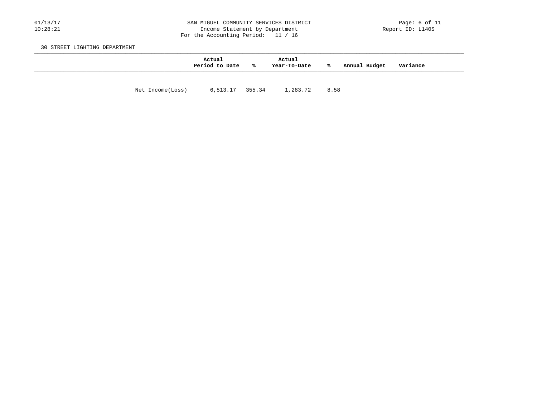## 01/13/17 2019 SAN MIGUEL COMMUNITY SERVICES DISTRICT Page: 6 of 11<br>10:28:21 10:28:21 Income Statement by Department Income Statement by Department For the Accounting Period: 11 / 16

30 STREET LIGHTING DEPARTMENT

|                  | Actual<br>Period to Date | %ะ | Actual<br>Year-To-Date | ℁    | Annual Budget | Variance |  |
|------------------|--------------------------|----|------------------------|------|---------------|----------|--|
| Net Income(Loss) | 6,513.17 355.34          |    | 1,283.72               | 8.58 |               |          |  |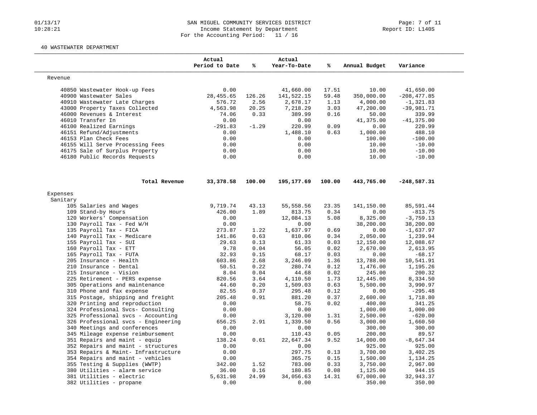## 01/13/17 SAN MIGUEL COMMUNITY SERVICES DISTRICT Page: 7 of 11<br>10:28:21 Income Statement by Department (1999) Page: 7 of 11 Income Statement by Department For the Accounting Period: 11 / 16

#### 40 WASTEWATER DEPARTMENT

|          |                                     | Actual<br>Period to Date | %       | Actual<br>Year-To-Date | ℁      | Annual Budget | Variance       |
|----------|-------------------------------------|--------------------------|---------|------------------------|--------|---------------|----------------|
| Revenue  |                                     |                          |         |                        |        |               |                |
|          | 40850 Wastewater Hook-up Fees       | 0.00                     |         | 41,660.00              | 17.51  | 10.00         | 41,650.00      |
|          | 40900 Wastewater Sales              | 28, 455.65               | 126.26  | 141,522.15             | 59.48  | 350,000.00    | $-208, 477.85$ |
|          | 40910 Wastewater Late Charges       | 576.72                   | 2.56    | 2,678.17               | 1.13   | 4,000.00      | $-1, 321.83$   |
|          | 43000 Property Taxes Collected      | 4,563.98                 | 20.25   | 7,218.29               | 3.03   | 47,200.00     | $-39,981.71$   |
|          | 46000 Revenues & Interest           | 74.06                    | 0.33    | 389.99                 | 0.16   | 50.00         | 339.99         |
|          | 46010 Transfer In                   | 0.00                     |         | 0.00                   |        | 41,375.00     | $-41, 375.00$  |
|          | 46100 Realized Earnings             | $-291.83$                | $-1.29$ | 220.99                 | 0.09   | 0.00          | 220.99         |
|          | 46151 Refund/Adjustments            | 0.00                     |         | 1,488.10               | 0.63   | 1,000.00      | 488.10         |
|          | 46153 Plan Check Fees               | 0.00                     |         | 0.00                   |        | 100.00        | $-100.00$      |
|          | 46155 Will Serve Processing Fees    | 0.00                     |         | 0.00                   |        | 10.00         | $-10.00$       |
|          | 46175 Sale of Surplus Property      | 0.00                     |         | 0.00                   |        | 10.00         | $-10.00$       |
|          | 46180 Public Records Requests       | 0.00                     |         | 0.00                   |        | 10.00         | $-10.00$       |
|          | Total Revenue                       | 33,378.58                | 100.00  | 195,177.69             | 100.00 | 443,765.00    | $-248,587.31$  |
| Expenses |                                     |                          |         |                        |        |               |                |
| Sanitary |                                     |                          |         |                        |        |               |                |
|          | 105 Salaries and Wages              | 9,719.74                 | 43.13   | 55,558.56              | 23.35  | 141,150.00    | 85,591.44      |
|          | 109 Stand-by Hours                  | 426.00                   | 1.89    | 813.75                 | 0.34   | 0.00          | $-813.75$      |
|          | 120 Workers' Compensation           | 0.00                     |         | 12,084.13              | 5.08   | 8,325.00      | $-3,759.13$    |
|          | 130 Payroll Tax - Fed W/H           | 0.00                     |         | 0.00                   |        | 38,200.00     | 38,200.00      |
|          | 135 Payroll Tax - FICA              | 273.87                   | 1.22    | 1,637.97               | 0.69   | 0.00          | $-1,637.97$    |
|          | 140 Payroll Tax - Medicare          | 141.86                   | 0.63    | 810.06                 | 0.34   | 2,050.00      | 1,239.94       |
|          | 155 Payroll Tax - SUI               | 29.63                    | 0.13    | 61.33                  | 0.03   | 12,150.00     | 12,088.67      |
|          | 160 Payroll Tax - ETT               | 9.78                     | 0.04    | 56.05                  | 0.02   | 2,670.00      | 2,613.95       |
|          | 165 Payroll Tax - FUTA              | 32.93                    | 0.15    | 68.17                  | 0.03   | 0.00          | $-68.17$       |
|          | 205 Insurance - Health              | 603.86                   | 2.68    | 3,246.09               | 1.36   | 13,788.00     | 10,541.91      |
|          | 210 Insurance - Dental              | 50.51                    | 0.22    | 280.74                 | 0.12   | 1,476.00      | 1,195.26       |
|          | 215 Insurance - Vision              | 8.04                     | 0.04    | 44.68                  | 0.02   | 245.00        | 200.32         |
|          | 225 Retirement - PERS expense       | 820.56                   | 3.64    | 4,110.50               | 1.73   | 12,445.00     | 8,334.50       |
|          | 305 Operations and maintenance      | 44.60                    | 0.20    | 1,509.03               | 0.63   | 5,500.00      | 3,990.97       |
|          | 310 Phone and fax expense           | 82.55                    | 0.37    | 295.48                 | 0.12   | 0.00          | $-295.48$      |
|          | 315 Postage, shipping and freight   | 205.48                   | 0.91    | 881.20                 | 0.37   | 2,600.00      | 1,718.80       |
|          | 320 Printing and reproduction       | 0.00                     |         | 58.75                  | 0.02   | 400.00        | 341.25         |
|          | 324 Professional Svcs- Consulting   | 0.00                     |         | 0.00                   |        | 1,000.00      | 1,000.00       |
|          | 325 Professional svcs - Accounting  | 0.00                     |         | 3,120.00               | 1.31   | 2,500.00      | $-620.00$      |
|          | 326 Professional svcs - Engineering | 656.25                   | 2.91    | 1,339.50               | 0.56   | 3,000.00      | 1,660.50       |
|          | 340 Meetings and conferences        | 0.00                     |         | 0.00                   |        | 300.00        | 300.00         |
|          | 345 Mileage expense reimbursement   | 0.00                     |         | 110.43                 | 0.05   | 200.00        | 89.57          |
|          | 351 Repairs and maint - equip       | 138.24                   | 0.61    | 22,647.34              | 9.52   | 14,000.00     | $-8,647.34$    |
|          | 352 Repairs and maint - structures  | 0.00                     |         | 0.00                   |        | 925.00        | 925.00         |
|          | 353 Repairs & Maint- Infrastructure | 0.00                     |         | 297.75                 | 0.13   | 3,700.00      | 3,402.25       |
|          | 354 Repairs and maint - vehicles    | 0.00                     |         | 365.75                 | 0.15   | 1,500.00      | 1,134.25       |
|          | 355 Testing & Supplies (WWTP)       | 342.00                   | 1.52    | 783.00                 | 0.33   | 3,750.00      | 2,967.00       |
|          |                                     |                          |         |                        |        |               |                |
|          | 380 Utilities - alarm service       | 36.00                    | 0.16    | 180.85                 | 0.08   | 1,125.00      | 944.15         |
|          | 381 Utilities - electric            | 5,631.98                 | 24.99   | 34,056.63              | 14.31  | 67,000.00     | 32,943.37      |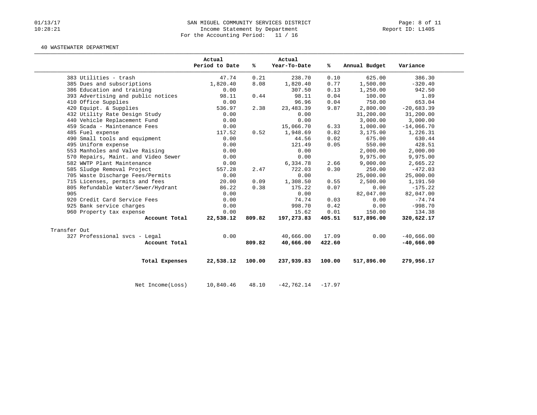## 01/13/17 SAN MIGUEL COMMUNITY SERVICES DISTRICT Page: 8 of 11<br>10:28:21 Income Statement by Department (1999) Page: 8 of 11 Income Statement by Department For the Accounting Period: 11 / 16

### 40 WASTEWATER DEPARTMENT

|                                     | Actual<br>Period to Date | %      | Actual<br>Year-To-Date | %ะ       | Annual Budget | Variance     |
|-------------------------------------|--------------------------|--------|------------------------|----------|---------------|--------------|
| 383 Utilities - trash               | 47.74                    | 0.21   | 238.70                 | 0.10     | 625.00        | 386.30       |
| 385 Dues and subscriptions          | 1,820.40                 | 8.08   | 1,820.40               | 0.77     | 1,500.00      | $-320.40$    |
| 386 Education and training          | 0.00                     |        | 307.50                 | 0.13     | 1,250.00      | 942.50       |
| 393 Advertising and public notices  | 98.11                    | 0.44   | 98.11                  | 0.04     | 100.00        | 1.89         |
| 410 Office Supplies                 | 0.00                     |        | 96.96                  | 0.04     | 750.00        | 653.04       |
| 420 Equipt. & Supplies              | 536.97                   | 2.38   | 23, 483.39             | 9.87     | 2,800.00      | $-20,683.39$ |
| 432 Utility Rate Design Study       | 0.00                     |        | 0.00                   |          | 31,200.00     | 31,200.00    |
| 440 Vehicle Replacement Fund        | 0.00                     |        | 0.00                   |          | 3,000.00      | 3,000.00     |
| 459 Scada - Maintenance Fees        | 0.00                     |        | 15,066.70              | 6.33     | 1,000.00      | $-14,066.70$ |
| 485 Fuel expense                    | 117.52                   | 0.52   | 1,948.69               | 0.82     | 3,175.00      | 1,226.31     |
| 490 Small tools and equipment       | 0.00                     |        | 44.56                  | 0.02     | 675.00        | 630.44       |
| 495 Uniform expense                 | 0.00                     |        | 121.49                 | 0.05     | 550.00        | 428.51       |
| 553 Manholes and Valve Raising      | 0.00                     |        | 0.00                   |          | 2,000.00      | 2,000.00     |
| 570 Repairs, Maint. and Video Sewer | 0.00                     |        | 0.00                   |          | 9,975.00      | 9,975.00     |
| 582 WWTP Plant Maintenance          | 0.00                     |        | 6,334.78               | 2.66     | 9,000.00      | 2,665.22     |
| 585 Sludge Removal Project          | 557.28                   | 2.47   | 722.03                 | 0.30     | 250.00        | $-472.03$    |
| 705 Waste Discharge Fees/Permits    | 0.00                     |        | 0.00                   |          | 25,000.00     | 25,000.00    |
| 715 Licenses, permits and fees      | 20.00                    | 0.09   | 1,308.50               | 0.55     | 2,500.00      | 1,191.50     |
| 805 Refundable Water/Sewer/Hydrant  | 86.22                    | 0.38   | 175.22                 | 0.07     | 0.00          | $-175.22$    |
| 905                                 | 0.00                     |        | 0.00                   |          | 82,047.00     | 82,047.00    |
| 920 Credit Card Service Fees        | 0.00                     |        | 74.74                  | 0.03     | 0.00          | $-74.74$     |
| 925 Bank service charges            | 0.00                     |        | 998.70                 | 0.42     | 0.00          | $-998.70$    |
| 960 Property tax expense            | 0.00                     |        | 15.62                  | 0.01     | 150.00        | 134.38       |
| Account Total                       | 22,538.12                | 809.82 | 197,273.83             | 405.51   | 517,896.00    | 320,622.17   |
| Transfer Out                        |                          |        |                        |          |               |              |
| 327 Professional svcs - Legal       | 0.00                     |        | 40,666.00              | 17.09    | 0.00          | $-40,666.00$ |
| Account Total                       |                          | 809.82 | 40,666.00              | 422.60   |               | $-40,666.00$ |
| Total Expenses                      | 22,538.12                | 100.00 | 237,939.83             | 100.00   | 517,896.00    | 279,956.17   |
| Net Income (Loss)                   | 10,840.46                | 48.10  | $-42,762.14$           | $-17.97$ |               |              |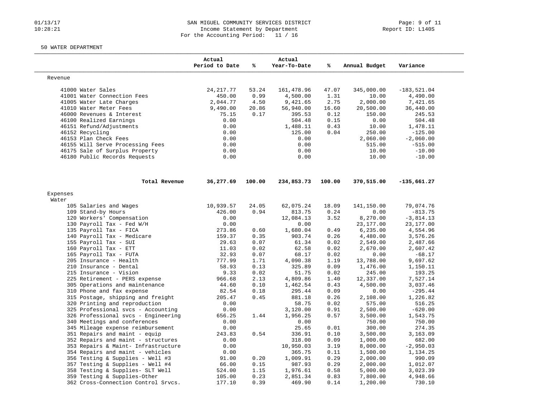## 01/13/17 SAN MIGUEL COMMUNITY SERVICES DISTRICT Page: 9 of 11<br>10:28:21 Income Statement by Department (1999) Page: 9 of 11 Income Statement by Department For the Accounting Period: 11 / 16

## 50 WATER DEPARTMENT

|                                     | Actual<br>Period to Date | %      | Actual<br>Year-To-Date | %      | Annual Budget | Variance      |
|-------------------------------------|--------------------------|--------|------------------------|--------|---------------|---------------|
| Revenue                             |                          |        |                        |        |               |               |
| 41000 Water Sales                   | 24, 217.77               | 53.24  | 161,478.96             | 47.07  | 345,000.00    | $-183,521.04$ |
| 41001 Water Connection Fees         | 450.00                   | 0.99   | 4,500.00               | 1.31   | 10.00         | 4,490.00      |
| 41005 Water Late Charges            | 2,044.77                 | 4.50   | 9,421.65               | 2.75   | 2,000.00      | 7,421.65      |
| 41010 Water Meter Fees              | 9,490.00                 | 20.86  | 56,940.00              | 16.60  | 20,500.00     | 36,440.00     |
| 46000 Revenues & Interest           | 75.15                    | 0.17   | 395.53                 | 0.12   | 150.00        | 245.53        |
| 46100 Realized Earnings             | 0.00                     |        | 504.48                 | 0.15   | 0.00          | 504.48        |
| 46151 Refund/Adjustments            | 0.00                     |        | 1,488.11               | 0.43   | 10.00         | 1,478.11      |
| 46152 Recycling                     | 0.00                     |        | 125.00                 | 0.04   | 250.00        | $-125.00$     |
| 46153 Plan Check Fees               | 0.00                     |        | 0.00                   |        | 2,060.00      | $-2,060.00$   |
| 46155 Will Serve Processing Fees    | 0.00                     |        | 0.00                   |        | 515.00        | $-515.00$     |
| 46175 Sale of Surplus Property      | 0.00                     |        | 0.00                   |        | 10.00         | $-10.00$      |
| 46180 Public Records Requests       | 0.00                     |        | 0.00                   |        | 10.00         | $-10.00$      |
| Total Revenue                       | 36,277.69                | 100.00 | 234,853.73             | 100.00 | 370,515.00    | $-135,661.27$ |
| Expenses                            |                          |        |                        |        |               |               |
| Water                               |                          |        |                        |        |               |               |
| 105 Salaries and Wages              | 10,939.57                | 24.05  | 62,075.24              | 18.09  | 141,150.00    | 79,074.76     |
| 109 Stand-by Hours                  | 426.00                   | 0.94   | 813.75                 | 0.24   | 0.00          | $-813.75$     |
| 120 Workers' Compensation           | 0.00                     |        | 12,084.13              | 3.52   | 8,270.00      | $-3,814.13$   |
| 130 Payroll Tax - Fed W/H           | 0.00                     |        | 0.00                   |        | 23,177.00     | 23, 177.00    |
| 135 Payroll Tax - FICA              | 273.86                   | 0.60   | 1,680.04               | 0.49   | 6, 235.00     | 4,554.96      |
| 140 Payroll Tax - Medicare          | 159.37                   | 0.35   | 903.74                 | 0.26   | 4,480.00      | 3,576.26      |
| 155 Payroll Tax - SUI               | 29.63                    | 0.07   | 61.34                  | 0.02   | 2,549.00      | 2,487.66      |
| 160 Payroll Tax - ETT               | 11.03                    | 0.02   | 62.58                  | 0.02   | 2,670.00      | 2,607.42      |
| 165 Payroll Tax - FUTA              | 32.93                    | 0.07   | 68.17                  | 0.02   | 0.00          | $-68.17$      |
| 205 Insurance - Health              | 777.99                   | 1.71   | 4,090.38               | 1.19   | 13,788.00     | 9,697.62      |
| 210 Insurance - Dental              | 58.93                    | 0.13   | 325.89                 | 0.09   | 1,476.00      | 1,150.11      |
| 215 Insurance - Vision              | 9.33                     | 0.02   | 51.75                  | 0.02   | 245.00        | 193.25        |
| 225 Retirement - PERS expense       | 966.68                   | 2.13   | 4,809.86               | 1.40   | 12,337.00     | 7,527.14      |
| 305 Operations and maintenance      | 44.60                    | 0.10   | 1,462.54               | 0.43   | 4,500.00      | 3,037.46      |
| 310 Phone and fax expense           | 82.54                    | 0.18   | 295.44                 | 0.09   | 0.00          | $-295.44$     |
| 315 Postage, shipping and freight   | 205.47                   | 0.45   | 881.18                 | 0.26   | 2,108.00      | 1,226.82      |
| 320 Printing and reproduction       | 0.00                     |        | 58.75                  | 0.02   | 575.00        | 516.25        |
| 325 Professional svcs - Accounting  | 0.00                     |        | 3,120.00               | 0.91   | 2,500.00      | $-620.00$     |
| 326 Professional svcs - Engineering | 656.25                   | 1.44   | 1,956.25               | 0.57   | 3,500.00      | 1,543.75      |
| 340 Meetings and conferences        | 0.00                     |        | 0.00                   |        | 750.00        | 750.00        |
| 345 Mileage expense reimbursement   | 0.00                     |        | 25.65                  | 0.01   | 300.00        | 274.35        |
| 351 Repairs and maint - equip       | 243.83                   | 0.54   | 336.91                 | 0.10   | 3,500.00      | 3,163.09      |
| 352 Repairs and maint - structures  | 0.00                     |        | 318.00                 | 0.09   | 1,000.00      | 682.00        |
| 353 Repairs & Maint- Infrastructure | 0.00                     |        | 10,950.03              | 3.19   | 8,000.00      | $-2,950.03$   |
| 354 Repairs and maint - vehicles    | 0.00                     |        | 365.75                 | 0.11   | 1,500.00      | 1,134.25      |
| 356 Testing & Supplies - Well #3    | 91.00                    | 0.20   | 1,009.91               | 0.29   | 2,000.00      | 990.09        |
| 357 Testing & Supplies - Well #4    | 66.00                    | 0.15   | 987.93                 | 0.29   | 2,000.00      | 1,012.07      |
| 358 Testing & Supplies- SLT Well    | 524.00                   | 1.15   | 1,976.61               | 0.58   | 5,000.00      | 3,023.39      |
| 359 Testing & Supplies-Other        | 105.00                   | 0.23   | 2,851.34               | 0.83   | 7,800.00      | 4,948.66      |
|                                     |                          |        |                        |        |               |               |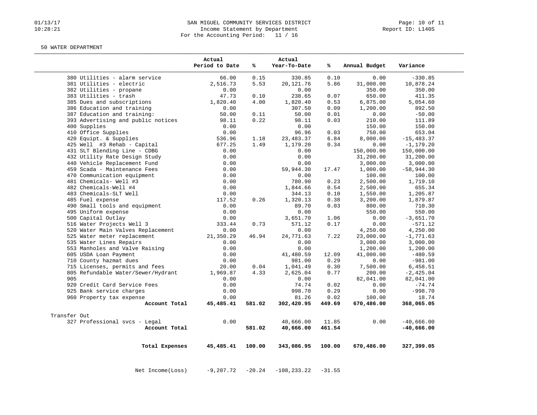### 01/13/17 Page: 10 of 11<br>10:28:21 Theome Statement by Department<br>10:28:21 Theome Statement by Department Income Statement by Department For the Accounting Period: 11 / 16

#### 50 WATER DEPARTMENT

|                                               |                | Actual<br>Period to Date | %      | Actual<br>Year-To-Date | ℁      | Annual Budget | Variance      |
|-----------------------------------------------|----------------|--------------------------|--------|------------------------|--------|---------------|---------------|
| 380 Utilities - alarm service                 |                | 66.00                    | 0.15   | 330.85                 | 0.10   | 0.00          | $-330.85$     |
| 381 Utilities - electric                      |                | 2,516.73                 | 5.53   | 20, 121.76             | 5.86   | 31,000.00     | 10,878.24     |
| 382 Utilities - propane                       |                | 0.00                     |        | 0.00                   |        | 350.00        | 350.00        |
| 383 Utilities - trash                         |                | 47.73                    | 0.10   | 238.65                 | 0.07   | 650.00        | 411.35        |
| 385 Dues and subscriptions                    |                | 1,820.40                 | 4.00   | 1,820.40               | 0.53   | 6,875.00      | 5,054.60      |
| 386 Education and training                    |                | 0.00                     |        | 307.50                 | 0.09   | 1,200.00      | 892.50        |
| 387 Education and training:                   |                | 50.00                    | 0.11   | 50.00                  | 0.01   | 0.00          | $-50.00$      |
| 393 Advertising and public notices            |                | 98.11                    | 0.22   | 98.11                  | 0.03   | 210.00        | 111.89        |
| 400 Supplies                                  |                | 0.00                     |        | 0.00                   |        | 150.00        | 150.00        |
| 410 Office Supplies                           |                | 0.00                     |        | 96.96                  | 0.03   | 750.00        | 653.04        |
| 420 Equipt. & Supplies                        |                | 536.96                   | 1.18   | 23, 483.37             | 6.84   | 8,000.00      | $-15, 483.37$ |
| 425 Well #3 Rehab - Capital                   |                | 677.25                   | 1.49   | 1,179.20               | 0.34   | 0.00          | $-1, 179.20$  |
| 431 SLT Blending Line - CDBG                  |                | 0.00                     |        | 0.00                   |        | 150,000.00    | 150,000.00    |
| 432 Utility Rate Design Study                 |                | 0.00                     |        | 0.00                   |        | 31,200.00     | 31,200.00     |
| 440 Vehicle Replacement Fund                  |                | 0.00                     |        | 0.00                   |        | 3,000.00      | 3,000.00      |
| 459 Scada - Maintenance Fees                  |                | 0.00                     |        | 59,944.30              | 17.47  | 1,000.00      | $-58,944.30$  |
| 470 Communication equipment                   |                | 0.00                     |        | 0.00                   |        | 100.00        | 100.00        |
| 481 Chemicals- Well #3                        |                | 0.00                     |        | 780.90                 | 0.23   | 2,500.00      | 1,719.10      |
| 482 Chemicals-Well #4                         |                | 0.00                     |        | 1,844.66               | 0.54   | 2,500.00      | 655.34        |
| 483 Chemicals-SLT Well                        |                | 0.00                     |        | 344.13                 | 0.10   | 1,550.00      | 1,205.87      |
| 485 Fuel expense                              |                | 117.52                   | 0.26   | 1,320.13               | 0.38   | 3,200.00      | 1,879.87      |
| 490 Small tools and equipment                 |                | 0.00                     |        | 89.70                  | 0.03   | 800.00        | 710.30        |
| 495 Uniform expense                           |                | 0.00                     |        | 0.00                   |        | 550.00        | 550.00        |
| 500 Capital Outlay                            |                | 0.00                     |        | 3,651.70               | 1.06   | 0.00          | $-3,651.70$   |
| 516 Water Projects Well 3                     |                | 333.44                   | 0.73   | 571.12                 | 0.17   | 0.00          | $-571.12$     |
| 520 Water Main Valves Replacement             |                | 0.00                     |        | 0.00                   |        | 4,250.00      | 4,250.00      |
| 525 Water meter replacement                   |                | 21,350.29                | 46.94  | 24,771.63              | 7.22   | 23,000.00     | $-1,771.63$   |
| 535 Water Lines Repairs                       |                | 0.00                     |        | 0.00                   |        | 3,000.00      | 3,000.00      |
| 553 Manholes and Valve Raising                |                | 0.00                     |        | 0.00                   |        | 1,200.00      | 1,200.00      |
| 605 USDA Loan Payment                         |                | 0.00                     |        | 41,480.59              | 12.09  | 41,000.00     | $-480.59$     |
| 710 County hazmat dues                        |                | 0.00                     |        | 981.00                 | 0.29   | 0.00          | $-981.00$     |
| 715 Licenses, permits and fees                |                | 20.00                    | 0.04   | 1,041.49               | 0.30   | 7,500.00      | 6,458.51      |
| 805 Refundable Water/Sewer/Hydrant            |                | 1,969.87                 | 4.33   | 2,625.04               | 0.77   | 200.00        | $-2,425.04$   |
| 905                                           |                | 0.00                     |        | 0.00                   |        | 82,041.00     | 82,041.00     |
| 920 Credit Card Service Fees                  |                | 0.00                     |        | 74.74                  | 0.02   | 0.00          | $-74.74$      |
| 925 Bank service charges                      |                | 0.00                     |        | 998.70                 | 0.29   | 0.00          | $-998.70$     |
| 960 Property tax expense                      |                | 0.00                     |        | 81.26                  | 0.02   | 100.00        | 18.74         |
|                                               | Account Total  | 45,485.41                | 581.02 | 302,420.95             | 449.69 | 670,486.00    | 368,065.05    |
|                                               |                |                          |        |                        |        |               |               |
| Transfer Out<br>327 Professional svcs - Legal |                | 0.00                     |        | 40,666.00              | 11.85  | 0.00          | $-40,666.00$  |
|                                               | Account Total  |                          | 581.02 | 40,666.00              | 461.54 |               | $-40,666.00$  |
|                                               |                |                          |        |                        |        |               |               |
|                                               | Total Expenses | 45,485.41                | 100.00 | 343,086.95             | 100.00 | 670,486.00    | 327,399.05    |

Net Income(Loss) -9,207.72 -20.24 -108,233.22 -31.55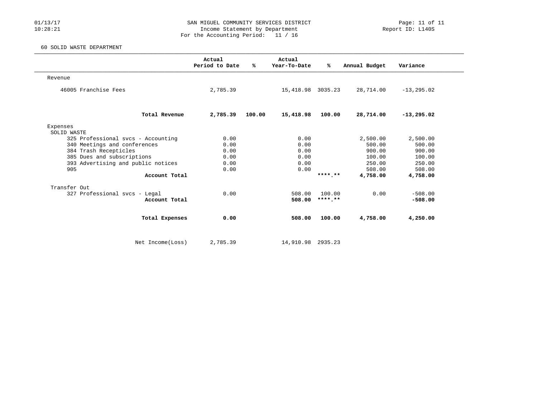## 01/13/17 COMMUNITY SERVICES DISTRICT Page: 11 of 11<br>10:28:21 Income Statement by Department Income Statement by Department For the Accounting Period: 11 / 16

## 60 SOLID WASTE DEPARTMENT

|                                    | Actual<br>Period to Date | %ะ     | Actual<br>Year-To-Date | ℁       | Annual Budget | Variance      |  |
|------------------------------------|--------------------------|--------|------------------------|---------|---------------|---------------|--|
| Revenue                            |                          |        |                        |         |               |               |  |
| 46005 Franchise Fees               | 2,785.39                 |        | 15,418.98 3035.23      |         | 28,714.00     | $-13, 295.02$ |  |
| Total Revenue                      | 2,785.39                 | 100.00 | 15,418.98              | 100.00  | 28,714.00     | $-13, 295.02$ |  |
| Expenses<br>SOLID WASTE            |                          |        |                        |         |               |               |  |
| 325 Professional svcs - Accounting | 0.00                     |        | 0.00                   |         | 2,500.00      | 2,500.00      |  |
| 340 Meetings and conferences       | 0.00                     |        | 0.00                   |         | 500.00        | 500.00        |  |
| 384 Trash Recepticles              | 0.00                     |        | 0.00                   |         | 900.00        | 900.00        |  |
| 385 Dues and subscriptions         | 0.00                     |        | 0.00                   |         | 100.00        | 100.00        |  |
| 393 Advertising and public notices | 0.00                     |        | 0.00                   |         | 250.00        | 250.00        |  |
| 905                                | 0.00                     |        | 0.00                   |         | 508.00        | 508.00        |  |
| Account Total                      |                          |        |                        | ******* | 4,758.00      | 4,758.00      |  |
| Transfer Out                       |                          |        |                        |         |               |               |  |
| 327 Professional svcs - Legal      | 0.00                     |        | 508.00                 | 100.00  | 0.00          | $-508.00$     |  |
| Account Total                      |                          |        | 508.00                 | ******* |               | $-508.00$     |  |
| Total Expenses                     | 0.00                     |        | 508.00                 | 100.00  | 4,758.00      | 4,250.00      |  |
| Net Income (Loss)                  | 2,785.39                 |        | 14,910.98 2935.23      |         |               |               |  |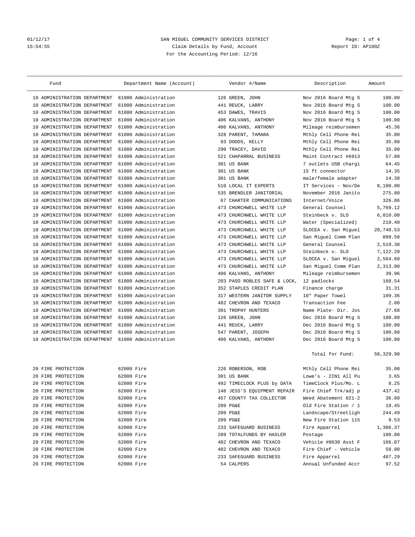# 01/12/17 2012 SAN MIGUEL COMMUNITY SERVICES DISTRICT 2012/17 2012<br>15:54:55 2012 2011 2013 Claim Details by Fund, Account 15:54:55 Claim Details by Fund, Account For the Accounting Period: 12/16

| Fund                            | Department Name (Account) |     | Vendor #/Name                | Description          | Amount    |
|---------------------------------|---------------------------|-----|------------------------------|----------------------|-----------|
| 10 ADMINISTRATION DEPARTMENT    | 61000 Administration      |     | 126 GREEN, JOHN              | Nov 2016 Board Mtg S | 100.00    |
| ADMINISTRATION DEPARTMENT<br>10 | 61000 Administration      |     | 441 REUCK, LARRY             | Nov 2016 Board Mtg S | 100.00    |
| 10 ADMINISTRATION DEPARTMENT    | 61000 Administration      |     | 453 DAWES, TRAVIS            | Nov 2016 Board Mtg S | 100.00    |
| ADMINISTRATION DEPARTMENT<br>10 | 61000 Administration      |     | 406 KALVANS, ANTHONY         | Nov 2016 Board Mtg S | 100.00    |
| ADMINISTRATION DEPARTMENT<br>10 | 61000 Administration      |     | 406 KALVANS, ANTHONY         | Mileage reimbursemen | 45.36     |
| ADMINISTRATION DEPARTMENT<br>10 | 61000 Administration      |     | 328 PARENT, TAMARA           | Mthly Cell Phone Rei | 35.00     |
| ADMINISTRATION DEPARTMENT<br>10 | 61000 Administration      |     | 93 DODDS, KELLY              | Mthly Cell Phone Rei | 35.00     |
| 10 ADMINISTRATION DEPARTMENT    | 61000 Administration      |     | 290 TRACEY, DAVID            | Mthly Cell Phone Rei | 35.00     |
| ADMINISTRATION DEPARTMENT<br>10 | 61000 Administration      |     | 521 CHAPARRAL BUSINESS       | Maint Contract #6913 | 57.00     |
| ADMINISTRATION DEPARTMENT<br>10 | 61000 Administration      |     | 301 US BANK                  | 7 outlets USB chargi | 64.45     |
| ADMINISTRATION DEPARTMENT<br>10 | 61000 Administration      |     | 301 US BANK                  | 15 ft connector      | 14.35     |
| ADMINISTRATION DEPARTMENT<br>10 | 61000 Administration      |     | 301 US BANK                  | male/female adapter  | 14.38     |
| 10 ADMINISTRATION DEPARTMENT    | 61000 Administration      |     | 510 LOCAL IT EXPERTS         | IT Services - Nov/De | 8,100.00  |
| ADMINISTRATION DEPARTMENT<br>10 | 61000 Administration      |     | 535 BRENDLER JANITORIAL      | November 2016 Janito | 275.00    |
| ADMINISTRATION DEPARTMENT<br>10 | 61000 Administration      |     | 67 CHARTER COMMUNICATIONS    | Internet/Voice       | 326.86    |
| ADMINISTRATION DEPARTMENT<br>10 | 61000 Administration      | 473 | CHURCHWELL WHITE LLP         | General Counsel      | 5,769.12  |
| ADMINISTRATION DEPARTMENT<br>10 | 61000 Administration      | 473 | CHURCHWELL WHITE LLP         | Steinbeck v. SLO     | 6,010.00  |
| 10 ADMINISTRATION DEPARTMENT    | 61000 Administration      |     | 473 CHURCHWELL WHITE LLP     | Water (Specialized)  | 210.40    |
| ADMINISTRATION DEPARTMENT<br>10 | 61000 Administration      |     | 473 CHURCHWELL WHITE LLP     | SLOCEA v. San Miguel | 20,740.53 |
| ADMINISTRATION DEPARTMENT<br>10 | 61000 Administration      |     | 473 CHURCHWELL WHITE LLP     | San Miguel Comm Plan | 899.50    |
| ADMINISTRATION DEPARTMENT<br>10 | 61000 Administration      | 473 | CHURCHWELL WHITE LLP         | General Counsel      | 2,519.30  |
| ADMINISTRATION DEPARTMENT<br>10 | 61000 Administration      | 473 | CHURCHWELL WHITE LLP         | Steinbeck v. SLO     | 7,122.20  |
| 10 ADMINISTRATION DEPARTMENT    | 61000 Administration      |     | 473 CHURCHWELL WHITE LLP     | SLOCEA v. San Miquel | 2,564.60  |
| ADMINISTRATION DEPARTMENT<br>10 | 61000 Administration      |     | 473 CHURCHWELL WHITE LLP     | San Miguel Comm Plan | 2,313.00  |
| ADMINISTRATION DEPARTMENT<br>10 | 61000 Administration      |     | 406 KALVANS, ANTHONY         | Mileage reimbursemen | 39.96     |
| ADMINISTRATION DEPARTMENT<br>10 | 61000 Administration      |     | 203 PASO ROBLES SAFE & LOCK, | 12 padlocks          | 168.54    |
| ADMINISTRATION DEPARTMENT<br>10 | 61000 Administration      |     | 352 STAPLES CREDIT PLAN      | Finance charge       | 31.31     |
| 10 ADMINISTRATION DEPARTMENT    | 61000 Administration      |     | 317 WESTERN JANITOR SUPPLY   | 10" Paper Towel      | 109.36    |
| ADMINISTRATION DEPARTMENT<br>10 | 61000 Administration      |     | 482 CHEVRON AND TEXACO       | Transaction Fee      | 2.00      |
| ADMINISTRATION DEPARTMENT<br>10 | 61000 Administration      |     | 391 TROPHY HUNTERS           | Name Plate- Dir. Jos | 27.68     |
| ADMINISTRATION DEPARTMENT<br>10 | 61000 Administration      |     | 126 GREEN, JOHN              | Dec 2016 Board Mtg S | 100.00    |
| ADMINISTRATION DEPARTMENT<br>10 | 61000 Administration      |     | 441 REUCK, LARRY             | Dec 2016 Board Mtg S | 100.00    |
| 10 ADMINISTRATION DEPARTMENT    | 61000 Administration      |     | 547 PARENT, JOSEPH           | Dec 2016 Board Mtg S | 100.00    |
| 10 ADMINISTRATION DEPARTMENT    | 61000 Administration      |     | 406 KALVANS, ANTHONY         | Dec 2016 Board Mtg S | 100.00    |
|                                 |                           |     |                              | Total for Fund:      | 58,329.90 |
| 20 FIRE PROTECTION              | 62000 Fire                |     | 226 ROBERSON, ROB            | Mthly Cell Phone Rei | 35.00     |
| 20 FIRE PROTECTION              | 62000 Fire                |     | 301 US BANK                  | Lowe's - 2IN1 All Pu | 3.65      |
| 20 FIRE PROTECTION              | 62000 Fire                |     | 492 TIMECLOCK PLUS by DATA   | TimeClock Plus/Mo. L | 8.25      |
| 20 FIRE PROTECTION              | 62000 Fire                |     | 148 JESS'S EQUIPMENT REPAIR  | Fire Chief Trk/adj p | 437.42    |
| 20 FIRE PROTECTION              | 62000 Fire                |     | 457 COUNTY TAX COLLECTOR     | Weed Abatement 021-2 | 36.00     |
| 20 FIRE PROTECTION              | 62000 Fire                |     | 209 PG&E                     | Old Fire Station / 1 | 19.45     |
| 20 FIRE PROTECTION              | 62000 Fire                |     | 209 PG&E                     | Landscape/Streetligh | 244.49    |
| FIRE PROTECTION<br>20           | 62000 Fire                |     | 209 PG&E                     | New Fire Station 115 | 9.53      |
| FIRE PROTECTION<br>20           | 62000 Fire                |     | 233 SAFEGUARD BUSINESS       | Fire Apparrel        | 1,386.37  |
| 20 FIRE PROTECTION              | 62000 Fire                |     | 289 TOTALFUNDS BY HASLER     | Postage              | 100.00    |
| 20 FIRE PROTECTION              | 62000 Fire                |     | 482 CHEVRON AND TEXACO       | Vehicle #8630 Asst F | 166.87    |
| 20 FIRE PROTECTION              | 62000 Fire                |     | 482 CHEVRON AND TEXACO       | Fire Chief - Vehicle | 58.00     |
| 20 FIRE PROTECTION              | 62000 Fire                |     | 233 SAFEGUARD BUSINESS       | Fire Apparrel        | 487.29    |
| 20 FIRE PROTECTION              | 62000 Fire                |     | 54 CALPERS                   | Annual Unfunded Accr | 97.52     |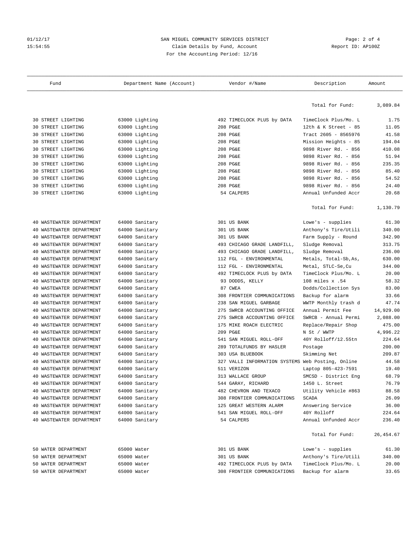## Ol/12/17 2012 SAN MIGUEL COMMUNITY SERVICES DISTRICT 2 2 OF 4<br>
2 15:54:55 Claim Details by Fund, Account 2012 15:54:55 Claim Details by Fund, Account For the Accounting Period: 12/16

| Fund                        | Department Name (Account) | Vendor #/Name                                     | Description           | Amount    |
|-----------------------------|---------------------------|---------------------------------------------------|-----------------------|-----------|
|                             |                           |                                                   | Total for Fund:       | 3,089.84  |
| 30 STREET LIGHTING          | 63000 Lighting            | 492 TIMECLOCK PLUS by DATA                        | TimeClock Plus/Mo. L  | 1.75      |
| 30 STREET LIGHTING          | 63000 Lighting            | 208 PG&E                                          | 12th & K Street - 85  | 11.05     |
| 30 STREET LIGHTING          | 63000 Lighting            | 208 PG&E                                          | Tract 2605 - 8565976  | 41.58     |
| 30 STREET LIGHTING          | 63000 Lighting            | 208 PG&E                                          | Mission Heights - 85  | 194.04    |
| STREET LIGHTING<br>30       | 63000 Lighting            | 208 PG&E                                          | 9898 River Rd. - 856  | 410.08    |
| STREET LIGHTING<br>30       | 63000 Lighting            | 208 PG&E                                          | 9898 River Rd. - 856  | 51.94     |
| STREET LIGHTING<br>30       | 63000 Lighting            | 208 PG&E                                          | 9898 River Rd. - 856  | 235.35    |
| 30 STREET LIGHTING          | 63000 Lighting            | 208 PG&E                                          | 9898 River Rd. - 856  | 85.40     |
| 30 STREET LIGHTING          | 63000 Lighting            | 208 PG&E                                          | 9898 River Rd. - 856  | 54.52     |
| STREET LIGHTING<br>30       | 63000 Lighting            | 208 PG&E                                          | 9898 River Rd. - 856  | 24.40     |
| 30 STREET LIGHTING          | 63000 Lighting            | 54 CALPERS                                        | Annual Unfunded Accr  | 20.68     |
|                             |                           |                                                   |                       |           |
|                             |                           |                                                   | Total for Fund:       | 1,130.79  |
| WASTEWATER DEPARTMENT<br>40 | 64000 Sanitary            | 301 US BANK                                       | Lowe's - supplies     | 61.30     |
| WASTEWATER DEPARTMENT<br>40 | 64000 Sanitary            | 301 US BANK                                       | Anthony's Tire/Utili  | 340.00    |
| WASTEWATER DEPARTMENT<br>40 | 64000 Sanitary            | 301 US BANK                                       | Farm Supply - Round   | 342.90    |
| WASTEWATER DEPARTMENT<br>40 | 64000 Sanitary            | 493 CHICAGO GRADE LANDFILL,                       | Sludge Removal        | 313.75    |
| WASTEWATER DEPARTMENT<br>40 | 64000 Sanitary            | 493 CHICAGO GRADE LANDFILL,                       | Sludge Removal        | 236.00    |
| WASTEWATER DEPARTMENT<br>40 | 64000 Sanitary            | 112 FGL - ENVIRONMENTAL                           | Metals, Total-Sb, As, | 630.00    |
| WASTEWATER DEPARTMENT<br>40 | 64000 Sanitary            | 112 FGL - ENVIRONMENTAL                           | Metal, STLC-Se, Cu    | 344.00    |
| WASTEWATER DEPARTMENT<br>40 | 64000 Sanitary            | 492 TIMECLOCK PLUS by DATA                        | TimeClock Plus/Mo. L  | 20.00     |
| WASTEWATER DEPARTMENT<br>40 | 64000 Sanitary            | 93 DODDS, KELLY                                   | 108 miles x .54       | 58.32     |
| WASTEWATER DEPARTMENT<br>40 | 64000 Sanitary            | 87 CWEA                                           | Dodds/Collection Sys  | 83.00     |
| WASTEWATER DEPARTMENT<br>40 | 64000 Sanitary            | 308 FRONTIER COMMUNICATIONS                       | Backup for alarm      | 33.66     |
| WASTEWATER DEPARTMENT<br>40 | 64000 Sanitary            | 238 SAN MIGUEL GARBAGE                            | WWTP Monthly trash d  | 47.74     |
| WASTEWATER DEPARTMENT<br>40 | 64000 Sanitary            | 275 SWRCB ACCOUNTING OFFICE                       | Annual Permit Fee     | 14,929.00 |
| WASTEWATER DEPARTMENT<br>40 | 64000 Sanitary            | 275 SWRCB ACCOUNTING OFFICE                       | SWRCB - Annual Permi  | 2,088.00  |
| WASTEWATER DEPARTMENT<br>40 | 64000 Sanitary            | 175 MIKE ROACH ELECTRIC                           | Replace/Repair Shop   | 475.00    |
| WASTEWATER DEPARTMENT<br>40 | 64000 Sanitary            | 209 PG&E                                          | N St / WWTP           | 4,996.22  |
| WASTEWATER DEPARTMENT<br>40 | 64000 Sanitary            | 541 SAN MIGUEL ROLL-OFF                           | 40Y Rolloff/12.55tn   | 224.64    |
| WASTEWATER DEPARTMENT<br>40 | 64000 Sanitary            | 289 TOTALFUNDS BY HASLER                          | Postage               | 200.00    |
| 40 WASTEWATER DEPARTMENT    | 64000 Sanitary            | 303 USA BLUEBOOK                                  | Skimming Net          | 209.87    |
| 40 WASTEWATER DEPARTMENT    | 64000 Sanitary            | 327 VALLI INFORMATION SYSTEMS Web Posting, Online |                       | 44.58     |
| 40 WASTEWATER DEPARTMENT    | 64000 Sanitary            | 511 VERIZON                                       | Laptop 805-423-7591   | 19.40     |
| 40 WASTEWATER DEPARTMENT    | 64000 Sanitary            | 313 WALLACE GROUP                                 | SMCSD - District Eng  | 68.79     |
| 40 WASTEWATER DEPARTMENT    | 64000 Sanitary            | 544 GARAY, RICHARD                                | 1450 L. Street        | 76.79     |
| 40 WASTEWATER DEPARTMENT    | 64000 Sanitary            | 482 CHEVRON AND TEXACO                            | Utility Vehicle #863  | 88.58     |
| WASTEWATER DEPARTMENT<br>40 | 64000 Sanitary            | 308 FRONTIER COMMUNICATIONS                       | SCADA                 | 26.09     |
| WASTEWATER DEPARTMENT<br>40 | 64000 Sanitary            | 125 GREAT WESTERN ALARM                           | Answering Service     | 36.00     |
| WASTEWATER DEPARTMENT<br>40 | 64000 Sanitary            | 541 SAN MIGUEL ROLL-OFF                           | 40Y Rolloff           | 224.64    |
| 40 WASTEWATER DEPARTMENT    | 64000 Sanitary            | 54 CALPERS                                        | Annual Unfunded Accr  | 236.40    |
|                             |                           |                                                   | Total for Fund:       | 26,454.67 |
| 50 WATER DEPARTMENT         | 65000 Water               | 301 US BANK                                       | Lowe's - supplies     | 61.30     |
| 50 WATER DEPARTMENT         | 65000 Water               | 301 US BANK                                       | Anthony's Tire/Utili  | 340.00    |
| 50 WATER DEPARTMENT         | 65000 Water               | 492 TIMECLOCK PLUS by DATA                        | TimeClock Plus/Mo. L  | 20.00     |
| 50 WATER DEPARTMENT         | 65000 Water               | 308 FRONTIER COMMUNICATIONS                       | Backup for alarm      | 33.65     |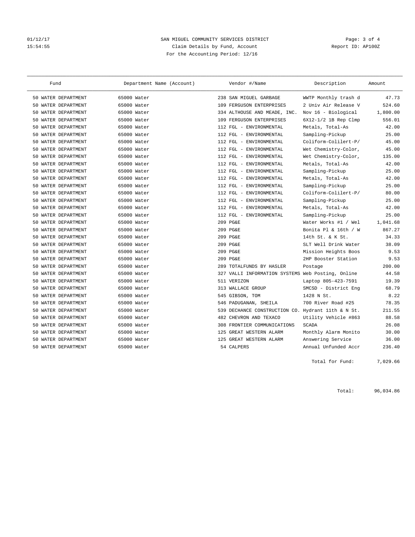## 01/12/17 Page: 3 of 4 15:54:55 Claim Details by Fund, Account Report ID: AP100Z For the Accounting Period: 12/16

| Fund                    | Department Name (Account) | Vendor #/Name                                      | Description            | Amount   |
|-------------------------|---------------------------|----------------------------------------------------|------------------------|----------|
| 50 WATER DEPARTMENT     | 65000 Water               | 238 SAN MIGUEL GARBAGE                             | WWTP Monthly trash d   | 47.73    |
| WATER DEPARTMENT<br>50  | 65000 Water               | 109 FERGUSON ENTERPRISES                           | 2 Univ Air Release V   | 524.60   |
| WATER DEPARTMENT<br>50  | 65000 Water               | 334 ALTHOUSE AND MEADE, INC.                       | Nov 16 - Biological    | 1,800.00 |
| WATER DEPARTMENT<br>50. | 65000 Water               | 109 FERGUSON ENTERPRISES                           | $6X12-1/2$ 1B Rep Clmp | 556.01   |
| WATER DEPARTMENT<br>50. | 65000 Water               | 112 FGL - ENVIRONMENTAL                            | Metals, Total-As       | 42.00    |
| WATER DEPARTMENT<br>50. | 65000 Water               | 112 FGL - ENVIRONMENTAL                            | Sampling-Pickup        | 25.00    |
| WATER DEPARTMENT<br>50  | 65000 Water               | 112 FGL - ENVIRONMENTAL                            | Coliform-Colilert-P/   | 45.00    |
| WATER DEPARTMENT<br>50  | 65000 Water               | 112 FGL - ENVIRONMENTAL                            | Wet Chemistry-Color,   | 45.00    |
| WATER DEPARTMENT<br>50  | 65000 Water               | 112 FGL - ENVIRONMENTAL                            | Wet Chemistry-Color,   | 135.00   |
| WATER DEPARTMENT<br>50  | 65000 Water               | 112 FGL - ENVIRONMENTAL                            | Metals, Total-As       | 42.00    |
| WATER DEPARTMENT<br>50  | 65000 Water               | 112 FGL - ENVIRONMENTAL                            | Sampling-Pickup        | 25.00    |
| WATER DEPARTMENT<br>50  | 65000 Water               | 112 FGL - ENVIRONMENTAL                            | Metals, Total-As       | 42.00    |
| WATER DEPARTMENT<br>50  | 65000 Water               | 112 FGL - ENVIRONMENTAL                            | Sampling-Pickup        | 25.00    |
| WATER DEPARTMENT<br>50  | 65000 Water               | 112 FGL - ENVIRONMENTAL                            | Coliform-Colilert-P/   | 80.00    |
| WATER DEPARTMENT<br>50  | 65000 Water               | 112 FGL - ENVIRONMENTAL                            | Sampling-Pickup        | 25.00    |
| WATER DEPARTMENT<br>50  | 65000 Water               | 112 FGL - ENVIRONMENTAL                            | Metals, Total-As       | 42.00    |
| WATER DEPARTMENT<br>50. | 65000 Water               | 112 FGL - ENVIRONMENTAL                            | Sampling-Pickup        | 25.00    |
| WATER DEPARTMENT<br>50  | 65000 Water               | 209 PG&E                                           | Water Works #1 / Wel   | 1,041.68 |
| WATER DEPARTMENT<br>50  | 65000 Water               | 209 PG&E                                           | Bonita Pl & 16th / W   | 867.27   |
| WATER DEPARTMENT<br>50  | 65000 Water               | 209 PG&E                                           | 14th St. & K St.       | 34.33    |
| WATER DEPARTMENT<br>50  | 65000 Water               | 209 PG&E                                           | SLT Well Drink Water   | 38.09    |
| WATER DEPARTMENT<br>50  | 65000 Water               | 209 PG&E                                           | Mission Heights Boos   | 9.53     |
| WATER DEPARTMENT<br>50  | 65000 Water               | 209 PG&E                                           | 2HP Booster Station    | 9.53     |
| WATER DEPARTMENT<br>50  | 65000 Water               | TOTALFUNDS BY HASLER<br>289                        | Postage                | 200.00   |
| WATER DEPARTMENT<br>50  | 65000 Water               | 327 VALLI INFORMATION SYSTEMS Web Posting, Online  |                        | 44.58    |
| WATER DEPARTMENT<br>50  | 65000 Water               | 511 VERIZON                                        | Laptop 805-423-7591    | 19.39    |
| WATER DEPARTMENT<br>50  | 65000 Water               | 313 WALLACE GROUP                                  | SMCSD - District Eng   | 68.79    |
| WATER DEPARTMENT<br>50  | 65000 Water               | 545 GIBSON, TOM                                    | 1428 N St.             | 8.22     |
| WATER DEPARTMENT<br>50  | 65000 Water               | 546 PADUGANAN, SHEILA                              | 700 River Road #25     | 78.35    |
| WATER DEPARTMENT<br>50  | 65000 Water               | 539 DECHANCE CONSTRUCTION CO. Hydrant 11th & N St. |                        | 211.55   |
| WATER DEPARTMENT<br>50  | 65000 Water               | 482 CHEVRON AND TEXACO                             | Utility Vehicle #863   | 88.58    |
| WATER DEPARTMENT<br>50  | 65000 Water               | 308 FRONTIER COMMUNICATIONS                        | <b>SCADA</b>           | 26.08    |
| 50 WATER DEPARTMENT     | 65000 Water               | 125 GREAT WESTERN ALARM                            | Monthly Alarm Monito   | 30.00    |
| 50 WATER DEPARTMENT     | 65000 Water               | 125 GREAT WESTERN ALARM                            | Answering Service      | 36.00    |
| 50 WATER DEPARTMENT     | 65000 Water               | 54 CALPERS                                         | Annual Unfunded Accr   | 236.40   |

Total for Fund: 7,029.66

Total: 96,034.86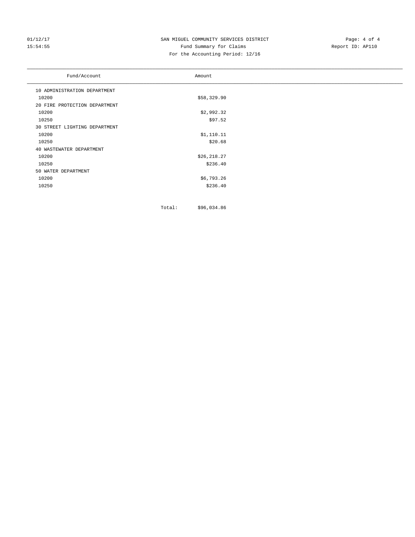## 01/12/17 SAN MIGUEL COMMUNITY SERVICES DISTRICT Page: 4 of 4<br>15:54:55 Fund Summary for Claims Page: 4 OF 4 15:54:55 Fund Summary for Claims For the Accounting Period: 12/16

| Fund/Account                  | Amount      |  |
|-------------------------------|-------------|--|
| 10 ADMINISTRATION DEPARTMENT  |             |  |
| 10200                         | \$58,329.90 |  |
| 20 FIRE PROTECTION DEPARTMENT |             |  |
| 10200                         | \$2,992.32  |  |
| 10250                         | \$97.52     |  |
| 30 STREET LIGHTING DEPARTMENT |             |  |
| 10200                         | \$1,110.11  |  |
| 10250                         | \$20.68     |  |
| 40 WASTEWATER DEPARTMENT      |             |  |
| 10200                         | \$26,218.27 |  |
| 10250                         | \$236.40    |  |
| 50 WATER DEPARTMENT           |             |  |
| 10200                         | \$6,793.26  |  |
| 10250                         | \$236.40    |  |
|                               |             |  |

Total: \$96,034.86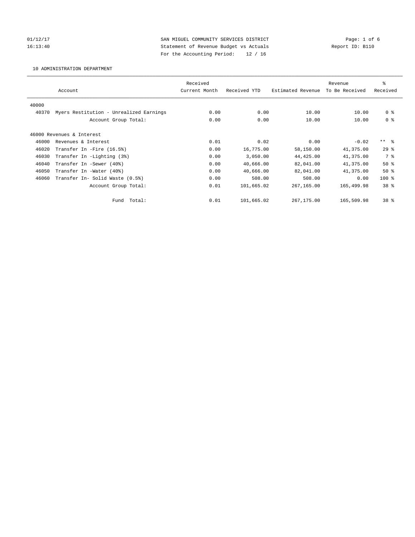01/12/17 Page: 1 of 6 16:13:40 Statement of Revenue Budget vs Actuals Report ID: B110 For the Accounting Period: 12 / 16

10 ADMINISTRATION DEPARTMENT

|       |                                         | Received      |              |                   | Revenue        | ి               |
|-------|-----------------------------------------|---------------|--------------|-------------------|----------------|-----------------|
|       | Account                                 | Current Month | Received YTD | Estimated Revenue | To Be Received | Received        |
| 40000 |                                         |               |              |                   |                |                 |
| 40370 | Myers Restitution - Unrealized Earnings | 0.00          | 0.00         | 10.00             | 10.00          | 0 <sup>8</sup>  |
|       | Account Group Total:                    | 0.00          | 0.00         | 10.00             | 10.00          | 0 <sup>8</sup>  |
|       |                                         |               |              |                   |                |                 |
|       | 46000 Revenues & Interest               |               |              |                   |                |                 |
| 46000 | Revenues & Interest                     | 0.01          | 0.02         | 0.00              | $-0.02$        | $***$ $ -$      |
| 46020 | Transfer In -Fire (16.5%)               | 0.00          | 16,775.00    | 58,150.00         | 41,375.00      | $29*$           |
| 46030 | Transfer In -Lighting (3%)              | 0.00          | 3,050.00     | 44, 425.00        | 41,375.00      | 7 %             |
| 46040 | Transfer In -Sewer (40%)                | 0.00          | 40,666.00    | 82,041.00         | 41,375.00      | $50*$           |
| 46050 | Transfer In -Water (40%)                | 0.00          | 40,666.00    | 82,041.00         | 41,375.00      | $50*$           |
| 46060 | Transfer In- Solid Waste (0.5%)         | 0.00          | 508.00       | 508.00            | 0.00           | $100*$          |
|       | Account Group Total:                    | 0.01          | 101,665.02   | 267,165.00        | 165,499.98     | 38 %            |
|       | Fund Total:                             | 0.01          | 101,665.02   | 267,175.00        | 165,509.98     | 38 <sup>8</sup> |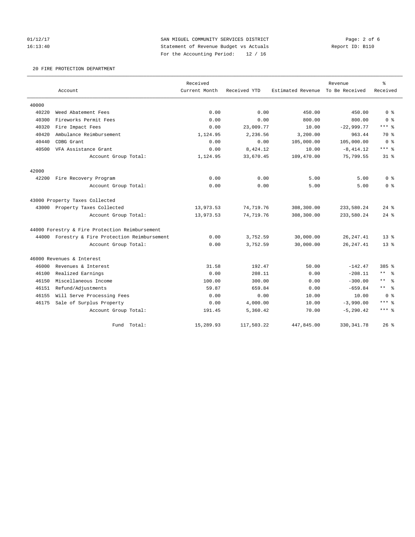01/12/17 **SAN MIGUEL COMMUNITY SERVICES DISTRICT** Page: 2 of 6 16:13:40 Statement of Revenue Budget vs Actuals Report ID: B110 For the Accounting Period: 12 / 16

## 20 FIRE PROTECTION DEPARTMENT

|       |                                                | Received      |              |                   | Revenue        | $\rm ^{9}$             |
|-------|------------------------------------------------|---------------|--------------|-------------------|----------------|------------------------|
|       | Account                                        | Current Month | Received YTD | Estimated Revenue | To Be Received | Received               |
| 40000 |                                                |               |              |                   |                |                        |
| 40220 | Weed Abatement Fees                            | 0.00          | 0.00         | 450.00            | 450.00         | 0 <sup>8</sup>         |
| 40300 | Fireworks Permit Fees                          | 0.00          | 0.00         | 800.00            | 800.00         | 0 <sup>8</sup>         |
| 40320 | Fire Impact Fees                               | 0.00          | 23,009.77    | 10.00             | $-22,999.77$   | $***$ $_{8}$           |
| 40420 | Ambulance Reimbursement                        | 1,124.95      | 2,236.56     | 3,200.00          | 963.44         | 70 %                   |
| 40440 | CDBG Grant                                     | 0.00          | 0.00         | 105,000.00        | 105,000.00     | 0 <sup>8</sup>         |
| 40500 | VFA Assistance Grant                           | 0.00          | 8,424.12     | 10.00             | $-8, 414.12$   | $***$ 2                |
|       | Account Group Total:                           | 1,124.95      | 33,670.45    | 109,470.00        | 75,799.55      | $31*$                  |
| 42000 |                                                |               |              |                   |                |                        |
| 42200 | Fire Recovery Program                          | 0.00          | 0.00         | 5.00              | 5.00           | 0 <sup>8</sup>         |
|       | Account Group Total:                           | 0.00          | 0.00         | 5.00              | 5.00           | 0 <sup>8</sup>         |
|       | 43000 Property Taxes Collected                 |               |              |                   |                |                        |
|       | 43000 Property Taxes Collected                 | 13,973.53     | 74,719.76    | 308,300.00        | 233,580.24     | $24$ $%$               |
|       | Account Group Total:                           | 13,973.53     | 74,719.76    | 308,300.00        | 233,580.24     | $24$ $%$               |
|       | 44000 Forestry & Fire Protection Reimbursement |               |              |                   |                |                        |
|       | 44000 Forestry & Fire Protection Reimbursement | 0.00          | 3,752.59     | 30,000.00         | 26, 247.41     | $13*$                  |
|       | Account Group Total:                           | 0.00          | 3,752.59     | 30,000.00         | 26, 247.41     | $13*$                  |
|       | 46000 Revenues & Interest                      |               |              |                   |                |                        |
| 46000 | Revenues & Interest                            | 31.58         | 192.47       | 50.00             | $-142.47$      | 385 %                  |
| 46100 | Realized Earnings                              | 0.00          | 208.11       | 0.00              | $-208.11$      | $***$ $ -$             |
| 46150 | Miscellaneous Income                           | 100.00        | 300.00       | 0.00              | $-300.00$      | $\star$ $\star$<br>- ৡ |
| 46151 | Refund/Adjustments                             | 59.87         | 659.84       | 0.00              | $-659.84$      | $***$ $-$              |
| 46155 | Will Serve Processing Fees                     | 0.00          | 0.00         | 10.00             | 10.00          | 0 <sup>8</sup>         |
| 46175 | Sale of Surplus Property                       | 0.00          | 4,000.00     | 10.00             | $-3,990.00$    | $***$ %                |
|       | Account Group Total:                           | 191.45        | 5,360.42     | 70.00             | $-5, 290.42$   | $***$ $_{8}$           |
|       | Total:<br>Fund                                 | 15,289.93     | 117,503.22   | 447,845.00        | 330, 341.78    | $26$ $%$               |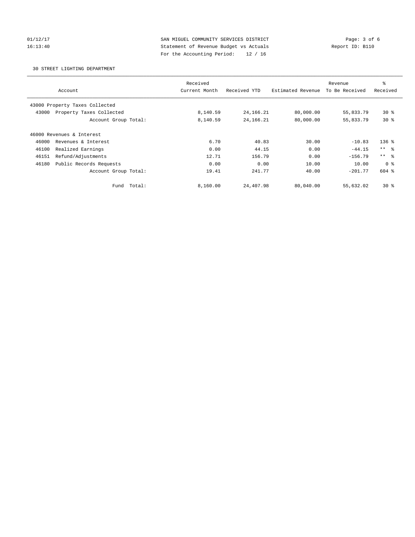01/12/17 **SAN MIGUEL COMMUNITY SERVICES DISTRICT** Page: 3 of 6 16:13:40 Statement of Revenue Budget vs Actuals Report ID: B110 For the Accounting Period: 12 / 16

30 STREET LIGHTING DEPARTMENT

|                                   | Received      |              |                   | Revenue        | ి               |  |
|-----------------------------------|---------------|--------------|-------------------|----------------|-----------------|--|
| Account                           | Current Month | Received YTD | Estimated Revenue | To Be Received | Received        |  |
| 43000 Property Taxes Collected    |               |              |                   |                |                 |  |
| Property Taxes Collected<br>43000 | 8,140.59      | 24, 166. 21  | 80,000.00         | 55,833.79      | $30*$           |  |
| Account Group Total:              | 8,140.59      | 24, 166. 21  | 80,000.00         | 55,833.79      | $30*$           |  |
| 46000 Revenues & Interest         |               |              |                   |                |                 |  |
| 46000<br>Revenues & Interest      | 6.70          | 40.83        | 30.00             | $-10.83$       | $136$ $%$       |  |
| 46100<br>Realized Earnings        | 0.00          | 44.15        | 0.00              | $-44.15$       | $***$ $\approx$ |  |
| Refund/Adjustments<br>46151       | 12.71         | 156.79       | 0.00              | $-156.79$      | $***$ $\approx$ |  |
| 46180<br>Public Records Requests  | 0.00          | 0.00         | 10.00             | 10.00          | 0 <sup>8</sup>  |  |
| Account Group Total:              | 19.41         | 241.77       | 40.00             | $-201.77$      | $604$ $%$       |  |
| Total:<br>Fund                    | 8,160.00      | 24,407.98    | 80,040.00         | 55,632.02      | $30*$           |  |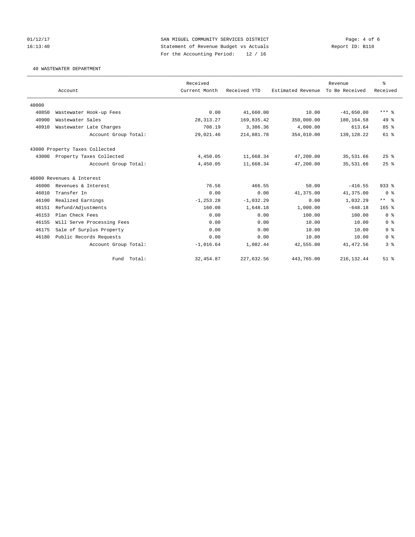01/12/17 **SAN MIGUEL COMMUNITY SERVICES DISTRICT** Page: 4 of 6 16:13:40 Statement of Revenue Budget vs Actuals Report ID: B110 For the Accounting Period: 12 / 16

40 WASTEWATER DEPARTMENT

|       |                                | Received      |              |                   | Revenue        | န္             |
|-------|--------------------------------|---------------|--------------|-------------------|----------------|----------------|
|       | Account                        | Current Month | Received YTD | Estimated Revenue | To Be Received | Received       |
| 40000 |                                |               |              |                   |                |                |
| 40850 | Wastewater Hook-up Fees        | 0.00          | 41,660.00    | 10.00             | $-41,650.00$   | $***$ $%$      |
| 40900 | Wastewater Sales               | 28, 313. 27   | 169,835.42   | 350,000.00        | 180,164.58     | $49*$          |
| 40910 | Wastewater Late Charges        | 708.19        | 3,386.36     | 4,000.00          | 613.64         | 85%            |
|       | Account Group Total:           | 29,021.46     | 214,881.78   | 354,010.00        | 139, 128, 22   | $61$ $%$       |
|       | 43000 Property Taxes Collected |               |              |                   |                |                |
| 43000 | Property Taxes Collected       | 4,450.05      | 11,668.34    | 47,200.00         | 35,531.66      | 25%            |
|       | Account Group Total:           | 4,450.05      | 11,668.34    | 47,200.00         | 35,531.66      | 25%            |
|       | 46000 Revenues & Interest      |               |              |                   |                |                |
| 46000 | Revenues & Interest            | 76.56         | 466.55       | 50.00             | $-416.55$      | $933$ $%$      |
| 46010 | Transfer In                    | 0.00          | 0.00         | 41,375.00         | 41,375.00      | 0 <sup>8</sup> |
| 46100 | Realized Earnings              | $-1, 253.28$  | $-1,032.29$  | 0.00              | 1,032.29       | $***$ $=$      |
| 46151 | Refund/Adjustments             | 160.08        | 1,648.18     | 1,000.00          | $-648.18$      | $165$ %        |
| 46153 | Plan Check Fees                | 0.00          | 0.00         | 100.00            | 100.00         | 0 <sup>8</sup> |
| 46155 | Will Serve Processing Fees     | 0.00          | 0.00         | 10.00             | 10.00          | 0 <sup>8</sup> |
| 46175 | Sale of Surplus Property       | 0.00          | 0.00         | 10.00             | 10.00          | 0 <sup>8</sup> |
| 46180 | Public Records Requests        | 0.00          | 0.00         | 10.00             | 10.00          | 0 <sup>8</sup> |
|       | Account Group Total:           | $-1,016.64$   | 1,082.44     | 42,555.00         | 41, 472.56     | 38             |
|       | Fund Total:                    | 32, 454.87    | 227,632.56   | 443,765.00        | 216, 132.44    | $51$ %         |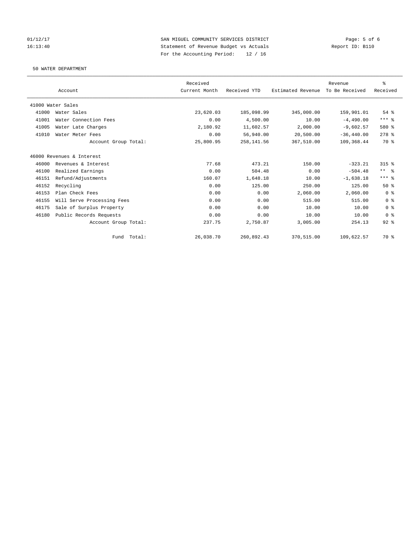01/12/17 Page: 5 of 6<br>
SAN MIGUEL COMMUNITY SERVICES DISTRICT Page: 5 of 6<br>
Statement of Revenue Budget vs Actuals 16:13:40 Statement of Revenue Budget vs Actuals For the Accounting Period: 12 / 16

50 WATER DEPARTMENT

|       |                            | Received      |              |                   | Revenue        | ి              |
|-------|----------------------------|---------------|--------------|-------------------|----------------|----------------|
|       | Account                    | Current Month | Received YTD | Estimated Revenue | To Be Received | Received       |
|       | 41000 Water Sales          |               |              |                   |                |                |
| 41000 | Water Sales                | 23,620.03     | 185,098.99   | 345,000.00        | 159,901.01     | $54$ $%$       |
| 41001 | Water Connection Fees      | 0.00          | 4,500.00     | 10.00             | $-4.490.00$    | $***$ $_{8}$   |
| 41005 | Water Late Charges         | 2,180.92      | 11,602.57    | 2,000.00          | $-9.602.57$    | 580 %          |
| 41010 | Water Meter Fees           | 0.00          | 56,940.00    | 20,500.00         | $-36, 440.00$  | $278$ %        |
|       | Account Group Total:       | 25,800.95     | 258, 141.56  | 367,510.00        | 109,368.44     | 70 %           |
|       | 46000 Revenues & Interest  |               |              |                   |                |                |
| 46000 | Revenues & Interest        | 77.68         | 473.21       | 150.00            | $-323.21$      | $315$ $%$      |
| 46100 | Realized Earnings          | 0.00          | 504.48       | 0.00              | $-504.48$      | $***$ $ -$     |
| 46151 | Refund/Adjustments         | 160.07        | 1,648.18     | 10.00             | $-1,638.18$    | $***$ $%$      |
| 46152 | Recycling                  | 0.00          | 125.00       | 250.00            | 125.00         | 50%            |
| 46153 | Plan Check Fees            | 0.00          | 0.00         | 2,060.00          | 2,060.00       | 0 <sup>8</sup> |
| 46155 | Will Serve Processing Fees | 0.00          | 0.00         | 515.00            | 515.00         | 0 <sup>8</sup> |
| 46175 | Sale of Surplus Property   | 0.00          | 0.00         | 10.00             | 10.00          | 0 <sup>8</sup> |
| 46180 | Public Records Requests    | 0.00          | 0.00         | 10.00             | 10.00          | 0 <sup>8</sup> |
|       | Account Group Total:       | 237.75        | 2,750.87     | 3,005.00          | 254.13         | $92$ $%$       |
|       | Fund Total:                | 26,038.70     | 260,892.43   | 370,515.00        | 109,622.57     | 70 %           |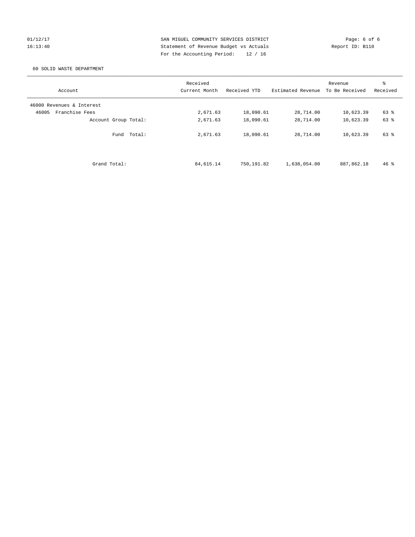01/12/17 **SAN MIGUEL COMMUNITY SERVICES DISTRICT** Page: 6 of 6 16:13:40 Statement of Revenue Budget vs Actuals Report ID: B110 For the Accounting Period: 12 / 16

## 60 SOLID WASTE DEPARTMENT

| Account                   | Received<br>Current Month | Received YTD | Estimated Revenue | Revenue<br>To Be Received | ి<br>Received |
|---------------------------|---------------------------|--------------|-------------------|---------------------------|---------------|
| 46000 Revenues & Interest |                           |              |                   |                           |               |
| Franchise Fees<br>46005   | 2,671.63                  | 18,090.61    | 28,714.00         | 10,623.39                 | 63 %          |
| Account Group Total:      | 2,671.63                  | 18,090.61    | 28,714.00         | 10,623.39                 | 63 %          |
| Fund Total:               | 2,671.63                  | 18,090.61    | 28,714.00         | 10,623.39                 | 63 %          |
| Grand Total:              | 84,615.14                 | 750,191.82   | 1,638,054.00      | 887,862.18                | $46*$         |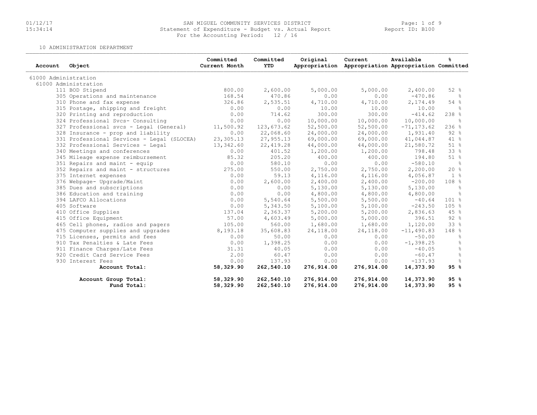# 01/12/17 SAN MIGUEL COMMUNITY SERVICES DISTRICT Page: 1 of 9 15:34:14 Statement of Expenditure - Budget vs. Actual Report Report ID: B100For the Accounting Period: 12 / 16

10 ADMINISTRATION DEPARTMENT

| Account              | Object                                     | Committed<br>Current Month | Committed<br>YTD | Original   | Current<br>Appropriation Appropriation Appropriation Committed | Available     | ℁                |
|----------------------|--------------------------------------------|----------------------------|------------------|------------|----------------------------------------------------------------|---------------|------------------|
| 61000 Administration |                                            |                            |                  |            |                                                                |               |                  |
|                      | 61000 Administration                       |                            |                  |            |                                                                |               |                  |
|                      | 111 BOD Stipend                            | 800.00                     | 2,600.00         | 5,000.00   | 5,000.00                                                       | 2,400.00      | 52%              |
|                      | 305 Operations and maintenance             | 168.54                     | 470.86           | 0.00       | 0.00                                                           | $-470.86$     | - 옹              |
|                      | 310 Phone and fax expense                  | 326.86                     | 2,535.51         | 4,710.00   | 4,710.00                                                       | 2,174.49      | 54 %             |
|                      | 315 Postage, shipping and freight          | 0.00                       | 0.00             | 10.00      | 10.00                                                          | 10.00         | $\frac{6}{6}$    |
|                      | 320 Printing and reproduction              | 0.00                       | 714.62           | 300.00     | 300.00                                                         | $-414.62$     | $238$ %          |
|                      | 324 Professional Svcs- Consulting          | 0.00                       | 0.00             | 10,000.00  | 10,000.00                                                      | 10,000.00     | ိစ               |
|                      | 327 Professional svcs - Legal (General)    | 11,500.92                  | 123,673.62       | 52,500.00  | 52,500.00                                                      | $-71, 173.62$ | 236%             |
|                      | 328 Insurance - prop and liability         | 0.00                       | 22,068.60        | 24,000.00  | 24,000.00                                                      | 1,931.40      | 92%              |
|                      | 331 Professional Services - Legal (SLOCEA) | 23,305.13                  | 27,955.13        | 69,000.00  | 69,000.00                                                      | 41,044.87     | 41 %             |
|                      | 332 Professional Services - Legal          | 13,342.60                  | 22, 419.28       | 44,000.00  | 44,000.00                                                      | 21,580.72     | 51%              |
|                      | 340 Meetings and conferences               | 0.00                       | 401.52           | 1,200.00   | 1,200.00                                                       | 798.48        | 33 %             |
|                      | 345 Mileage expense reimbursement          | 85.32                      | 205.20           | 400.00     | 400.00                                                         | 194.80        | 51 %             |
|                      | 351 Repairs and maint - equip              | 0.00                       | 580.10           | 0.00       | 0.00                                                           | $-580.10$     | $rac{1}{6}$      |
|                      | 352 Repairs and maint - structures         | 275.00                     | 550.00           | 2,750.00   | 2,750.00                                                       | 2,200.00      | 20%              |
|                      | 375 Internet expenses                      | 0.00                       | 59.13            | 4,116.00   | 4,116.00                                                       | 4,056.87      | 1 <sup>°</sup>   |
|                      | 376 Webpage- Upgrade/Maint                 | 0.00                       | 2,600.00         | 2,400.00   | 2,400.00                                                       | $-200.00$     | 108 <sub>8</sub> |
|                      | 385 Dues and subscriptions                 | 0.00                       | 0.00             | 5,130.00   | 5,130.00                                                       | 5,130.00      | $\frac{6}{6}$    |
|                      | 386 Education and training                 | 0.00                       | 0.00             | 4,800.00   | 4,800.00                                                       | 4,800.00      | $\approx$        |
|                      | 394 LAFCO Allocations                      | 0.00                       | 5,540.64         | 5,500.00   | 5,500.00                                                       | $-40.64$      | 101 %            |
|                      | 405 Software                               | 0.00                       | 5,343.50         | 5,100.00   | 5,100.00                                                       | $-243.50$     | 105%             |
|                      | 410 Office Supplies                        | 137.04                     | 2,363.37         | 5,200.00   | 5,200.00                                                       | 2,836.63      | 45 %             |
|                      | 415 Office Equipment                       | 57.00                      | 4,603.49         | 5,000.00   | 5,000.00                                                       | 396.51        | 92%              |
|                      | 465 Cell phones, radios and pagers         | 105.00                     | 560.00           | 1,680.00   | 1,680.00                                                       | 1,120.00      | 33 %             |
|                      | 475 Computer supplies and upgrades         | 8,193.18                   | 35,608.83        | 24,118.00  | 24,118.00                                                      | $-11,490.83$  | 148 %            |
|                      | 715 Licenses, permits and fees             | 0.00                       | 50.00            | 0.00       | 0.00                                                           | $-50.00$      | ိင               |
|                      | 910 Tax Penalties & Late Fees              | 0.00                       | 1,398.25         | 0.00       | 0.00                                                           | $-1, 398.25$  | $\frac{6}{6}$    |
|                      | 911 Finance Charges/Late Fees              | 31.31                      | 40.05            | 0.00       | 0.00                                                           | $-40.05$      | $\frac{6}{6}$    |
|                      | 920 Credit Card Service Fees               | 2.00                       | 60.47            | 0.00       | 0.00                                                           | $-60.47$      | g                |
|                      | 930 Interest Fees                          | 0.00                       | 137.93           | 0.00       | 0.00                                                           | $-137.93$     | 욲                |
|                      | Account Total:                             | 58,329.90                  | 262,540.10       | 276,914.00 | 276,914.00                                                     | 14,373.90     | 95%              |
|                      | Account Group Total:                       | 58,329.90                  | 262,540.10       | 276,914.00 | 276,914.00                                                     | 14,373.90     | 95%              |
|                      | Fund Total:                                | 58,329.90                  | 262,540.10       | 276,914.00 | 276,914.00                                                     | 14,373.90     | 95%              |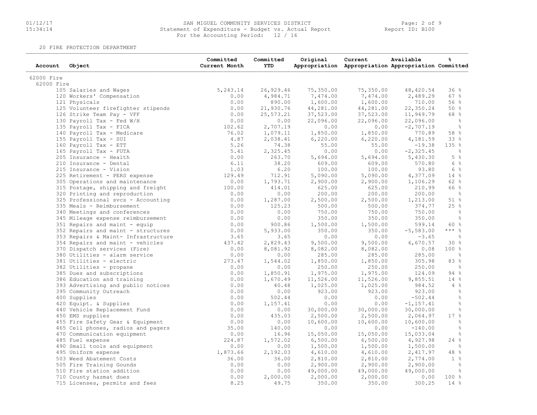# 01/12/17 SAN MIGUEL COMMUNITY SERVICES DISTRICT Page: 2 of 9 15:34:14 Statement of Expenditure - Budget vs. Actual Report Report ID: B10001/12/17 SAN MIGUEL COMMUNITY SERVICES DISTR<br>15:34:14 Statement of Expenditure - Budget vs. Actu<br>For the Accounting Period: 12 / 16

20 FIRE PROTECTION DEPARTMENT

| Account    | Object                              | Committed<br>Current Month | Committed<br><b>YTD</b> | Original  | Current<br>Appropriation Appropriation Appropriation Committed | Available    | g                   |
|------------|-------------------------------------|----------------------------|-------------------------|-----------|----------------------------------------------------------------|--------------|---------------------|
| 62000 Fire |                                     |                            |                         |           |                                                                |              |                     |
| 62000 Fire |                                     |                            |                         |           |                                                                |              |                     |
|            | 105 Salaries and Wages              | 5, 243.14                  | 26,929.46               | 75,350.00 | 75,350.00                                                      | 48,420.54    | 36%                 |
|            | 120 Workers' Compensation           | 0.00                       | 4,984.71                | 7,474.00  | 7,474.00                                                       | 2,489.29     | 67 %                |
|            | 121 Physicals                       | 0.00                       | 890.00                  | 1,600.00  | 1,600.00                                                       | 710.00       | 56 %                |
|            | 125 Volunteer firefighter stipends  | 0.00                       | 21,930.76               | 44,281.00 | 44,281.00                                                      | 22,350.24    | 50%                 |
|            | 126 Strike Team Pay - VFF           | 0.00                       | 25,573.21               | 37,523.00 | 37,523.00                                                      | 11,949.79    | 68 %                |
|            | 130 Payroll Tax - Fed W/H           | 0.00                       | 0.00                    | 22,096.00 | 22,096.00                                                      | 22,096.00    | $\frac{6}{6}$       |
|            | 135 Payroll Tax - FICA              | 102.62                     | 2,707.19                | 0.00      | 0.00                                                           | $-2,707.19$  | ိင                  |
|            | 140 Payroll Tax - Medicare          | 76.02                      | 1,079.11                | 1,850.00  | 1,850.00                                                       | 770.89       | 58 %                |
|            | 155 Payroll Tax - SUI               | 4.87                       | 2,038.41                | 6,220.00  | 6,220.00                                                       | 4,181.59     | 33 %                |
|            | 160 Payroll Tax - ETT               | 5.26                       | 74.38                   | 55.00     | 55.00                                                          | $-19.38$     | 135 %               |
|            | 165 Payroll Tax - FUTA              | 5.41                       | 2,325.45                | 0.00      | 0.00                                                           | $-2, 325.45$ | $\frac{6}{6}$       |
|            | 205 Insurance - Health              | 0.00                       | 263.70                  | 5,694.00  | 5,694.00                                                       | 5,430.30     | 5%                  |
|            | 210 Insurance - Dental              | 6.11                       | 38.20                   | 609.00    | 609.00                                                         | 570.80       | 6 %                 |
|            | 215 Insurance - Vision              | 1.03                       | 6.20                    | 100.00    | 100.00                                                         | 93.80        | 6 %                 |
|            | 225 Retirement - PERS expense       | 129.49                     | 712.91                  | 5,090.00  | 5,090.00                                                       | 4,377.09     | 14%                 |
|            | 305 Operations and maintenance      | 0.00                       | 1,793.71                | 2,900.00  | 2,900.00                                                       | 1,106.29     | 62%                 |
|            |                                     | 100.00                     | 414.01                  | 625.00    |                                                                | 210.99       | 66 %                |
|            | 315 Postage, shipping and freight   |                            |                         |           | 625.00                                                         |              |                     |
|            | 320 Printing and reproduction       | 0.00                       | 0.00                    | 200.00    | 200.00                                                         | 200.00       | - 왕                 |
|            | 325 Professional svcs - Accounting  | 0.00                       | 1,287.00                | 2,500.00  | 2,500.00                                                       | 1,213.00     | 51%                 |
|            | 335 Meals - Reimbursement           | 0.00                       | 125.23                  | 500.00    | 500.00                                                         | 374.77       | 25%                 |
|            | 340 Meetings and conferences        | 0.00                       | 0.00                    | 750.00    | 750.00                                                         | 750.00       | $\frac{6}{6}$       |
|            | 345 Mileage expense reimbursement   | 0.00                       | 0.00                    | 350.00    | 350.00                                                         | 350.00       | $\frac{6}{6}$       |
|            | 351 Repairs and maint - equip       | 0.00                       | 900.86                  | 1,500.00  | 1,500.00                                                       | 599.14       | 60 %                |
|            | 352 Repairs and maint - structures  | 0.00                       | 5,933.00                | 350.00    | 350.00                                                         | $-5,583.00$  | $***$ $\frac{6}{6}$ |
|            | 353 Repairs & Maint- Infrastructure | 3.65                       | 3.65                    | 0.00      | 0.00                                                           | $-3.65$      | $\frac{6}{6}$       |
|            | 354 Repairs and maint - vehicles    | 437.42                     | 2,829.43                | 9,500.00  | 9,500.00                                                       | 6,670.57     | 30%                 |
|            | 370 Dispatch services (Fire)        | 0.00                       | 8,081.92                | 8,082.00  | 8,082.00                                                       | 0.08         | 100%                |
|            | 380 Utilities - alarm service       | 0.00                       | 0.00                    | 285.00    | 285.00                                                         | 285.00       | ိင                  |
|            | 381 Utilities - electric            | 273.47                     | 1,544.02                | 1,850.00  | 1,850.00                                                       | 305.98       | 83 %                |
|            | 382 Utilities - propane             | 0.00                       | 0.00                    | 250.00    | 250.00                                                         | 250.00       | $\frac{6}{6}$       |
|            | 385 Dues and subscriptions          | 0.00                       | 1,850.91                | 1,975.00  | 1,975.00                                                       | 124.09       | 94%                 |
|            | 386 Education and training          | 0.00                       | 1,670.49                | 11,526.00 | 11,526.00                                                      | 9,855.51     | 14%                 |
|            | 393 Advertising and public notices  | 0.00                       | 40.48                   | 1,025.00  | 1,025.00                                                       | 984.52       | 4%                  |
|            | 395 Community Outreach              | 0.00                       | 0.00                    | 923.00    | 923.00                                                         | 923.00       | $\frac{6}{6}$       |
|            | 400 Supplies                        | 0.00                       | 502.44                  | 0.00      | 0.00                                                           | $-502.44$    | $\frac{6}{6}$       |
|            | 420 Equipt. & Supplies              | 0.00                       | 1,157.41                | 0.00      | 0.00                                                           | $-1, 157.41$ | $\frac{6}{6}$       |
|            | 440 Vehicle Replacement Fund        | 0.00                       | 0.00                    | 30,000.00 | 30,000.00                                                      | 30,000.00    | $\,$ 8              |
|            | 450 EMS supplies                    | 0.00                       | 435.03                  | 2,500.00  | 2,500.00                                                       | 2,064.97     | 17%                 |
|            | 455 Fire Safety Gear & Equipment    | 0.00                       | 0.00                    | 10,600.00 | 10,600.00                                                      | 10,600.00    | $\frac{6}{6}$       |
|            | 465 Cell phones, radios and pagers  | 35.00                      | 140.00                  | 0.00      | 0.00                                                           | $-140.00$    | $\frac{6}{6}$       |
|            | 470 Communication equipment         | 0.00                       | 16.96                   | 15,050.00 | 15,050.00                                                      | 15,033.04    | ိင                  |
|            | 485 Fuel expense                    | 224.87                     | 1,572.02                | 6,500.00  | 6,500.00                                                       | 4,927.98     | 24%                 |
|            | 490 Small tools and equipment       | 0.00                       | 0.00                    | 1,500.00  | 1,500.00                                                       | 1,500.00     | $\frac{6}{6}$       |
|            |                                     |                            |                         |           |                                                                |              | 48 %                |
|            | 495 Uniform expense                 | 1,873.66                   | 2,192.03                | 4,610.00  | 4,610.00                                                       | 2,417.97     |                     |
|            | 503 Weed Abatement Costs            | 36.00                      | 36.00                   | 2,810.00  | 2,810.00                                                       | 2,774.00     | 1 <sup>°</sup>      |
|            | 505 Fire Training Gounds            | 0.00                       | 0.00                    | 2,900.00  | 2,900.00                                                       | 2,900.00     | $\frac{6}{6}$       |
|            | 510 Fire station addition           | 0.00                       | 0.00                    | 49,000.00 | 49,000.00                                                      | 49,000.00    | ိင                  |
|            | 710 County hazmat dues              | 0.00                       | 2,000.00                | 2,000.00  | 2,000.00                                                       | 0.00         | 100%                |
|            | 715 Licenses, permits and fees      | 8.25                       | 49.75                   | 350.00    | 350.00                                                         | 300.25       | 14%                 |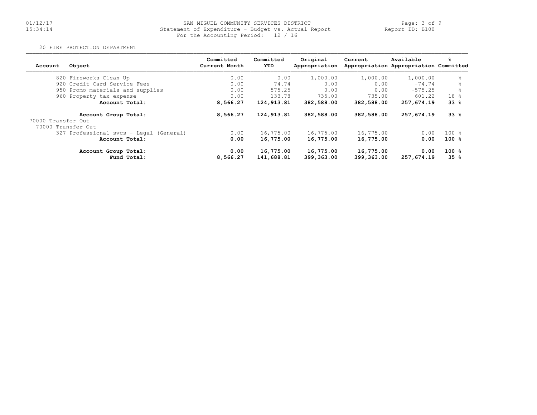# 01/12/17 SAN MIGUEL COMMUNITY SERVICES DISTRICT Page: 3 of 9 15:34:14 Statement of Expenditure - Budget vs. Actual Report Report ID: B10001/12/17 SAN MIGUEL COMMUNITY SERVICES DISTR<br>15:34:14 Statement of Expenditure - Budget vs. Actu<br>For the Accounting Period: 12 / 16

20 FIRE PROTECTION DEPARTMENT

| Account            | Object                                  | Committed<br>Current Month | Committed<br>YTD        | Original<br>Appropriation | Current                 | Available<br>Appropriation Appropriation Committed | %                |
|--------------------|-----------------------------------------|----------------------------|-------------------------|---------------------------|-------------------------|----------------------------------------------------|------------------|
|                    | 820 Fireworks Clean Up                  | 0.00                       | 0.00                    | 1,000.00                  | 1,000.00                | 1,000.00                                           | 욲                |
|                    | 920 Credit Card Service Fees            | 0.00                       | 74.74                   | 0.00                      | 0.00                    | $-74.74$                                           |                  |
|                    | 950 Promo materials and supplies        | 0.00                       | 575.25                  | 0.00                      | 0.00                    | $-575.25$                                          |                  |
|                    | 960 Property tax expense                | 0.00                       | 133.78                  | 735.00                    | 735.00                  | 601.22                                             | 18 %             |
|                    | Account Total:                          | 8,566.27                   | 124,913.81              | 382,588.00                | 382,588.00              | 257,674.19                                         | 33%              |
|                    | Account Group Total:                    | 8,566.27                   | 124,913.81              | 382,588.00                | 382,588.00              | 257,674.19                                         | $33*$            |
| 70000 Transfer Out |                                         |                            |                         |                           |                         |                                                    |                  |
| 70000 Transfer Out |                                         |                            |                         |                           |                         |                                                    |                  |
|                    | 327 Professional svcs - Legal (General) | 0.00                       | 16,775.00               | 16,775.00                 | 16,775.00               | 0.00                                               | $100 \text{ }$ % |
|                    | Account Total:                          | 0.00                       | 16,775.00               | 16,775.00                 | 16,775.00               | 0.00                                               | $100*$           |
|                    | Account Group Total:<br>Fund Total:     | 0.00<br>8,566.27           | 16,775.00<br>141,688.81 | 16,775.00<br>399,363.00   | 16,775.00<br>399,363.00 | 0.00<br>257,674.19                                 | $100*$<br>35%    |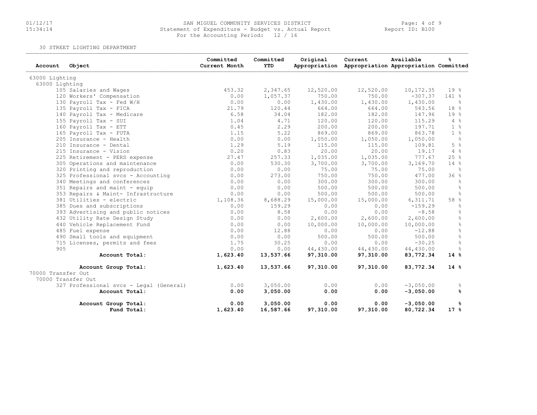# 01/12/17 SAN MIGUEL COMMUNITY SERVICES DISTRICT Page: 4 of 9 15:34:14 Statement of Expenditure - Budget vs. Actual Report Report ID: B100For the Accounting Period: 12 / 16

30 STREET LIGHTING DEPARTMENT

| Account            | Object                                  | Committed<br>Current Month | Committed<br><b>YTD</b> | Original  | Current<br>Appropriation Appropriation Appropriation Committed | Available   | ℁                 |
|--------------------|-----------------------------------------|----------------------------|-------------------------|-----------|----------------------------------------------------------------|-------------|-------------------|
| 63000 Lighting     |                                         |                            |                         |           |                                                                |             |                   |
| 63000 Lighting     |                                         |                            |                         |           |                                                                |             |                   |
|                    | 105 Salaries and Wages                  | 453.32                     | 2,347.65                | 12,520.00 | 12,520.00                                                      | 10, 172.35  | 19 %              |
|                    | 120 Workers' Compensation               | 0.00                       | 1,057.37                | 750.00    | 750.00                                                         | $-307.37$   | 141 %             |
|                    | 130 Payroll Tax - Fed W/H               | 0.00                       | 0.00                    | 1,430.00  | 1,430.00                                                       | 1,430.00    | - 옹               |
|                    | 135 Payroll Tax - FICA                  | 21.79                      | 120.44                  | 664.00    | 664.00                                                         | 543.56      | 18 %              |
|                    | 140 Payroll Tax - Medicare              | 6.58                       | 34.04                   | 182.00    | 182.00                                                         | 147.96      | 19 %              |
|                    | 155 Payroll Tax - SUI                   | 1.04                       | 4.71                    | 120.00    | 120.00                                                         | 115.29      | 4%                |
|                    | 160 Payroll Tax - ETT                   | 0.45                       | 2.29                    | 200.00    | 200.00                                                         | 197.71      | $1 - 8$           |
|                    | 165 Payroll Tax - FUTA                  | 1.15                       | 5.22                    | 869.00    | 869.00                                                         | 863.78      | $1 - 8$           |
|                    | 205 Insurance - Health                  | 0.00                       | 0.00                    | 1,050.00  | 1,050.00                                                       | 1,050.00    | $\frac{1}{6}$     |
|                    | 210 Insurance - Dental                  | 1.29                       | 5.19                    | 115.00    | 115.00                                                         | 109.81      | 5 <sup>°</sup>    |
|                    | 215 Insurance - Vision                  | 0.20                       | 0.83                    | 20.00     | 20.00                                                          | 19.17       | $4\degree$        |
|                    | 225 Retirement - PERS expense           | 27.47                      | 257.33                  | 1,035.00  | 1,035.00                                                       | 777.67      | 25%               |
|                    | 305 Operations and maintenance          | 0.00                       | 530.30                  | 3,700.00  | 3,700.00                                                       | 3,169.70    | 14 %              |
|                    | 320 Printing and reproduction           | 0.00                       | 0.00                    | 75.00     | 75.00                                                          | 75.00       | ႜ                 |
|                    | 325 Professional svcs - Accounting      | 0.00                       | 273.00                  | 750.00    | 750.00                                                         | 477.00      | 36%               |
|                    | 340 Meetings and conferences            | 0.00                       | 0.00                    | 300.00    | 300.00                                                         | 300.00      | 웅                 |
|                    | 351 Repairs and maint - equip           | 0.00                       | 0.00                    | 500.00    | 500.00                                                         | 500.00      | $\frac{\circ}{6}$ |
|                    | 353 Repairs & Maint- Infrastructure     | 0.00                       | 0.00                    | 500.00    | 500.00                                                         | 500.00      | $\frac{6}{6}$     |
|                    | 381 Utilities - electric                | 1,108.36                   | 8,688.29                | 15,000.00 | 15,000.00                                                      | 6,311.71    | 58 %              |
|                    | 385 Dues and subscriptions              | 0.00                       | 159.29                  | 0.00      | 0.00                                                           | $-159.29$   | ိင                |
|                    | 393 Advertising and public notices      | 0.00                       | 8.58                    | 0.00      | 0.00                                                           | $-8.58$     | $\frac{6}{5}$     |
|                    | 432 Utility Rate Design Study           | 0.00                       | 0.00                    | 2,600.00  | 2,600.00                                                       | 2,600.00    | $\frac{9}{6}$     |
|                    | 440 Vehicle Replacement Fund            | 0.00                       | 0.00                    | 10,000.00 | 10,000.00                                                      | 10,000.00   | $\frac{9}{6}$     |
|                    | 485 Fuel expense                        | 0.00                       | 12.88                   | 0.00      | 0.00                                                           | $-12.88$    | $\frac{6}{6}$     |
|                    | 490 Small tools and equipment           | 0.00                       | 0.00                    | 500.00    | 500.00                                                         | 500.00      | $\%$              |
|                    | 715 Licenses, permits and fees          | 1.75                       | 30.25                   | 0.00      | 0.00                                                           | $-30.25$    | $\frac{6}{6}$     |
| 905                |                                         | 0.00                       | 0.00                    | 44,430.00 | 44,430.00                                                      | 44,430.00   | 웅                 |
|                    | Account Total:                          | 1,623.40                   | 13,537.66               | 97,310.00 | 97,310.00                                                      | 83,772.34   | 14%               |
|                    | Account Group Total:                    | 1,623.40                   | 13,537.66               | 97,310.00 | 97,310.00                                                      | 83,772.34   | $14*$             |
| 70000 Transfer Out |                                         |                            |                         |           |                                                                |             |                   |
|                    | 70000 Transfer Out                      |                            |                         |           |                                                                |             |                   |
|                    | 327 Professional svcs - Legal (General) | 0.00                       | 3,050.00                | 0.00      | 0.00                                                           | $-3,050.00$ | g.                |
|                    | Account Total:                          | 0.00                       | 3,050.00                | 0.00      | 0.00                                                           | $-3,050.00$ | ℁                 |
|                    | Account Group Total:                    | 0.00                       | 3,050.00                | 0.00      | 0.00                                                           | $-3,050.00$ | %8                |
|                    | Fund Total:                             | 1,623.40                   | 16,587.66               | 97,310.00 | 97,310.00                                                      | 80,722.34   | $17*$             |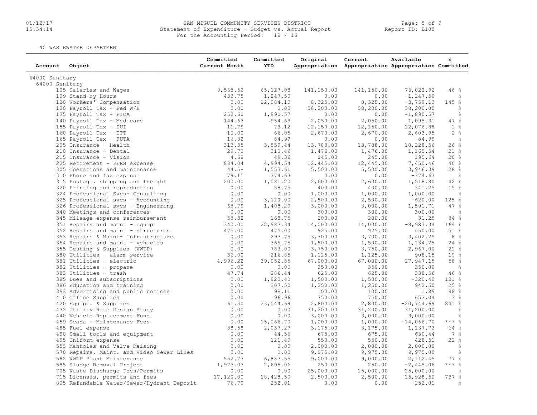# 01/12/17 SAN MIGUEL COMMUNITY SERVICES DISTRICT Page: 5 of 9 15:34:14 Statement of Expenditure - Budget vs. Actual Report Report ID: B100For the Accounting Period: 12 / 16

40 WASTEWATER DEPARTMENT

| Account        | Object                                     | Committed<br>Current Month | Committed<br>YTD | Original   | Current<br>Appropriation Appropriation Appropriation Committed | Available    | ℁               |
|----------------|--------------------------------------------|----------------------------|------------------|------------|----------------------------------------------------------------|--------------|-----------------|
| 64000 Sanitary |                                            |                            |                  |            |                                                                |              |                 |
| 64000 Sanitary |                                            |                            |                  |            |                                                                |              |                 |
|                | 105 Salaries and Wages                     | 9,568.52                   | 65,127.08        | 141,150.00 | 141,150.00                                                     | 76,022.92    | 46%             |
|                | 109 Stand-by Hours                         | 433.75                     | 1,247.50         | 0.00       | 0.00                                                           | $-1, 247.50$ | ိင              |
|                | 120 Workers' Compensation                  | 0.00                       | 12,084.13        | 8,325.00   | 8,325.00                                                       | $-3, 759.13$ | 145 %           |
|                | 130 Payroll Tax - Fed W/H                  | 0.00                       | 0.00             | 38,200.00  | 38,200.00                                                      | 38,200.00    | $\frac{6}{6}$   |
|                | 135 Payroll Tax - FICA                     | 252.60                     | 1,890.57         | 0.00       | 0.00                                                           | $-1,890.57$  | $\frac{6}{6}$   |
|                | 140 Payroll Tax - Medicare                 | 144.63                     | 954.69           | 2,050.00   | 2,050.00                                                       | 1,095.31     | 47%             |
|                | 155 Payroll Tax - SUI                      | 11.79                      | 73.12            | 12,150.00  | 12,150.00                                                      | 12,076.88    | 1 <sup>°</sup>  |
|                | 160 Payroll Tax - ETT                      | 10.00                      | 66.05            | 2,670.00   | 2,670.00                                                       | 2,603.95     | 2 <sub>8</sub>  |
|                | 165 Payroll Tax - FUTA                     | 16.82                      | 84.99            | 0.00       | 0.00                                                           | $-84.99$     | $\frac{6}{6}$   |
|                | 205 Insurance - Health                     | 313.35                     | 3,559.44         | 13,788.00  | 13,788.00                                                      | 10,228.56    | 26%             |
|                | 210 Insurance - Dental                     | 29.72                      | 310.46           | 1,476.00   | 1,476.00                                                       | 1,165.54     | $21$ %          |
|                | 215 Insurance - Vision                     | 4.68                       | 49.36            | 245.00     | 245.00                                                         | 195.64       | 20%             |
|                | 225 Retirement - PERS expense              | 884.04                     | 4,994.54         | 12,445.00  | 12,445.00                                                      | 7,450.46     | 40%             |
|                | 305 Operations and maintenance             | 44.58                      | 1,553.61         | 5,500.00   | 5,500.00                                                       | 3,946.39     | 28%             |
|                | 310 Phone and fax expense                  | 79.15                      | 374.63           | 0.00       | 0.00                                                           | $-374.63$    | $-8$            |
|                | 315 Postage, shipping and freight          | 200.00                     | 1,081.20         | 2,600.00   | 2,600.00                                                       | 1,518.80     | 42%             |
|                | 320 Printing and reproduction              | 0.00                       | 58.75            | 400.00     | 400.00                                                         | 341.25       | 15 <sup>°</sup> |
|                |                                            | 0.00                       | 0.00             | 1,000.00   | 1,000.00                                                       | 1,000.00     | $\frac{6}{3}$   |
|                | 324 Professional Svcs- Consulting          | 0.00                       | 3,120.00         | 2,500.00   | 2,500.00                                                       | $-620.00$    | 125 %           |
|                | 325 Professional svcs - Accounting         |                            |                  |            |                                                                |              | 47%             |
|                | 326 Professional svcs - Engineering        | 68.79                      | 1,408.29         | 3,000.00   | 3,000.00                                                       | 1,591.71     |                 |
|                | 340 Meetings and conferences               | 0.00                       | 0.00             | 300.00     | 300.00                                                         | 300.00       | $\frac{6}{3}$   |
|                | 345 Mileage expense reimbursement          | 58.32                      | 168.75           | 200.00     | 200.00                                                         | 31.25        | 84 %            |
|                | 351 Repairs and maint - equip              | 340.00                     | 22,987.34        | 14,000.00  | 14,000.00                                                      | $-8,987.34$  | 164%            |
|                | 352 Repairs and maint - structures         | 475.00                     | 475.00           | 925.00     | 925.00                                                         | 450.00       | 51%             |
|                | 353 Repairs & Maint- Infrastructure        | 0.00                       | 297.75           | 3,700.00   | 3,700.00                                                       | 3,402.25     | 8%              |
|                | 354 Repairs and maint - vehicles           | 0.00                       | 365.75           | 1,500.00   | 1,500.00                                                       | 1,134.25     | 24%             |
|                | 355 Testing & Supplies (WWTP)              | 0.00                       | 783.00           | 3,750.00   | 3,750.00                                                       | 2,967.00     | $21$ %          |
|                | 380 Utilities - alarm service              | 36.00                      | 216.85           | 1,125.00   | 1,125.00                                                       | 908.15       | 19%             |
|                | 381 Utilities - electric                   | 4,996.22                   | 39,052.85        | 67,000.00  | 67,000.00                                                      | 27,947.15    | 58 %            |
|                | 382 Utilities - propane                    | 0.00                       | 0.00             | 350.00     | 350.00                                                         | 350.00       | $\frac{6}{6}$   |
|                | 383 Utilities - trash                      | 47.74                      | 286.44           | 625.00     | 625.00                                                         | 338.56       | 46%             |
|                | 385 Dues and subscriptions                 | 0.00                       | 1,820.40         | 1,500.00   | 1,500.00                                                       | $-320.40$    | $121$ %         |
|                | 386 Education and training                 | 0.00                       | 307.50           | 1,250.00   | 1,250.00                                                       | 942.50       | 25%             |
|                | 393 Advertising and public notices         | 0.00                       | 98.11            | 100.00     | 100.00                                                         | 1.89         | 98%             |
|                | 410 Office Supplies                        | 0.00                       | 96.96            | 750.00     | 750.00                                                         | 653.04       | 13%             |
|                | 420 Equipt. & Supplies                     | 61.30                      | 23,544.69        | 2,800.00   | 2,800.00                                                       | $-20,744.69$ | 841 %           |
|                | 432 Utility Rate Design Study              | 0.00                       | 0.00             | 31,200.00  | 31,200.00                                                      | 31, 200.00   | $\frac{6}{6}$   |
|                | 440 Vehicle Replacement Fund               | 0.00                       | 0.00             | 3,000.00   | 3,000.00                                                       | 3,000.00     | $\frac{6}{6}$   |
|                | 459 Scada - Maintenance Fees               | 0.00                       | 15,066.70        | 1,000.00   | 1,000.00                                                       | $-14,066.70$ | $***$ $-8$      |
|                | 485 Fuel expense                           | 88.58                      | 2,037.27         | 3,175.00   | 3,175.00                                                       | 1,137.73     | 64 %            |
|                | 490 Small tools and equipment              | 0.00                       | 44.56            | 675.00     | 675.00                                                         | 630.44       | 7 %             |
|                | 495 Uniform expense                        | 0.00                       | 121.49           | 550.00     | 550.00                                                         | 428.51       | 22%             |
|                | 553 Manholes and Valve Raising             | 0.00                       | 0.00             | 2,000.00   | 2,000.00                                                       | 2,000.00     | $\frac{6}{3}$   |
|                | 570 Repairs, Maint. and Video Sewer Lines  | 0.00                       | 0.00             | 9,975.00   | 9,975.00                                                       | 9,975.00     | ိင              |
|                | 582 WWTP Plant Maintenance                 | 552.77                     | 6,887.55         | 9,000.00   | 9,000.00                                                       | 2, 112.45    | 77%             |
|                | 585 Sludge Removal Project                 | 1,973.03                   | 2,695.06         | 250.00     | 250.00                                                         | $-2,445.06$  | $***$ $-8$      |
|                | 705 Waste Discharge Fees/Permits           | 0.00                       | 0.00             | 25,000.00  | 25,000.00                                                      | 25,000.00    | ိင              |
|                | 715 Licenses, permits and fees             | 17,120.00                  | 18,428.50        | 2,500.00   | 2,500.00                                                       | $-15,928.50$ | 737 %           |
|                | 805 Refundable Water/Sewer/Hydrant Deposit | 76.79                      | 252.01           | 0.00       | 0.00                                                           | $-252.01$    | $\frac{6}{6}$   |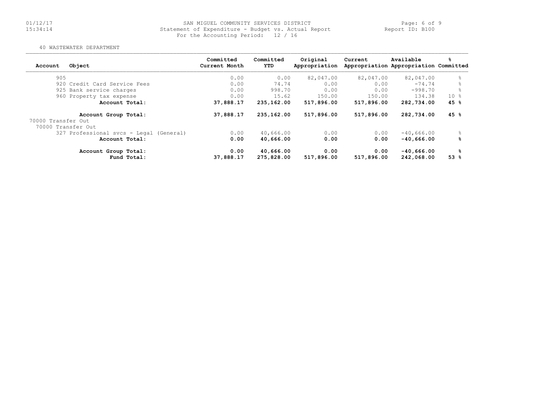# 01/12/17 SAN MIGUEL COMMUNITY SERVICES DISTRICT Page: 6 of 9 15:34:14 Statement of Expenditure - Budget vs. Actual Report Report ID: B100For the Accounting Period: 12 / 16

#### 40 WASTEWATER DEPARTMENT

| Object<br>Account                          | Committed<br>Current Month | Committed<br><b>YTD</b> | Original<br>Appropriation | Current    | Available<br>Appropriation Appropriation Committed | ℁               |
|--------------------------------------------|----------------------------|-------------------------|---------------------------|------------|----------------------------------------------------|-----------------|
| 905                                        | 0.00                       | 0.00                    | 82,047.00                 | 82,047.00  | 82,047.00                                          | 욲               |
| 920 Credit Card Service Fees               | 0.00                       | 74.74                   | 0.00                      | 0.00       | $-74.74$                                           |                 |
| 925 Bank service charges                   | 0.00                       | 998.70                  | 0.00                      | 0.00       | $-998.70$                                          |                 |
| 960 Property tax expense                   | 0.00                       | 15.62                   | 150.00                    | 150.00     | 134.38                                             | 10 <sub>8</sub> |
| Account Total:                             | 37,888.17                  | 235,162.00              | 517,896.00                | 517,896.00 | 282,734.00                                         | 45 %            |
| Account Group Total:<br>70000 Transfer Out | 37,888.17                  | 235,162.00              | 517,896.00                | 517,896.00 | 282,734.00                                         | 45%             |
| 70000 Transfer Out                         |                            |                         |                           |            |                                                    |                 |
| 327 Professional svcs - Legal (General)    | 0.00                       | 40,666.00               | 0.00                      | 0.00       | $-40,666.00$                                       |                 |
| Account Total:                             | 0.00                       | 40,666.00               | 0.00                      | 0.00       | $-40.666.00$                                       | ℁               |
| Account Group Total:                       | 0.00                       | 40,666.00               | 0.00                      | 0.00       | $-40,666.00$                                       | ℁               |
| Fund Total:                                | 37,888.17                  | 275,828.00              | 517,896.00                | 517,896.00 | 242,068.00                                         | 53%             |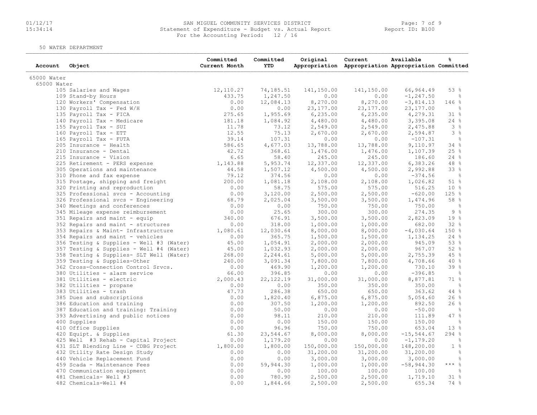# 01/12/17 SAN MIGUEL COMMUNITY SERVICES DISTRICT Page: 7 of 9 15:34:14 Statement of Expenditure - Budget vs. Actual Report Report ID: B100 For the Accounting Period: 12 / 16

50 WATER DEPARTMENT

| 65000 Water<br>65000 Water<br>12,110.27<br>141,150.00<br>66,964.49<br>53%<br>105 Salaries and Wages<br>74,185.51<br>141,150.00<br>433.75<br>1,247.50<br>0.00<br>0.00<br>$-1, 247.50$<br>109 Stand-by Hours<br>ိင<br>120 Workers' Compensation<br>0.00<br>12,084.13<br>8,270.00<br>8,270.00<br>$-3,814.13$<br>146%<br>0.00<br>23, 177.00<br>23, 177.00<br>23, 177.00<br>130 Payroll Tax - Fed W/H<br>0.00<br>ိင<br>135 Payroll Tax - FICA<br>275.65<br>1,955.69<br>6, 235.00<br>6, 235.00<br>4,279.31<br>31 %<br>3,395.08<br>24%<br>140 Payroll Tax - Medicare<br>181.18<br>1,084.92<br>4,480.00<br>4,480.00<br>11.78<br>3%<br>155 Payroll Tax - SUI<br>73.12<br>2,549.00<br>2,549.00<br>2,475.88<br>12.55<br>75.13<br>3%<br>160 Payroll Tax - ETT<br>2,670.00<br>2,670.00<br>2,594.87<br>39.14<br>107.31<br>$\frac{9}{6}$<br>165 Payroll Tax - FUTA<br>0.00<br>0.00<br>$-107.31$<br>4,677.03<br>205 Insurance - Health<br>586.65<br>13,788.00<br>13,788.00<br>9,110.97<br>34%<br>42.72<br>25%<br>210 Insurance - Dental<br>368.61<br>1,476.00<br>1,107.39<br>1,476.00<br>215 Insurance - Vision<br>6.65<br>58.40<br>245.00<br>245.00<br>186.60<br>24%<br>1,143.88<br>5,953.74<br>12,337.00<br>12,337.00<br>6,383.26<br>48%<br>225 Retirement - PERS expense<br>44.58<br>1,507.12<br>4,500.00<br>4,500.00<br>2,992.88<br>33%<br>305 Operations and maintenance<br>79.12<br>374.56<br>310 Phone and fax expense<br>0.00<br>0.00<br>$-374.56$<br>$\sim$ 8<br>200.00<br>1,081.18<br>2,108.00<br>2,108.00<br>51%<br>315 Postage, shipping and freight<br>1,026.82<br>0.00<br>58.75<br>575.00<br>575.00<br>10 <sup>8</sup><br>320 Printing and reproduction<br>516.25<br>0.00<br>2,500.00<br>125 %<br>325 Professional svcs - Accounting<br>3,120.00<br>2,500.00<br>$-620.00$<br>58 %<br>326 Professional svcs - Engineering<br>68.79<br>2,025.04<br>3,500.00<br>3,500.00<br>1,474.96<br>0.00<br>340 Meetings and conferences<br>0.00<br>750.00<br>750.00<br>750.00<br>$\frac{9}{6}$<br>0.00<br>300.00<br>9%<br>345 Mileage expense reimbursement<br>25.65<br>300.00<br>274.35<br>19 %<br>351 Repairs and maint - equip<br>340.00<br>676.91<br>3,500.00<br>3,500.00<br>2,823.09<br>352 Repairs and maint - structures<br>318.00<br>1,000.00<br>1,000.00<br>32%<br>0.00<br>682.00<br>150 %<br>353 Repairs & Maint- Infrastructure<br>1,080.61<br>12,030.64<br>8,000.00<br>8,000.00<br>$-4,030.64$<br>0.00<br>365.75<br>1,500.00<br>1,134.25<br>24%<br>354 Repairs and maint - vehicles<br>1,500.00<br>53 %<br>356 Testing & Supplies - Well #3 (Water)<br>45.00<br>1,054.91<br>2,000.00<br>2,000.00<br>945.09<br>52%<br>357 Testing & Supplies - Well #4 (Water)<br>45.00<br>1,032.93<br>2,000.00<br>2,000.00<br>967.07<br>358 Testing & Supplies- SLT Well (Water)<br>268.00<br>5,000.00<br>45 %<br>2,244.61<br>5,000.00<br>2,755.39<br>359 Testing & Supplies-Other<br>240.00<br>40%<br>3,091.34<br>7,800.00<br>7,800.00<br>4,708.66<br>0.00<br>1,200.00<br>1,200.00<br>730.10<br>39 %<br>362 Cross-Connection Control Srvcs.<br>469.90<br>380 Utilities - alarm service<br>66.00<br>396.85<br>0.00<br>0.00<br>$-396.85$<br>$\frac{9}{6}$<br>31,000.00<br>71 %<br>381 Utilities - electric<br>2,000.43<br>22,122.19<br>31,000.00<br>8,877.81<br>$\frac{6}{6}$<br>382 Utilities - propane<br>0.00<br>0.00<br>350.00<br>350.00<br>350.00<br>47.73<br>286.38<br>$44$ %<br>383 Utilities - trash<br>650.00<br>650.00<br>363.62<br>385 Dues and subscriptions<br>0.00<br>1,820.40<br>6,875.00<br>6,875.00<br>5,054.60<br>26%<br>0.00<br>307.50<br>1,200.00<br>1,200.00<br>892.50<br>26%<br>386 Education and training<br>0.00<br>50.00<br>0.00<br>0.00<br>$-50.00$<br>$ \frac{6}{6}$<br>387 Education and training: Training<br>0.00<br>98.11<br>210.00<br>210.00<br>111.89<br>47%<br>393 Advertising and public notices<br>400 Supplies<br>0.00<br>150.00<br>150.00<br>150.00<br>0.00<br>ိင<br>0.00<br>96.96<br>13 %<br>410 Office Supplies<br>750.00<br>750.00<br>653.04<br>61.30<br>$-15, 544.67$<br>294%<br>420 Equipt. & Supplies<br>23,544.67<br>8,000.00<br>8,000.00<br>0.00<br>$-1, 179.20$<br>425 Well #3 Rehab - Capital Project<br>1,179.20<br>0.00<br>0.00<br>$\frac{6}{6}$<br>1 <sup>°</sup><br>431 SLT Blending Line - CDBG Project<br>1,800.00<br>1,800.00<br>150,000.00<br>150,000.00<br>148,200.00<br>432 Utility Rate Design Study<br>0.00<br>31,200.00<br>31,200.00<br>31,200.00<br>$\frac{6}{6}$<br>0.00<br>440 Vehicle Replacement Fund<br>0.00<br>0.00<br>3,000.00<br>3,000.00<br>3,000.00<br>$\frac{6}{6}$<br>0.00<br>$***$ $-$<br>459 Scada - Maintenance Fees<br>59,944.30<br>1,000.00<br>1,000.00<br>$-58,944.30$<br>470 Communication equipment<br>0.00<br>100.00<br>100.00<br>$\frac{6}{6}$<br>0.00<br>100.00<br>481 Chemicals- Well #3<br>0.00<br>31%<br>780.90<br>2,500.00<br>2,500.00<br>1,719.10<br>482 Chemicals-Well #4 | Account | Object | Committed<br>Current Month | Committed<br>YTD | Original | Current<br>Appropriation Appropriation Appropriation Committed | Available | န္   |
|-------------------------------------------------------------------------------------------------------------------------------------------------------------------------------------------------------------------------------------------------------------------------------------------------------------------------------------------------------------------------------------------------------------------------------------------------------------------------------------------------------------------------------------------------------------------------------------------------------------------------------------------------------------------------------------------------------------------------------------------------------------------------------------------------------------------------------------------------------------------------------------------------------------------------------------------------------------------------------------------------------------------------------------------------------------------------------------------------------------------------------------------------------------------------------------------------------------------------------------------------------------------------------------------------------------------------------------------------------------------------------------------------------------------------------------------------------------------------------------------------------------------------------------------------------------------------------------------------------------------------------------------------------------------------------------------------------------------------------------------------------------------------------------------------------------------------------------------------------------------------------------------------------------------------------------------------------------------------------------------------------------------------------------------------------------------------------------------------------------------------------------------------------------------------------------------------------------------------------------------------------------------------------------------------------------------------------------------------------------------------------------------------------------------------------------------------------------------------------------------------------------------------------------------------------------------------------------------------------------------------------------------------------------------------------------------------------------------------------------------------------------------------------------------------------------------------------------------------------------------------------------------------------------------------------------------------------------------------------------------------------------------------------------------------------------------------------------------------------------------------------------------------------------------------------------------------------------------------------------------------------------------------------------------------------------------------------------------------------------------------------------------------------------------------------------------------------------------------------------------------------------------------------------------------------------------------------------------------------------------------------------------------------------------------------------------------------------------------------------------------------------------------------------------------------------------------------------------------------------------------------------------------------------------------------------------------------------------------------------------------------------------------------------------------------------------------------------------------------------------------------------------------------------------------------------------------------------------------------------------------------------------------------------------------------------------------------------------------------------------------------------------------------------------------------------------------------------------------------------------------------------------------------------------------------------------------------------------------------------------------------------------------------------------------------------------------------------------------------------------------------------------------------------------------------------------------------------------------|---------|--------|----------------------------|------------------|----------|----------------------------------------------------------------|-----------|------|
|                                                                                                                                                                                                                                                                                                                                                                                                                                                                                                                                                                                                                                                                                                                                                                                                                                                                                                                                                                                                                                                                                                                                                                                                                                                                                                                                                                                                                                                                                                                                                                                                                                                                                                                                                                                                                                                                                                                                                                                                                                                                                                                                                                                                                                                                                                                                                                                                                                                                                                                                                                                                                                                                                                                                                                                                                                                                                                                                                                                                                                                                                                                                                                                                                                                                                                                                                                                                                                                                                                                                                                                                                                                                                                                                                                                                                                                                                                                                                                                                                                                                                                                                                                                                                                                                                                                                                                                                                                                                                                                                                                                                                                                                                                                                                                                                                                                 |         |        |                            |                  |          |                                                                |           |      |
|                                                                                                                                                                                                                                                                                                                                                                                                                                                                                                                                                                                                                                                                                                                                                                                                                                                                                                                                                                                                                                                                                                                                                                                                                                                                                                                                                                                                                                                                                                                                                                                                                                                                                                                                                                                                                                                                                                                                                                                                                                                                                                                                                                                                                                                                                                                                                                                                                                                                                                                                                                                                                                                                                                                                                                                                                                                                                                                                                                                                                                                                                                                                                                                                                                                                                                                                                                                                                                                                                                                                                                                                                                                                                                                                                                                                                                                                                                                                                                                                                                                                                                                                                                                                                                                                                                                                                                                                                                                                                                                                                                                                                                                                                                                                                                                                                                                 |         |        |                            |                  |          |                                                                |           |      |
|                                                                                                                                                                                                                                                                                                                                                                                                                                                                                                                                                                                                                                                                                                                                                                                                                                                                                                                                                                                                                                                                                                                                                                                                                                                                                                                                                                                                                                                                                                                                                                                                                                                                                                                                                                                                                                                                                                                                                                                                                                                                                                                                                                                                                                                                                                                                                                                                                                                                                                                                                                                                                                                                                                                                                                                                                                                                                                                                                                                                                                                                                                                                                                                                                                                                                                                                                                                                                                                                                                                                                                                                                                                                                                                                                                                                                                                                                                                                                                                                                                                                                                                                                                                                                                                                                                                                                                                                                                                                                                                                                                                                                                                                                                                                                                                                                                                 |         |        |                            |                  |          |                                                                |           |      |
|                                                                                                                                                                                                                                                                                                                                                                                                                                                                                                                                                                                                                                                                                                                                                                                                                                                                                                                                                                                                                                                                                                                                                                                                                                                                                                                                                                                                                                                                                                                                                                                                                                                                                                                                                                                                                                                                                                                                                                                                                                                                                                                                                                                                                                                                                                                                                                                                                                                                                                                                                                                                                                                                                                                                                                                                                                                                                                                                                                                                                                                                                                                                                                                                                                                                                                                                                                                                                                                                                                                                                                                                                                                                                                                                                                                                                                                                                                                                                                                                                                                                                                                                                                                                                                                                                                                                                                                                                                                                                                                                                                                                                                                                                                                                                                                                                                                 |         |        |                            |                  |          |                                                                |           |      |
|                                                                                                                                                                                                                                                                                                                                                                                                                                                                                                                                                                                                                                                                                                                                                                                                                                                                                                                                                                                                                                                                                                                                                                                                                                                                                                                                                                                                                                                                                                                                                                                                                                                                                                                                                                                                                                                                                                                                                                                                                                                                                                                                                                                                                                                                                                                                                                                                                                                                                                                                                                                                                                                                                                                                                                                                                                                                                                                                                                                                                                                                                                                                                                                                                                                                                                                                                                                                                                                                                                                                                                                                                                                                                                                                                                                                                                                                                                                                                                                                                                                                                                                                                                                                                                                                                                                                                                                                                                                                                                                                                                                                                                                                                                                                                                                                                                                 |         |        |                            |                  |          |                                                                |           |      |
|                                                                                                                                                                                                                                                                                                                                                                                                                                                                                                                                                                                                                                                                                                                                                                                                                                                                                                                                                                                                                                                                                                                                                                                                                                                                                                                                                                                                                                                                                                                                                                                                                                                                                                                                                                                                                                                                                                                                                                                                                                                                                                                                                                                                                                                                                                                                                                                                                                                                                                                                                                                                                                                                                                                                                                                                                                                                                                                                                                                                                                                                                                                                                                                                                                                                                                                                                                                                                                                                                                                                                                                                                                                                                                                                                                                                                                                                                                                                                                                                                                                                                                                                                                                                                                                                                                                                                                                                                                                                                                                                                                                                                                                                                                                                                                                                                                                 |         |        |                            |                  |          |                                                                |           |      |
|                                                                                                                                                                                                                                                                                                                                                                                                                                                                                                                                                                                                                                                                                                                                                                                                                                                                                                                                                                                                                                                                                                                                                                                                                                                                                                                                                                                                                                                                                                                                                                                                                                                                                                                                                                                                                                                                                                                                                                                                                                                                                                                                                                                                                                                                                                                                                                                                                                                                                                                                                                                                                                                                                                                                                                                                                                                                                                                                                                                                                                                                                                                                                                                                                                                                                                                                                                                                                                                                                                                                                                                                                                                                                                                                                                                                                                                                                                                                                                                                                                                                                                                                                                                                                                                                                                                                                                                                                                                                                                                                                                                                                                                                                                                                                                                                                                                 |         |        |                            |                  |          |                                                                |           |      |
|                                                                                                                                                                                                                                                                                                                                                                                                                                                                                                                                                                                                                                                                                                                                                                                                                                                                                                                                                                                                                                                                                                                                                                                                                                                                                                                                                                                                                                                                                                                                                                                                                                                                                                                                                                                                                                                                                                                                                                                                                                                                                                                                                                                                                                                                                                                                                                                                                                                                                                                                                                                                                                                                                                                                                                                                                                                                                                                                                                                                                                                                                                                                                                                                                                                                                                                                                                                                                                                                                                                                                                                                                                                                                                                                                                                                                                                                                                                                                                                                                                                                                                                                                                                                                                                                                                                                                                                                                                                                                                                                                                                                                                                                                                                                                                                                                                                 |         |        |                            |                  |          |                                                                |           |      |
|                                                                                                                                                                                                                                                                                                                                                                                                                                                                                                                                                                                                                                                                                                                                                                                                                                                                                                                                                                                                                                                                                                                                                                                                                                                                                                                                                                                                                                                                                                                                                                                                                                                                                                                                                                                                                                                                                                                                                                                                                                                                                                                                                                                                                                                                                                                                                                                                                                                                                                                                                                                                                                                                                                                                                                                                                                                                                                                                                                                                                                                                                                                                                                                                                                                                                                                                                                                                                                                                                                                                                                                                                                                                                                                                                                                                                                                                                                                                                                                                                                                                                                                                                                                                                                                                                                                                                                                                                                                                                                                                                                                                                                                                                                                                                                                                                                                 |         |        |                            |                  |          |                                                                |           |      |
|                                                                                                                                                                                                                                                                                                                                                                                                                                                                                                                                                                                                                                                                                                                                                                                                                                                                                                                                                                                                                                                                                                                                                                                                                                                                                                                                                                                                                                                                                                                                                                                                                                                                                                                                                                                                                                                                                                                                                                                                                                                                                                                                                                                                                                                                                                                                                                                                                                                                                                                                                                                                                                                                                                                                                                                                                                                                                                                                                                                                                                                                                                                                                                                                                                                                                                                                                                                                                                                                                                                                                                                                                                                                                                                                                                                                                                                                                                                                                                                                                                                                                                                                                                                                                                                                                                                                                                                                                                                                                                                                                                                                                                                                                                                                                                                                                                                 |         |        |                            |                  |          |                                                                |           |      |
|                                                                                                                                                                                                                                                                                                                                                                                                                                                                                                                                                                                                                                                                                                                                                                                                                                                                                                                                                                                                                                                                                                                                                                                                                                                                                                                                                                                                                                                                                                                                                                                                                                                                                                                                                                                                                                                                                                                                                                                                                                                                                                                                                                                                                                                                                                                                                                                                                                                                                                                                                                                                                                                                                                                                                                                                                                                                                                                                                                                                                                                                                                                                                                                                                                                                                                                                                                                                                                                                                                                                                                                                                                                                                                                                                                                                                                                                                                                                                                                                                                                                                                                                                                                                                                                                                                                                                                                                                                                                                                                                                                                                                                                                                                                                                                                                                                                 |         |        |                            |                  |          |                                                                |           |      |
|                                                                                                                                                                                                                                                                                                                                                                                                                                                                                                                                                                                                                                                                                                                                                                                                                                                                                                                                                                                                                                                                                                                                                                                                                                                                                                                                                                                                                                                                                                                                                                                                                                                                                                                                                                                                                                                                                                                                                                                                                                                                                                                                                                                                                                                                                                                                                                                                                                                                                                                                                                                                                                                                                                                                                                                                                                                                                                                                                                                                                                                                                                                                                                                                                                                                                                                                                                                                                                                                                                                                                                                                                                                                                                                                                                                                                                                                                                                                                                                                                                                                                                                                                                                                                                                                                                                                                                                                                                                                                                                                                                                                                                                                                                                                                                                                                                                 |         |        |                            |                  |          |                                                                |           |      |
|                                                                                                                                                                                                                                                                                                                                                                                                                                                                                                                                                                                                                                                                                                                                                                                                                                                                                                                                                                                                                                                                                                                                                                                                                                                                                                                                                                                                                                                                                                                                                                                                                                                                                                                                                                                                                                                                                                                                                                                                                                                                                                                                                                                                                                                                                                                                                                                                                                                                                                                                                                                                                                                                                                                                                                                                                                                                                                                                                                                                                                                                                                                                                                                                                                                                                                                                                                                                                                                                                                                                                                                                                                                                                                                                                                                                                                                                                                                                                                                                                                                                                                                                                                                                                                                                                                                                                                                                                                                                                                                                                                                                                                                                                                                                                                                                                                                 |         |        |                            |                  |          |                                                                |           |      |
|                                                                                                                                                                                                                                                                                                                                                                                                                                                                                                                                                                                                                                                                                                                                                                                                                                                                                                                                                                                                                                                                                                                                                                                                                                                                                                                                                                                                                                                                                                                                                                                                                                                                                                                                                                                                                                                                                                                                                                                                                                                                                                                                                                                                                                                                                                                                                                                                                                                                                                                                                                                                                                                                                                                                                                                                                                                                                                                                                                                                                                                                                                                                                                                                                                                                                                                                                                                                                                                                                                                                                                                                                                                                                                                                                                                                                                                                                                                                                                                                                                                                                                                                                                                                                                                                                                                                                                                                                                                                                                                                                                                                                                                                                                                                                                                                                                                 |         |        |                            |                  |          |                                                                |           |      |
|                                                                                                                                                                                                                                                                                                                                                                                                                                                                                                                                                                                                                                                                                                                                                                                                                                                                                                                                                                                                                                                                                                                                                                                                                                                                                                                                                                                                                                                                                                                                                                                                                                                                                                                                                                                                                                                                                                                                                                                                                                                                                                                                                                                                                                                                                                                                                                                                                                                                                                                                                                                                                                                                                                                                                                                                                                                                                                                                                                                                                                                                                                                                                                                                                                                                                                                                                                                                                                                                                                                                                                                                                                                                                                                                                                                                                                                                                                                                                                                                                                                                                                                                                                                                                                                                                                                                                                                                                                                                                                                                                                                                                                                                                                                                                                                                                                                 |         |        |                            |                  |          |                                                                |           |      |
|                                                                                                                                                                                                                                                                                                                                                                                                                                                                                                                                                                                                                                                                                                                                                                                                                                                                                                                                                                                                                                                                                                                                                                                                                                                                                                                                                                                                                                                                                                                                                                                                                                                                                                                                                                                                                                                                                                                                                                                                                                                                                                                                                                                                                                                                                                                                                                                                                                                                                                                                                                                                                                                                                                                                                                                                                                                                                                                                                                                                                                                                                                                                                                                                                                                                                                                                                                                                                                                                                                                                                                                                                                                                                                                                                                                                                                                                                                                                                                                                                                                                                                                                                                                                                                                                                                                                                                                                                                                                                                                                                                                                                                                                                                                                                                                                                                                 |         |        |                            |                  |          |                                                                |           |      |
|                                                                                                                                                                                                                                                                                                                                                                                                                                                                                                                                                                                                                                                                                                                                                                                                                                                                                                                                                                                                                                                                                                                                                                                                                                                                                                                                                                                                                                                                                                                                                                                                                                                                                                                                                                                                                                                                                                                                                                                                                                                                                                                                                                                                                                                                                                                                                                                                                                                                                                                                                                                                                                                                                                                                                                                                                                                                                                                                                                                                                                                                                                                                                                                                                                                                                                                                                                                                                                                                                                                                                                                                                                                                                                                                                                                                                                                                                                                                                                                                                                                                                                                                                                                                                                                                                                                                                                                                                                                                                                                                                                                                                                                                                                                                                                                                                                                 |         |        |                            |                  |          |                                                                |           |      |
|                                                                                                                                                                                                                                                                                                                                                                                                                                                                                                                                                                                                                                                                                                                                                                                                                                                                                                                                                                                                                                                                                                                                                                                                                                                                                                                                                                                                                                                                                                                                                                                                                                                                                                                                                                                                                                                                                                                                                                                                                                                                                                                                                                                                                                                                                                                                                                                                                                                                                                                                                                                                                                                                                                                                                                                                                                                                                                                                                                                                                                                                                                                                                                                                                                                                                                                                                                                                                                                                                                                                                                                                                                                                                                                                                                                                                                                                                                                                                                                                                                                                                                                                                                                                                                                                                                                                                                                                                                                                                                                                                                                                                                                                                                                                                                                                                                                 |         |        |                            |                  |          |                                                                |           |      |
|                                                                                                                                                                                                                                                                                                                                                                                                                                                                                                                                                                                                                                                                                                                                                                                                                                                                                                                                                                                                                                                                                                                                                                                                                                                                                                                                                                                                                                                                                                                                                                                                                                                                                                                                                                                                                                                                                                                                                                                                                                                                                                                                                                                                                                                                                                                                                                                                                                                                                                                                                                                                                                                                                                                                                                                                                                                                                                                                                                                                                                                                                                                                                                                                                                                                                                                                                                                                                                                                                                                                                                                                                                                                                                                                                                                                                                                                                                                                                                                                                                                                                                                                                                                                                                                                                                                                                                                                                                                                                                                                                                                                                                                                                                                                                                                                                                                 |         |        |                            |                  |          |                                                                |           |      |
|                                                                                                                                                                                                                                                                                                                                                                                                                                                                                                                                                                                                                                                                                                                                                                                                                                                                                                                                                                                                                                                                                                                                                                                                                                                                                                                                                                                                                                                                                                                                                                                                                                                                                                                                                                                                                                                                                                                                                                                                                                                                                                                                                                                                                                                                                                                                                                                                                                                                                                                                                                                                                                                                                                                                                                                                                                                                                                                                                                                                                                                                                                                                                                                                                                                                                                                                                                                                                                                                                                                                                                                                                                                                                                                                                                                                                                                                                                                                                                                                                                                                                                                                                                                                                                                                                                                                                                                                                                                                                                                                                                                                                                                                                                                                                                                                                                                 |         |        |                            |                  |          |                                                                |           |      |
|                                                                                                                                                                                                                                                                                                                                                                                                                                                                                                                                                                                                                                                                                                                                                                                                                                                                                                                                                                                                                                                                                                                                                                                                                                                                                                                                                                                                                                                                                                                                                                                                                                                                                                                                                                                                                                                                                                                                                                                                                                                                                                                                                                                                                                                                                                                                                                                                                                                                                                                                                                                                                                                                                                                                                                                                                                                                                                                                                                                                                                                                                                                                                                                                                                                                                                                                                                                                                                                                                                                                                                                                                                                                                                                                                                                                                                                                                                                                                                                                                                                                                                                                                                                                                                                                                                                                                                                                                                                                                                                                                                                                                                                                                                                                                                                                                                                 |         |        |                            |                  |          |                                                                |           |      |
|                                                                                                                                                                                                                                                                                                                                                                                                                                                                                                                                                                                                                                                                                                                                                                                                                                                                                                                                                                                                                                                                                                                                                                                                                                                                                                                                                                                                                                                                                                                                                                                                                                                                                                                                                                                                                                                                                                                                                                                                                                                                                                                                                                                                                                                                                                                                                                                                                                                                                                                                                                                                                                                                                                                                                                                                                                                                                                                                                                                                                                                                                                                                                                                                                                                                                                                                                                                                                                                                                                                                                                                                                                                                                                                                                                                                                                                                                                                                                                                                                                                                                                                                                                                                                                                                                                                                                                                                                                                                                                                                                                                                                                                                                                                                                                                                                                                 |         |        |                            |                  |          |                                                                |           |      |
|                                                                                                                                                                                                                                                                                                                                                                                                                                                                                                                                                                                                                                                                                                                                                                                                                                                                                                                                                                                                                                                                                                                                                                                                                                                                                                                                                                                                                                                                                                                                                                                                                                                                                                                                                                                                                                                                                                                                                                                                                                                                                                                                                                                                                                                                                                                                                                                                                                                                                                                                                                                                                                                                                                                                                                                                                                                                                                                                                                                                                                                                                                                                                                                                                                                                                                                                                                                                                                                                                                                                                                                                                                                                                                                                                                                                                                                                                                                                                                                                                                                                                                                                                                                                                                                                                                                                                                                                                                                                                                                                                                                                                                                                                                                                                                                                                                                 |         |        |                            |                  |          |                                                                |           |      |
|                                                                                                                                                                                                                                                                                                                                                                                                                                                                                                                                                                                                                                                                                                                                                                                                                                                                                                                                                                                                                                                                                                                                                                                                                                                                                                                                                                                                                                                                                                                                                                                                                                                                                                                                                                                                                                                                                                                                                                                                                                                                                                                                                                                                                                                                                                                                                                                                                                                                                                                                                                                                                                                                                                                                                                                                                                                                                                                                                                                                                                                                                                                                                                                                                                                                                                                                                                                                                                                                                                                                                                                                                                                                                                                                                                                                                                                                                                                                                                                                                                                                                                                                                                                                                                                                                                                                                                                                                                                                                                                                                                                                                                                                                                                                                                                                                                                 |         |        |                            |                  |          |                                                                |           |      |
|                                                                                                                                                                                                                                                                                                                                                                                                                                                                                                                                                                                                                                                                                                                                                                                                                                                                                                                                                                                                                                                                                                                                                                                                                                                                                                                                                                                                                                                                                                                                                                                                                                                                                                                                                                                                                                                                                                                                                                                                                                                                                                                                                                                                                                                                                                                                                                                                                                                                                                                                                                                                                                                                                                                                                                                                                                                                                                                                                                                                                                                                                                                                                                                                                                                                                                                                                                                                                                                                                                                                                                                                                                                                                                                                                                                                                                                                                                                                                                                                                                                                                                                                                                                                                                                                                                                                                                                                                                                                                                                                                                                                                                                                                                                                                                                                                                                 |         |        |                            |                  |          |                                                                |           |      |
|                                                                                                                                                                                                                                                                                                                                                                                                                                                                                                                                                                                                                                                                                                                                                                                                                                                                                                                                                                                                                                                                                                                                                                                                                                                                                                                                                                                                                                                                                                                                                                                                                                                                                                                                                                                                                                                                                                                                                                                                                                                                                                                                                                                                                                                                                                                                                                                                                                                                                                                                                                                                                                                                                                                                                                                                                                                                                                                                                                                                                                                                                                                                                                                                                                                                                                                                                                                                                                                                                                                                                                                                                                                                                                                                                                                                                                                                                                                                                                                                                                                                                                                                                                                                                                                                                                                                                                                                                                                                                                                                                                                                                                                                                                                                                                                                                                                 |         |        |                            |                  |          |                                                                |           |      |
|                                                                                                                                                                                                                                                                                                                                                                                                                                                                                                                                                                                                                                                                                                                                                                                                                                                                                                                                                                                                                                                                                                                                                                                                                                                                                                                                                                                                                                                                                                                                                                                                                                                                                                                                                                                                                                                                                                                                                                                                                                                                                                                                                                                                                                                                                                                                                                                                                                                                                                                                                                                                                                                                                                                                                                                                                                                                                                                                                                                                                                                                                                                                                                                                                                                                                                                                                                                                                                                                                                                                                                                                                                                                                                                                                                                                                                                                                                                                                                                                                                                                                                                                                                                                                                                                                                                                                                                                                                                                                                                                                                                                                                                                                                                                                                                                                                                 |         |        |                            |                  |          |                                                                |           |      |
|                                                                                                                                                                                                                                                                                                                                                                                                                                                                                                                                                                                                                                                                                                                                                                                                                                                                                                                                                                                                                                                                                                                                                                                                                                                                                                                                                                                                                                                                                                                                                                                                                                                                                                                                                                                                                                                                                                                                                                                                                                                                                                                                                                                                                                                                                                                                                                                                                                                                                                                                                                                                                                                                                                                                                                                                                                                                                                                                                                                                                                                                                                                                                                                                                                                                                                                                                                                                                                                                                                                                                                                                                                                                                                                                                                                                                                                                                                                                                                                                                                                                                                                                                                                                                                                                                                                                                                                                                                                                                                                                                                                                                                                                                                                                                                                                                                                 |         |        |                            |                  |          |                                                                |           |      |
|                                                                                                                                                                                                                                                                                                                                                                                                                                                                                                                                                                                                                                                                                                                                                                                                                                                                                                                                                                                                                                                                                                                                                                                                                                                                                                                                                                                                                                                                                                                                                                                                                                                                                                                                                                                                                                                                                                                                                                                                                                                                                                                                                                                                                                                                                                                                                                                                                                                                                                                                                                                                                                                                                                                                                                                                                                                                                                                                                                                                                                                                                                                                                                                                                                                                                                                                                                                                                                                                                                                                                                                                                                                                                                                                                                                                                                                                                                                                                                                                                                                                                                                                                                                                                                                                                                                                                                                                                                                                                                                                                                                                                                                                                                                                                                                                                                                 |         |        |                            |                  |          |                                                                |           |      |
|                                                                                                                                                                                                                                                                                                                                                                                                                                                                                                                                                                                                                                                                                                                                                                                                                                                                                                                                                                                                                                                                                                                                                                                                                                                                                                                                                                                                                                                                                                                                                                                                                                                                                                                                                                                                                                                                                                                                                                                                                                                                                                                                                                                                                                                                                                                                                                                                                                                                                                                                                                                                                                                                                                                                                                                                                                                                                                                                                                                                                                                                                                                                                                                                                                                                                                                                                                                                                                                                                                                                                                                                                                                                                                                                                                                                                                                                                                                                                                                                                                                                                                                                                                                                                                                                                                                                                                                                                                                                                                                                                                                                                                                                                                                                                                                                                                                 |         |        |                            |                  |          |                                                                |           |      |
|                                                                                                                                                                                                                                                                                                                                                                                                                                                                                                                                                                                                                                                                                                                                                                                                                                                                                                                                                                                                                                                                                                                                                                                                                                                                                                                                                                                                                                                                                                                                                                                                                                                                                                                                                                                                                                                                                                                                                                                                                                                                                                                                                                                                                                                                                                                                                                                                                                                                                                                                                                                                                                                                                                                                                                                                                                                                                                                                                                                                                                                                                                                                                                                                                                                                                                                                                                                                                                                                                                                                                                                                                                                                                                                                                                                                                                                                                                                                                                                                                                                                                                                                                                                                                                                                                                                                                                                                                                                                                                                                                                                                                                                                                                                                                                                                                                                 |         |        |                            |                  |          |                                                                |           |      |
|                                                                                                                                                                                                                                                                                                                                                                                                                                                                                                                                                                                                                                                                                                                                                                                                                                                                                                                                                                                                                                                                                                                                                                                                                                                                                                                                                                                                                                                                                                                                                                                                                                                                                                                                                                                                                                                                                                                                                                                                                                                                                                                                                                                                                                                                                                                                                                                                                                                                                                                                                                                                                                                                                                                                                                                                                                                                                                                                                                                                                                                                                                                                                                                                                                                                                                                                                                                                                                                                                                                                                                                                                                                                                                                                                                                                                                                                                                                                                                                                                                                                                                                                                                                                                                                                                                                                                                                                                                                                                                                                                                                                                                                                                                                                                                                                                                                 |         |        |                            |                  |          |                                                                |           |      |
|                                                                                                                                                                                                                                                                                                                                                                                                                                                                                                                                                                                                                                                                                                                                                                                                                                                                                                                                                                                                                                                                                                                                                                                                                                                                                                                                                                                                                                                                                                                                                                                                                                                                                                                                                                                                                                                                                                                                                                                                                                                                                                                                                                                                                                                                                                                                                                                                                                                                                                                                                                                                                                                                                                                                                                                                                                                                                                                                                                                                                                                                                                                                                                                                                                                                                                                                                                                                                                                                                                                                                                                                                                                                                                                                                                                                                                                                                                                                                                                                                                                                                                                                                                                                                                                                                                                                                                                                                                                                                                                                                                                                                                                                                                                                                                                                                                                 |         |        |                            |                  |          |                                                                |           |      |
|                                                                                                                                                                                                                                                                                                                                                                                                                                                                                                                                                                                                                                                                                                                                                                                                                                                                                                                                                                                                                                                                                                                                                                                                                                                                                                                                                                                                                                                                                                                                                                                                                                                                                                                                                                                                                                                                                                                                                                                                                                                                                                                                                                                                                                                                                                                                                                                                                                                                                                                                                                                                                                                                                                                                                                                                                                                                                                                                                                                                                                                                                                                                                                                                                                                                                                                                                                                                                                                                                                                                                                                                                                                                                                                                                                                                                                                                                                                                                                                                                                                                                                                                                                                                                                                                                                                                                                                                                                                                                                                                                                                                                                                                                                                                                                                                                                                 |         |        |                            |                  |          |                                                                |           |      |
|                                                                                                                                                                                                                                                                                                                                                                                                                                                                                                                                                                                                                                                                                                                                                                                                                                                                                                                                                                                                                                                                                                                                                                                                                                                                                                                                                                                                                                                                                                                                                                                                                                                                                                                                                                                                                                                                                                                                                                                                                                                                                                                                                                                                                                                                                                                                                                                                                                                                                                                                                                                                                                                                                                                                                                                                                                                                                                                                                                                                                                                                                                                                                                                                                                                                                                                                                                                                                                                                                                                                                                                                                                                                                                                                                                                                                                                                                                                                                                                                                                                                                                                                                                                                                                                                                                                                                                                                                                                                                                                                                                                                                                                                                                                                                                                                                                                 |         |        |                            |                  |          |                                                                |           |      |
|                                                                                                                                                                                                                                                                                                                                                                                                                                                                                                                                                                                                                                                                                                                                                                                                                                                                                                                                                                                                                                                                                                                                                                                                                                                                                                                                                                                                                                                                                                                                                                                                                                                                                                                                                                                                                                                                                                                                                                                                                                                                                                                                                                                                                                                                                                                                                                                                                                                                                                                                                                                                                                                                                                                                                                                                                                                                                                                                                                                                                                                                                                                                                                                                                                                                                                                                                                                                                                                                                                                                                                                                                                                                                                                                                                                                                                                                                                                                                                                                                                                                                                                                                                                                                                                                                                                                                                                                                                                                                                                                                                                                                                                                                                                                                                                                                                                 |         |        |                            |                  |          |                                                                |           |      |
|                                                                                                                                                                                                                                                                                                                                                                                                                                                                                                                                                                                                                                                                                                                                                                                                                                                                                                                                                                                                                                                                                                                                                                                                                                                                                                                                                                                                                                                                                                                                                                                                                                                                                                                                                                                                                                                                                                                                                                                                                                                                                                                                                                                                                                                                                                                                                                                                                                                                                                                                                                                                                                                                                                                                                                                                                                                                                                                                                                                                                                                                                                                                                                                                                                                                                                                                                                                                                                                                                                                                                                                                                                                                                                                                                                                                                                                                                                                                                                                                                                                                                                                                                                                                                                                                                                                                                                                                                                                                                                                                                                                                                                                                                                                                                                                                                                                 |         |        |                            |                  |          |                                                                |           |      |
|                                                                                                                                                                                                                                                                                                                                                                                                                                                                                                                                                                                                                                                                                                                                                                                                                                                                                                                                                                                                                                                                                                                                                                                                                                                                                                                                                                                                                                                                                                                                                                                                                                                                                                                                                                                                                                                                                                                                                                                                                                                                                                                                                                                                                                                                                                                                                                                                                                                                                                                                                                                                                                                                                                                                                                                                                                                                                                                                                                                                                                                                                                                                                                                                                                                                                                                                                                                                                                                                                                                                                                                                                                                                                                                                                                                                                                                                                                                                                                                                                                                                                                                                                                                                                                                                                                                                                                                                                                                                                                                                                                                                                                                                                                                                                                                                                                                 |         |        |                            |                  |          |                                                                |           |      |
|                                                                                                                                                                                                                                                                                                                                                                                                                                                                                                                                                                                                                                                                                                                                                                                                                                                                                                                                                                                                                                                                                                                                                                                                                                                                                                                                                                                                                                                                                                                                                                                                                                                                                                                                                                                                                                                                                                                                                                                                                                                                                                                                                                                                                                                                                                                                                                                                                                                                                                                                                                                                                                                                                                                                                                                                                                                                                                                                                                                                                                                                                                                                                                                                                                                                                                                                                                                                                                                                                                                                                                                                                                                                                                                                                                                                                                                                                                                                                                                                                                                                                                                                                                                                                                                                                                                                                                                                                                                                                                                                                                                                                                                                                                                                                                                                                                                 |         |        |                            |                  |          |                                                                |           |      |
|                                                                                                                                                                                                                                                                                                                                                                                                                                                                                                                                                                                                                                                                                                                                                                                                                                                                                                                                                                                                                                                                                                                                                                                                                                                                                                                                                                                                                                                                                                                                                                                                                                                                                                                                                                                                                                                                                                                                                                                                                                                                                                                                                                                                                                                                                                                                                                                                                                                                                                                                                                                                                                                                                                                                                                                                                                                                                                                                                                                                                                                                                                                                                                                                                                                                                                                                                                                                                                                                                                                                                                                                                                                                                                                                                                                                                                                                                                                                                                                                                                                                                                                                                                                                                                                                                                                                                                                                                                                                                                                                                                                                                                                                                                                                                                                                                                                 |         |        |                            |                  |          |                                                                |           |      |
|                                                                                                                                                                                                                                                                                                                                                                                                                                                                                                                                                                                                                                                                                                                                                                                                                                                                                                                                                                                                                                                                                                                                                                                                                                                                                                                                                                                                                                                                                                                                                                                                                                                                                                                                                                                                                                                                                                                                                                                                                                                                                                                                                                                                                                                                                                                                                                                                                                                                                                                                                                                                                                                                                                                                                                                                                                                                                                                                                                                                                                                                                                                                                                                                                                                                                                                                                                                                                                                                                                                                                                                                                                                                                                                                                                                                                                                                                                                                                                                                                                                                                                                                                                                                                                                                                                                                                                                                                                                                                                                                                                                                                                                                                                                                                                                                                                                 |         |        |                            |                  |          |                                                                |           |      |
|                                                                                                                                                                                                                                                                                                                                                                                                                                                                                                                                                                                                                                                                                                                                                                                                                                                                                                                                                                                                                                                                                                                                                                                                                                                                                                                                                                                                                                                                                                                                                                                                                                                                                                                                                                                                                                                                                                                                                                                                                                                                                                                                                                                                                                                                                                                                                                                                                                                                                                                                                                                                                                                                                                                                                                                                                                                                                                                                                                                                                                                                                                                                                                                                                                                                                                                                                                                                                                                                                                                                                                                                                                                                                                                                                                                                                                                                                                                                                                                                                                                                                                                                                                                                                                                                                                                                                                                                                                                                                                                                                                                                                                                                                                                                                                                                                                                 |         |        |                            |                  |          |                                                                |           |      |
|                                                                                                                                                                                                                                                                                                                                                                                                                                                                                                                                                                                                                                                                                                                                                                                                                                                                                                                                                                                                                                                                                                                                                                                                                                                                                                                                                                                                                                                                                                                                                                                                                                                                                                                                                                                                                                                                                                                                                                                                                                                                                                                                                                                                                                                                                                                                                                                                                                                                                                                                                                                                                                                                                                                                                                                                                                                                                                                                                                                                                                                                                                                                                                                                                                                                                                                                                                                                                                                                                                                                                                                                                                                                                                                                                                                                                                                                                                                                                                                                                                                                                                                                                                                                                                                                                                                                                                                                                                                                                                                                                                                                                                                                                                                                                                                                                                                 |         |        |                            |                  |          |                                                                |           |      |
|                                                                                                                                                                                                                                                                                                                                                                                                                                                                                                                                                                                                                                                                                                                                                                                                                                                                                                                                                                                                                                                                                                                                                                                                                                                                                                                                                                                                                                                                                                                                                                                                                                                                                                                                                                                                                                                                                                                                                                                                                                                                                                                                                                                                                                                                                                                                                                                                                                                                                                                                                                                                                                                                                                                                                                                                                                                                                                                                                                                                                                                                                                                                                                                                                                                                                                                                                                                                                                                                                                                                                                                                                                                                                                                                                                                                                                                                                                                                                                                                                                                                                                                                                                                                                                                                                                                                                                                                                                                                                                                                                                                                                                                                                                                                                                                                                                                 |         |        |                            |                  |          |                                                                |           |      |
|                                                                                                                                                                                                                                                                                                                                                                                                                                                                                                                                                                                                                                                                                                                                                                                                                                                                                                                                                                                                                                                                                                                                                                                                                                                                                                                                                                                                                                                                                                                                                                                                                                                                                                                                                                                                                                                                                                                                                                                                                                                                                                                                                                                                                                                                                                                                                                                                                                                                                                                                                                                                                                                                                                                                                                                                                                                                                                                                                                                                                                                                                                                                                                                                                                                                                                                                                                                                                                                                                                                                                                                                                                                                                                                                                                                                                                                                                                                                                                                                                                                                                                                                                                                                                                                                                                                                                                                                                                                                                                                                                                                                                                                                                                                                                                                                                                                 |         |        |                            |                  |          |                                                                |           |      |
|                                                                                                                                                                                                                                                                                                                                                                                                                                                                                                                                                                                                                                                                                                                                                                                                                                                                                                                                                                                                                                                                                                                                                                                                                                                                                                                                                                                                                                                                                                                                                                                                                                                                                                                                                                                                                                                                                                                                                                                                                                                                                                                                                                                                                                                                                                                                                                                                                                                                                                                                                                                                                                                                                                                                                                                                                                                                                                                                                                                                                                                                                                                                                                                                                                                                                                                                                                                                                                                                                                                                                                                                                                                                                                                                                                                                                                                                                                                                                                                                                                                                                                                                                                                                                                                                                                                                                                                                                                                                                                                                                                                                                                                                                                                                                                                                                                                 |         |        |                            |                  |          |                                                                |           |      |
|                                                                                                                                                                                                                                                                                                                                                                                                                                                                                                                                                                                                                                                                                                                                                                                                                                                                                                                                                                                                                                                                                                                                                                                                                                                                                                                                                                                                                                                                                                                                                                                                                                                                                                                                                                                                                                                                                                                                                                                                                                                                                                                                                                                                                                                                                                                                                                                                                                                                                                                                                                                                                                                                                                                                                                                                                                                                                                                                                                                                                                                                                                                                                                                                                                                                                                                                                                                                                                                                                                                                                                                                                                                                                                                                                                                                                                                                                                                                                                                                                                                                                                                                                                                                                                                                                                                                                                                                                                                                                                                                                                                                                                                                                                                                                                                                                                                 |         |        |                            |                  |          |                                                                |           |      |
|                                                                                                                                                                                                                                                                                                                                                                                                                                                                                                                                                                                                                                                                                                                                                                                                                                                                                                                                                                                                                                                                                                                                                                                                                                                                                                                                                                                                                                                                                                                                                                                                                                                                                                                                                                                                                                                                                                                                                                                                                                                                                                                                                                                                                                                                                                                                                                                                                                                                                                                                                                                                                                                                                                                                                                                                                                                                                                                                                                                                                                                                                                                                                                                                                                                                                                                                                                                                                                                                                                                                                                                                                                                                                                                                                                                                                                                                                                                                                                                                                                                                                                                                                                                                                                                                                                                                                                                                                                                                                                                                                                                                                                                                                                                                                                                                                                                 |         |        |                            |                  |          |                                                                |           |      |
|                                                                                                                                                                                                                                                                                                                                                                                                                                                                                                                                                                                                                                                                                                                                                                                                                                                                                                                                                                                                                                                                                                                                                                                                                                                                                                                                                                                                                                                                                                                                                                                                                                                                                                                                                                                                                                                                                                                                                                                                                                                                                                                                                                                                                                                                                                                                                                                                                                                                                                                                                                                                                                                                                                                                                                                                                                                                                                                                                                                                                                                                                                                                                                                                                                                                                                                                                                                                                                                                                                                                                                                                                                                                                                                                                                                                                                                                                                                                                                                                                                                                                                                                                                                                                                                                                                                                                                                                                                                                                                                                                                                                                                                                                                                                                                                                                                                 |         |        |                            |                  |          |                                                                |           |      |
|                                                                                                                                                                                                                                                                                                                                                                                                                                                                                                                                                                                                                                                                                                                                                                                                                                                                                                                                                                                                                                                                                                                                                                                                                                                                                                                                                                                                                                                                                                                                                                                                                                                                                                                                                                                                                                                                                                                                                                                                                                                                                                                                                                                                                                                                                                                                                                                                                                                                                                                                                                                                                                                                                                                                                                                                                                                                                                                                                                                                                                                                                                                                                                                                                                                                                                                                                                                                                                                                                                                                                                                                                                                                                                                                                                                                                                                                                                                                                                                                                                                                                                                                                                                                                                                                                                                                                                                                                                                                                                                                                                                                                                                                                                                                                                                                                                                 |         |        |                            |                  |          |                                                                |           |      |
|                                                                                                                                                                                                                                                                                                                                                                                                                                                                                                                                                                                                                                                                                                                                                                                                                                                                                                                                                                                                                                                                                                                                                                                                                                                                                                                                                                                                                                                                                                                                                                                                                                                                                                                                                                                                                                                                                                                                                                                                                                                                                                                                                                                                                                                                                                                                                                                                                                                                                                                                                                                                                                                                                                                                                                                                                                                                                                                                                                                                                                                                                                                                                                                                                                                                                                                                                                                                                                                                                                                                                                                                                                                                                                                                                                                                                                                                                                                                                                                                                                                                                                                                                                                                                                                                                                                                                                                                                                                                                                                                                                                                                                                                                                                                                                                                                                                 |         |        | 0.00                       | 1,844.66         | 2,500.00 | 2,500.00                                                       | 655.34    | 74 % |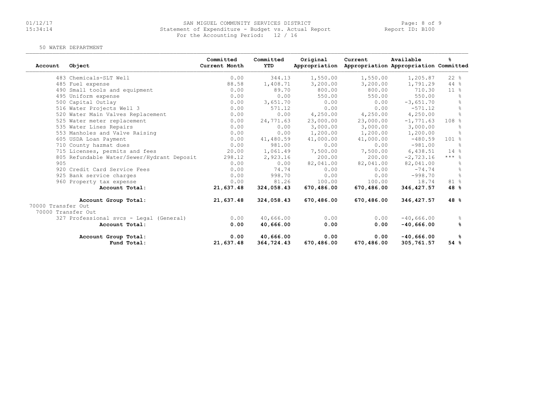# 01/12/17 SAN MIGUEL COMMUNITY SERVICES DISTRICT Page: 8 of 9 15:34:14 Statement of Expenditure - Budget vs. Actual Report Report ID: B100For the Accounting Period: 12 / 16

#### 50 WATER DEPARTMENT

| Account            | Object                                     | Committed<br>Current Month | Committed<br>YTD | Original<br>Appropriation | Current    | Available<br>Appropriation Appropriation Committed | ℁              |
|--------------------|--------------------------------------------|----------------------------|------------------|---------------------------|------------|----------------------------------------------------|----------------|
|                    | 483 Chemicals-SLT Well                     | 0.00                       | 344.13           | 1,550.00                  | 1,550.00   | 1,205.87                                           | $22$ %         |
|                    | 485 Fuel expense                           | 88.58                      | 1,408.71         | 3,200.00                  | 3,200.00   | 1,791.29                                           | $44$ %         |
|                    | 490 Small tools and equipment              | 0.00                       | 89.70            | 800.00                    | 800.00     | 710.30                                             | $11*$          |
|                    | 495 Uniform expense                        | 0.00                       | 0.00             | 550.00                    | 550.00     | 550.00                                             | $\frac{6}{10}$ |
|                    | 500 Capital Outlay                         | 0.00                       | 3,651.70         | 0.00                      | 0.00       | $-3,651,70$                                        | $\frac{6}{5}$  |
|                    | 516 Water Projects Well 3                  | 0.00                       | 571.12           | 0.00                      | 0.00       | $-571.12$                                          | $\frac{6}{10}$ |
|                    | 520 Water Main Valves Replacement          | 0.00                       | 0.00             | 4,250.00                  | 4,250.00   | 4,250.00                                           | $\frac{6}{5}$  |
|                    | 525 Water meter replacement                | 0.00                       | 24,771.63        | 23,000.00                 | 23,000.00  | $-1, 771.63$                                       | 108 %          |
|                    | 535 Water Lines Repairs                    | 0.00                       | 0.00             | 3,000.00                  | 3,000.00   | 3,000.00                                           | $\approx$      |
|                    | 553 Manholes and Valve Raising             | 0.00                       | 0.00             | 1,200.00                  | 1,200.00   | 1,200.00                                           | $\frac{6}{10}$ |
|                    | 605 USDA Loan Payment                      | 0.00                       | 41,480.59        | 41,000.00                 | 41,000.00  | $-480.59$                                          | $101*$         |
|                    | 710 County hazmat dues                     | 0.00                       | 981.00           | 0.00                      | 0.00       | $-981.00$                                          |                |
|                    | 715 Licenses, permits and fees             | 20.00                      | 1,061.49         | 7,500.00                  | 7,500.00   | 6,438.51                                           | 14%            |
|                    | 805 Refundable Water/Sewer/Hydrant Deposit | 298.12                     | 2,923.16         | 200.00                    | 200.00     | $-2, 723.16$                                       | $***$ %        |
| 905                |                                            | 0.00                       | 0.00             | 82,041.00                 | 82,041.00  | 82,041.00                                          | $\frac{6}{10}$ |
|                    | 920 Credit Card Service Fees               | 0.00                       | 74.74            | 0.00                      | 0.00       | $-74.74$                                           | 욲              |
|                    | 925 Bank service charges                   | 0.00                       | 998.70           | 0.00                      | 0.00       | $-998.70$                                          | $\approx$      |
|                    | 960 Property tax expense                   | 0.00                       | 81.26            | 100.00                    | 100.00     | 18.74                                              | 81 %           |
|                    | Account Total:                             | 21,637.48                  | 324,058.43       | 670,486.00                | 670,486.00 | 346, 427.57                                        | 48 %           |
|                    | Account Group Total:                       | 21,637.48                  | 324,058.43       | 670,486.00                | 670,486.00 | 346, 427.57                                        | 48 %           |
| 70000 Transfer Out |                                            |                            |                  |                           |            |                                                    |                |
| 70000 Transfer Out |                                            |                            |                  |                           |            |                                                    |                |
|                    | 327 Professional svcs - Legal (General)    | 0.00                       | 40,666.00        | 0.00                      | 0.00       | $-40,666.00$                                       | g.             |
|                    | Account Total:                             | 0.00                       | 40,666.00        | 0.00                      | 0.00       | $-40,666.00$                                       | ℁              |
|                    | Account Group Total:                       | 0.00                       | 40,666.00        | 0.00                      | 0.00       | $-40,666.00$                                       | ዱ              |
|                    | Fund Total:                                | 21,637.48                  | 364,724.43       | 670,486.00                | 670,486.00 | 305,761.57                                         | 54%            |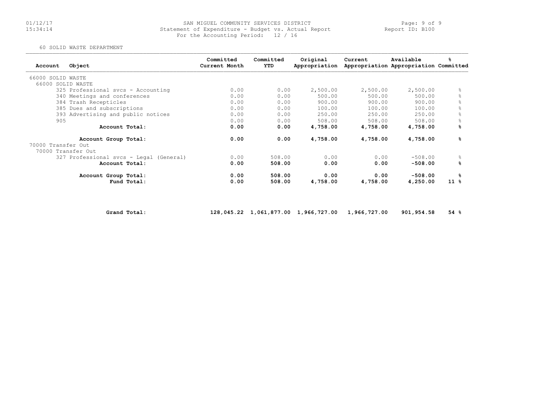#### 01/12/17 Page: 9 of 9 SAN MIGUEL COMMUNITY SERVICES DISTRICT 11/17/17<br>15:34:14 Statement of Expenditure - Budget vs. Actual Report 19. Beport ID: B100 For the Accounting Period: 12 / 16

60 SOLID WASTE DEPARTMENT

| Account            | Object                                  | Committed<br>Current Month | Committed<br>YTD | Original<br>Appropriation | Current  | Available<br>Appropriation Appropriation Committed | ℁         |
|--------------------|-----------------------------------------|----------------------------|------------------|---------------------------|----------|----------------------------------------------------|-----------|
| 66000 SOLID WASTE  |                                         |                            |                  |                           |          |                                                    |           |
| 66000 SOLID WASTE  |                                         |                            |                  |                           |          |                                                    |           |
|                    | 325 Professional svcs - Accounting      | 0.00                       | 0.00             | 2,500.00                  | 2,500.00 | 2,500.00                                           | 욲         |
|                    | 340 Meetings and conferences            | 0.00                       | 0.00             | 500.00                    | 500.00   | 500.00                                             |           |
|                    | 384 Trash Recepticles                   | 0.00                       | 0.00             | 900.00                    | 900.00   | 900.00                                             | $\approx$ |
|                    | 385 Dues and subscriptions              | 0.00                       | 0.00             | 100.00                    | 100.00   | 100.00                                             | $\approx$ |
|                    | 393 Advertising and public notices      | 0.00                       | 0.00             | 250.00                    | 250.00   | 250.00                                             | 옹         |
| 905                |                                         | 0.00                       | 0.00             | 508.00                    | 508.00   | 508.00                                             |           |
|                    | Account Total:                          | 0.00                       | 0.00             | 4,758.00                  | 4,758.00 | 4,758.00                                           | %         |
|                    | Account Group Total:                    | 0.00                       | 0.00             | 4,758.00                  | 4,758.00 | 4,758.00                                           | ℁         |
| 70000 Transfer Out |                                         |                            |                  |                           |          |                                                    |           |
| 70000 Transfer Out |                                         |                            |                  |                           |          |                                                    |           |
|                    | 327 Professional svcs - Legal (General) | 0.00                       | 508.00           | 0.00                      | 0.00     | $-508.00$                                          | $\approx$ |
|                    | Account Total:                          | 0.00                       | 508.00           | 0.00                      | 0.00     | $-508.00$                                          | ℁         |
|                    | Account Group Total:                    | 0.00                       | 508.00           | 0.00                      | 0.00     | $-508.00$                                          | ℁         |
|                    | Fund Total:                             | 0.00                       | 508.00           | 4,758.00                  | 4,758.00 | 4,250.00                                           | $11*$     |

Grand Total: 128,045.22 1,061,877.00 1,966,727.00 1,966,727.00 901,954.58 54 %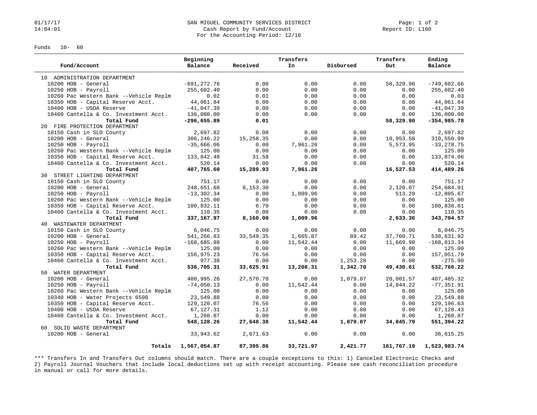#### 01/17/17 Page: 1 of 2<br>14:04:01 SAN MIGUEL COMMUNITY SERVICES DISTRICT Page: 1 of 2<br>Cash Report by Fund/Account Page: 1 Cash Report in: L160 Cash Report by Fund/Account For the Accounting Period: 12/16

Funds 10- 60

|                                        | Beginning      |            | Transfers |           | Transfers  | Ending         |
|----------------------------------------|----------------|------------|-----------|-----------|------------|----------------|
| Fund/Account                           | Balance        | Received   | In        | Disbursed | Out        | Balance        |
| 10 ADMINISTRATION DEPARTMENT           |                |            |           |           |            |                |
| 10200 HOB - General                    | $-691, 272.76$ | 0.00       | 0.00      | 0.00      | 58,329.90  | $-749,602.66$  |
| 10250 HOB - Payroll                    | 255,602.40     | 0.00       | 0.00      | 0.00      | 0.00       | 255,602.40     |
| 10260 Pac Western Bank --Vehicle Replm | 0.02           | 0.01       | 0.00      | 0.00      | 0.00       | 0.03           |
| 10350 HOB - Capital Reserve Acct.      | 44,061.84      | 0.00       | 0.00      | 0.00      | 0.00       | 44,061.84      |
| 10400 HOB - USDA Reserve               | $-41,047.39$   | 0.00       | 0.00      | 0.00      | 0.00       | $-41,047.39$   |
| 10460 Cantella & Co. Investment Acct.  | 136,000.00     | 0.00       | 0.00      | 0.00      | 0.00       | 136,000.00     |
| Total Fund                             | $-296,655.89$  | 0.01       |           |           | 58,329.90  | $-354,985.78$  |
| 20 FIRE PROTECTION DEPARTMENT          |                |            |           |           |            |                |
| 10150 Cash in SLO County               | 2,697.82       | 0.00       | 0.00      | 0.00      | 0.00       | 2,697.82       |
| 10200 HOB - General                    | 306, 246. 22   | 15, 258.35 | 0.00      | 0.00      | 10,953.58  | 310,550.99     |
| 10250 HOB - Payroll                    | $-35,666.06$   | 0.00       | 7,961.26  | 0.00      | 5,573.95   | $-33, 278.75$  |
| 10260 Pac Western Bank --Vehicle Replm | 125.00         | 0.00       | 0.00      | 0.00      | 0.00       | 125.00         |
| 10350 HOB - Capital Reserve Acct.      | 133,842.48     | 31.58      | 0.00      | 0.00      | 0.00       | 133,874.06     |
| 10460 Cantella & Co. Investment Acct.  | 520.14         | 0.00       | 0.00      | 0.00      | 0.00       | 520.14         |
| Total Fund                             | 407,765.60     | 15,289.93  | 7,961.26  |           | 16,527.53  | 414,489.26     |
| 30 STREET LIGHTING DEPARTMENT          |                |            |           |           |            |                |
| 10150 Cash in SLO County               | 751.17         | 0.00       | 0.00      | 0.00      | 0.00       | 751.17         |
| 10200 HOB - General                    | 248,651.68     | 8,153.30   | 0.00      | 0.00      | 2,120.07   | 254,684.91     |
| $10250$ HOB - Payroll                  | $-13,302.34$   | 0.00       | 1,009.96  | 0.00      | 513.29     | $-12,805.67$   |
| 10260 Pac Western Bank --Vehicle Replm | 125.00         | 0.00       | 0.00      | 0.00      | 0.00       | 125.00         |
| 10350 HOB - Capital Reserve Acct.      | 100,832.11     | 6.70       | 0.00      | 0.00      | 0.00       | 100,838.81     |
| 10460 Cantella & Co. Investment Acct.  | 110.35         | 0.00       | 0.00      | 0.00      | 0.00       | 110.35         |
| Total Fund                             | 337,167.97     | 8,160.00   | 1,009.96  |           | 2,633.36   | 343,704.57     |
| 40 WASTEWATER DEPARTMENT               |                |            |           |           |            |                |
| 10150 Cash in SLO County               | 6,046.75       | 0.00       | 0.00      | 0.00      | 0.00       | 6,046.75       |
| 10200 HOB - General                    | 541,266.83     | 33,549.35  | 1,665.87  | 89.42     | 37,760.71  | 538,631.92     |
| 10250 HOB - Payroll                    | $-168,685.88$  | 0.00       | 11,542.44 | 0.00      | 11,669.90  | $-168, 813.34$ |
| 10260 Pac Western Bank --Vehicle Replm | 125.00         | 0.00       | 0.00      | 0.00      | 0.00       | 125.00         |
| 10350 HOB - Capital Reserve Acct.      | 156,975.23     | 76.56      | 0.00      | 0.00      | 0.00       | 157,051.79     |
| 10460 Cantella & Co. Investment Acct.  | 977.38         | 0.00       | 0.00      | 1,253.28  | 0.00       | $-275.90$      |
| Total Fund                             | 536,705.31     | 33,625.91  | 13,208.31 | 1,342.70  | 49,430.61  | 532,766.22     |
| 50 WATER DEPARTMENT                    |                |            |           |           |            |                |
| 10200 HOB - General                    | 400,995.26     | 27,570.70  | 0.00      | 1,079.07  | 20,001.57  | 407, 485.32    |
| $10250$ HOB - Payroll                  | $-74,050.13$   | 0.00       | 11,542.44 | 0.00      | 14,844.22  | $-77, 351.91$  |
| 10260 Pac Western Bank --Vehicle Replm | 125.00         | 0.00       | 0.00      | 0.00      | 0.00       | 125.00         |
| 10340 HOB - Water Projects 6598        | 23,549.88      | 0.00       | 0.00      | 0.00      | 0.00       | 23,549.88      |
| 10350 HOB - Capital Reserve Acct.      | 129,120.07     | 76.56      | 0.00      | 0.00      | 0.00       | 129, 196.63    |
| 10400 HOB - USDA Reserve               | 67,127.31      | 1.12       | 0.00      | 0.00      | 0.00       | 67,128.43      |
| 10460 Cantella & Co. Investment Acct.  | 1,260.87       | 0.00       | 0.00      | 0.00      | 0.00       | 1,260.87       |
| Total Fund                             | 548,128.26     | 27,648.38  | 11,542.44 | 1,079.07  | 34,845.79  | 551,394.22     |
| 60 SOLID WASTE DEPARTMENT              |                |            |           |           |            |                |
| $10200$ HOB - General                  | 33,943.62      | 2,671.63   | 0.00      | 0.00      | 0.00       | 36,615.25      |
| Totals                                 | 1,567,054.87   | 87,395.86  | 33,721.97 | 2,421.77  | 161,767.19 | 1,523,983.74   |

\*\*\* Transfers In and Transfers Out columns should match. There are a couple exceptions to this: 1) Canceled Electronic Checks and 2) Payroll Journal Vouchers that include local deductions set up with receipt accounting. Please see cash reconciliation procedure in manual or call for more details.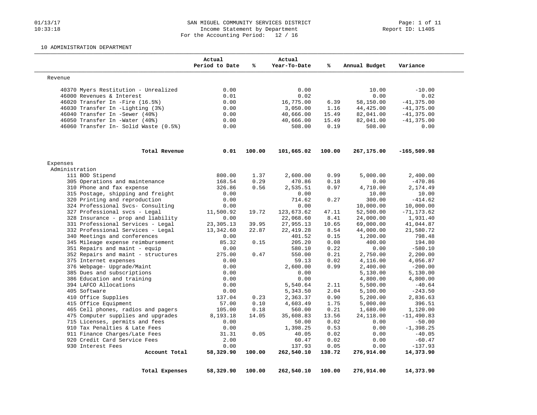### 01/13/17 201/13/17 SAN MIGUEL COMMUNITY SERVICES DISTRICT Page: 1 of 11<br>10:33:18 10:33:18 Income Statement by Department Income Statement by Department For the Accounting Period: 12 / 16

#### 10 ADMINISTRATION DEPARTMENT

|                                       | Actual<br>Period to Date | ℁      | Actual<br>Year-To-Date | ℁      | Annual Budget | Variance      |
|---------------------------------------|--------------------------|--------|------------------------|--------|---------------|---------------|
| Revenue                               |                          |        |                        |        |               |               |
| 40370 Myers Restitution - Unrealized  | 0.00                     |        | 0.00                   |        | 10.00         | $-10.00$      |
| 46000 Revenues & Interest             | 0.01                     |        | 0.02                   |        | 0.00          | 0.02          |
| 46020 Transfer In -Fire (16.5%)       | 0.00                     |        | 16,775.00              | 6.39   | 58,150.00     | $-41, 375.00$ |
| 46030 Transfer In -Lighting (3%)      | 0.00                     |        | 3,050.00               | 1.16   | 44,425.00     | $-41, 375.00$ |
| 46040 Transfer In -Sewer (40%)        | 0.00                     |        | 40,666.00              | 15.49  | 82,041.00     | $-41, 375.00$ |
| 46050 Transfer In -Water (40%)        | 0.00                     |        | 40,666.00              | 15.49  | 82,041.00     | $-41, 375.00$ |
| 46060 Transfer In- Solid Waste (0.5%) | 0.00                     |        | 508.00                 | 0.19   | 508.00        | 0.00          |
| Total Revenue                         | 0.01                     | 100.00 | 101,665.02             | 100.00 | 267,175.00    | $-165,509.98$ |
| Expenses                              |                          |        |                        |        |               |               |
| Administration                        |                          |        |                        |        |               |               |
| 111 BOD Stipend                       | 800.00                   | 1.37   | 2,600.00               | 0.99   | 5,000.00      | 2,400.00      |
| 305 Operations and maintenance        | 168.54                   | 0.29   | 470.86                 | 0.18   | 0.00          | $-470.86$     |
| 310 Phone and fax expense             | 326.86                   | 0.56   | 2,535.51               | 0.97   | 4,710.00      | 2,174.49      |
| 315 Postage, shipping and freight     | 0.00                     |        | 0.00                   |        | 10.00         | 10.00         |
| 320 Printing and reproduction         | 0.00                     |        | 714.62                 | 0.27   | 300.00        | $-414.62$     |
| 324 Professional Svcs- Consulting     | 0.00                     |        | 0.00                   |        | 10,000.00     | 10,000.00     |
| 327 Professional svcs - Legal         | 11,500.92                | 19.72  | 123,673.62             | 47.11  | 52,500.00     | $-71, 173.62$ |
| 328 Insurance - prop and liability    | 0.00                     |        | 22,068.60              | 8.41   | 24,000.00     | 1,931.40      |
| 331 Professional Services - Legal     | 23, 305. 13              | 39.95  | 27,955.13              | 10.65  | 69,000.00     | 41,044.87     |
| 332 Professional Services - Legal     | 13,342.60                | 22.87  | 22, 419.28             | 8.54   | 44,000.00     | 21,580.72     |
| 340 Meetings and conferences          | 0.00                     |        | 401.52                 | 0.15   | 1,200.00      | 798.48        |
| 345 Mileage expense reimbursement     | 85.32                    | 0.15   | 205.20                 | 0.08   | 400.00        | 194.80        |
| 351 Repairs and maint - equip         | 0.00                     |        | 580.10                 | 0.22   | 0.00          | $-580.10$     |
| 352 Repairs and maint - structures    | 275.00                   | 0.47   | 550.00                 | 0.21   | 2,750.00      | 2,200.00      |
| 375 Internet expenses                 | 0.00                     |        | 59.13                  | 0.02   | 4,116.00      | 4,056.87      |
| 376 Webpage- Upgrade/Maint            | 0.00                     |        | 2,600.00               | 0.99   | 2,400.00      | $-200.00$     |
| 385 Dues and subscriptions            | 0.00                     |        | 0.00                   |        | 5,130.00      | 5,130.00      |
| 386 Education and training            | 0.00                     |        | 0.00                   |        | 4,800.00      | 4,800.00      |
| 394 LAFCO Allocations                 | 0.00                     |        | 5,540.64               | 2.11   | 5,500.00      | $-40.64$      |
| 405 Software                          | 0.00                     |        | 5,343.50               | 2.04   | 5,100.00      | $-243.50$     |
| 410 Office Supplies                   | 137.04                   | 0.23   | 2,363.37               | 0.90   | 5,200.00      | 2,836.63      |
| 415 Office Equipment                  | 57.00                    | 0.10   | 4,603.49               | 1.75   | 5,000.00      | 396.51        |
| 465 Cell phones, radios and pagers    | 105.00                   | 0.18   | 560.00                 | 0.21   | 1,680.00      | 1,120.00      |
| 475 Computer supplies and upgrades    | 8,193.18                 | 14.05  | 35,608.83              | 13.56  | 24,118.00     | $-11,490.83$  |
| 715 Licenses, permits and fees        | 0.00                     |        | 50.00                  | 0.02   | 0.00          | $-50.00$      |
| 910 Tax Penalties & Late Fees         | 0.00                     |        | 1,398.25               | 0.53   | 0.00          | $-1,398.25$   |
| 911 Finance Charges/Late Fees         | 31.31                    | 0.05   | 40.05                  | 0.02   | 0.00          | $-40.05$      |
| 920 Credit Card Service Fees          | 2.00                     |        | 60.47                  | 0.02   | 0.00          | $-60.47$      |
| 930 Interest Fees                     | 0.00                     |        | 137.93                 | 0.05   | 0.00          | $-137.93$     |
| Account Total                         | 58,329.90                | 100.00 | 262,540.10             | 138.72 | 276,914.00    | 14,373.90     |
|                                       |                          |        |                        |        |               |               |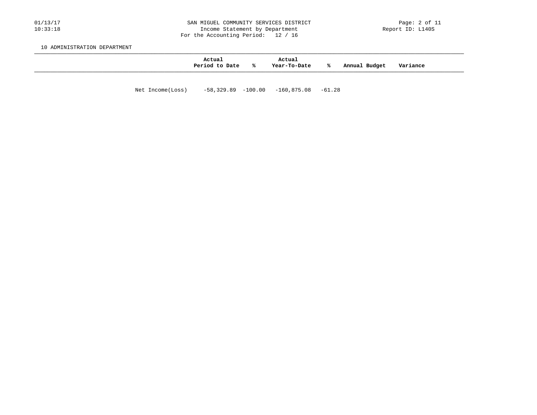#### 01/13/17 2011/13/17 SAN MIGUEL COMMUNITY SERVICES DISTRICT Page: 2 of 11<br>10:33:18 10:33:18 Income Statement by Department Income Statement by Department For the Accounting Period: 12 / 16

10 ADMINISTRATION DEPARTMENT

| Actual<br>Period to Date | °≈ | Actual<br>Year-To-Date | ⋇ | Budget<br>Annual | Variance |
|--------------------------|----|------------------------|---|------------------|----------|
|                          |    |                        |   |                  |          |

Net Income(Loss) -58,329.89 -100.00 -160,875.08 -61.28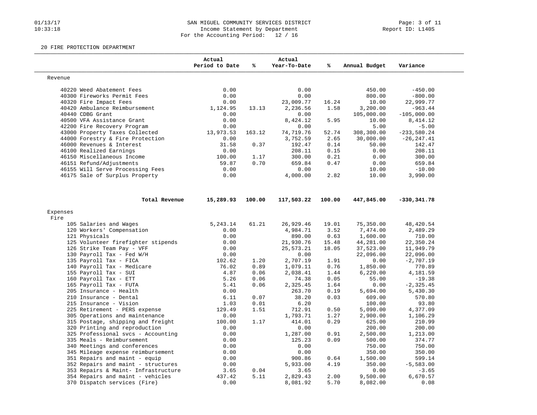### 01/13/17 SAN MIGUEL COMMUNITY SERVICES DISTRICT Page: 3 of 11<br>10:33:18 10:33:18 Income Statement by Department Income Statement by Department For the Accounting Period: 12 / 16

#### 20 FIRE PROTECTION DEPARTMENT

|                                     | Actual<br>Period to Date | %      | Actual<br>Year-To-Date | ℁      | Annual Budget | Variance      |
|-------------------------------------|--------------------------|--------|------------------------|--------|---------------|---------------|
| Revenue                             |                          |        |                        |        |               |               |
| 40220 Weed Abatement Fees           | 0.00                     |        | 0.00                   |        | 450.00        | $-450.00$     |
| 40300 Fireworks Permit Fees         | 0.00                     |        | 0.00                   |        | 800.00        | $-800.00$     |
| 40320 Fire Impact Fees              | 0.00                     |        | 23,009.77              | 16.24  | 10.00         | 22,999.77     |
| 40420 Ambulance Reimbursement       | 1,124.95                 | 13.13  | 2,236.56               | 1.58   | 3,200.00      | $-963.44$     |
| 40440 CDBG Grant                    | 0.00                     |        | 0.00                   |        | 105,000.00    | $-105,000.00$ |
| 40500 VFA Assistance Grant          | 0.00                     |        | 8,424.12               | 5.95   | 10.00         | 8,414.12      |
| 42200 Fire Recovery Program         | 0.00                     |        | 0.00                   |        | 5.00          | $-5.00$       |
| 43000 Property Taxes Collected      | 13,973.53                | 163.12 | 74,719.76              | 52.74  | 308,300.00    | $-233,580.24$ |
| 44000 Forestry & Fire Protection    | 0.00                     |        | 3,752.59               | 2.65   | 30,000.00     | $-26, 247.41$ |
| 46000 Revenues & Interest           | 31.58                    | 0.37   | 192.47                 | 0.14   | 50.00         | 142.47        |
| 46100 Realized Earnings             | 0.00                     |        | 208.11                 | 0.15   | 0.00          | 208.11        |
| 46150 Miscellaneous Income          | 100.00                   | 1.17   | 300.00                 | 0.21   | 0.00          | 300.00        |
| 46151 Refund/Adjustments            | 59.87                    | 0.70   | 659.84                 | 0.47   | 0.00          | 659.84        |
| 46155 Will Serve Processing Fees    | 0.00                     |        | 0.00                   |        | 10.00         | $-10.00$      |
| 46175 Sale of Surplus Property      | 0.00                     |        | 4,000.00               | 2.82   | 10.00         | 3,990.00      |
| Total Revenue                       | 15,289.93                | 100.00 | 117,503.22             | 100.00 | 447,845.00    | $-330,341.78$ |
| Expenses                            |                          |        |                        |        |               |               |
| Fire                                |                          |        |                        |        |               |               |
| 105 Salaries and Wages              | 5,243.14                 | 61.21  | 26,929.46              | 19.01  | 75,350.00     | 48,420.54     |
| 120 Workers' Compensation           | 0.00                     |        | 4,984.71               | 3.52   | 7,474.00      | 2,489.29      |
| 121 Physicals                       | 0.00                     |        | 890.00                 | 0.63   | 1,600.00      | 710.00        |
| 125 Volunteer firefighter stipends  | 0.00                     |        | 21,930.76              | 15.48  | 44,281.00     | 22,350.24     |
| 126 Strike Team Pay - VFF           | 0.00                     |        | 25,573.21              | 18.05  | 37,523.00     | 11,949.79     |
| 130 Payroll Tax - Fed W/H           | 0.00                     |        | 0.00                   |        | 22,096.00     | 22,096.00     |
| 135 Payroll Tax - FICA              | 102.62                   | 1.20   | 2,707.19               | 1.91   | 0.00          | $-2,707.19$   |
| 140 Payroll Tax - Medicare          | 76.02                    | 0.89   | 1,079.11               | 0.76   | 1,850.00      | 770.89        |
| 155 Payroll Tax - SUI               | 4.87                     | 0.06   | 2,038.41               | 1.44   | 6,220.00      | 4,181.59      |
| 160 Payroll Tax - ETT               | 5.26                     | 0.06   | 74.38                  | 0.05   | 55.00         | $-19.38$      |
| 165 Payroll Tax - FUTA              | 5.41                     | 0.06   | 2,325.45               | 1.64   | 0.00          | $-2, 325.45$  |
| 205 Insurance - Health              | 0.00                     |        | 263.70                 | 0.19   | 5,694.00      | 5,430.30      |
| 210 Insurance - Dental              | 6.11                     | 0.07   | 38.20                  | 0.03   | 609.00        | 570.80        |
| 215 Insurance - Vision              | 1.03                     | 0.01   | 6.20                   |        | 100.00        | 93.80         |
| 225 Retirement - PERS expense       | 129.49                   | 1.51   | 712.91                 | 0.50   | 5,090.00      | 4,377.09      |
| 305 Operations and maintenance      | 0.00                     |        | 1,793.71               | 1.27   | 2,900.00      | 1,106.29      |
| 315 Postage, shipping and freight   | 100.00                   | 1.17   | 414.01                 | 0.29   | 625.00        | 210.99        |
| 320 Printing and reproduction       | 0.00                     |        | 0.00                   |        | 200.00        | 200.00        |
| 325 Professional svcs - Accounting  | 0.00                     |        | 1,287.00               | 0.91   | 2,500.00      | 1,213.00      |
| 335 Meals - Reimbursement           | 0.00                     |        | 125.23                 | 0.09   | 500.00        | 374.77        |
| 340 Meetings and conferences        | 0.00                     |        | 0.00                   |        | 750.00        | 750.00        |
| 345 Mileage expense reimbursement   | 0.00                     |        | 0.00                   |        | 350.00        | 350.00        |
| 351 Repairs and maint - equip       | 0.00                     |        | 900.86                 | 0.64   | 1,500.00      | 599.14        |
| 352 Repairs and maint - structures  | 0.00                     |        | 5,933.00               | 4.19   | 350.00        | $-5,583.00$   |
| 353 Repairs & Maint- Infrastructure | 3.65                     | 0.04   | 3.65                   |        | 0.00          | $-3.65$       |
| 354 Repairs and maint - vehicles    | 437.42                   | 5.11   | 2,829.43               | 2.00   | 9,500.00      | 6,670.57      |
| 370 Dispatch services (Fire)        | 0.00                     |        | 8,081.92               | 5.70   | 8,082.00      | 0.08          |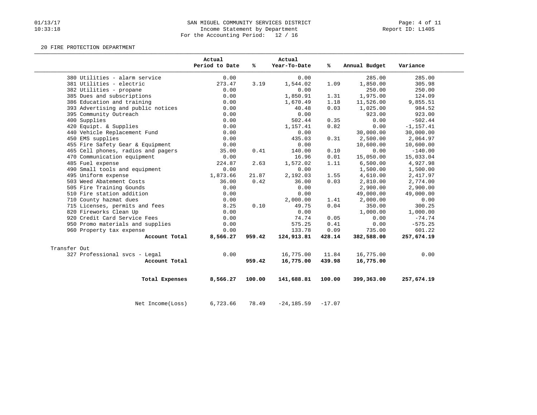## 01/13/17 Rage: 4 of 11<br>10:33:18 Income Statement by Department Model (Report ID: L140S) Income Statement by Department For the Accounting Period: 12 / 16

#### 20 FIRE PROTECTION DEPARTMENT

|                                    | Actual<br>Period to Date | %      | Actual<br>Year-To-Date | %ร       | Annual Budget | Variance     |
|------------------------------------|--------------------------|--------|------------------------|----------|---------------|--------------|
| 380 Utilities - alarm service      | 0.00                     |        | 0.00                   |          | 285.00        | 285.00       |
| 381 Utilities - electric           | 273.47                   | 3.19   | 1,544.02               | 1.09     | 1,850.00      | 305.98       |
| 382 Utilities - propane            | 0.00                     |        | 0.00                   |          | 250.00        | 250.00       |
| 385 Dues and subscriptions         | 0.00                     |        | 1,850.91               | 1.31     | 1,975.00      | 124.09       |
| 386 Education and training         | 0.00                     |        | 1,670.49               | 1.18     | 11,526.00     | 9,855.51     |
| 393 Advertising and public notices | 0.00                     |        | 40.48                  | 0.03     | 1,025.00      | 984.52       |
| 395 Community Outreach             | 0.00                     |        | 0.00                   |          | 923.00        | 923.00       |
| 400 Supplies                       | 0.00                     |        | 502.44                 | 0.35     | 0.00          | $-502.44$    |
| 420 Equipt. & Supplies             | 0.00                     |        | 1,157.41               | 0.82     | 0.00          | $-1, 157.41$ |
| 440 Vehicle Replacement Fund       | 0.00                     |        | 0.00                   |          | 30,000.00     | 30,000.00    |
| 450 EMS supplies                   | 0.00                     |        | 435.03                 | 0.31     | 2,500.00      | 2,064.97     |
| 455 Fire Safety Gear & Equipment   | 0.00                     |        | 0.00                   |          | 10,600.00     | 10,600.00    |
| 465 Cell phones, radios and pagers | 35.00                    | 0.41   | 140.00                 | 0.10     | 0.00          | $-140.00$    |
| 470 Communication equipment        | 0.00                     |        | 16.96                  | 0.01     | 15,050.00     | 15,033.04    |
| 485 Fuel expense                   | 224.87                   | 2.63   | 1,572.02               | 1.11     | 6,500.00      | 4,927.98     |
| 490 Small tools and equipment      | 0.00                     |        | 0.00                   |          | 1,500.00      | 1,500.00     |
| 495 Uniform expense                | 1,873.66                 | 21.87  | 2,192.03               | 1.55     | 4,610.00      | 2,417.97     |
| 503 Weed Abatement Costs           | 36.00                    | 0.42   | 36.00                  | 0.03     | 2,810.00      | 2,774.00     |
| 505 Fire Training Gounds           | 0.00                     |        | 0.00                   |          | 2,900.00      | 2,900.00     |
| 510 Fire station addition          | 0.00                     |        | 0.00                   |          | 49,000.00     | 49,000.00    |
| 710 County hazmat dues             | 0.00                     |        | 2,000.00               | 1.41     | 2,000.00      | 0.00         |
| 715 Licenses, permits and fees     | 8.25                     | 0.10   | 49.75                  | 0.04     | 350.00        | 300.25       |
| 820 Fireworks Clean Up             | 0.00                     |        | 0.00                   |          | 1,000.00      | 1,000.00     |
| 920 Credit Card Service Fees       | 0.00                     |        | 74.74                  | 0.05     | 0.00          | $-74.74$     |
| 950 Promo materials and supplies   | 0.00                     |        | 575.25                 | 0.41     | 0.00          | $-575.25$    |
| 960 Property tax expense           | 0.00                     |        | 133.78                 | 0.09     | 735.00        | 601.22       |
| Account Total                      | 8,566.27                 | 959.42 | 124,913.81             | 428.14   | 382,588.00    | 257,674.19   |
| Transfer Out                       |                          |        |                        |          |               |              |
| 327 Professional svcs - Legal      | 0.00                     |        | 16,775.00              | 11.84    | 16,775.00     | 0.00         |
| Account Total                      |                          | 959.42 | 16,775.00              | 439.98   | 16,775.00     |              |
| Total Expenses                     | 8,566.27                 | 100.00 | 141,688.81             | 100.00   | 399,363.00    | 257,674.19   |
| Net Income (Loss)                  | 6,723.66                 | 78.49  | $-24, 185.59$          | $-17.07$ |               |              |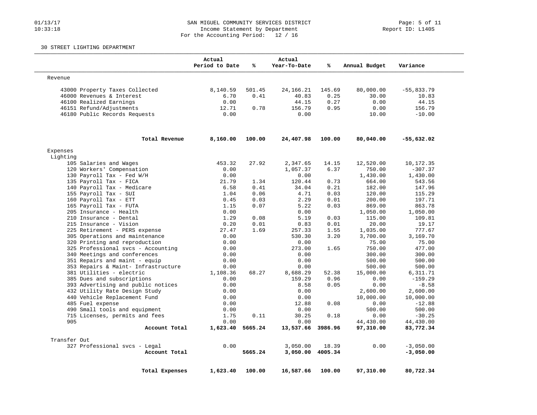### 01/13/17 201/13/17 SAN MIGUEL COMMUNITY SERVICES DISTRICT Page: 5 of 11<br>10:33:18 10:33:18 Income Statement by Department Income Statement by Department For the Accounting Period: 12 / 16

#### 30 STREET LIGHTING DEPARTMENT

|                                     | Actual<br>Period to Date | %       | Actual<br>Year-To-Date | %       | Annual Budget | Variance     |
|-------------------------------------|--------------------------|---------|------------------------|---------|---------------|--------------|
| Revenue                             |                          |         |                        |         |               |              |
| 43000 Property Taxes Collected      | 8,140.59                 | 501.45  | 24, 166. 21            | 145.69  | 80,000.00     | $-55,833.79$ |
| 46000 Revenues & Interest           | 6.70                     | 0.41    | 40.83                  | 0.25    | 30.00         | 10.83        |
| 46100 Realized Earnings             | 0.00                     |         | 44.15                  | 0.27    | 0.00          | 44.15        |
| 46151 Refund/Adjustments            | 12.71                    | 0.78    | 156.79                 | 0.95    | 0.00          | 156.79       |
| 46180 Public Records Requests       | 0.00                     |         | 0.00                   |         | 10.00         | $-10.00$     |
| Total Revenue                       | 8,160.00                 | 100.00  | 24,407.98              | 100.00  | 80,040.00     | -55,632.02   |
| Expenses                            |                          |         |                        |         |               |              |
| Lighting                            |                          |         |                        |         |               |              |
| 105 Salaries and Wages              | 453.32                   | 27.92   | 2,347.65               | 14.15   | 12,520.00     | 10,172.35    |
| 120 Workers' Compensation           | 0.00                     |         | 1,057.37               | 6.37    | 750.00        | $-307.37$    |
| 130 Payroll Tax - Fed W/H           | 0.00                     |         | 0.00                   |         | 1,430.00      | 1,430.00     |
| 135 Payroll Tax - FICA              | 21.79                    | 1.34    | 120.44                 | 0.73    | 664.00        | 543.56       |
| 140 Payroll Tax - Medicare          | 6.58                     | 0.41    | 34.04                  | 0.21    | 182.00        | 147.96       |
| 155 Payroll Tax - SUI               | 1.04                     | 0.06    | 4.71                   | 0.03    | 120.00        | 115.29       |
| 160 Payroll Tax - ETT               | 0.45                     | 0.03    | 2.29                   | 0.01    | 200.00        | 197.71       |
| 165 Payroll Tax - FUTA              | 1.15                     | 0.07    | 5.22                   | 0.03    | 869.00        | 863.78       |
| 205 Insurance - Health              | 0.00                     |         | 0.00                   |         | 1,050.00      | 1,050.00     |
| 210 Insurance - Dental              | 1.29                     | 0.08    | 5.19                   | 0.03    | 115.00        | 109.81       |
| 215 Insurance - Vision              | 0.20                     | 0.01    | 0.83                   | 0.01    | 20.00         | 19.17        |
| 225 Retirement - PERS expense       | 27.47                    | 1.69    | 257.33                 | 1.55    | 1,035.00      | 777.67       |
| 305 Operations and maintenance      | 0.00                     |         | 530.30                 | 3.20    | 3,700.00      | 3,169.70     |
| 320 Printing and reproduction       | 0.00                     |         | 0.00                   |         | 75.00         | 75.00        |
| 325 Professional svcs - Accounting  | 0.00                     |         | 273.00                 | 1.65    | 750.00        | 477.00       |
| 340 Meetings and conferences        | 0.00                     |         | 0.00                   |         | 300.00        | 300.00       |
| 351 Repairs and maint - equip       | 0.00                     |         | 0.00                   |         | 500.00        | 500.00       |
| 353 Repairs & Maint- Infrastructure | 0.00                     |         | 0.00                   |         | 500.00        | 500.00       |
| 381 Utilities - electric            | 1,108.36                 | 68.27   | 8,688.29               | 52.38   | 15,000.00     | 6,311.71     |
| 385 Dues and subscriptions          | 0.00                     |         | 159.29                 | 0.96    | 0.00          | $-159.29$    |
| 393 Advertising and public notices  | 0.00                     |         | 8.58                   | 0.05    | 0.00          | $-8.58$      |
| 432 Utility Rate Design Study       | 0.00                     |         | 0.00                   |         | 2,600.00      | 2,600.00     |
| 440 Vehicle Replacement Fund        | 0.00                     |         | 0.00                   |         | 10,000.00     | 10,000.00    |
| 485 Fuel expense                    | 0.00                     |         | 12.88                  | 0.08    | 0.00          | $-12.88$     |
| 490 Small tools and equipment       | 0.00                     |         | 0.00                   |         | 500.00        | 500.00       |
| 715 Licenses, permits and fees      | 1.75                     | 0.11    | 30.25                  | 0.18    | 0.00          | $-30.25$     |
| 905                                 | 0.00                     |         | 0.00                   |         | 44,430.00     | 44,430.00    |
| Account Total                       | 1,623.40                 | 5665.24 | 13,537.66              | 3986.96 | 97,310.00     | 83,772.34    |
| Transfer Out                        |                          |         |                        |         |               |              |
| 327 Professional svcs - Legal       | 0.00                     |         | 3,050.00               | 18.39   | 0.00          | $-3,050.00$  |
| Account Total                       |                          | 5665.24 | 3,050.00               | 4005.34 |               | $-3,050.00$  |
|                                     |                          |         |                        |         |               |              |
| Total Expenses                      | 1,623.40                 | 100.00  | 16,587.66              | 100.00  | 97,310.00     | 80,722.34    |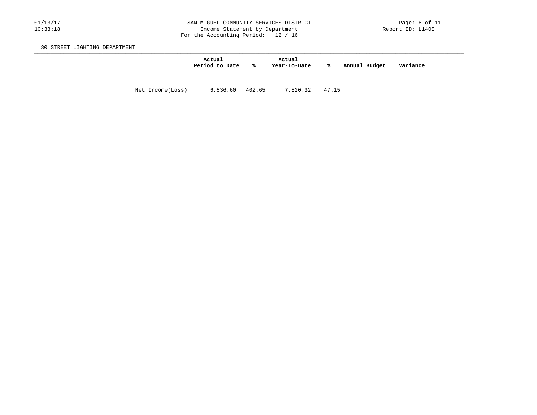### 01/13/17 201/13/17 SAN MIGUEL COMMUNITY SERVICES DISTRICT Page: 6 of 11<br>10:33:18 10:33:18 Income Statement by Department Income Statement by Department For the Accounting Period: 12 / 16

30 STREET LIGHTING DEPARTMENT

|                  | Actual<br>Period to Date | ာ အေ            | Actual<br>Year-To-Date | ℁              | Annual Budget | Variance |  |
|------------------|--------------------------|-----------------|------------------------|----------------|---------------|----------|--|
| Net Income(Loss) |                          | 6,536.60 402.65 |                        | 7,820.32 47.15 |               |          |  |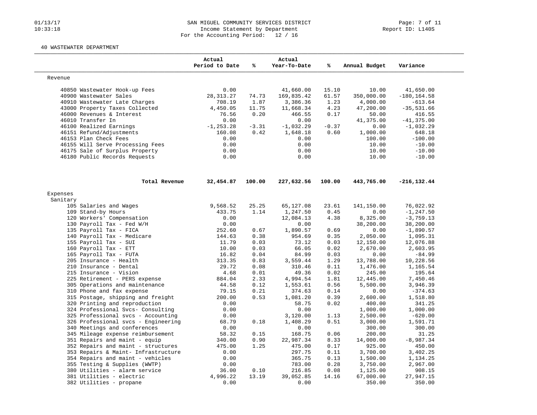## 01/13/17 SAN MIGUEL COMMUNITY SERVICES DISTRICT Page: 7 of 11<br>10:33:18 10:33:18 Income Statement by Department Income Statement by Department For the Accounting Period: 12 / 16

#### 40 WASTEWATER DEPARTMENT

|          |                                                           | Actual<br>Period to Date | %             | Actual<br>Year-To-Date | ℁             | Annual Budget         | Variance            |
|----------|-----------------------------------------------------------|--------------------------|---------------|------------------------|---------------|-----------------------|---------------------|
| Revenue  |                                                           |                          |               |                        |               |                       |                     |
|          | 40850 Wastewater Hook-up Fees                             | 0.00                     |               | 41,660.00              | 15.10         | 10.00                 | 41,650.00           |
|          | 40900 Wastewater Sales                                    | 28, 313. 27              | 74.73         | 169,835.42             | 61.57         | 350,000.00            | $-180, 164.58$      |
|          | 40910 Wastewater Late Charges                             | 708.19                   | 1.87          | 3,386.36               | 1.23          | 4,000.00              | $-613.64$           |
|          | 43000 Property Taxes Collected                            | 4,450.05                 | 11.75         | 11,668.34              | 4.23          | 47,200.00             | $-35, 531.66$       |
|          | 46000 Revenues & Interest                                 | 76.56                    | 0.20          | 466.55                 | 0.17          | 50.00                 | 416.55              |
|          | 46010 Transfer In                                         | 0.00                     |               | 0.00                   |               | 41,375.00             | $-41, 375.00$       |
|          | 46100 Realized Earnings                                   | $-1, 253.28$             | $-3.31$       | $-1,032.29$            | $-0.37$       | 0.00                  | $-1,032.29$         |
|          | 46151 Refund/Adjustments                                  | 160.08                   | 0.42          | 1,648.18               | 0.60          | 1,000.00              | 648.18              |
|          | 46153 Plan Check Fees                                     | 0.00                     |               | 0.00                   |               | 100.00                | $-100.00$           |
|          | 46155 Will Serve Processing Fees                          | 0.00                     |               | 0.00                   |               | 10.00                 | $-10.00$            |
|          | 46175 Sale of Surplus Property                            | 0.00                     |               | 0.00                   |               | 10.00                 | $-10.00$            |
|          | 46180 Public Records Requests                             | 0.00                     |               | 0.00                   |               | 10.00                 | $-10.00$            |
|          | Total Revenue                                             | 32,454.87                | 100.00        | 227,632.56             | 100.00        | 443,765.00            | $-216, 132.44$      |
| Expenses |                                                           |                          |               |                        |               |                       |                     |
| Sanitary |                                                           |                          |               |                        |               |                       |                     |
|          | 105 Salaries and Wages                                    | 9,568.52                 | 25.25         | 65,127.08              | 23.61         | 141,150.00            | 76,022.92           |
|          | 109 Stand-by Hours                                        | 433.75                   | 1.14          | 1,247.50               | 0.45          | 0.00                  | $-1, 247.50$        |
|          | 120 Workers' Compensation                                 | 0.00                     |               | 12,084.13              | 4.38          | 8,325.00              | $-3,759.13$         |
|          | 130 Payroll Tax - Fed W/H                                 | 0.00                     |               | 0.00                   |               | 38,200.00             | 38,200.00           |
|          | 135 Payroll Tax - FICA                                    | 252.60                   | 0.67          | 1,890.57               | 0.69          | 0.00                  | $-1,890.57$         |
|          | 140 Payroll Tax - Medicare                                | 144.63                   | 0.38          | 954.69                 | 0.35          | 2,050.00              | 1,095.31            |
|          | 155 Payroll Tax - SUI                                     | 11.79                    | 0.03          | 73.12                  | 0.03          | 12,150.00             | 12,076.88           |
|          | 160 Payroll Tax - ETT                                     | 10.00                    | 0.03          | 66.05                  | 0.02          | 2,670.00              | 2,603.95            |
|          | 165 Payroll Tax - FUTA                                    | 16.82                    | 0.04          | 84.99                  | 0.03          | 0.00                  | $-84.99$            |
|          | 205 Insurance - Health                                    | 313.35                   | 0.83          | 3,559.44               | 1.29          | 13,788.00             | 10,228.56           |
|          | 210 Insurance - Dental                                    | 29.72                    | 0.08          | 310.46                 | 0.11          | 1,476.00              | 1,165.54            |
|          | 215 Insurance - Vision                                    | 4.68                     | 0.01          | 49.36                  | 0.02          | 245.00                | 195.64              |
|          | 225 Retirement - PERS expense                             | 884.04                   | 2.33          | 4,994.54               | 1.81          | 12,445.00             | 7,450.46            |
|          | 305 Operations and maintenance                            | 44.58                    | 0.12          | 1,553.61               | 0.56          | 5,500.00              | 3,946.39            |
|          | 310 Phone and fax expense                                 | 79.15                    | 0.21          | 374.63                 | 0.14          | 0.00                  | $-374.63$           |
|          | 315 Postage, shipping and freight                         | 200.00                   | 0.53          | 1,081.20               | 0.39          | 2,600.00              | 1,518.80            |
|          | 320 Printing and reproduction                             | 0.00                     |               | 58.75                  | 0.02          | 400.00                | 341.25              |
|          | 324 Professional Svcs- Consulting                         | 0.00                     |               | 0.00                   |               | 1,000.00              | 1,000.00            |
|          | 325 Professional svcs - Accounting                        | 0.00                     |               | 3,120.00               | 1.13          | 2,500.00              | $-620.00$           |
|          | 326 Professional svcs - Engineering                       | 68.79                    | 0.18          | 1,408.29               | 0.51          | 3,000.00              | 1,591.71            |
|          | 340 Meetings and conferences                              | 0.00                     |               | 0.00                   |               | 300.00                | 300.00              |
|          | 345 Mileage expense reimbursement                         | 58.32                    | 0.15          | 168.75                 | 0.06          | 200.00                | 31.25               |
|          | 351 Repairs and maint - equip                             | 340.00                   | 0.90          | 22,987.34              | 8.33          | 14,000.00             | $-8,987.34$         |
|          | 352 Repairs and maint - structures                        | 475.00                   | 1.25          | 475.00                 | 0.17          | 925.00                | 450.00              |
|          | 353 Repairs & Maint- Infrastructure                       | 0.00                     |               | 297.75                 | 0.11          | 3,700.00              | 3,402.25            |
|          | 354 Repairs and maint - vehicles                          | 0.00                     |               | 365.75                 | 0.13          | 1,500.00              | 1,134.25            |
|          |                                                           |                          |               |                        | 0.28          | 3,750.00              | 2,967.00            |
|          |                                                           |                          |               |                        |               |                       |                     |
|          | 355 Testing & Supplies (WWTP)                             | 0.00                     |               | 783.00                 |               |                       |                     |
|          | 380 Utilities - alarm service<br>381 Utilities - electric | 36.00<br>4,996.22        | 0.10<br>13.19 | 216.85<br>39,052.85    | 0.08<br>14.16 | 1,125.00<br>67,000.00 | 908.15<br>27,947.15 |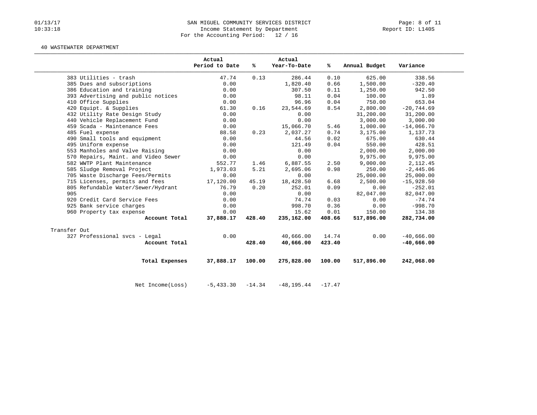## 01/13/17 SAN MIGUEL COMMUNITY SERVICES DISTRICT Rage: 8 of 11<br>10:33:18 Income Statement by Department Income Statement by Department For the Accounting Period: 12 / 16

### 40 WASTEWATER DEPARTMENT

|                                    |                                     | Actual<br>Period to Date | %ะ     | Actual<br>Year-To-Date | ℁      | Annual Budget | Variance     |
|------------------------------------|-------------------------------------|--------------------------|--------|------------------------|--------|---------------|--------------|
| 383 Utilities - trash              |                                     | 47.74                    | 0.13   | 286.44                 | 0.10   | 625.00        | 338.56       |
| 385 Dues and subscriptions         |                                     | 0.00                     |        | 1,820.40               | 0.66   | 1,500.00      | $-320.40$    |
| 386 Education and training         |                                     | 0.00                     |        | 307.50                 | 0.11   | 1,250.00      | 942.50       |
| 393 Advertising and public notices |                                     | 0.00                     |        | 98.11                  | 0.04   | 100.00        | 1.89         |
| 410 Office Supplies                |                                     | 0.00                     |        | 96.96                  | 0.04   | 750.00        | 653.04       |
| 420 Equipt. & Supplies             |                                     | 61.30                    | 0.16   | 23,544.69              | 8.54   | 2,800.00      | $-20,744.69$ |
| 432 Utility Rate Design Study      |                                     | 0.00                     |        | 0.00                   |        | 31,200.00     | 31,200.00    |
| 440 Vehicle Replacement Fund       |                                     | 0.00                     |        | 0.00                   |        | 3,000.00      | 3,000.00     |
| 459 Scada - Maintenance Fees       |                                     | 0.00                     |        | 15,066.70              | 5.46   | 1,000.00      | $-14,066.70$ |
| 485 Fuel expense                   |                                     | 88.58                    | 0.23   | 2,037.27               | 0.74   | 3,175.00      | 1,137.73     |
| 490 Small tools and equipment      |                                     | 0.00                     |        | 44.56                  | 0.02   | 675.00        | 630.44       |
| 495 Uniform expense                |                                     | 0.00                     |        | 121.49                 | 0.04   | 550.00        | 428.51       |
| 553 Manholes and Valve Raising     |                                     | 0.00                     |        | 0.00                   |        | 2,000.00      | 2,000.00     |
|                                    | 570 Repairs, Maint. and Video Sewer | 0.00                     |        | 0.00                   |        | 9,975.00      | 9,975.00     |
| 582 WWTP Plant Maintenance         |                                     | 552.77                   | 1.46   | 6,887.55               | 2.50   | 9,000.00      | 2, 112.45    |
| 585 Sludge Removal Project         |                                     | 1,973.03                 | 5.21   | 2,695.06               | 0.98   | 250.00        | $-2,445.06$  |
| 705 Waste Discharge Fees/Permits   |                                     | 0.00                     |        | 0.00                   |        | 25,000.00     | 25,000.00    |
| 715 Licenses, permits and fees     |                                     | 17,120.00                | 45.19  | 18,428.50              | 6.68   | 2,500.00      | $-15,928.50$ |
| 805 Refundable Water/Sewer/Hydrant |                                     | 76.79                    | 0.20   | 252.01                 | 0.09   | 0.00          | $-252.01$    |
| 905                                |                                     | 0.00                     |        | 0.00                   |        | 82,047.00     | 82,047.00    |
| 920 Credit Card Service Fees       |                                     | 0.00                     |        | 74.74                  | 0.03   | 0.00          | $-74.74$     |
| 925 Bank service charges           |                                     | 0.00                     |        | 998.70                 | 0.36   | 0.00          | $-998.70$    |
| 960 Property tax expense           |                                     | 0.00                     |        | 15.62                  | 0.01   | 150.00        | 134.38       |
|                                    | Account Total                       | 37,888.17                | 428.40 | 235,162.00             | 408.66 | 517,896.00    | 282,734.00   |
| Transfer Out                       |                                     |                          |        |                        |        |               |              |
| 327 Professional svcs - Legal      |                                     | 0.00                     |        | 40,666.00              | 14.74  | 0.00          | $-40,666.00$ |
|                                    | Account Total                       |                          | 428.40 | 40,666.00              | 423.40 |               | $-40,666.00$ |
|                                    |                                     |                          |        |                        |        |               |              |
|                                    | Total Expenses                      | 37,888.17                | 100.00 | 275,828.00             | 100.00 | 517,896.00    | 242,068.00   |

Net Income(Loss) -5,433.30 -14.34 -48,195.44 -17.47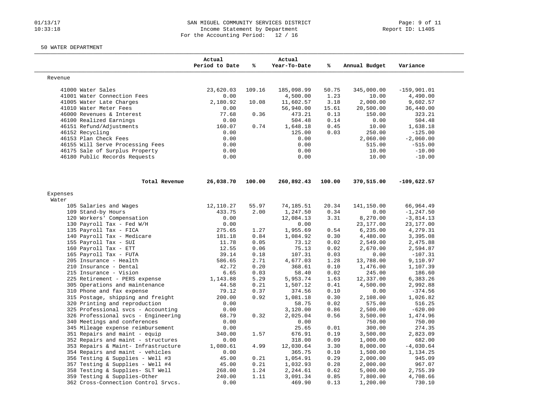## 01/13/17 SAN MIGUEL COMMUNITY SERVICES DISTRICT Page: 9 of 11<br>10:33:18 10:33:18 Income Statement by Department Income Statement by Department For the Accounting Period: 12 / 16

### 50 WATER DEPARTMENT

|                                                                  | Actual<br>Period to Date | ℁      | Actual<br>Year-To-Date | ℁      | Annual Budget | Variance      |
|------------------------------------------------------------------|--------------------------|--------|------------------------|--------|---------------|---------------|
| Revenue                                                          |                          |        |                        |        |               |               |
| 41000 Water Sales                                                | 23,620.03                | 109.16 | 185,098.99             | 50.75  | 345,000.00    | $-159,901.01$ |
| 41001 Water Connection Fees                                      | 0.00                     |        | 4,500.00               | 1.23   | 10.00         | 4,490.00      |
| 41005 Water Late Charges                                         | 2,180.92                 | 10.08  | 11,602.57              | 3.18   | 2,000.00      | 9,602.57      |
| 41010 Water Meter Fees                                           | 0.00                     |        | 56,940.00              | 15.61  | 20,500.00     | 36,440.00     |
| 46000 Revenues & Interest                                        | 77.68                    | 0.36   | 473.21                 | 0.13   | 150.00        | 323.21        |
| 46100 Realized Earnings                                          | 0.00                     |        | 504.48                 | 0.14   | 0.00          | 504.48        |
| 46151 Refund/Adjustments                                         | 160.07                   | 0.74   | 1,648.18               | 0.45   | 10.00         | 1,638.18      |
| 46152 Recycling                                                  | 0.00                     |        | 125.00                 | 0.03   | 250.00        | $-125.00$     |
| 46153 Plan Check Fees                                            | 0.00                     |        | 0.00                   |        | 2,060.00      | $-2,060.00$   |
| 46155 Will Serve Processing Fees                                 | 0.00                     |        | 0.00                   |        | 515.00        | $-515.00$     |
| 46175 Sale of Surplus Property                                   | 0.00                     |        | 0.00                   |        | 10.00         | $-10.00$      |
| 46180 Public Records Requests                                    | 0.00                     |        | 0.00                   |        | 10.00         | $-10.00$      |
| Total Revenue                                                    | 26,038.70                | 100.00 | 260,892.43             | 100.00 | 370,515.00    | $-109,622.57$ |
| Expenses                                                         |                          |        |                        |        |               |               |
| Water                                                            |                          |        |                        |        |               |               |
| 105 Salaries and Wages                                           | 12,110.27                | 55.97  | 74,185.51              | 20.34  | 141,150.00    | 66,964.49     |
| 109 Stand-by Hours                                               | 433.75                   | 2.00   | 1,247.50               | 0.34   | 0.00          | $-1, 247.50$  |
| 120 Workers' Compensation                                        | 0.00                     |        | 12,084.13              | 3.31   | 8,270.00      | $-3,814.13$   |
| 130 Payroll Tax - Fed W/H                                        | 0.00                     |        | 0.00                   |        | 23,177.00     | 23,177.00     |
| 135 Payroll Tax - FICA                                           | 275.65                   | 1.27   | 1,955.69               | 0.54   | 6,235.00      | 4,279.31      |
| 140 Payroll Tax - Medicare                                       | 181.18                   | 0.84   | 1,084.92               | 0.30   | 4,480.00      | 3,395.08      |
| 155 Payroll Tax - SUI                                            | 11.78                    | 0.05   | 73.12                  | 0.02   | 2,549.00      | 2,475.88      |
| 160 Payroll Tax - ETT                                            | 12.55                    | 0.06   | 75.13                  | 0.02   | 2,670.00      | 2,594.87      |
| 165 Payroll Tax - FUTA                                           | 39.14                    | 0.18   | 107.31                 | 0.03   | 0.00          | $-107.31$     |
| 205 Insurance - Health                                           | 586.65                   | 2.71   | 4,677.03               | 1.28   | 13,788.00     | 9,110.97      |
| 210 Insurance - Dental                                           | 42.72                    | 0.20   | 368.61                 | 0.10   | 1,476.00      | 1,107.39      |
| 215 Insurance - Vision                                           | 6.65                     | 0.03   | 58.40                  | 0.02   | 245.00        | 186.60        |
| 225 Retirement - PERS expense                                    | 1,143.88                 | 5.29   | 5,953.74               | 1.63   | 12,337.00     | 6,383.26      |
| 305 Operations and maintenance                                   | 44.58                    | 0.21   | 1,507.12               | 0.41   | 4,500.00      | 2,992.88      |
| 310 Phone and fax expense                                        | 79.12                    | 0.37   | 374.56                 | 0.10   | 0.00          | $-374.56$     |
| 315 Postage, shipping and freight                                | 200.00                   | 0.92   | 1,081.18               | 0.30   | 2,108.00      | 1,026.82      |
| 320 Printing and reproduction                                    | 0.00                     |        | 58.75                  | 0.02   | 575.00        | 516.25        |
| 325 Professional svcs - Accounting                               | 0.00                     |        | 3,120.00               | 0.86   | 2,500.00      | $-620.00$     |
| 326 Professional svcs - Engineering                              | 68.79                    | 0.32   | 2,025.04               | 0.56   | 3,500.00      | 1,474.96      |
| 340 Meetings and conferences                                     | 0.00                     |        | 0.00                   |        | 750.00        | 750.00        |
| 345 Mileage expense reimbursement                                | 0.00                     |        | 25.65                  | 0.01   | 300.00        | 274.35        |
| 351 Repairs and maint - equip                                    | 340.00                   | 1.57   | 676.91                 | 0.19   | 3,500.00      | 2,823.09      |
| 352 Repairs and maint - structures                               | 0.00                     |        | 318.00                 | 0.09   | 1,000.00      | 682.00        |
| 353 Repairs & Maint- Infrastructure                              | 1,080.61                 | 4.99   | 12,030.64              | 3.30   | 8,000.00      | $-4,030.64$   |
| 354 Repairs and maint - vehicles                                 | 0.00                     |        | 365.75                 | 0.10   | 1,500.00      | 1,134.25      |
| 356 Testing & Supplies - Well #3                                 | 45.00                    | 0.21   | 1,054.91               | 0.29   | 2,000.00      | 945.09        |
| 357 Testing & Supplies - Well #4                                 | 45.00                    | 0.21   | 1,032.93               | 0.28   | 2,000.00      | 967.07        |
|                                                                  | 268.00                   | 1.24   | 2,244.61               | 0.62   | 5,000.00      | 2,755.39      |
|                                                                  |                          |        |                        |        |               |               |
| 358 Testing & Supplies- SLT Well<br>359 Testing & Supplies-Other | 240.00                   | 1.11   | 3,091.34               | 0.85   | 7,800.00      | 4,708.66      |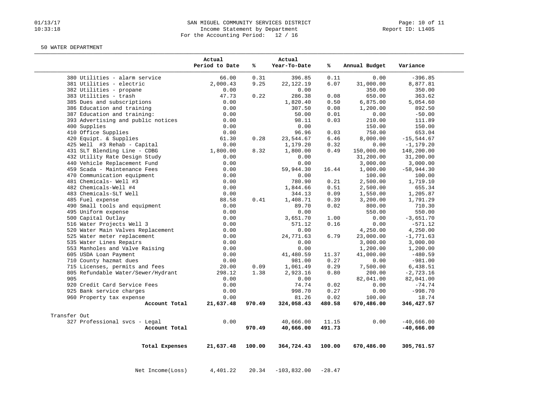## 01/13/17 CAN MIGUEL COMMUNITY SERVICES DISTRICT Page: 10 of 11<br>10:33:18 Income Statement by Department Income Statement by Department For the Accounting Period: 12 / 16

#### 50 WATER DEPARTMENT

|                                    | Actual<br>Period to Date | ℁      | Actual<br>Year-To-Date | ℁        | Annual Budget | Variance      |
|------------------------------------|--------------------------|--------|------------------------|----------|---------------|---------------|
| 380 Utilities - alarm service      | 66.00                    | 0.31   | 396.85                 | 0.11     | 0.00          | $-396.85$     |
| 381 Utilities - electric           | 2,000.43                 | 9.25   | 22, 122. 19            | 6.07     | 31,000.00     | 8,877.81      |
| 382 Utilities - propane            | 0.00                     |        | 0.00                   |          | 350.00        | 350.00        |
| 383 Utilities - trash              | 47.73                    | 0.22   | 286.38                 | 0.08     | 650.00        | 363.62        |
| 385 Dues and subscriptions         | 0.00                     |        | 1,820.40               | 0.50     | 6,875.00      | 5,054.60      |
| 386 Education and training         | 0.00                     |        | 307.50                 | 0.08     | 1,200.00      | 892.50        |
| 387 Education and training:        | 0.00                     |        | 50.00                  | 0.01     | 0.00          | $-50.00$      |
| 393 Advertising and public notices | 0.00                     |        | 98.11                  | 0.03     | 210.00        | 111.89        |
| 400 Supplies                       | 0.00                     |        | 0.00                   |          | 150.00        | 150.00        |
| 410 Office Supplies                | 0.00                     |        | 96.96                  | 0.03     | 750.00        | 653.04        |
| 420 Equipt. & Supplies             | 61.30                    | 0.28   | 23,544.67              | 6.46     | 8,000.00      | $-15, 544.67$ |
| 425 Well #3 Rehab - Capital        | 0.00                     |        | 1,179.20               | 0.32     | 0.00          | $-1, 179.20$  |
| 431 SLT Blending Line - CDBG       | 1,800.00                 | 8.32   | 1,800.00               | 0.49     | 150,000.00    | 148,200.00    |
| 432 Utility Rate Design Study      | 0.00                     |        | 0.00                   |          | 31,200.00     | 31,200.00     |
| 440 Vehicle Replacement Fund       | 0.00                     |        | 0.00                   |          | 3,000.00      | 3,000.00      |
| 459 Scada - Maintenance Fees       | 0.00                     |        | 59,944.30              | 16.44    | 1,000.00      | $-58,944.30$  |
| 470 Communication equipment        | 0.00                     |        | 0.00                   |          | 100.00        | 100.00        |
| 481 Chemicals- Well #3             | 0.00                     |        | 780.90                 | 0.21     | 2,500.00      | 1,719.10      |
| 482 Chemicals-Well #4              | 0.00                     |        | 1,844.66               | 0.51     | 2,500.00      | 655.34        |
| 483 Chemicals-SLT Well             | 0.00                     |        | 344.13                 | 0.09     | 1,550.00      | 1,205.87      |
| 485 Fuel expense                   | 88.58                    | 0.41   | 1,408.71               | 0.39     | 3,200.00      | 1,791.29      |
| 490 Small tools and equipment      | 0.00                     |        | 89.70                  | 0.02     | 800.00        | 710.30        |
| 495 Uniform expense                | 0.00                     |        | 0.00                   |          | 550.00        | 550.00        |
| 500 Capital Outlay                 | 0.00                     |        | 3,651.70               | 1.00     | 0.00          | $-3,651.70$   |
| 516 Water Projects Well 3          | 0.00                     |        | 571.12                 | 0.16     | 0.00          | $-571.12$     |
| 520 Water Main Valves Replacement  | 0.00                     |        | 0.00                   |          | 4,250.00      | 4,250.00      |
| 525 Water meter replacement        | 0.00                     |        | 24,771.63              | 6.79     | 23,000.00     | $-1,771.63$   |
| 535 Water Lines Repairs            | 0.00                     |        | 0.00                   |          | 3,000.00      | 3,000.00      |
| 553 Manholes and Valve Raising     | 0.00                     |        | 0.00                   |          | 1,200.00      | 1,200.00      |
| 605 USDA Loan Payment              | 0.00                     |        | 41,480.59              | 11.37    | 41,000.00     | $-480.59$     |
| 710 County hazmat dues             | 0.00                     |        | 981.00                 | 0.27     | 0.00          | $-981.00$     |
| 715 Licenses, permits and fees     | 20.00                    | 0.09   | 1,061.49               | 0.29     | 7,500.00      | 6,438.51      |
| 805 Refundable Water/Sewer/Hydrant | 298.12                   | 1.38   | 2,923.16               | 0.80     | 200.00        | $-2,723.16$   |
| 905                                | 0.00                     |        | 0.00                   |          | 82,041.00     | 82,041.00     |
| 920 Credit Card Service Fees       | 0.00                     |        | 74.74                  | 0.02     | 0.00          | $-74.74$      |
| 925 Bank service charges           | 0.00                     |        | 998.70                 | 0.27     | 0.00          | $-998.70$     |
| 960 Property tax expense           | 0.00                     |        | 81.26                  | 0.02     | 100.00        | 18.74         |
| Account Total                      | 21,637.48                | 970.49 | 324,058.43             | 480.58   | 670,486.00    | 346,427.57    |
| Transfer Out                       |                          |        |                        |          |               |               |
| 327 Professional svcs - Legal      | 0.00                     |        | 40,666.00              | 11.15    | 0.00          | $-40,666.00$  |
| Account Total                      |                          | 970.49 | 40,666.00              | 491.73   |               | $-40,666.00$  |
| Total Expenses                     | 21,637.48                | 100.00 | 364,724.43             | 100.00   | 670,486.00    | 305,761.57    |
| Net Income (Loss)                  | 4,401.22                 | 20.34  | $-103,832.00$          | $-28.47$ |               |               |